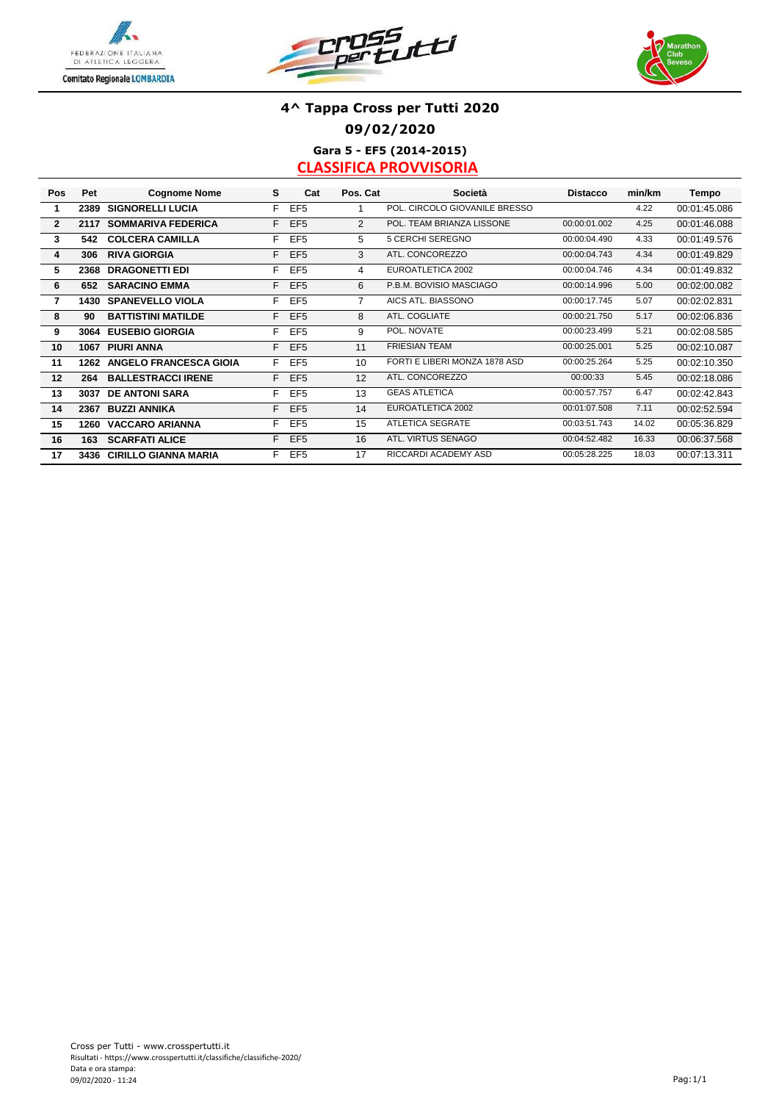





### **4^ Tappa Cross per Tutti 2020 09/02/2020 Gara 5 - EF5 (2014-2015)**

| Pos            | Pet  | <b>Cognome Nome</b>           | s  | Cat             | Pos. Cat       | Società                       | <b>Distacco</b> | min/km | Tempo        |
|----------------|------|-------------------------------|----|-----------------|----------------|-------------------------------|-----------------|--------|--------------|
| 1              | 2389 | <b>SIGNORELLI LUCIA</b>       | F. | EF <sub>5</sub> |                | POL. CIRCOLO GIOVANILE BRESSO |                 | 4.22   | 00:01:45.086 |
| $\overline{2}$ | 2117 | <b>SOMMARIVA FEDERICA</b>     | F. | EF <sub>5</sub> | 2              | POL. TEAM BRIANZA LISSONE     | 00:00:01.002    | 4.25   | 00:01:46.088 |
| 3              | 542  | <b>COLCERA CAMILLA</b>        | F. | EF <sub>5</sub> | 5              | 5 CERCHI SEREGNO              | 00:00:04.490    | 4.33   | 00:01:49.576 |
| 4              | 306  | <b>RIVA GIORGIA</b>           | F. | EF <sub>5</sub> | 3              | ATL. CONCOREZZO               | 00:00:04.743    | 4.34   | 00:01:49.829 |
| 5              | 2368 | <b>DRAGONETTI EDI</b>         | F. | EF <sub>5</sub> | 4              | EUROATLETICA 2002             | 00:00:04.746    | 4.34   | 00:01:49.832 |
| 6              | 652  | <b>SARACINO EMMA</b>          | F. | EF <sub>5</sub> | 6              | P.B.M. BOVISIO MASCIAGO       | 00:00:14.996    | 5.00   | 00:02:00.082 |
| $\overline{7}$ |      | <b>1430 SPANEVELLO VIOLA</b>  | F. | EF <sub>5</sub> | $\overline{7}$ | AICS ATL. BIASSONO            | 00:00:17.745    | 5.07   | 00:02:02.831 |
| 8              | 90   | <b>BATTISTINI MATILDE</b>     | F. | EF <sub>5</sub> | 8              | ATL. COGLIATE                 | 00:00:21.750    | 5.17   | 00:02:06.836 |
| 9              |      | 3064 EUSEBIO GIORGIA          | F. | EF <sub>5</sub> | 9              | POL. NOVATE                   | 00:00:23.499    | 5.21   | 00:02:08.585 |
| 10             | 1067 | <b>PIURI ANNA</b>             | F. | EF <sub>5</sub> | 11             | <b>FRIESIAN TEAM</b>          | 00:00:25.001    | 5.25   | 00:02:10.087 |
| 11             | 1262 | <b>ANGELO FRANCESCA GIOIA</b> | F. | EF <sub>5</sub> | 10             | FORTI E LIBERI MONZA 1878 ASD | 00:00:25.264    | 5.25   | 00:02:10.350 |
| 12             | 264  | <b>BALLESTRACCI IRENE</b>     | F. | EF <sub>5</sub> | 12             | ATL. CONCOREZZO               | 00:00:33        | 5.45   | 00:02:18.086 |
| 13             | 3037 | <b>DE ANTONI SARA</b>         | F. | EF <sub>5</sub> | 13             | <b>GEAS ATLETICA</b>          | 00:00:57.757    | 6.47   | 00:02:42.843 |
| 14             | 2367 | <b>BUZZI ANNIKA</b>           | F. | EF <sub>5</sub> | 14             | EUROATLETICA 2002             | 00:01:07.508    | 7.11   | 00:02:52.594 |
| 15             |      | 1260 VACCARO ARIANNA          | F. | EF <sub>5</sub> | 15             | <b>ATLETICA SEGRATE</b>       | 00:03:51.743    | 14.02  | 00:05:36.829 |
| 16             | 163  | <b>SCARFATI ALICE</b>         | F. | EF <sub>5</sub> | 16             | ATL. VIRTUS SENAGO            | 00:04:52.482    | 16.33  | 00:06:37.568 |
| 17             | 3436 | <b>CIRILLO GIANNA MARIA</b>   | F. | EF <sub>5</sub> | 17             | RICCARDI ACADEMY ASD          | 00:05:28.225    | 18.03  | 00:07:13.311 |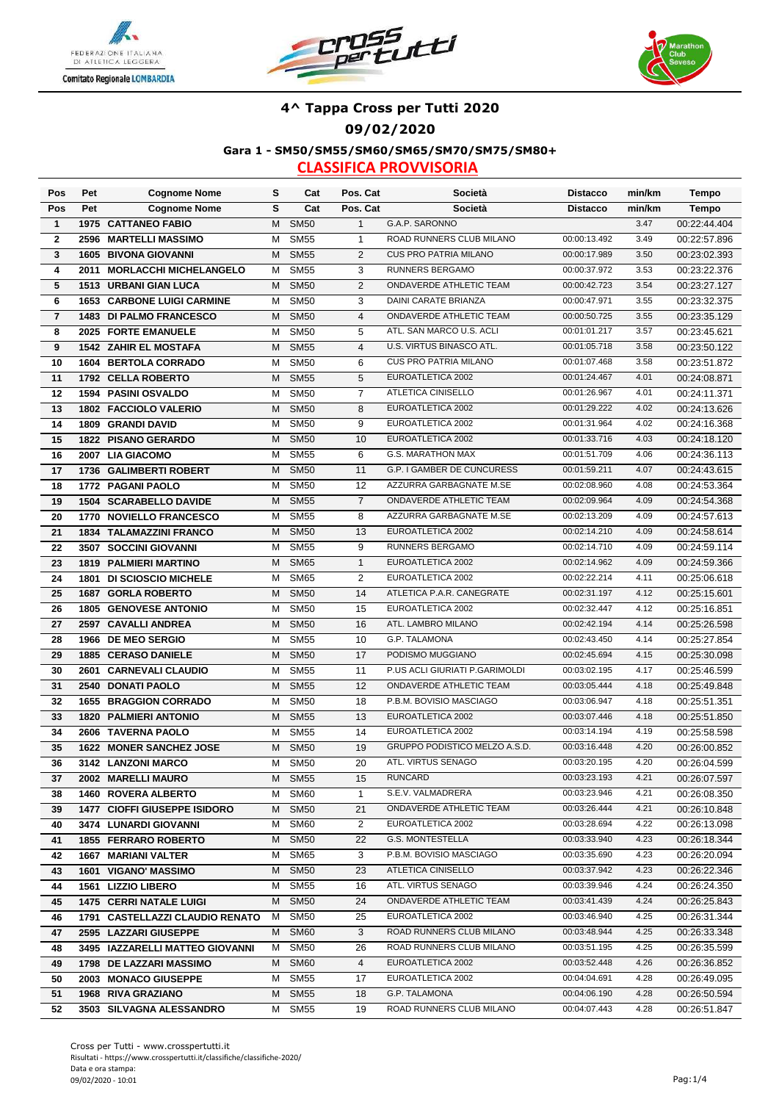





**Gara 1 - SM50/SM55/SM60/SM65/SM70/SM75/SM80+**

| Pos              | Pet  | <b>Cognome Nome</b>               | s | Cat         | Pos. Cat       | Società                        | <b>Distacco</b> | min/km | <b>Tempo</b> |
|------------------|------|-----------------------------------|---|-------------|----------------|--------------------------------|-----------------|--------|--------------|
| Pos              | Pet  | <b>Cognome Nome</b>               | S | Cat         | Pos. Cat       | Società                        | <b>Distacco</b> | min/km | Tempo        |
| $\mathbf{1}$     |      | <b>1975 CATTANEO FABIO</b>        | М | <b>SM50</b> | $\mathbf{1}$   | G.A.P. SARONNO                 |                 | 3.47   | 00:22:44.404 |
| $\mathbf{2}$     | 2596 | <b>MARTELLI MASSIMO</b>           | М | <b>SM55</b> | $\mathbf{1}$   | ROAD RUNNERS CLUB MILANO       | 00:00:13.492    | 3.49   | 00:22:57.896 |
| 3                |      | <b>1605 BIVONA GIOVANNI</b>       | M | <b>SM55</b> | $\mathbf{2}$   | <b>CUS PRO PATRIA MILANO</b>   | 00:00:17.989    | 3.50   | 00:23:02.393 |
| 4                | 2011 | <b>MORLACCHI MICHELANGELO</b>     | м | <b>SM55</b> | 3              | RUNNERS BERGAMO                | 00:00:37.972    | 3.53   | 00:23:22.376 |
| 5                |      | 1513 URBANI GIAN LUCA             | м | <b>SM50</b> | 2              | ONDAVERDE ATHLETIC TEAM        | 00:00:42.723    | 3.54   | 00:23:27.127 |
| 6                |      | <b>1653 CARBONE LUIGI CARMINE</b> | М | <b>SM50</b> | 3              | DAINI CARATE BRIANZA           | 00:00:47.971    | 3.55   | 00:23:32.375 |
| $\overline{7}$   |      | 1483 DI PALMO FRANCESCO           | М | <b>SM50</b> | $\overline{4}$ | ONDAVERDE ATHLETIC TEAM        | 00:00:50.725    | 3.55   | 00:23:35.129 |
| 8                |      | 2025 FORTE EMANUELE               | M | <b>SM50</b> | 5              | ATL. SAN MARCO U.S. ACLI       | 00:01:01.217    | 3.57   | 00:23:45.621 |
| $\boldsymbol{9}$ |      | <b>1542 ZAHIR EL MOSTAFA</b>      | М | <b>SM55</b> | $\overline{4}$ | U.S. VIRTUS BINASCO ATL.       | 00:01:05.718    | 3.58   | 00:23:50.122 |
| 10               |      | 1604 BERTOLA CORRADO              | м | <b>SM50</b> | 6              | <b>CUS PRO PATRIA MILANO</b>   | 00:01:07.468    | 3.58   | 00:23:51.872 |
| 11               |      | 1792 CELLA ROBERTO                | M | <b>SM55</b> | 5              | EUROATLETICA 2002              | 00:01:24.467    | 4.01   | 00:24:08.871 |
| 12               |      | 1594 PASINI OSVALDO               | м | <b>SM50</b> | 7              | ATLETICA CINISELLO             | 00:01:26.967    | 4.01   | 00:24:11.371 |
| 13               |      | 1802 FACCIOLO VALERIO             | м | <b>SM50</b> | 8              | EUROATLETICA 2002              | 00:01:29.222    | 4.02   | 00:24:13.626 |
| 14               |      | 1809 GRANDI DAVID                 | М | <b>SM50</b> | 9              | EUROATLETICA 2002              | 00:01:31.964    | 4.02   | 00:24:16.368 |
| 15               |      | 1822 PISANO GERARDO               | M | <b>SM50</b> | 10             | EUROATLETICA 2002              | 00:01:33.716    | 4.03   | 00:24:18.120 |
| 16               |      | 2007 LIA GIACOMO                  | М | <b>SM55</b> | 6              | <b>G.S. MARATHON MAX</b>       | 00:01:51.709    | 4.06   | 00:24:36.113 |
| 17               |      | 1736 GALIMBERTI ROBERT            | м | <b>SM50</b> | 11             | G.P. I GAMBER DE CUNCURESS     | 00:01:59.211    | 4.07   | 00:24:43.615 |
| 18               |      | 1772 PAGANI PAOLO                 | M | <b>SM50</b> | 12             | AZZURRA GARBAGNATE M.SE        | 00:02:08.960    | 4.08   | 00:24:53.364 |
| 19               |      | <b>1504 SCARABELLO DAVIDE</b>     | M | <b>SM55</b> | $\overline{7}$ | ONDAVERDE ATHLETIC TEAM        | 00:02:09.964    | 4.09   | 00:24:54.368 |
| 20               |      | 1770 NOVIELLO FRANCESCO           | М | <b>SM55</b> | 8              | AZZURRA GARBAGNATE M.SE        | 00:02:13.209    | 4.09   | 00:24:57.613 |
| 21               |      | 1834 TALAMAZZINI FRANCO           | м | <b>SM50</b> | 13             | EUROATLETICA 2002              | 00:02:14.210    | 4.09   | 00:24:58.614 |
| 22               |      | 3507 SOCCINI GIOVANNI             | М | <b>SM55</b> | 9              | RUNNERS BERGAMO                | 00:02:14.710    | 4.09   | 00:24:59.114 |
| 23               |      | <b>1819 PALMIERI MARTINO</b>      | M | <b>SM65</b> | $\mathbf{1}$   | EUROATLETICA 2002              | 00:02:14.962    | 4.09   | 00:24:59.366 |
| 24               |      | 1801 DI SCIOSCIO MICHELE          | м | <b>SM65</b> | $\overline{2}$ | EUROATLETICA 2002              | 00:02:22.214    | 4.11   | 00:25:06.618 |
| 25               | 1687 | <b>GORLA ROBERTO</b>              | M | <b>SM50</b> | 14             | ATLETICA P.A.R. CANEGRATE      | 00:02:31.197    | 4.12   | 00:25:15.601 |
| 26               |      | <b>1805 GENOVESE ANTONIO</b>      | м | <b>SM50</b> | 15             | EUROATLETICA 2002              | 00:02:32.447    | 4.12   | 00:25:16.851 |
| 27               |      | 2597 CAVALLI ANDREA               | м | <b>SM50</b> | 16             | ATL. LAMBRO MILANO             | 00:02:42.194    | 4.14   | 00:25:26.598 |
| 28               |      | 1966 DE MEO SERGIO                | М | <b>SM55</b> | 10             | G.P. TALAMONA                  | 00:02:43.450    | 4.14   | 00:25:27.854 |
| 29               |      | <b>1885 CERASO DANIELE</b>        | м | <b>SM50</b> | 17             | PODISMO MUGGIANO               | 00:02:45.694    | 4.15   | 00:25:30.098 |
| 30               | 2601 | <b>CARNEVALI CLAUDIO</b>          | м | <b>SM55</b> | 11             | P.US ACLI GIURIATI P.GARIMOLDI | 00:03:02.195    | 4.17   | 00:25:46.599 |
| 31               | 2540 | <b>DONATI PAOLO</b>               | M | <b>SM55</b> | 12             | ONDAVERDE ATHLETIC TEAM        | 00:03:05.444    | 4.18   | 00:25:49.848 |
| 32               |      | <b>1655 BRAGGION CORRADO</b>      | М | <b>SM50</b> | 18             | P.B.M. BOVISIO MASCIAGO        | 00:03:06.947    | 4.18   | 00:25:51.351 |
| 33               |      | <b>1820 PALMIERI ANTONIO</b>      | М | <b>SM55</b> | 13             | EUROATLETICA 2002              | 00:03:07.446    | 4.18   | 00:25:51.850 |
| 34               |      | 2606 TAVERNA PAOLO                | М | <b>SM55</b> | 14             | EUROATLETICA 2002              | 00:03:14.194    | 4.19   | 00:25:58.598 |
| 35               |      | 1622 MONER SANCHEZ JOSE           | М | <b>SM50</b> | 19             | GRUPPO PODISTICO MELZO A.S.D.  | 00:03:16.448    | 4.20   | 00:26:00.852 |
| 36               |      | 3142 LANZONI MARCO                | М | <b>SM50</b> | 20             | ATL. VIRTUS SENAGO             | 00:03:20.195    | 4.20   | 00:26:04.599 |
| 37               |      | 2002 MARELLI MAURO                |   | M SM55      | 15             | <b>RUNCARD</b>                 | 00:03:23.193    | 4.21   | 00:26:07.597 |
| 38               |      | <b>1460 ROVERA ALBERTO</b>        | М | SM60        | $\mathbf{1}$   | S.E.V. VALMADRERA              | 00:03:23.946    | 4.21   | 00:26:08.350 |
| 39               |      | 1477 CIOFFI GIUSEPPE ISIDORO      | M | <b>SM50</b> | 21             | ONDAVERDE ATHLETIC TEAM        | 00:03:26.444    | 4.21   | 00:26:10.848 |
| 40               |      | 3474 LUNARDI GIOVANNI             | M | SM60        | 2              | EUROATLETICA 2002              | 00:03:28.694    | 4.22   | 00:26:13.098 |
| 41               |      | <b>1855 FERRARO ROBERTO</b>       | М | <b>SM50</b> | 22             | <b>G.S. MONTESTELLA</b>        | 00:03:33.940    | 4.23   | 00:26:18.344 |
| 42               |      | 1667 MARIANI VALTER               | M | SM65        | 3              | P.B.M. BOVISIO MASCIAGO        | 00:03:35.690    | 4.23   | 00:26:20.094 |
| 43               |      | 1601 VIGANO' MASSIMO              |   | M SM50      | 23             | ATLETICA CINISELLO             | 00:03:37.942    | 4.23   | 00:26:22.346 |
| 44               |      | 1561 LIZZIO LIBERO                | M | <b>SM55</b> | 16             | ATL. VIRTUS SENAGO             | 00:03:39.946    | 4.24   | 00:26:24.350 |
| 45               |      | <b>1475 CERRI NATALE LUIGI</b>    |   | M SM50      | 24             | ONDAVERDE ATHLETIC TEAM        | 00:03:41.439    | 4.24   | 00:26:25.843 |
| 46               |      | 1791 CASTELLAZZI CLAUDIO RENATO   | M | <b>SM50</b> | 25             | EUROATLETICA 2002              | 00:03:46.940    | 4.25   | 00:26:31.344 |
| 47               |      | 2595 LAZZARI GIUSEPPE             | M | SM60        | 3              | ROAD RUNNERS CLUB MILANO       | 00:03:48.944    | 4.25   | 00:26:33.348 |
| 48               |      | 3495 IAZZARELLI MATTEO GIOVANNI   | M | <b>SM50</b> | 26             | ROAD RUNNERS CLUB MILANO       | 00:03:51.195    | 4.25   | 00:26:35.599 |
| 49               |      | 1798 DE LAZZARI MASSIMO           | M | <b>SM60</b> | 4              | EUROATLETICA 2002              | 00:03:52.448    | 4.26   | 00:26:36.852 |
| 50               |      | 2003 MONACO GIUSEPPE              | M | <b>SM55</b> | 17             | EUROATLETICA 2002              | 00:04:04.691    | 4.28   | 00:26:49.095 |
| 51               |      | 1968 RIVA GRAZIANO                | М | <b>SM55</b> | 18             | G.P. TALAMONA                  | 00:04:06.190    | 4.28   | 00:26:50.594 |
| 52               |      | 3503 SILVAGNA ALESSANDRO          | М | <b>SM55</b> | 19             | ROAD RUNNERS CLUB MILANO       | 00:04:07.443    | 4.28   | 00:26:51.847 |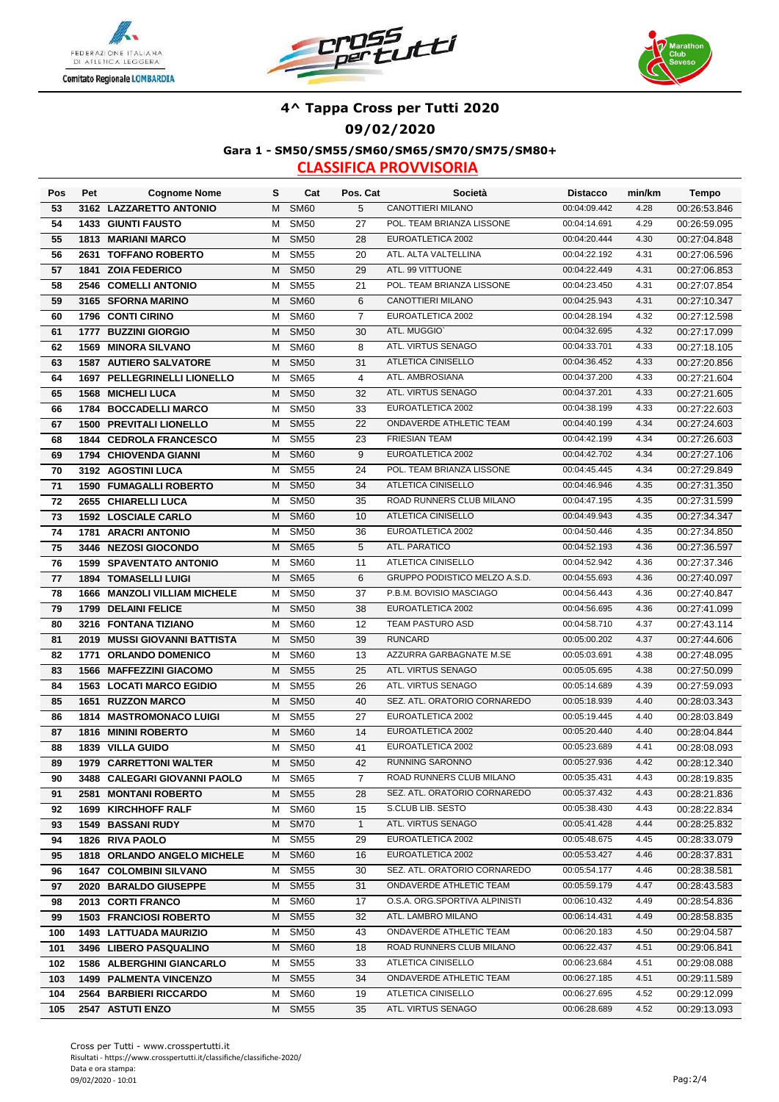





**Gara 1 - SM50/SM55/SM60/SM65/SM70/SM75/SM80+**

| Pos | Pet  | <b>Cognome Nome</b>                 | s | Cat                      | Pos. Cat       | Società                                       | <b>Distacco</b>              | min/km       | Tempo        |
|-----|------|-------------------------------------|---|--------------------------|----------------|-----------------------------------------------|------------------------------|--------------|--------------|
| 53  |      | 3162 LAZZARETTO ANTONIO             | М | <b>SM60</b>              | 5              | CANOTTIERI MILANO                             | 00:04:09.442                 | 4.28         | 00:26:53.846 |
| 54  |      | <b>1433 GIUNTI FAUSTO</b>           | м | <b>SM50</b>              | 27             | POL. TEAM BRIANZA LISSONE                     | 00:04:14.691                 | 4.29         | 00:26:59.095 |
| 55  |      | <b>1813 MARIANI MARCO</b>           | м | <b>SM50</b>              | 28             | EUROATLETICA 2002                             | 00:04:20.444                 | 4.30         | 00:27:04.848 |
| 56  |      | 2631 TOFFANO ROBERTO                | м | <b>SM55</b>              | 20             | ATL. ALTA VALTELLINA                          | 00:04:22.192                 | 4.31         | 00:27:06.596 |
| 57  |      | 1841 ZOIA FEDERICO                  | м | <b>SM50</b>              | 29             | ATL. 99 VITTUONE                              | 00:04:22.449                 | 4.31         | 00:27:06.853 |
| 58  |      | 2546 COMELLI ANTONIO                | м | <b>SM55</b>              | 21             | POL. TEAM BRIANZA LISSONE                     | 00:04:23.450                 | 4.31         | 00:27:07.854 |
| 59  |      | 3165 SFORNA MARINO                  | M | <b>SM60</b>              | 6              | CANOTTIERI MILANO                             | 00:04:25.943                 | 4.31         | 00:27:10.347 |
| 60  |      | 1796 CONTI CIRINO                   | м | <b>SM60</b>              | $\overline{7}$ | EUROATLETICA 2002                             | 00:04:28.194                 | 4.32         | 00:27:12.598 |
| 61  |      | 1777 BUZZINI GIORGIO                | м | <b>SM50</b>              | 30             | ATL. MUGGIO'                                  | 00:04:32.695                 | 4.32         | 00:27:17.099 |
| 62  |      | <b>1569 MINORA SILVANO</b>          | M | <b>SM60</b>              | 8              | ATL. VIRTUS SENAGO                            | 00:04:33.701                 | 4.33         | 00:27:18.105 |
| 63  |      | <b>1587 AUTIERO SALVATORE</b>       | М | <b>SM50</b>              | 31             | <b>ATLETICA CINISELLO</b>                     | 00:04:36.452                 | 4.33         | 00:27:20.856 |
| 64  |      | 1697 PELLEGRINELLI LIONELLO         | м | <b>SM65</b>              | $\overline{4}$ | ATL. AMBROSIANA                               | 00:04:37.200                 | 4.33         | 00:27:21.604 |
| 65  |      | <b>1568 MICHELI LUCA</b>            | М | <b>SM50</b>              | 32             | ATL. VIRTUS SENAGO                            | 00:04:37.201                 | 4.33         | 00:27:21.605 |
| 66  |      | 1784 BOCCADELLI MARCO               | М | <b>SM50</b>              | 33             | EUROATLETICA 2002                             | 00:04:38.199                 | 4.33         | 00:27:22.603 |
| 67  |      | <b>1500 PREVITALI LIONELLO</b>      | М | <b>SM55</b>              | 22             | ONDAVERDE ATHLETIC TEAM                       | 00:04:40.199                 | 4.34         | 00:27:24.603 |
| 68  |      | 1844 CEDROLA FRANCESCO              | М | <b>SM55</b>              | 23             | <b>FRIESIAN TEAM</b>                          | 00:04:42.199                 | 4.34         | 00:27:26.603 |
| 69  |      | 1794 CHIOVENDA GIANNI               | М | <b>SM60</b>              | $9\,$          | EUROATLETICA 2002                             | 00:04:42.702                 | 4.34         | 00:27:27.106 |
| 70  |      | 3192 AGOSTINI LUCA                  | м | <b>SM55</b>              | 24             | POL. TEAM BRIANZA LISSONE                     | 00:04:45.445                 | 4.34         | 00:27:29.849 |
| 71  |      | <b>1590 FUMAGALLI ROBERTO</b>       | м | <b>SM50</b>              | 34             | ATLETICA CINISELLO                            | 00:04:46.946                 | 4.35         | 00:27:31.350 |
| 72  |      | 2655 CHIARELLI LUCA                 | M | <b>SM50</b>              | 35             | ROAD RUNNERS CLUB MILANO                      | 00:04:47.195                 | 4.35         | 00:27:31.599 |
| 73  |      | <b>1592 LOSCIALE CARLO</b>          | М | <b>SM60</b>              | 10             | <b>ATLETICA CINISELLO</b>                     | 00:04:49.943                 | 4.35         | 00:27:34.347 |
| 74  |      | 1781 ARACRI ANTONIO                 | М | <b>SM50</b>              | 36             | EUROATLETICA 2002                             | 00:04:50.446                 | 4.35         | 00:27:34.850 |
| 75  |      | 3446 NEZOSI GIOCONDO                | М | <b>SM65</b>              | 5              | ATL. PARATICO                                 | 00:04:52.193                 | 4.36         | 00:27:36.597 |
| 76  |      | <b>1599 SPAVENTATO ANTONIO</b>      | м | <b>SM60</b>              | 11             | ATLETICA CINISELLO                            | 00:04:52.942                 | 4.36         | 00:27:37.346 |
| 77  |      | <b>1894 TOMASELLI LUIGI</b>         | м | <b>SM65</b>              | 6              | GRUPPO PODISTICO MELZO A.S.D.                 | 00:04:55.693                 | 4.36         | 00:27:40.097 |
| 78  |      | <b>1666 MANZOLI VILLIAM MICHELE</b> | М | <b>SM50</b>              | 37             | P.B.M. BOVISIO MASCIAGO                       | 00:04:56.443                 | 4.36         | 00:27:40.847 |
| 79  |      | 1799 DELAINI FELICE                 | м | <b>SM50</b>              | 38             | EUROATLETICA 2002                             | 00:04:56.695                 | 4.36         | 00:27:41.099 |
| 80  |      | 3216 FONTANA TIZIANO                | М | <b>SM60</b>              | 12             | <b>TEAM PASTURO ASD</b>                       | 00:04:58.710                 | 4.37         | 00:27:43.114 |
| 81  |      | 2019 MUSSI GIOVANNI BATTISTA        | м | <b>SM50</b>              | 39             | <b>RUNCARD</b>                                | 00:05:00.202                 | 4.37         | 00:27:44.606 |
| 82  |      | 1771 ORLANDO DOMENICO               | м | <b>SM60</b>              | 13             | AZZURRA GARBAGNATE M.SE                       | 00:05:03.691                 | 4.38         | 00:27:48.095 |
| 83  |      | 1566 MAFFEZZINI GIACOMO             | м | <b>SM55</b>              | 25             | ATL. VIRTUS SENAGO                            | 00:05:05.695                 | 4.38         | 00:27:50.099 |
| 84  |      | <b>1563 LOCATI MARCO EGIDIO</b>     | м | <b>SM55</b>              | 26             | ATL. VIRTUS SENAGO                            | 00:05:14.689                 | 4.39         | 00:27:59.093 |
| 85  |      | 1651 RUZZON MARCO                   | M | <b>SM50</b>              | 40             | SEZ. ATL. ORATORIO CORNAREDO                  | 00:05:18.939                 | 4.40         | 00:28:03.343 |
| 86  |      | <b>1814 MASTROMONACO LUIGI</b>      | м | <b>SM55</b>              | 27             | EUROATLETICA 2002                             | 00:05:19.445                 | 4.40         | 00:28:03.849 |
| 87  |      | <b>1816 MININI ROBERTO</b>          | м | <b>SM60</b>              | 14             | EUROATLETICA 2002                             | 00:05:20.440                 | 4.40         | 00:28:04.844 |
| 88  | 1839 | <b>VILLA GUIDO</b>                  | M | $\overline{\text{SM5}}0$ | 41             | EUROATLETICA 2002                             | 00:05:23.689                 | 4.41         | 00:28:08.093 |
| 89  |      | <b>1979 CARRETTONI WALTER</b>       | М | <b>SM50</b>              | 42             | RUNNING SARONNO                               | 00:05:27.936                 | 4.42         | 00:28:12.340 |
| 90  |      | 3488 CALEGARI GIOVANNI PAOLO        |   | M SM65                   | $\overline{7}$ | ROAD RUNNERS CLUB MILANO                      | 00:05:35.431                 | 4.43         | 00:28:19.835 |
| 91  |      | 2581 MONTANI ROBERTO                | М | <b>SM55</b>              | 28             | SEZ. ATL. ORATORIO CORNAREDO                  | 00:05:37.432                 | 4.43         | 00:28:21.836 |
| 92  |      | 1699 KIRCHHOFF RALF                 | М | <b>SM60</b>              | 15             | S.CLUB LIB. SESTO                             | 00:05:38.430                 | 4.43         | 00:28:22.834 |
| 93  |      | 1549 BASSANI RUDY                   | м | <b>SM70</b>              | $\mathbf{1}$   | ATL. VIRTUS SENAGO                            | 00:05:41.428                 | 4.44         | 00:28:25.832 |
| 94  |      | 1826 RIVA PAOLO                     | М | <b>SM55</b>              | 29             | EUROATLETICA 2002                             | 00:05:48.675                 | 4.45         | 00:28:33.079 |
| 95  |      | 1818 ORLANDO ANGELO MICHELE         | м | <b>SM60</b>              | 16             | EUROATLETICA 2002                             | 00:05:53.427                 | 4.46         | 00:28:37.831 |
| 96  |      | <b>1647 COLOMBINI SILVANO</b>       | м | <b>SM55</b>              | 30             | SEZ. ATL. ORATORIO CORNAREDO                  | 00:05:54.177                 | 4.46         | 00:28:38.581 |
| 97  |      | 2020 BARALDO GIUSEPPE               | М | <b>SM55</b>              | 31             | ONDAVERDE ATHLETIC TEAM                       | 00:05:59.179                 | 4.47         | 00:28:43.583 |
| 98  |      | 2013 CORTI FRANCO                   | м | <b>SM60</b>              | 17             | O.S.A. ORG.SPORTIVA ALPINISTI                 | 00:06:10.432                 | 4.49         | 00:28:54.836 |
| 99  |      | <b>1503 FRANCIOSI ROBERTO</b>       | м | <b>SM55</b>              | 32             | ATL. LAMBRO MILANO                            | 00:06:14.431                 | 4.49         | 00:28:58.835 |
| 100 |      | 1493 LATTUADA MAURIZIO              | м | <b>SM50</b>              | 43             | ONDAVERDE ATHLETIC TEAM                       | 00:06:20.183                 | 4.50         | 00:29:04.587 |
| 101 |      | 3496 LIBERO PASQUALINO              | м | <b>SM60</b>              | 18             | ROAD RUNNERS CLUB MILANO                      | 00:06:22.437                 | 4.51         | 00:29:06.841 |
| 102 |      | 1586 ALBERGHINI GIANCARLO           | м | <b>SM55</b>              | 33             | ATLETICA CINISELLO                            | 00:06:23.684                 | 4.51         | 00:29:08.088 |
| 103 |      | <b>1499 PALMENTA VINCENZO</b>       | м | <b>SM55</b>              | 34             | ONDAVERDE ATHLETIC TEAM<br>ATLETICA CINISELLO | 00:06:27.185                 | 4.51         | 00:29:11.589 |
| 104 |      | 2564 BARBIERI RICCARDO              | м | SM60                     | 19             | ATL. VIRTUS SENAGO                            | 00:06:27.695<br>00:06:28.689 | 4.52<br>4.52 | 00:29:12.099 |
| 105 |      | 2547 ASTUTI ENZO                    |   | M SM55                   | 35             |                                               |                              |              | 00:29:13.093 |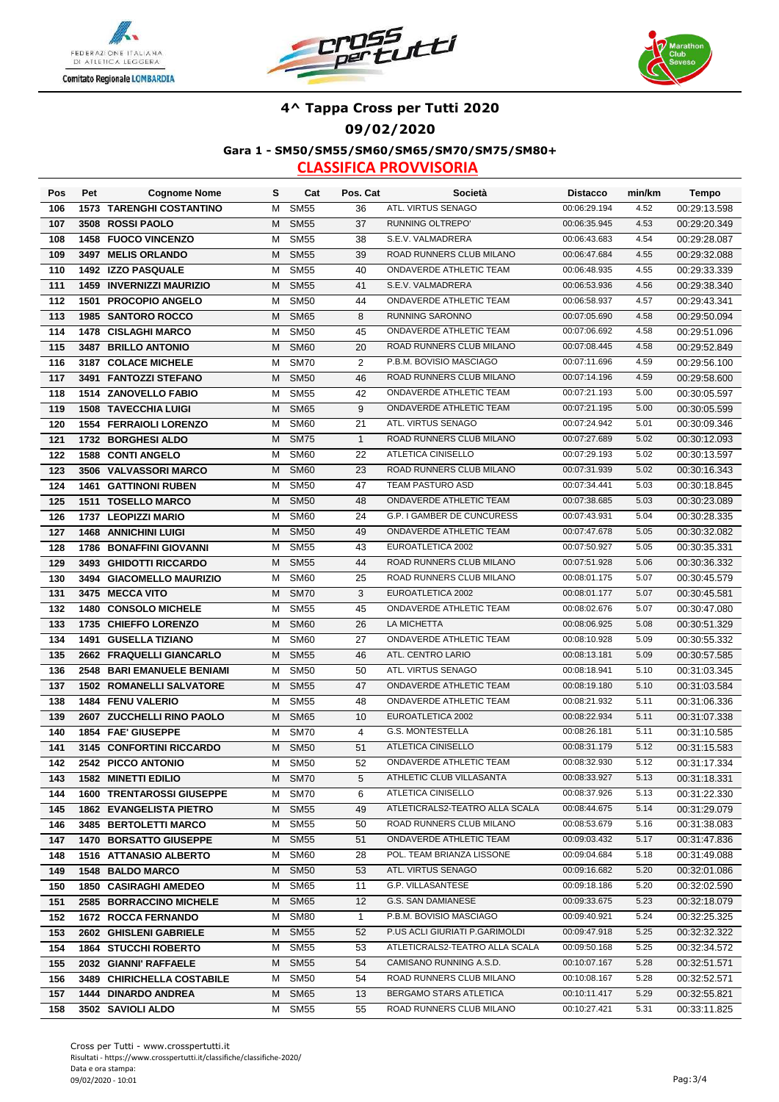





**Gara 1 - SM50/SM55/SM60/SM65/SM70/SM75/SM80+**

| Pos        | Pet  | <b>Cognome Nome</b>                                     | s      | Cat                        | Pos. Cat       | Società                                        | <b>Distacco</b>              | min/km       | Tempo                        |
|------------|------|---------------------------------------------------------|--------|----------------------------|----------------|------------------------------------------------|------------------------------|--------------|------------------------------|
| 106        |      | <b>1573 TARENGHI COSTANTINO</b>                         | M      | <b>SM55</b>                | 36             | ATL. VIRTUS SENAGO                             | 00:06:29.194                 | 4.52         | 00:29:13.598                 |
| 107        |      | 3508 ROSSI PAOLO                                        | M      | <b>SM55</b>                | 37             | RUNNING OLTREPO'                               | 00:06:35.945                 | 4.53         | 00:29:20.349                 |
| 108        |      | <b>1458 FUOCO VINCENZO</b>                              | M      | <b>SM55</b>                | 38             | S.E.V. VALMADRERA                              | 00:06:43.683                 | 4.54         | 00:29:28.087                 |
| 109        |      | 3497 MELIS ORLANDO                                      | M      | <b>SM55</b>                | 39             | ROAD RUNNERS CLUB MILANO                       | 00:06:47.684                 | 4.55         | 00:29:32.088                 |
| 110        |      | 1492 IZZO PASQUALE                                      | м      | <b>SM55</b>                | 40             | ONDAVERDE ATHLETIC TEAM                        | 00:06:48.935                 | 4.55         | 00:29:33.339                 |
| 111        | 1459 | <b>INVERNIZZI MAURIZIO</b>                              | M      | <b>SM55</b>                | 41             | S.E.V. VALMADRERA                              | 00:06:53.936                 | 4.56         | 00:29:38.340                 |
| 112        | 1501 | <b>PROCOPIO ANGELO</b>                                  | м      | <b>SM50</b>                | 44             | ONDAVERDE ATHLETIC TEAM                        | 00:06:58.937                 | 4.57         | 00:29:43.341                 |
| 113        |      | 1985 SANTORO ROCCO                                      | M      | <b>SM65</b>                | 8              | RUNNING SARONNO                                | 00:07:05.690                 | 4.58         | 00:29:50.094                 |
| 114        |      | 1478 CISLAGHI MARCO                                     | м      | <b>SM50</b>                | 45             | ONDAVERDE ATHLETIC TEAM                        | 00:07:06.692                 | 4.58         | 00:29:51.096                 |
| 115        |      | 3487 BRILLO ANTONIO                                     | M      | <b>SM60</b>                | 20             | ROAD RUNNERS CLUB MILANO                       | 00:07:08.445                 | 4.58         | 00:29:52.849                 |
| 116        |      | 3187 COLACE MICHELE                                     | м      | <b>SM70</b>                | $\overline{2}$ | P.B.M. BOVISIO MASCIAGO                        | 00:07:11.696                 | 4.59         | 00:29:56.100                 |
| 117        |      | 3491 FANTOZZI STEFANO                                   | M      | <b>SM50</b>                | 46             | ROAD RUNNERS CLUB MILANO                       | 00:07:14.196                 | 4.59         | 00:29:58.600                 |
| 118        |      | 1514 ZANOVELLO FABIO                                    | M      | <b>SM55</b>                | 42             | ONDAVERDE ATHLETIC TEAM                        | 00:07:21.193                 | 5.00         | 00:30:05.597                 |
| 119        |      | <b>1508 TAVECCHIA LUIGI</b>                             | M      | <b>SM65</b>                | 9              | ONDAVERDE ATHLETIC TEAM                        | 00:07:21.195                 | 5.00         | 00:30:05.599                 |
| 120        |      | <b>1554 FERRAIOLI LORENZO</b>                           | M      | <b>SM60</b>                | 21             | ATL. VIRTUS SENAGO                             | 00:07:24.942                 | 5.01         | 00:30:09.346                 |
| 121        |      | 1732 BORGHESI ALDO                                      | M      | <b>SM75</b>                | $\mathbf{1}$   | ROAD RUNNERS CLUB MILANO                       | 00:07:27.689                 | 5.02         | 00:30:12.093                 |
| 122        |      | <b>1588 CONTI ANGELO</b>                                | м      | <b>SM60</b>                | 22             | ATLETICA CINISELLO                             | 00:07:29.193                 | 5.02         | 00:30:13.597                 |
| 123        |      | 3506 VALVASSORI MARCO                                   | M      | <b>SM60</b>                | 23             | ROAD RUNNERS CLUB MILANO                       | 00:07:31.939                 | 5.02         | 00:30:16.343                 |
| 124        |      | <b>1461 GATTINONI RUBEN</b>                             | м      | <b>SM50</b>                | 47             | <b>TEAM PASTURO ASD</b>                        | 00:07:34.441                 | 5.03         | 00:30:18.845                 |
| 125        |      | 1511 TOSELLO MARCO                                      | M      | <b>SM50</b>                | 48             | ONDAVERDE ATHLETIC TEAM                        | 00:07:38.685                 | 5.03         | 00:30:23.089                 |
| 126        |      | 1737 LEOPIZZI MARIO                                     | M      | <b>SM60</b>                | 24             | G.P. I GAMBER DE CUNCURESS                     | 00:07:43.931                 | 5.04         | 00:30:28.335                 |
| 127        |      | <b>1468 ANNICHINI LUIGI</b>                             | M      | <b>SM50</b>                | 49             | ONDAVERDE ATHLETIC TEAM                        | 00:07:47.678                 | 5.05         | 00:30:32.082                 |
| 128        |      | 1786 BONAFFINI GIOVANNI                                 | M      | <b>SM55</b>                | 43             | EUROATLETICA 2002                              | 00:07:50.927                 | 5.05         | 00:30:35.331                 |
| 129        |      | 3493 GHIDOTTI RICCARDO                                  | M      | <b>SM55</b>                | 44             | ROAD RUNNERS CLUB MILANO                       | 00:07:51.928                 | 5.06         | 00:30:36.332                 |
| 130        |      | 3494 GIACOMELLO MAURIZIO                                | M      | <b>SM60</b>                | 25             | ROAD RUNNERS CLUB MILANO                       | 00:08:01.175                 | 5.07         | 00:30:45.579                 |
| 131        |      | 3475 MECCA VITO                                         | M      | <b>SM70</b>                | 3              | EUROATLETICA 2002                              | 00:08:01.177                 | 5.07         | 00:30:45.581                 |
| 132        |      | 1480 CONSOLO MICHELE                                    | м      | <b>SM55</b>                | 45             | ONDAVERDE ATHLETIC TEAM                        | 00:08:02.676                 | 5.07         | 00:30:47.080                 |
| 133        |      | 1735 CHIEFFO LORENZO                                    | M      | <b>SM60</b>                | 26             | LA MICHETTA                                    | 00:08:06.925                 | 5.08         | 00:30:51.329                 |
| 134        |      | 1491 GUSELLA TIZIANO                                    | м      | <b>SM60</b>                | 27             | ONDAVERDE ATHLETIC TEAM                        | 00:08:10.928                 | 5.09         | 00:30:55.332                 |
| 135        |      | 2662 FRAQUELLI GIANCARLO                                | M      | <b>SM55</b>                | 46             | ATL. CENTRO LARIO                              | 00:08:13.181                 | 5.09         | 00:30:57.585                 |
| 136        |      | 2548 BARI EMANUELE BENIAMI                              | м      | <b>SM50</b>                | 50             | ATL. VIRTUS SENAGO                             | 00:08:18.941                 | 5.10         | 00:31:03.345                 |
| 137        |      | <b>1502 ROMANELLI SALVATORE</b>                         | M      | <b>SM55</b>                | 47             | ONDAVERDE ATHLETIC TEAM                        | 00:08:19.180                 | 5.10         | 00:31:03.584                 |
| 138        |      | 1484 FENU VALERIO                                       | м      | <b>SM55</b>                | 48             | ONDAVERDE ATHLETIC TEAM                        | 00:08:21.932                 | 5.11         | 00:31:06.336                 |
| 139        |      | 2607 ZUCCHELLI RINO PAOLO                               | M      | <b>SM65</b>                | 10             | EUROATLETICA 2002                              | 00:08:22.934                 | 5.11         | 00:31:07.338                 |
| 140        |      | 1854 FAE' GIUSEPPE                                      | м      | <b>SM70</b>                | $\overline{4}$ | G.S. MONTESTELLA                               | 00:08:26.181                 | 5.11         | 00:31:10.585                 |
| 141        |      | 3145 CONFORTINI RICCARDO                                | М      | <b>SM50</b>                | 51             | ATLETICA CINISELLO                             | 00:08:31.179                 | 5.12         | 00:31:15.583                 |
| 142        |      | 2542 PICCO ANTONIO                                      | М      | <b>SM50</b>                | 52             | ONDAVERDE ATHLETIC TEAM                        | 00:08:32.930                 | 5.12         | 00:31:17.334                 |
| 143        |      | <b>1582 MINETTI EDILIO</b>                              |        | M SM70                     | 5              | ATHLETIC CLUB VILLASANTA<br>ATLETICA CINISELLO | 00:08:33.927                 | 5.13         | 00:31:18.331                 |
| 144        |      | <b>1600 TRENTAROSSI GIUSEPPE</b>                        | M      | <b>SM70</b><br><b>SM55</b> | 6              | ATLETICRALS2-TEATRO ALLA SCALA                 | 00:08:37.926<br>00:08:44.675 | 5.13<br>5.14 | 00:31:22.330                 |
| 145        |      | <b>1862 EVANGELISTA PIETRO</b>                          | M      |                            | 49             | ROAD RUNNERS CLUB MILANO                       | 00:08:53.679                 | 5.16         | 00:31:29.079                 |
| 146<br>147 |      | 3485 BERTOLETTI MARCO<br><b>1470 BORSATTO GIUSEPPE</b>  | М<br>M | <b>SM55</b><br><b>SM55</b> | 50<br>51       | ONDAVERDE ATHLETIC TEAM                        | 00:09:03.432                 | 5.17         | 00:31:38.083<br>00:31:47.836 |
| 148        |      | 1516 ATTANASIO ALBERTO                                  | M      | SM60                       | 28             | POL. TEAM BRIANZA LISSONE                      | 00:09:04.684                 | 5.18         | 00:31:49.088                 |
| 149        |      | <b>1548 BALDO MARCO</b>                                 | M      | <b>SM50</b>                | 53             | ATL. VIRTUS SENAGO                             | 00:09:16.682                 | 5.20         | 00:32:01.086                 |
|            |      |                                                         | M      | <b>SM65</b>                | 11             | G.P. VILLASANTESE                              | 00:09:18.186                 | 5.20         | 00:32:02.590                 |
| 150<br>151 |      | <b>1850 CASIRAGHI AMEDEO</b><br>2585 BORRACCINO MICHELE |        | <b>SM65</b>                | 12             | G.S. SAN DAMIANESE                             | 00:09:33.675                 | 5.23         |                              |
| 152        |      | <b>1672 ROCCA FERNANDO</b>                              | M<br>M | SM80                       | $\mathbf{1}$   | P.B.M. BOVISIO MASCIAGO                        | 00:09:40.921                 | 5.24         | 00:32:18.079<br>00:32:25.325 |
| 153        |      | 2602 GHISLENI GABRIELE                                  |        | M SM55                     | 52             | P.US ACLI GIURIATI P.GARIMOLDI                 | 00:09:47.918                 | 5.25         | 00:32:32.322                 |
| 154        |      | <b>1864 STUCCHI ROBERTO</b>                             | M      | <b>SM55</b>                | 53             | ATLETICRALS2-TEATRO ALLA SCALA                 | 00:09:50.168                 | 5.25         | 00:32:34.572                 |
| 155        |      | 2032 GIANNI' RAFFAELE                                   | M      | <b>SM55</b>                | 54             | CAMISANO RUNNING A.S.D.                        | 00:10:07.167                 | 5.28         | 00:32:51.571                 |
| 156        |      | 3489 CHIRICHELLA COSTABILE                              | M      | <b>SM50</b>                | 54             | ROAD RUNNERS CLUB MILANO                       | 00:10:08.167                 | 5.28         | 00:32:52.571                 |
| 157        |      | 1444 DINARDO ANDREA                                     | M      | <b>SM65</b>                | 13             | BERGAMO STARS ATLETICA                         | 00:10:11.417                 | 5.29         | 00:32:55.821                 |
| 158        |      | 3502 SAVIOLI ALDO                                       | M      | <b>SM55</b>                | 55             | ROAD RUNNERS CLUB MILANO                       | 00:10:27.421                 | 5.31         | 00:33:11.825                 |
|            |      |                                                         |        |                            |                |                                                |                              |              |                              |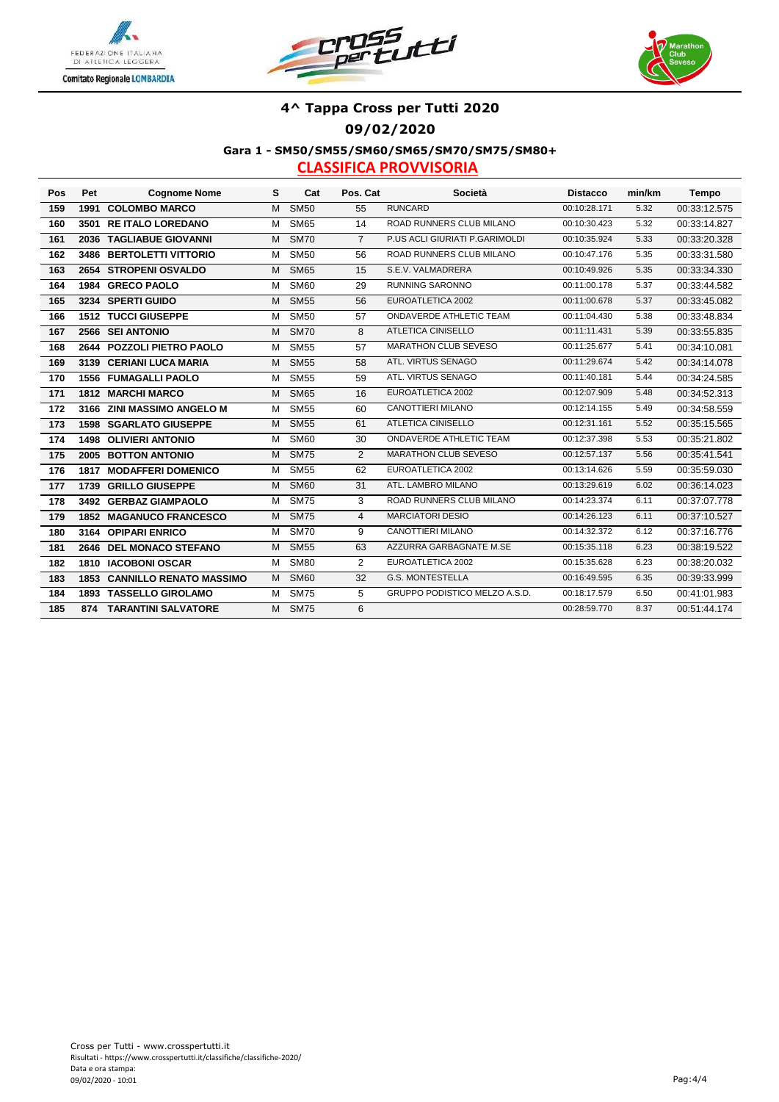





**Gara 1 - SM50/SM55/SM60/SM65/SM70/SM75/SM80+**

| Pos | Pet | <b>Cognome Nome</b>                 | s | Cat         | Pos. Cat       | Società                        | <b>Distacco</b> | min/km | Tempo        |
|-----|-----|-------------------------------------|---|-------------|----------------|--------------------------------|-----------------|--------|--------------|
| 159 |     | 1991 COLOMBO MARCO                  | M | <b>SM50</b> | 55             | <b>RUNCARD</b>                 | 00:10:28.171    | 5.32   | 00:33:12.575 |
| 160 |     | 3501 RE ITALO LOREDANO              | М | <b>SM65</b> | 14             | ROAD RUNNERS CLUB MILANO       | 00:10:30.423    | 5.32   | 00:33:14.827 |
| 161 |     | 2036 TAGLIABUE GIOVANNI             | M | <b>SM70</b> | $\overline{7}$ | P.US ACLI GIURIATI P.GARIMOLDI | 00:10:35.924    | 5.33   | 00:33:20.328 |
| 162 |     | 3486 BERTOLETTI VITTORIO            | М | <b>SM50</b> | 56             | ROAD RUNNERS CLUB MILANO       | 00:10:47.176    | 5.35   | 00:33:31.580 |
| 163 |     | 2654 STROPENI OSVALDO               | M | <b>SM65</b> | 15             | S.E.V. VALMADRERA              | 00:10:49.926    | 5.35   | 00:33:34.330 |
| 164 |     | 1984 GRECO PAOLO                    | м | SM60        | 29             | <b>RUNNING SARONNO</b>         | 00:11:00.178    | 5.37   | 00:33:44.582 |
| 165 |     | 3234 SPERTI GUIDO                   | M | <b>SM55</b> | 56             | EUROATLETICA 2002              | 00:11:00.678    | 5.37   | 00:33:45.082 |
| 166 |     | <b>1512 TUCCI GIUSEPPE</b>          | М | <b>SM50</b> | 57             | ONDAVERDE ATHLETIC TEAM        | 00:11:04.430    | 5.38   | 00:33:48.834 |
| 167 |     | 2566 SEI ANTONIO                    | M | <b>SM70</b> | 8              | <b>ATLETICA CINISELLO</b>      | 00:11:11.431    | 5.39   | 00:33:55.835 |
| 168 |     | 2644 POZZOLI PIETRO PAOLO           | M | <b>SM55</b> | 57             | MARATHON CLUB SEVESO           | 00:11:25.677    | 5.41   | 00:34:10.081 |
| 169 |     | 3139 CERIANI LUCA MARIA             | М | <b>SM55</b> | 58             | ATL. VIRTUS SENAGO             | 00:11:29.674    | 5.42   | 00:34:14.078 |
| 170 |     | <b>1556 FUMAGALLI PAOLO</b>         | м | <b>SM55</b> | 59             | ATL. VIRTUS SENAGO             | 00:11:40.181    | 5.44   | 00:34:24.585 |
| 171 |     | 1812 MARCHI MARCO                   | M | <b>SM65</b> | 16             | EUROATLETICA 2002              | 00:12:07.909    | 5.48   | 00:34:52.313 |
| 172 |     | 3166 ZINI MASSIMO ANGELO M          | М | <b>SM55</b> | 60             | CANOTTIERI MILANO              | 00:12:14.155    | 5.49   | 00:34:58.559 |
| 173 |     | <b>1598 SGARLATO GIUSEPPE</b>       | M | <b>SM55</b> | 61             | <b>ATLETICA CINISELLO</b>      | 00:12:31.161    | 5.52   | 00:35:15.565 |
| 174 |     | <b>1498 OLIVIERI ANTONIO</b>        | М | <b>SM60</b> | 30             | <b>ONDAVERDE ATHLETIC TEAM</b> | 00:12:37.398    | 5.53   | 00:35:21.802 |
| 175 |     | 2005 BOTTON ANTONIO                 | M | <b>SM75</b> | $\overline{2}$ | MARATHON CLUB SEVESO           | 00:12:57.137    | 5.56   | 00:35:41.541 |
| 176 |     | <b>1817 MODAFFERI DOMENICO</b>      | м | <b>SM55</b> | 62             | EUROATLETICA 2002              | 00:13:14.626    | 5.59   | 00:35:59.030 |
| 177 |     | 1739 GRILLO GIUSEPPE                | M | <b>SM60</b> | 31             | ATL. LAMBRO MILANO             | 00:13:29.619    | 6.02   | 00:36:14.023 |
| 178 |     | 3492 GERBAZ GIAMPAOLO               | M | <b>SM75</b> | 3              | ROAD RUNNERS CLUB MILANO       | 00:14:23.374    | 6.11   | 00:37:07.778 |
| 179 |     | <b>1852 MAGANUCO FRANCESCO</b>      | M | <b>SM75</b> | 4              | <b>MARCIATORI DESIO</b>        | 00:14:26.123    | 6.11   | 00:37:10.527 |
| 180 |     | 3164 OPIPARI ENRICO                 | м | <b>SM70</b> | 9              | <b>CANOTTIERI MILANO</b>       | 00:14:32.372    | 6.12   | 00:37:16.776 |
| 181 |     | 2646 DEL MONACO STEFANO             | M | <b>SM55</b> | 63             | AZZURRA GARBAGNATE M.SE        | 00:15:35.118    | 6.23   | 00:38:19.522 |
| 182 |     | 1810 IACOBONI OSCAR                 | м | <b>SM80</b> | $\overline{2}$ | EUROATLETICA 2002              | 00:15:35.628    | 6.23   | 00:38:20.032 |
| 183 |     | <b>1853 CANNILLO RENATO MASSIMO</b> | M | <b>SM60</b> | 32             | <b>G.S. MONTESTELLA</b>        | 00:16:49.595    | 6.35   | 00:39:33.999 |
| 184 |     | 1893 TASSELLO GIROLAMO              | M | <b>SM75</b> | 5              | GRUPPO PODISTICO MELZO A.S.D.  | 00:18:17.579    | 6.50   | 00:41:01.983 |
| 185 | 874 | <b>TARANTINI SALVATORE</b>          |   | M SM75      | 6              |                                | 00:28:59.770    | 8.37   | 00:51:44.174 |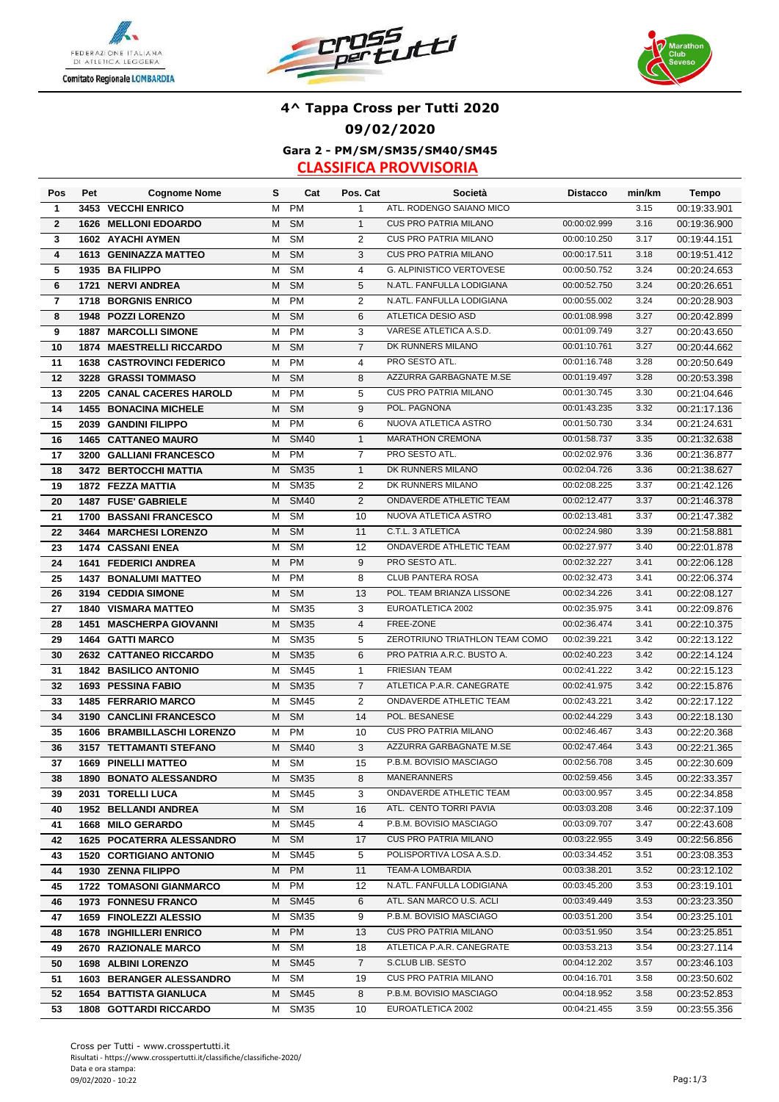





### **Gara 2 - PM/SM/SM35/SM40/SM45 4^ Tappa Cross per Tutti 2020 09/02/2020**

| Pos                     | Pet  | <b>Cognome Nome</b>                                     | s      | Cat                      | Pos. Cat       | Società                                                 | <b>Distacco</b>              | min/km       | <b>Tempo</b>                 |
|-------------------------|------|---------------------------------------------------------|--------|--------------------------|----------------|---------------------------------------------------------|------------------------------|--------------|------------------------------|
| $\mathbf{1}$            |      | 3453 VECCHI ENRICO                                      | М      | <b>PM</b>                | 1              | ATL. RODENGO SAIANO MICO                                |                              | 3.15         | 00:19:33.901                 |
| $\mathbf{2}$            |      | 1626 MELLONI EDOARDO                                    | M      | <b>SM</b>                | $\mathbf{1}$   | <b>CUS PRO PATRIA MILANO</b>                            | 00:00:02.999                 | 3.16         | 00:19:36.900                 |
| 3                       |      | 1602 AYACHI AYMEN                                       | Μ      | <b>SM</b>                | $\overline{2}$ | <b>CUS PRO PATRIA MILANO</b>                            | 00:00:10.250                 | 3.17         | 00:19:44.151                 |
| $\overline{\mathbf{4}}$ |      | 1613 GENINAZZA MATTEO                                   | М      | <b>SM</b>                | 3              | <b>CUS PRO PATRIA MILANO</b>                            | 00:00:17.511                 | 3.18         | 00:19:51.412                 |
| 5                       |      | 1935 BA FILIPPO                                         | М      | <b>SM</b>                | $\overline{4}$ | <b>G. ALPINISTICO VERTOVESE</b>                         | 00:00:50.752                 | 3.24         | 00:20:24.653                 |
| 6                       |      | 1721 NERVI ANDREA                                       | М      | <b>SM</b>                | 5              | N.ATL. FANFULLA LODIGIANA                               | 00:00:52.750                 | 3.24         | 00:20:26.651                 |
| $\overline{\mathbf{r}}$ |      | 1718 BORGNIS ENRICO                                     | M      | <b>PM</b>                | 2              | N.ATL. FANFULLA LODIGIANA                               | 00:00:55.002                 | 3.24         | 00:20:28.903                 |
| 8                       |      | 1948 POZZI LORENZO                                      | M      | <b>SM</b>                | 6              | <b>ATLETICA DESIO ASD</b>                               | 00:01:08.998                 | 3.27         | 00:20:42.899                 |
| 9                       |      | <b>1887 MARCOLLI SIMONE</b>                             | М      | <b>PM</b>                | 3              | VARESE ATLETICA A.S.D.                                  | 00:01:09.749                 | 3.27         | 00:20:43.650                 |
| 10                      |      | <b>1874 MAESTRELLI RICCARDO</b>                         | М      | <b>SM</b>                | $\overline{7}$ | DK RUNNERS MILANO                                       | 00:01:10.761                 | 3.27         | 00:20:44.662                 |
| 11                      |      | <b>1638 CASTROVINCI FEDERICO</b>                        | м      | <b>PM</b>                | 4              | PRO SESTO ATL.                                          | 00:01:16.748                 | 3.28         | 00:20:50.649                 |
| 12                      |      | 3228 GRASSI TOMMASO                                     | M      | <b>SM</b>                | 8              | AZZURRA GARBAGNATE M.SE                                 | 00:01:19.497                 | 3.28         | 00:20:53.398                 |
| 13                      |      | 2205 CANAL CACERES HAROLD                               | М      | <b>PM</b>                | 5              | <b>CUS PRO PATRIA MILANO</b>                            | 00:01:30.745                 | 3.30         | 00:21:04.646                 |
| 14                      |      | <b>1455 BONACINA MICHELE</b>                            | м      | <b>SM</b>                | 9              | POL. PAGNONA                                            | 00:01:43.235                 | 3.32         | 00:21:17.136                 |
| 15                      |      | 2039 GANDINI FILIPPO                                    | м      | <b>PM</b>                | 6              | NUOVA ATLETICA ASTRO                                    | 00:01:50.730                 | 3.34         | 00:21:24.631                 |
| 16                      |      | <b>1465 CATTANEO MAURO</b>                              | м      | <b>SM40</b>              | $\mathbf{1}$   | <b>MARATHON CREMONA</b>                                 | 00:01:58.737                 | 3.35         | 00:21:32.638                 |
| 17                      |      | 3200 GALLIANI FRANCESCO                                 | м      | PM                       | $\overline{7}$ | PRO SESTO ATL.                                          | 00:02:02.976                 | 3.36         | 00:21:36.877                 |
| 18                      |      | 3472 BERTOCCHI MATTIA                                   | М      | <b>SM35</b>              | $\mathbf{1}$   | DK RUNNERS MILANO                                       | 00:02:04.726                 | 3.36         | 00:21:38.627                 |
| 19                      |      | 1872 FEZZA MATTIA                                       | м      | <b>SM35</b>              | 2              | DK RUNNERS MILANO                                       | 00:02:08.225                 | 3.37         | 00:21:42.126                 |
| 20                      |      | 1487 FUSE' GABRIELE                                     | М      | <b>SM40</b>              | $\overline{2}$ | ONDAVERDE ATHLETIC TEAM                                 | 00:02:12.477                 | 3.37         | 00:21:46.378                 |
| 21                      |      | 1700 BASSANI FRANCESCO                                  | М      | <b>SM</b>                | 10             | NUOVA ATLETICA ASTRO                                    | 00:02:13.481                 | 3.37         | 00:21:47.382                 |
| 22                      |      | 3464 MARCHESI LORENZO                                   | М      | <b>SM</b>                | 11             | C.T.L. 3 ATLETICA                                       | 00:02:24.980                 | 3.39         | 00:21:58.881                 |
| 23                      |      | 1474 CASSANI ENEA                                       | м      | <b>SM</b>                | 12             | ONDAVERDE ATHLETIC TEAM                                 | 00:02:27.977                 | 3.40         | 00:22:01.878                 |
| 24                      |      | <b>1641 FEDERICI ANDREA</b>                             | М      | <b>PM</b>                | 9              | PRO SESTO ATL.                                          | 00:02:32.227                 | 3.41         | 00:22:06.128                 |
| 25                      |      | <b>1437 BONALUMI MATTEO</b>                             | M      | <b>PM</b>                | 8              | CLUB PANTERA ROSA                                       | 00:02:32.473                 | 3.41         | 00:22:06.374                 |
| 26                      |      | 3194 CEDDIA SIMONE                                      | м      | <b>SM</b>                | 13             | POL. TEAM BRIANZA LISSONE                               | 00:02:34.226                 | 3.41         | 00:22:08.127                 |
| 27                      |      | <b>1840 VISMARA MATTEO</b>                              | м      | <b>SM35</b>              | 3              | EUROATLETICA 2002                                       | 00:02:35.975                 | 3.41         | 00:22:09.876                 |
| 28                      | 1451 | <b>MASCHERPA GIOVANNI</b>                               | М      | <b>SM35</b>              | $\overline{4}$ | FREE-ZONE                                               | 00:02:36.474                 | 3.41         | 00:22:10.375                 |
| 29                      |      | 1464 GATTI MARCO                                        | м      | <b>SM35</b>              | 5              | ZEROTRIUNO TRIATHLON TEAM COMO                          | 00:02:39.221                 | 3.42         | 00:22:13.122                 |
| 30                      |      | 2632 CATTANEO RICCARDO                                  | м      | <b>SM35</b>              | 6              | PRO PATRIA A.R.C. BUSTO A.                              | 00:02:40.223                 | 3.42         | 00:22:14.124                 |
| 31                      |      | <b>1842 BASILICO ANTONIO</b>                            | м      | <b>SM45</b>              | $\mathbf{1}$   | <b>FRIESIAN TEAM</b>                                    | 00:02:41.222                 | 3.42         | 00:22:15.123                 |
| 32                      |      | <b>1693 PESSINA FABIO</b>                               | М      | <b>SM35</b>              | $\overline{7}$ | ATLETICA P.A.R. CANEGRATE                               | 00:02:41.975                 | 3.42         | 00:22:15.876                 |
| 33                      |      | <b>1485 FERRARIO MARCO</b>                              | М      | <b>SM45</b>              | 2              | ONDAVERDE ATHLETIC TEAM                                 | 00:02:43.221                 | 3.42         | 00:22:17.122                 |
| 34                      |      | 3190 CANCLINI FRANCESCO                                 | М      | <b>SM</b>                | 14             | POL. BESANESE                                           | 00:02:44.229                 | 3.43         | 00:22:18.130                 |
| 35                      |      | 1606 BRAMBILLASCHI LORENZO                              | М      | <b>PM</b>                | 10             | <b>CUS PRO PATRIA MILANO</b>                            | 00:02:46.467                 | 3.43         | 00:22:20.368                 |
| 36                      |      | 3157 TETTAMANTI STEFANO                                 | M      | <b>SM40</b>              | 3              | AZZURRA GARBAGNATE M.SE                                 | 00:02:47.464                 | 3.43         | 00:22:21.365                 |
| 37                      |      | <b>1669 PINELLI MATTEO</b>                              | М      | <b>SM</b>                | 15             | P.B.M. BOVISIO MASCIAGO                                 | 00:02:56.708                 | 3.45         | 00:22:30.609                 |
| 38                      |      | <b>1890 BONATO ALESSANDRO</b>                           |        | M SM35                   | 8              | MANERANNERS                                             | 00:02:59.456                 | 3.45         | 00:22:33.357                 |
| 39                      |      | 2031 TORELLI LUCA                                       | м      | <b>SM45</b>              | 3              | ONDAVERDE ATHLETIC TEAM                                 | 00:03:00.957                 | 3.45         | 00:22:34.858                 |
| 40                      |      | 1952 BELLANDI ANDREA                                    | M      | <b>SM</b>                | 16             | ATL. CENTO TORRI PAVIA                                  | 00:03:03.208                 | 3.46         | 00:22:37.109                 |
| 41                      |      | 1668 MILO GERARDO                                       | м      | <b>SM45</b>              | 4              | P.B.M. BOVISIO MASCIAGO<br><b>CUS PRO PATRIA MILANO</b> | 00:03:09.707                 | 3.47         | 00:22:43.608                 |
| 42                      |      | 1625 POCATERRA ALESSANDRO                               | M      | <b>SM</b><br><b>SM45</b> | 17             | POLISPORTIVA LOSA A.S.D.                                | 00:03:22.955<br>00:03:34.452 | 3.49         | 00:22:56.856                 |
| 43                      |      | <b>1520 CORTIGIANO ANTONIO</b>                          | м      |                          | 5              | TEAM-A LOMBARDIA                                        | 00:03:38.201                 | 3.51<br>3.52 | 00:23:08.353                 |
| 44                      |      | 1930 ZENNA FILIPPO                                      | м      | <b>PM</b>                | 11             | N.ATL. FANFULLA LODIGIANA                               | 00:03:45.200                 | 3.53         | 00:23:12.102                 |
| 45                      |      | <b>1722 TOMASONI GIANMARCO</b>                          | м      | PM                       | 12<br>6        | ATL. SAN MARCO U.S. ACLI                                | 00:03:49.449                 | 3.53         | 00:23:19.101                 |
| 46                      |      | <b>1973 FONNESU FRANCO</b>                              | M      | SM45                     |                | P.B.M. BOVISIO MASCIAGO                                 | 00:03:51.200                 | 3.54         | 00:23:23.350                 |
| 47                      |      | 1659 FINOLEZZI ALESSIO<br><b>1678 INGHILLERI ENRICO</b> | м<br>м | <b>SM35</b><br><b>PM</b> | 9<br>13        | <b>CUS PRO PATRIA MILANO</b>                            | 00:03:51.950                 | 3.54         | 00:23:25.101<br>00:23:25.851 |
| 48<br>49                |      | 2670 RAZIONALE MARCO                                    | м      | SM                       | 18             | ATLETICA P.A.R. CANEGRATE                               | 00:03:53.213                 | 3.54         | 00:23:27.114                 |
| 50                      |      | 1698 ALBINI LORENZO                                     | м      | <b>SM45</b>              | $\overline{7}$ | S.CLUB LIB. SESTO                                       | 00:04:12.202                 | 3.57         | 00:23:46.103                 |
| 51                      |      | <b>1603 BERANGER ALESSANDRO</b>                         | м      | SM                       | 19             | CUS PRO PATRIA MILANO                                   | 00:04:16.701                 | 3.58         | 00:23:50.602                 |
| 52                      |      | <b>1654 BATTISTA GIANLUCA</b>                           | м      | <b>SM45</b>              | 8              | P.B.M. BOVISIO MASCIAGO                                 | 00:04:18.952                 | 3.58         | 00:23:52.853                 |
| 53                      |      | <b>1808 GOTTARDI RICCARDO</b>                           | м      | <b>SM35</b>              | 10             | EUROATLETICA 2002                                       | 00:04:21.455                 | 3.59         | 00:23:55.356                 |
|                         |      |                                                         |        |                          |                |                                                         |                              |              |                              |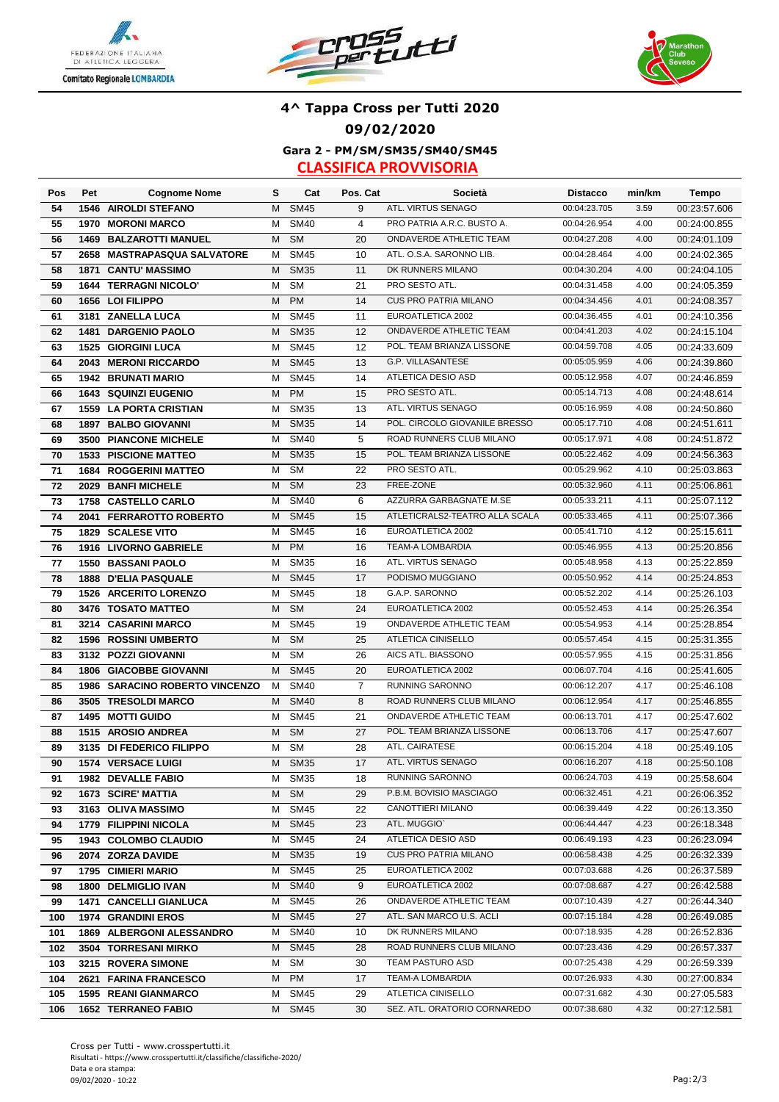





### **Gara 2 - PM/SM/SM35/SM40/SM45 4^ Tappa Cross per Tutti 2020 09/02/2020**

| Pos        | Pet  | <b>Cognome Nome</b>                         | s      | Cat                      | Pos. Cat       | Società                                       | <b>Distacco</b>              | min/km       | <b>Tempo</b>                 |
|------------|------|---------------------------------------------|--------|--------------------------|----------------|-----------------------------------------------|------------------------------|--------------|------------------------------|
| 54         |      | <b>1546 AIROLDI STEFANO</b>                 | м      | <b>SM45</b>              | 9              | ATL. VIRTUS SENAGO                            | 00:04:23.705                 | 3.59         | 00:23:57.606                 |
| 55         | 1970 | <b>MORONI MARCO</b>                         | M      | <b>SM40</b>              | $\overline{4}$ | PRO PATRIA A.R.C. BUSTO A.                    | 00:04:26.954                 | 4.00         | 00:24:00.855                 |
| 56         |      | <b>1469 BALZAROTTI MANUEL</b>               | M      | <b>SM</b>                | 20             | ONDAVERDE ATHLETIC TEAM                       | 00:04:27.208                 | 4.00         | 00:24:01.109                 |
| 57         |      | 2658 MASTRAPASQUA SALVATORE                 | м      | <b>SM45</b>              | 10             | ATL. O.S.A. SARONNO LIB.                      | 00:04:28.464                 | 4.00         | 00:24:02.365                 |
| 58         |      | 1871 CANTU' MASSIMO                         | м      | <b>SM35</b>              | 11             | DK RUNNERS MILANO                             | 00:04:30.204                 | 4.00         | 00:24:04.105                 |
| 59         |      | 1644 TERRAGNI NICOLO'                       | М      | <b>SM</b>                | 21             | PRO SESTO ATL.                                | 00:04:31.458                 | 4.00         | 00:24:05.359                 |
| 60         |      | 1656 LOI FILIPPO                            | M      | <b>PM</b>                | 14             | <b>CUS PRO PATRIA MILANO</b>                  | 00:04:34.456                 | 4.01         | 00:24:08.357                 |
| 61         |      | 3181 ZANELLA LUCA                           | М      | <b>SM45</b>              | 11             | EUROATLETICA 2002                             | 00:04:36.455                 | 4.01         | 00:24:10.356                 |
| 62         |      | 1481 DARGENIO PAOLO                         | М      | <b>SM35</b>              | 12             | ONDAVERDE ATHLETIC TEAM                       | 00:04:41.203                 | 4.02         | 00:24:15.104                 |
| 63         |      | <b>1525 GIORGINI LUCA</b>                   | м      | <b>SM45</b>              | 12             | POL. TEAM BRIANZA LISSONE                     | 00:04:59.708                 | 4.05         | 00:24:33.609                 |
| 64         |      | 2043 MERONI RICCARDO                        | M      | <b>SM45</b>              | 13             | G.P. VILLASANTESE                             | 00:05:05.959                 | 4.06         | 00:24:39.860                 |
| 65         |      | 1942 BRUNATI MARIO                          | M      | <b>SM45</b>              | 14             | ATLETICA DESIO ASD                            | 00:05:12.958                 | 4.07         | 00:24:46.859                 |
| 66         |      | <b>1643 SQUINZI EUGENIO</b>                 | M      | <b>PM</b>                | 15             | PRO SESTO ATL.                                | 00:05:14.713                 | 4.08         | 00:24:48.614                 |
| 67         |      | <b>1559 LA PORTA CRISTIAN</b>               | м      | <b>SM35</b>              | 13             | ATL. VIRTUS SENAGO                            | 00:05:16.959                 | 4.08         | 00:24:50.860                 |
| 68         |      | 1897 BALBO GIOVANNI                         | M      | <b>SM35</b>              | 14             | POL. CIRCOLO GIOVANILE BRESSO                 | 00:05:17.710                 | 4.08         | 00:24:51.611                 |
| 69         |      | 3500 PIANCONE MICHELE                       | м      | <b>SM40</b>              | 5              | ROAD RUNNERS CLUB MILANO                      | 00:05:17.971                 | 4.08         | 00:24:51.872                 |
| 70         |      | <b>1533 PISCIONE MATTEO</b>                 | M      | <b>SM35</b>              | 15             | POL. TEAM BRIANZA LISSONE                     | 00:05:22.462                 | 4.09         | 00:24:56.363                 |
| 71         |      | <b>1684 ROGGERINI MATTEO</b>                | м      | <b>SM</b>                | 22             | PRO SESTO ATL.                                | 00:05:29.962                 | 4.10         | 00:25:03.863                 |
| 72         |      | 2029 BANFI MICHELE                          | м      | <b>SM</b>                | 23             | FREE-ZONE                                     | 00:05:32.960                 | 4.11         | 00:25:06.861                 |
| 73         |      | 1758 CASTELLO CARLO                         | м      | <b>SM40</b>              | 6              | AZZURRA GARBAGNATE M.SE                       | 00:05:33.211                 | 4.11         | 00:25:07.112                 |
| 74         |      | 2041 FERRAROTTO ROBERTO                     | M      | <b>SM45</b>              | 15             | ATLETICRALS2-TEATRO ALLA SCALA                | 00:05:33.465                 | 4.11         | 00:25:07.366                 |
| 75         |      | <b>1829 SCALESE VITO</b>                    | М      | <b>SM45</b>              | 16             | EUROATLETICA 2002                             | 00:05:41.710                 | 4.12         | 00:25:15.611                 |
| 76         |      | 1916 LIVORNO GABRIELE                       | M      | <b>PM</b>                | 16             | TEAM-A LOMBARDIA                              | 00:05:46.955                 | 4.13         | 00:25:20.856                 |
| 77         |      | 1550 BASSANI PAOLO                          | м      | <b>SM35</b>              | 16             | ATL. VIRTUS SENAGO                            | 00:05:48.958                 | 4.13         | 00:25:22.859                 |
| 78         |      | <b>1888 D'ELIA PASQUALE</b>                 | M      | <b>SM45</b>              | 17             | PODISMO MUGGIANO                              | 00:05:50.952                 | 4.14         | 00:25:24.853                 |
| 79         |      | <b>1526 ARCERITO LORENZO</b>                | м      | <b>SM45</b>              | 18             | G.A.P. SARONNO                                | 00:05:52.202                 | 4.14         | 00:25:26.103                 |
| 80         |      | 3476 TOSATO MATTEO                          | M      | <b>SM</b>                | 24             | EUROATLETICA 2002                             | 00:05:52.453                 | 4.14         | 00:25:26.354                 |
| 81         |      | 3214 CASARINI MARCO                         | м      | <b>SM45</b>              | 19             | ONDAVERDE ATHLETIC TEAM                       | 00:05:54.953                 | 4.14         | 00:25:28.854                 |
| 82         |      | <b>1596 ROSSINI UMBERTO</b>                 | M      | <b>SM</b>                | 25             | ATLETICA CINISELLO                            | 00:05:57.454                 | 4.15         | 00:25:31.355                 |
| 83         |      | 3132 POZZI GIOVANNI                         | м      | <b>SM</b>                | 26             | AICS ATL. BIASSONO                            | 00:05:57.955                 | 4.15         | 00:25:31.856                 |
| 84         | 1806 | <b>GIACOBBE GIOVANNI</b>                    | M      | <b>SM45</b>              | 20             | EUROATLETICA 2002                             | 00:06:07.704                 | 4.16         | 00:25:41.605                 |
| 85         |      | 1986 SARACINO ROBERTO VINCENZO              | M      | <b>SM40</b>              | $\overline{7}$ | RUNNING SARONNO                               | 00:06:12.207                 | 4.17         | 00:25:46.108                 |
| 86         |      | 3505 TRESOLDI MARCO                         | м      | <b>SM40</b>              | 8              | ROAD RUNNERS CLUB MILANO                      | 00:06:12.954                 | 4.17         | 00:25:46.855                 |
| 87         |      | <b>1495 MOTTI GUIDO</b>                     | М      | <b>SM45</b>              | 21             | ONDAVERDE ATHLETIC TEAM                       | 00:06:13.701                 | 4.17         | 00:25:47.602                 |
| 88         |      | 1515 AROSIO ANDREA                          | м      | <b>SM</b>                | 27             | POL. TEAM BRIANZA LISSONE                     | 00:06:13.706                 | 4.17         | 00:25:47.607                 |
| 89         |      | 3135 DI FEDERICO FILIPPO                    | M      | <b>SM</b>                | 28             | ATL. CAIRATESE                                | 00:06:15.204                 | 4.18         | 00:25:49.105                 |
| 90         |      | 1574 VERSACE LUIGI                          | M      | <b>SM35</b>              | 17             | ATL. VIRTUS SENAGO                            | 00:06:16.207                 | 4.18         | 00:25:50.108                 |
| 91         |      | 1982 DEVALLE FABIO                          | M      | SM <sub>35</sub>         | 18             | <b>RUNNING SARONNO</b>                        | 00:06:24.703                 | 4.19         | 00:25:58.604                 |
| 92         |      | <b>1673 SCIRE' MATTIA</b>                   | M      | <b>SM</b>                | 29             | P.B.M. BOVISIO MASCIAGO                       | 00:06:32.451                 | 4.21         | 00:26:06.352                 |
| 93         |      | 3163 OLIVA MASSIMO                          | M      | <b>SM45</b>              | 22             | CANOTTIERI MILANO                             | 00:06:39.449                 | 4.22         | 00:26:13.350                 |
| 94         |      | 1779 FILIPPINI NICOLA                       | M      | <b>SM45</b>              | 23             | ATL. MUGGIO'                                  | 00:06:44.447                 | 4.23         | 00:26:18.348                 |
| 95         |      | 1943 COLOMBO CLAUDIO                        | M      | <b>SM45</b>              | 24             | ATLETICA DESIO ASD                            | 00:06:49.193                 | 4.23         | 00:26:23.094                 |
| 96         |      | 2074 ZORZA DAVIDE                           | M      | <b>SM35</b>              | 19             | <b>CUS PRO PATRIA MILANO</b>                  | 00:06:58.438                 | 4.25         | 00:26:32.339                 |
| 97         |      | 1795 CIMIERI MARIO                          | м      | SM45                     | 25             | EUROATLETICA 2002                             | 00:07:03.688                 | 4.26         | 00:26:37.589                 |
| 98         |      | 1800 DELMIGLIO IVAN                         | M      | <b>SM40</b>              | 9              | EUROATLETICA 2002                             | 00:07:08.687                 | 4.27         | 00:26:42.588                 |
| 99         |      | 1471 CANCELLI GIANLUCA                      | M      | <b>SM45</b>              | 26             | ONDAVERDE ATHLETIC TEAM                       | 00:07:10.439                 | 4.27         | 00:26:44.340                 |
| 100        |      | <b>1974 GRANDINI EROS</b>                   | М      | <b>SM45</b>              | 27             | ATL. SAN MARCO U.S. ACLI                      | 00:07:15.184                 | 4.28         | 00:26:49.085                 |
| 101        |      | 1869 ALBERGONI ALESSANDRO                   | M      | <b>SM40</b>              | 10             | DK RUNNERS MILANO<br>ROAD RUNNERS CLUB MILANO | 00:07:18.935                 | 4.28         | 00:26:52.836                 |
| 102        |      | 3504 TORRESANI MIRKO                        | M      | <b>SM45</b><br><b>SM</b> | 28             | TEAM PASTURO ASD                              | 00:07:23.436<br>00:07:25.438 | 4.29<br>4.29 | 00:26:57.337                 |
| 103        |      | 3215 ROVERA SIMONE<br>2621 FARINA FRANCESCO | м<br>м | <b>PM</b>                | 30<br>17       | TEAM-A LOMBARDIA                              | 00:07:26.933                 | 4.30         | 00:26:59.339<br>00:27:00.834 |
| 104<br>105 |      | 1595 REANI GIANMARCO                        | м      | <b>SM45</b>              | 29             | ATLETICA CINISELLO                            | 00:07:31.682                 | 4.30         | 00:27:05.583                 |
| 106        |      | <b>1652 TERRANEO FABIO</b>                  | М      | <b>SM45</b>              | 30             | SEZ. ATL. ORATORIO CORNAREDO                  | 00:07:38.680                 | 4.32         | 00:27:12.581                 |
|            |      |                                             |        |                          |                |                                               |                              |              |                              |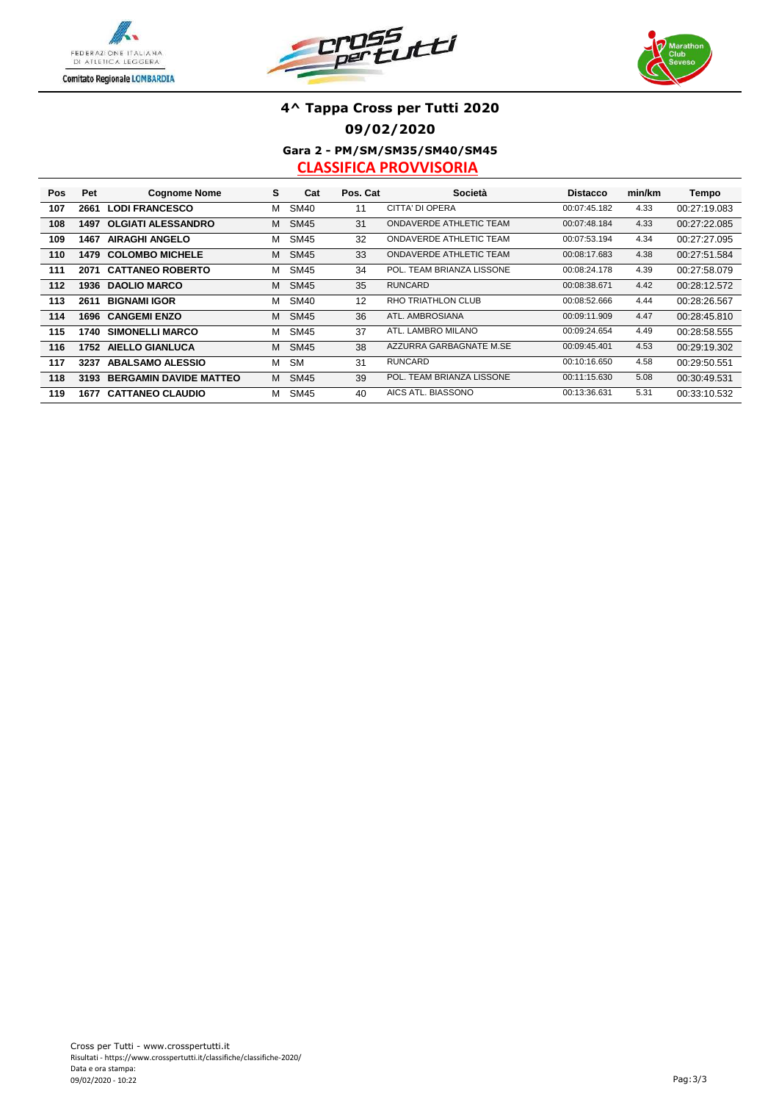





### **Gara 2 - PM/SM/SM35/SM40/SM45 4^ Tappa Cross per Tutti 2020 09/02/2020**

| Pos | Pet  | <b>Cognome Nome</b>           | s | Cat         | Pos. Cat | Società                   | <b>Distacco</b> | min/km | Tempo        |
|-----|------|-------------------------------|---|-------------|----------|---------------------------|-----------------|--------|--------------|
| 107 | 2661 | <b>LODI FRANCESCO</b>         | м | <b>SM40</b> | 11       | CITTA' DI OPERA           | 00:07:45.182    | 4.33   | 00:27:19.083 |
| 108 | 1497 | <b>OLGIATI ALESSANDRO</b>     | м | <b>SM45</b> | 31       | ONDAVERDE ATHLETIC TEAM   | 00:07:48.184    | 4.33   | 00:27:22.085 |
| 109 | 1467 | <b>AIRAGHI ANGELO</b>         | м | <b>SM45</b> | 32       | ONDAVERDE ATHLETIC TEAM   | 00:07:53.194    | 4.34   | 00:27:27.095 |
| 110 | 1479 | <b>COLOMBO MICHELE</b>        | м | <b>SM45</b> | 33       | ONDAVERDE ATHLETIC TEAM   | 00:08:17.683    | 4.38   | 00:27:51.584 |
| 111 | 2071 | <b>CATTANEO ROBERTO</b>       | м | <b>SM45</b> | 34       | POL. TEAM BRIANZA LISSONE | 00:08:24.178    | 4.39   | 00:27:58.079 |
| 112 | 1936 | <b>DAOLIO MARCO</b>           | м | <b>SM45</b> | 35       | <b>RUNCARD</b>            | 00:08:38.671    | 4.42   | 00:28:12.572 |
| 113 | 2611 | <b>BIGNAMI IGOR</b>           | м | <b>SM40</b> | 12       | <b>RHO TRIATHLON CLUB</b> | 00:08:52.666    | 4.44   | 00:28:26.567 |
| 114 | 1696 | <b>CANGEMI ENZO</b>           | м | <b>SM45</b> | 36       | ATL. AMBROSIANA           | 00:09:11.909    | 4.47   | 00:28:45.810 |
| 115 | 1740 | <b>SIMONELLI MARCO</b>        | м | <b>SM45</b> | 37       | ATL. LAMBRO MILANO        | 00:09:24.654    | 4.49   | 00:28:58.555 |
| 116 | 1752 | <b>AIELLO GIANLUCA</b>        | м | <b>SM45</b> | 38       | AZZURRA GARBAGNATE M.SE   | 00:09:45.401    | 4.53   | 00:29:19.302 |
| 117 | 3237 | <b>ABALSAMO ALESSIO</b>       | м | <b>SM</b>   | 31       | <b>RUNCARD</b>            | 00:10:16.650    | 4.58   | 00:29:50.551 |
| 118 | 3193 | <b>BERGAMIN DAVIDE MATTEO</b> | м | <b>SM45</b> | 39       | POL. TEAM BRIANZA LISSONE | 00:11:15.630    | 5.08   | 00:30:49.531 |
| 119 | 1677 | <b>CATTANEO CLAUDIO</b>       | м | <b>SM45</b> | 40       | AICS ATL. BIASSONO        | 00:13:36.631    | 5.31   | 00:33:10.532 |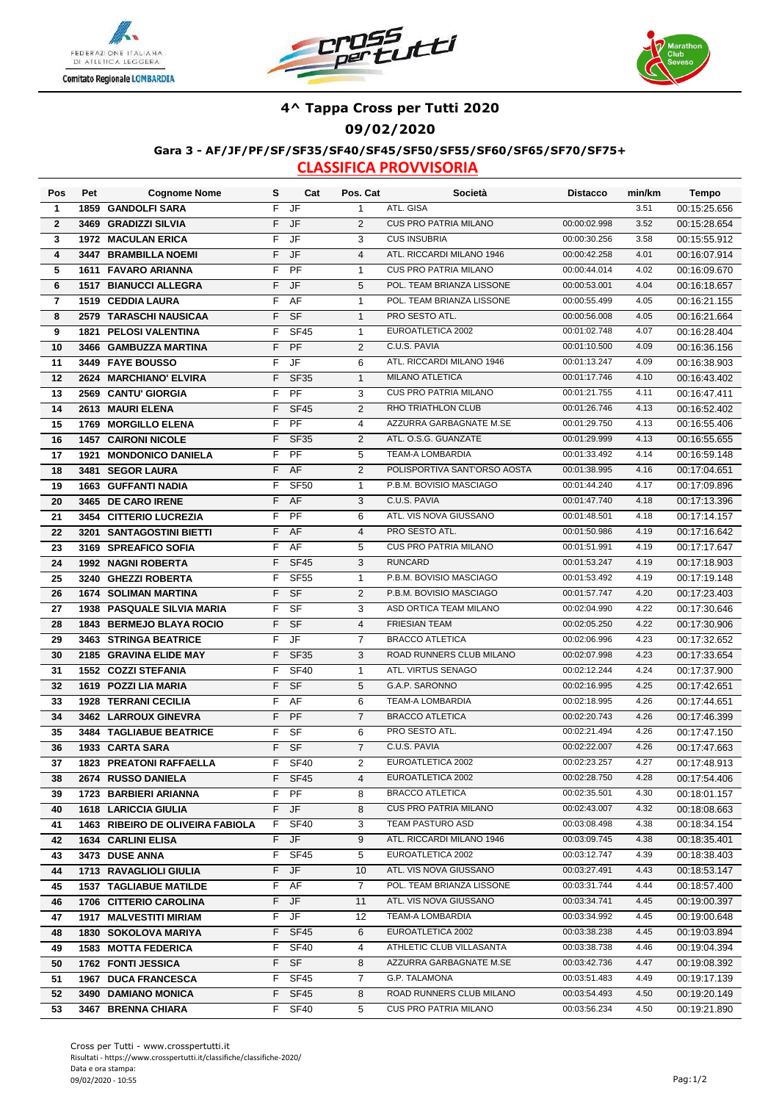





#### **4^ Tappa Cross per Tutti 2020**

**09/02/2020**

#### **Gara 3 - AF/JF/PF/SF/SF35/SF40/SF45/SF50/SF55/SF60/SF65/SF70/SF75+**

| Pos                     | Pet  | <b>Cognome Nome</b>                       | s        | Cat                      | Pos. Cat            | Società                                       | <b>Distacco</b>              | min/km       | Tempo                        |
|-------------------------|------|-------------------------------------------|----------|--------------------------|---------------------|-----------------------------------------------|------------------------------|--------------|------------------------------|
| 1                       |      | 1859 GANDOLFI SARA                        | F        | $\overline{\mathsf{JF}}$ | $\mathbf{1}$        | ATL. GISA                                     |                              | 3.51         | 00:15:25.656                 |
| $\mathbf{2}$            |      | 3469 GRADIZZI SILVIA                      | F        | JF                       | 2                   | <b>CUS PRO PATRIA MILANO</b>                  | 00:00:02.998                 | 3.52         | 00:15:28.654                 |
| 3                       |      | <b>1972 MACULAN ERICA</b>                 | F        | JF                       | 3                   | <b>CUS INSUBRIA</b>                           | 00:00:30.256                 | 3.58         | 00:15:55.912                 |
| $\overline{\mathbf{4}}$ |      | 3447 BRAMBILLA NOEMI                      | F        | JF                       | $\overline{4}$      | ATL. RICCARDI MILANO 1946                     | 00:00:42.258                 | 4.01         | 00:16:07.914                 |
| 5                       |      | 1611 FAVARO ARIANNA                       | F        | PF                       | $\mathbf{1}$        | <b>CUS PRO PATRIA MILANO</b>                  | 00:00:44.014                 | 4.02         | 00:16:09.670                 |
| 6                       |      | <b>1517 BIANUCCI ALLEGRA</b>              | F        | JF                       | 5                   | POL. TEAM BRIANZA LISSONE                     | 00:00:53.001                 | 4.04         | 00:16:18.657                 |
| $\overline{\mathbf{r}}$ |      | 1519 CEDDIA LAURA                         | F        | AF                       | $\mathbf{1}$        | POL. TEAM BRIANZA LISSONE                     | 00:00:55.499                 | 4.05         | 00:16:21.155                 |
| 8                       |      | 2579 TARASCHI NAUSICAA                    | F        | <b>SF</b>                | $\mathbf{1}$        | PRO SESTO ATL.                                | 00:00:56.008                 | 4.05         | 00:16:21.664                 |
| 9                       |      | 1821 PELOSI VALENTINA                     | F        | <b>SF45</b>              | $\mathbf{1}$        | EUROATLETICA 2002                             | 00:01:02.748                 | 4.07         | 00:16:28.404                 |
| 10                      |      | 3466 GAMBUZZA MARTINA                     | F        | PF                       | 2                   | C.U.S. PAVIA                                  | 00:01:10.500                 | 4.09         | 00:16:36.156                 |
| 11                      |      | 3449 FAYE BOUSSO                          | F        | JF                       | 6                   | ATL. RICCARDI MILANO 1946                     | 00:01:13.247                 | 4.09         | 00:16:38.903                 |
| 12                      |      | 2624 MARCHIANO' ELVIRA                    | F        | <b>SF35</b>              | $\mathbf{1}$        | <b>MILANO ATLETICA</b>                        | 00:01:17.746                 | 4.10         | 00:16:43.402                 |
| 13                      |      | 2569 CANTU' GIORGIA                       | F        | PF                       | 3                   | <b>CUS PRO PATRIA MILANO</b>                  | 00:01:21.755                 | 4.11         | 00:16:47.411                 |
| 14                      |      | 2613 MAURI ELENA                          | F        | <b>SF45</b>              | 2                   | RHO TRIATHLON CLUB                            | 00:01:26.746                 | 4.13         | 00:16:52.402                 |
| 15                      |      | 1769 MORGILLO ELENA                       | F        | PF                       | $\overline{4}$      | AZZURRA GARBAGNATE M.SE                       | 00:01:29.750                 | 4.13         | 00:16:55.406                 |
| 16                      |      | <b>1457 CAIRONI NICOLE</b>                | F        | <b>SF35</b>              | 2                   | ATL. O.S.G. GUANZATE                          | 00:01:29.999                 | 4.13         | 00:16:55.655                 |
| 17                      | 1921 | <b>MONDONICO DANIELA</b>                  | F        | PF                       | 5                   | <b>TEAM-A LOMBARDIA</b>                       | 00:01:33.492                 | 4.14         | 00:16:59.148                 |
| 18                      |      | 3481 SEGOR LAURA                          | F        | AF                       | 2                   | POLISPORTIVA SANT'ORSO AOSTA                  | 00:01:38.995                 | 4.16         | 00:17:04.651                 |
| 19                      |      | <b>1663 GUFFANTI NADIA</b>                | F        | <b>SF50</b>              | $\mathbf{1}$        | P.B.M. BOVISIO MASCIAGO                       | 00:01:44.240                 | 4.17         | 00:17:09.896                 |
| 20                      |      | 3465 DE CARO IRENE                        | F        | AF                       | 3                   | C.U.S. PAVIA                                  | 00:01:47.740                 | 4.18         | 00:17:13.396                 |
| 21                      |      | 3454 CITTERIO LUCREZIA                    | F        | PF                       | 6                   | ATL. VIS NOVA GIUSSANO                        | 00:01:48.501                 | 4.18         | 00:17:14.157                 |
| 22                      |      | 3201 SANTAGOSTINI BIETTI                  | F        | AF                       | $\overline{4}$      | PRO SESTO ATL.                                | 00:01:50.986                 | 4.19         | 00:17:16.642                 |
| 23                      |      | 3169 SPREAFICO SOFIA                      | F        | AF                       | 5                   | <b>CUS PRO PATRIA MILANO</b>                  | 00:01:51.991                 | 4.19         | 00:17:17.647                 |
| 24                      |      | 1992 NAGNI ROBERTA                        | F        | <b>SF45</b>              | 3                   | <b>RUNCARD</b>                                | 00:01:53.247                 | 4.19         | 00:17:18.903                 |
| 25                      |      | 3240 GHEZZI ROBERTA                       | F        | <b>SF55</b>              | 1                   | P.B.M. BOVISIO MASCIAGO                       | 00:01:53.492                 | 4.19         | 00:17:19.148                 |
| 26                      |      | <b>1674 SOLIMAN MARTINA</b>               | F        | $S$ F                    | 2                   | P.B.M. BOVISIO MASCIAGO                       | 00:01:57.747                 | 4.20         | 00:17:23.403                 |
| 27                      |      | <b>1938 PASQUALE SILVIA MARIA</b>         | F        | <b>SF</b>                | 3                   | ASD ORTICA TEAM MILANO                        | 00:02:04.990                 | 4.22         | 00:17:30.646                 |
| 28                      |      | <b>1843 BERMEJO BLAYA ROCIO</b>           | F        | <b>SF</b>                | $\overline{4}$      | <b>FRIESIAN TEAM</b>                          | 00:02:05.250                 | 4.22         | 00:17:30.906                 |
| 29                      |      | 3463 STRINGA BEATRICE                     | F        | $\overline{\mathsf{JF}}$ | $\overline{7}$      | <b>BRACCO ATLETICA</b>                        | 00:02:06.996                 | 4.23         | 00:17:32.652                 |
| 30                      |      | 2185 GRAVINA ELIDE MAY                    | F        | <b>SF35</b>              | 3                   | ROAD RUNNERS CLUB MILANO                      | 00:02:07.998                 | 4.23         | 00:17:33.654                 |
| 31                      |      | <b>1552 COZZI STEFANIA</b>                | F        | <b>SF40</b>              | 1                   | ATL. VIRTUS SENAGO                            | 00:02:12.244                 | 4.24         | 00:17:37.900                 |
| 32                      |      | 1619 POZZI LIA MARIA                      | F        | <b>SF</b>                | 5                   | G.A.P. SARONNO                                | 00:02:16.995                 | 4.25         | 00:17:42.651                 |
| 33                      |      | <b>1928 TERRANI CECILIA</b>               | F        | AF                       | 6                   | TEAM-A LOMBARDIA                              | 00:02:18.995                 | 4.26         | 00:17:44.651                 |
| 34                      |      | 3462 LARROUX GINEVRA                      | F        | PF                       | $\overline{7}$      | <b>BRACCO ATLETICA</b>                        | 00:02:20.743                 | 4.26         | 00:17:46.399                 |
| 35                      |      | 3484 TAGLIABUE BEATRICE                   | F        | SF                       | 6                   | PRO SESTO ATL.                                | 00:02:21.494                 | 4.26         | 00:17:47.150                 |
| 36                      |      | 1933 CARTA SARA                           | F        | <b>SF</b>                | $\overline{7}$      | C.U.S. PAVIA                                  | 00:02:22.007                 | 4.26         | 00:17:47.663                 |
| 37                      |      | <b>1823 PREATONI RAFFAELLA</b>            | F        | <b>SF40</b>              | 2                   | EUROATLETICA 2002                             | 00:02:23.257                 | 4.27         | 00:17:48.913                 |
| 38                      |      | 2674 RUSSO DANIELA                        | F.       | SF45                     | 4                   | EUROATLETICA 2002                             | 00:02:28.750                 | 4.28         | 00:17:54.406                 |
| 39                      |      | 1723 BARBIERI ARIANNA                     | F        | PF                       | 8                   | <b>BRACCO ATLETICA</b>                        | 00:02:35.501                 | 4.30         | 00:18:01.157                 |
| 40                      |      | <b>1618 LARICCIA GIULIA</b>               | F.       | JF                       | 8                   | <b>CUS PRO PATRIA MILANO</b>                  | 00:02:43.007                 | 4.32         | 00:18:08.663                 |
| 41                      |      | 1463 RIBEIRO DE OLIVEIRA FABIOLA          | F.       | <b>SF40</b>              | 3                   | TEAM PASTURO ASD                              | 00:03:08.498                 | 4.38         | 00:18:34.154                 |
| 42                      |      | 1634 CARLINI ELISA                        | F.       | JF                       | 9                   | ATL. RICCARDI MILANO 1946                     | 00:03:09.745                 | 4.38         | 00:18:35.401                 |
| 43                      |      | 3473 DUSE ANNA                            | F.       | <b>SF45</b>              | 5                   | EUROATLETICA 2002                             | 00:03:12.747                 | 4.39         | 00:18:38.403                 |
| 44                      |      | 1713 RAVAGLIOLI GIULIA                    | F.       | JF                       | 10                  | ATL. VIS NOVA GIUSSANO                        | 00:03:27.491                 | 4.43         | 00:18:53.147                 |
| 45                      |      | <b>1537 TAGLIABUE MATILDE</b>             | F        | AF                       | $\overline{7}$      | POL. TEAM BRIANZA LISSONE                     | 00:03:31.744                 | 4.44         | 00:18:57.400                 |
| 46                      |      | 1706 CITTERIO CAROLINA                    | F        | JF                       | 11                  | ATL. VIS NOVA GIUSSANO<br>TEAM-A LOMBARDIA    | 00:03:34.741<br>00:03:34.992 | 4.45         | 00:19:00.397                 |
| 47                      |      | <b>1917 MALVESTITI MIRIAM</b>             | F.       | JF                       | 12                  |                                               |                              | 4.45         | 00:19:00.648                 |
| 48                      |      | <b>1830 SOKOLOVA MARIYA</b>               | F.       | <b>SF45</b>              | 6                   | EUROATLETICA 2002<br>ATHLETIC CLUB VILLASANTA | 00:03:38.238                 | 4.45         | 00:19:03.894                 |
| 49                      |      | <b>1583 MOTTA FEDERICA</b>                | F.<br>F. | <b>SF40</b><br><b>SF</b> | 4                   | AZZURRA GARBAGNATE M.SE                       | 00:03:38.738<br>00:03:42.736 | 4.46<br>4.47 | 00:19:04.394                 |
| 50                      |      | 1762 FONTI JESSICA<br>1967 DUCA FRANCESCA | F.       | <b>SF45</b>              | 8<br>$\overline{7}$ | G.P. TALAMONA                                 | 00:03:51.483                 | 4.49         | 00:19:08.392<br>00:19:17.139 |
| 51<br>52                |      | 3490 DAMIANO MONICA                       | F.       | <b>SF45</b>              | 8                   | ROAD RUNNERS CLUB MILANO                      | 00:03:54.493                 | 4.50         | 00:19:20.149                 |
| 53                      |      | 3467 BRENNA CHIARA                        | F.       | <b>SF40</b>              | 5                   | CUS PRO PATRIA MILANO                         | 00:03:56.234                 | 4.50         | 00:19:21.890                 |
|                         |      |                                           |          |                          |                     |                                               |                              |              |                              |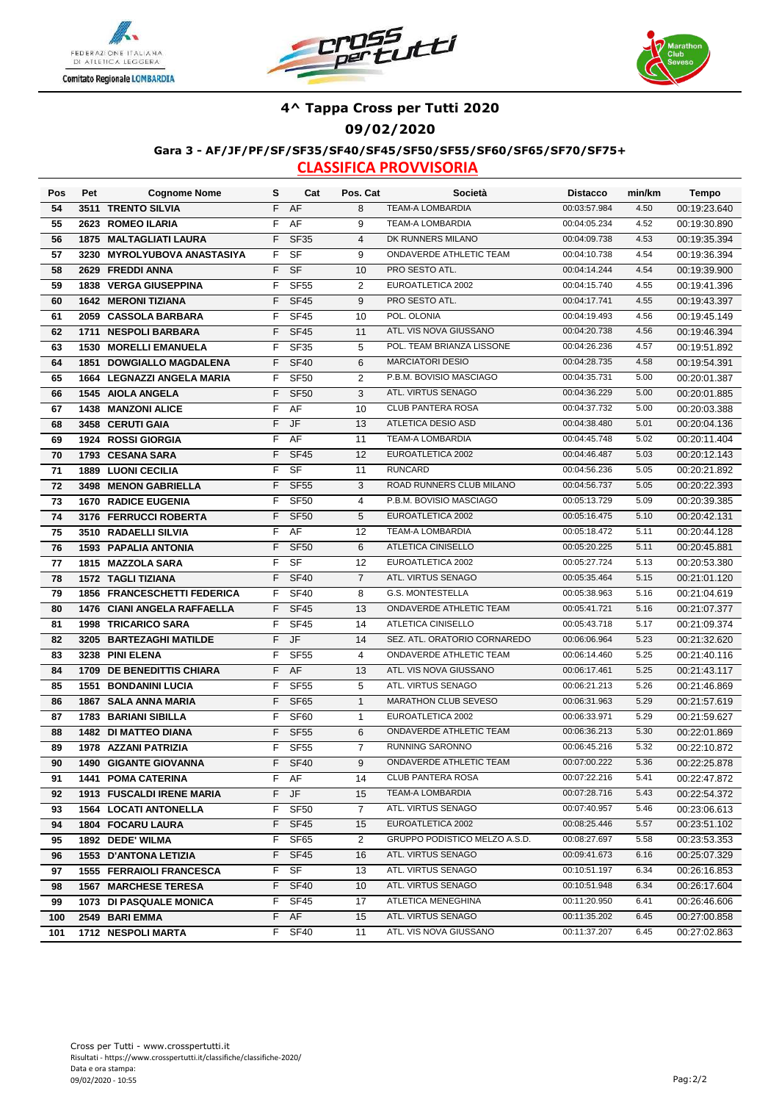





#### **4^ Tappa Cross per Tutti 2020**

**09/02/2020**

#### **Gara 3 - AF/JF/PF/SF/SF35/SF40/SF45/SF50/SF55/SF60/SF65/SF70/SF75+**

| Pos | Pet  | <b>Cognome Nome</b>              | s  | Cat              | Pos. Cat       | Società                       | <b>Distacco</b> | min/km | Tempo        |
|-----|------|----------------------------------|----|------------------|----------------|-------------------------------|-----------------|--------|--------------|
| 54  |      | 3511 TRENTO SILVIA               | F  | AF               | 8              | <b>TEAM-A LOMBARDIA</b>       | 00:03:57.984    | 4.50   | 00:19:23.640 |
| 55  |      | 2623 ROMEO ILARIA                | F  | AF               | 9              | <b>TEAM-A LOMBARDIA</b>       | 00:04:05.234    | 4.52   | 00:19:30.890 |
| 56  |      | 1875 MALTAGLIATI LAURA           | F  | <b>SF35</b>      | $\overline{4}$ | DK RUNNERS MILANO             | 00:04:09.738    | 4.53   | 00:19:35.394 |
| 57  |      | 3230 MYROLYUBOVA ANASTASIYA      | F  | SF               | 9              | ONDAVERDE ATHLETIC TEAM       | 00:04:10.738    | 4.54   | 00:19:36.394 |
| 58  |      | 2629 FREDDI ANNA                 | F  | <b>SF</b>        | 10             | PRO SESTO ATL.                | 00:04:14.244    | 4.54   | 00:19:39.900 |
| 59  |      | 1838 VERGA GIUSEPPINA            | F  | <b>SF55</b>      | $\overline{2}$ | EUROATLETICA 2002             | 00:04:15.740    | 4.55   | 00:19:41.396 |
| 60  |      | <b>1642 MERONI TIZIANA</b>       | F  | <b>SF45</b>      | $9\,$          | PRO SESTO ATL.                | 00:04:17.741    | 4.55   | 00:19:43.397 |
| 61  |      | 2059 CASSOLA BARBARA             | F  | <b>SF45</b>      | 10             | POL. OLONIA                   | 00:04:19.493    | 4.56   | 00:19:45.149 |
| 62  | 1711 | <b>NESPOLI BARBARA</b>           | F  | <b>SF45</b>      | 11             | ATL. VIS NOVA GIUSSANO        | 00:04:20.738    | 4.56   | 00:19:46.394 |
| 63  | 1530 | <b>MORELLI EMANUELA</b>          | F  | <b>SF35</b>      | 5              | POL. TEAM BRIANZA LISSONE     | 00:04:26.236    | 4.57   | 00:19:51.892 |
| 64  | 1851 | <b>DOWGIALLO MAGDALENA</b>       | F  | <b>SF40</b>      | 6              | <b>MARCIATORI DESIO</b>       | 00:04:28.735    | 4.58   | 00:19:54.391 |
| 65  | 1664 | <b>LEGNAZZI ANGELA MARIA</b>     | F  | <b>SF50</b>      | 2              | P.B.M. BOVISIO MASCIAGO       | 00:04:35.731    | 5.00   | 00:20:01.387 |
| 66  | 1545 | <b>AIOLA ANGELA</b>              | F  | <b>SF50</b>      | 3              | ATL. VIRTUS SENAGO            | 00:04:36.229    | 5.00   | 00:20:01.885 |
| 67  | 1438 | <b>MANZONI ALICE</b>             | F  | AF               | 10             | CLUB PANTERA ROSA             | 00:04:37.732    | 5.00   | 00:20:03.388 |
| 68  |      | 3458 CERUTI GAIA                 | F  | JF               | 13             | ATLETICA DESIO ASD            | 00:04:38.480    | 5.01   | 00:20:04.136 |
| 69  |      | 1924 ROSSI GIORGIA               | F  | AF               | 11             | TEAM-A LOMBARDIA              | 00:04:45.748    | 5.02   | 00:20:11.404 |
| 70  |      | 1793 CESANA SARA                 | F  | <b>SF45</b>      | 12             | EUROATLETICA 2002             | 00:04:46.487    | 5.03   | 00:20:12.143 |
| 71  |      | <b>1889 LUONI CECILIA</b>        | F  | SF               | 11             | <b>RUNCARD</b>                | 00:04:56.236    | 5.05   | 00:20:21.892 |
| 72  | 3498 | <b>MENON GABRIELLA</b>           | F  | <b>SF55</b>      | 3              | ROAD RUNNERS CLUB MILANO      | 00:04:56.737    | 5.05   | 00:20:22.393 |
| 73  |      | <b>1670 RADICE EUGENIA</b>       | F  | <b>SF50</b>      | $\overline{4}$ | P.B.M. BOVISIO MASCIAGO       | 00:05:13.729    | 5.09   | 00:20:39.385 |
| 74  |      | 3176 FERRUCCI ROBERTA            | F  | <b>SF50</b>      | 5              | EUROATLETICA 2002             | 00:05:16.475    | 5.10   | 00:20:42.131 |
| 75  |      | 3510 RADAELLI SILVIA             | F  | AF               | 12             | <b>TEAM-A LOMBARDIA</b>       | 00:05:18.472    | 5.11   | 00:20:44.128 |
| 76  |      | <b>1593 PAPALIA ANTONIA</b>      | F  | <b>SF50</b>      | 6              | <b>ATLETICA CINISELLO</b>     | 00:05:20.225    | 5.11   | 00:20:45.881 |
| 77  |      | 1815 MAZZOLA SARA                | F  | SF               | 12             | EUROATLETICA 2002             | 00:05:27.724    | 5.13   | 00:20:53.380 |
| 78  |      | <b>1572 TAGLI TIZIANA</b>        | F  | <b>SF40</b>      | $\overline{7}$ | ATL. VIRTUS SENAGO            | 00:05:35.464    | 5.15   | 00:21:01.120 |
| 79  |      | 1856 FRANCESCHETTI FEDERICA      | F  | <b>SF40</b>      | 8              | <b>G.S. MONTESTELLA</b>       | 00:05:38.963    | 5.16   | 00:21:04.619 |
| 80  |      | 1476 CIANI ANGELA RAFFAELLA      | F  | <b>SF45</b>      | 13             | ONDAVERDE ATHLETIC TEAM       | 00:05:41.721    | 5.16   | 00:21:07.377 |
| 81  |      | 1998 TRICARICO SARA              | F  | <b>SF45</b>      | 14             | <b>ATLETICA CINISELLO</b>     | 00:05:43.718    | 5.17   | 00:21:09.374 |
| 82  |      | 3205 BARTEZAGHI MATILDE          | F  | JF               | 14             | SEZ. ATL. ORATORIO CORNAREDO  | 00:06:06.964    | 5.23   | 00:21:32.620 |
| 83  |      | 3238 PINI ELENA                  | F  | <b>SF55</b>      | $\overline{4}$ | ONDAVERDE ATHLETIC TEAM       | 00:06:14.460    | 5.25   | 00:21:40.116 |
| 84  |      | 1709 DE BENEDITTIS CHIARA        | F  | AF               | 13             | ATL. VIS NOVA GIUSSANO        | 00:06:17.461    | 5.25   | 00:21:43.117 |
| 85  | 1551 | <b>BONDANINI LUCIA</b>           | F  | <b>SF55</b>      | 5              | ATL. VIRTUS SENAGO            | 00:06:21.213    | 5.26   | 00:21:46.869 |
| 86  |      | 1867 SALA ANNA MARIA             | F  | <b>SF65</b>      | $\mathbf{1}$   | <b>MARATHON CLUB SEVESO</b>   | 00:06:31.963    | 5.29   | 00:21:57.619 |
| 87  |      | 1783 BARIANI SIBILLA             | F  | <b>SF60</b>      | $\mathbf{1}$   | EUROATLETICA 2002             | 00:06:33.971    | 5.29   | 00:21:59.627 |
| 88  |      | 1482 DI MATTEO DIANA             | F  | <b>SF55</b>      | 6              | ONDAVERDE ATHLETIC TEAM       | 00:06:36.213    | 5.30   | 00:22:01.869 |
| 89  | 1978 | <b>AZZANI PATRIZIA</b>           | F  | SF <sub>55</sub> | $\overline{7}$ | <b>RUNNING SARONNO</b>        | 00:06:45.216    | 5.32   | 00:22:10.872 |
| 90  |      | 1490 GIGANTE GIOVANNA            | F. | <b>SF40</b>      | 9              | ONDAVERDE ATHLETIC TEAM       | 00:07:00.222    | 5.36   | 00:22:25.878 |
| 91  |      | <b>1441 POMA CATERINA</b>        |    | F AF             | 14             | CLUB PANTERA ROSA             | 00:07:22.216    | 5.41   | 00:22:47.872 |
| 92  |      | <b>1913 FUSCALDI IRENE MARIA</b> | F. | JF               | 15             | TEAM-A LOMBARDIA              | 00:07:28.716    | 5.43   | 00:22:54.372 |
| 93  |      | <b>1564 LOCATI ANTONELLA</b>     | F  | SF <sub>50</sub> | $\overline{7}$ | ATL. VIRTUS SENAGO            | 00:07:40.957    | 5.46   | 00:23:06.613 |
| 94  |      | 1804 FOCARU LAURA                | F  | SF <sub>45</sub> | 15             | EUROATLETICA 2002             | 00:08:25.446    | 5.57   | 00:23:51.102 |
| 95  |      | 1892 DEDE' WILMA                 | F  | SF65             | $\overline{2}$ | GRUPPO PODISTICO MELZO A.S.D. | 00:08:27.697    | 5.58   | 00:23:53.353 |
| 96  |      | 1553 D'ANTONA LETIZIA            | F  | <b>SF45</b>      | 16             | ATL. VIRTUS SENAGO            | 00:09:41.673    | 6.16   | 00:25:07.329 |
| 97  |      | <b>1555 FERRAIOLI FRANCESCA</b>  | F  | SF               | 13             | ATL. VIRTUS SENAGO            | 00:10:51.197    | 6.34   | 00:26:16.853 |
| 98  |      | <b>1567 MARCHESE TERESA</b>      | F. | <b>SF40</b>      | 10             | ATL. VIRTUS SENAGO            | 00:10:51.948    | 6.34   | 00:26:17.604 |
| 99  |      | 1073 DI PASQUALE MONICA          | F. | <b>SF45</b>      | 17             | ATLETICA MENEGHINA            | 00:11:20.950    | 6.41   | 00:26:46.606 |
| 100 |      | 2549 BARI EMMA                   | F. | AF               | 15             | ATL. VIRTUS SENAGO            | 00:11:35.202    | 6.45   | 00:27:00.858 |
| 101 |      | 1712 NESPOLI MARTA               | F. | <b>SF40</b>      | 11             | ATL. VIS NOVA GIUSSANO        | 00:11:37.207    | 6.45   | 00:27:02.863 |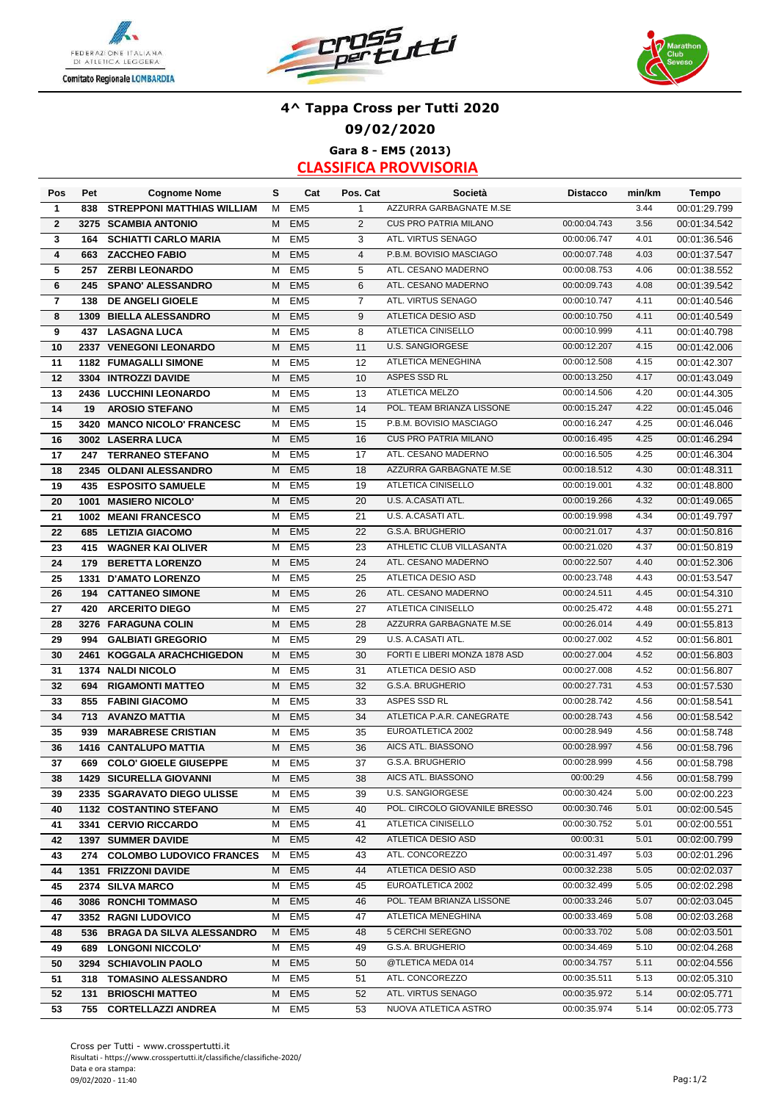





### **4^ Tappa Cross per Tutti 2020 09/02/2020 Gara 8 - EM5 (2013)**

| Pos                     | Pet  | <b>Cognome Nome</b>               | s | Cat             | Pos. Cat       | Società                       | <b>Distacco</b> | min/km | <b>Tempo</b> |
|-------------------------|------|-----------------------------------|---|-----------------|----------------|-------------------------------|-----------------|--------|--------------|
| $\mathbf{1}$            | 838  | <b>STREPPONI MATTHIAS WILLIAM</b> | м | EM <sub>5</sub> | $\mathbf{1}$   | AZZURRA GARBAGNATE M.SE       |                 | 3.44   | 00:01:29.799 |
| $\overline{2}$          |      | 3275 SCAMBIA ANTONIO              | M | EM <sub>5</sub> | 2              | <b>CUS PRO PATRIA MILANO</b>  | 00:00:04.743    | 3.56   | 00:01:34.542 |
| 3                       | 164  | <b>SCHIATTI CARLO MARIA</b>       | M | EM <sub>5</sub> | 3              | ATL. VIRTUS SENAGO            | 00:00:06.747    | 4.01   | 00:01:36.546 |
| 4                       | 663  | <b>ZACCHEO FABIO</b>              | M | EM <sub>5</sub> | $\overline{4}$ | P.B.M. BOVISIO MASCIAGO       | 00:00:07.748    | 4.03   | 00:01:37.547 |
| 5                       | 257  | <b>ZERBI LEONARDO</b>             | М | EM <sub>5</sub> | 5              | ATL. CESANO MADERNO           | 00:00:08.753    | 4.06   | 00:01:38.552 |
| 6                       | 245  | <b>SPANO' ALESSANDRO</b>          | M | EM <sub>5</sub> | 6              | ATL. CESANO MADERNO           | 00:00:09.743    | 4.08   | 00:01:39.542 |
| $\overline{\mathbf{r}}$ | 138  | DE ANGELI GIOELE                  | M | EM <sub>5</sub> | $\overline{7}$ | ATL. VIRTUS SENAGO            | 00:00:10.747    | 4.11   | 00:01:40.546 |
| 8                       | 1309 | <b>BIELLA ALESSANDRO</b>          | M | EM <sub>5</sub> | 9              | ATLETICA DESIO ASD            | 00:00:10.750    | 4.11   | 00:01:40.549 |
| 9                       | 437  | <b>LASAGNA LUCA</b>               | M | EM <sub>5</sub> | 8              | ATLETICA CINISELLO            | 00:00:10.999    | 4.11   | 00:01:40.798 |
| 10                      | 2337 | <b>VENEGONI LEONARDO</b>          | M | EM <sub>5</sub> | 11             | <b>U.S. SANGIORGESE</b>       | 00:00:12.207    | 4.15   | 00:01:42.006 |
| 11                      |      | <b>1182 FUMAGALLI SIMONE</b>      | м | EM <sub>5</sub> | 12             | <b>ATLETICA MENEGHINA</b>     | 00:00:12.508    | 4.15   | 00:01:42.307 |
| 12                      |      | 3304 INTROZZI DAVIDE              | M | EM <sub>5</sub> | 10             | ASPES SSD RL                  | 00:00:13.250    | 4.17   | 00:01:43.049 |
| 13                      |      | 2436 LUCCHINI LEONARDO            | M | EM <sub>5</sub> | 13             | ATLETICA MELZO                | 00:00:14.506    | 4.20   | 00:01:44.305 |
| 14                      | 19   | <b>AROSIO STEFANO</b>             | M | EM <sub>5</sub> | 14             | POL. TEAM BRIANZA LISSONE     | 00:00:15.247    | 4.22   | 00:01:45.046 |
| 15                      | 3420 | <b>MANCO NICOLO' FRANCESC</b>     | M | EM <sub>5</sub> | 15             | P.B.M. BOVISIO MASCIAGO       | 00:00:16.247    | 4.25   | 00:01:46.046 |
| 16                      |      | 3002 LASERRA LUCA                 | M | EM <sub>5</sub> | 16             | <b>CUS PRO PATRIA MILANO</b>  | 00:00:16.495    | 4.25   | 00:01:46.294 |
| 17                      | 247  | <b>TERRANEO STEFANO</b>           | М | EM <sub>5</sub> | 17             | ATL. CESANO MADERNO           | 00:00:16.505    | 4.25   | 00:01:46.304 |
| 18                      |      | 2345 OLDANI ALESSANDRO            | M | EM <sub>5</sub> | 18             | AZZURRA GARBAGNATE M.SE       | 00:00:18.512    | 4.30   | 00:01:48.311 |
| 19                      | 435  | <b>ESPOSITO SAMUELE</b>           | м | EM <sub>5</sub> | 19             | ATLETICA CINISELLO            | 00:00:19.001    | 4.32   | 00:01:48.800 |
| 20                      | 1001 | <b>MASIERO NICOLO'</b>            | М | EM <sub>5</sub> | 20             | U.S. A CASATI ATL.            | 00:00:19.266    | 4.32   | 00:01:49.065 |
| 21                      |      | 1002 MEANI FRANCESCO              | М | EM <sub>5</sub> | 21             | U.S. A.CASATI ATL.            | 00:00:19.998    | 4.34   | 00:01:49.797 |
| 22                      | 685  | <b>LETIZIA GIACOMO</b>            | Μ | EM <sub>5</sub> | 22             | G.S.A. BRUGHERIO              | 00:00:21.017    | 4.37   | 00:01:50.816 |
| 23                      | 415  | <b>WAGNER KAI OLIVER</b>          | М | EM <sub>5</sub> | 23             | ATHLETIC CLUB VILLASANTA      | 00:00:21.020    | 4.37   | 00:01:50.819 |
| 24                      | 179  | <b>BERETTA LORENZO</b>            | М | EM <sub>5</sub> | 24             | ATL. CESANO MADERNO           | 00:00:22.507    | 4.40   | 00:01:52.306 |
| 25                      |      | 1331 D'AMATO LORENZO              | М | EM <sub>5</sub> | 25             | ATLETICA DESIO ASD            | 00:00:23.748    | 4.43   | 00:01:53.547 |
| 26                      | 194  | <b>CATTANEO SIMONE</b>            | M | EM <sub>5</sub> | 26             | ATL. CESANO MADERNO           | 00:00:24.511    | 4.45   | 00:01:54.310 |
| 27                      | 420  | <b>ARCERITO DIEGO</b>             | м | EM <sub>5</sub> | 27             | ATLETICA CINISELLO            | 00:00:25.472    | 4.48   | 00:01:55.271 |
| 28                      |      | 3276 FARAGUNA COLIN               | M | EM <sub>5</sub> | 28             | AZZURRA GARBAGNATE M.SE       | 00:00:26.014    | 4.49   | 00:01:55.813 |
| 29                      | 994  | <b>GALBIATI GREGORIO</b>          | M | EM <sub>5</sub> | 29             | U.S. A CASATI ATL.            | 00:00:27.002    | 4.52   | 00:01:56.801 |
| 30                      | 2461 | <b>KOGGALA ARACHCHIGEDON</b>      | М | EM <sub>5</sub> | 30             | FORTI E LIBERI MONZA 1878 ASD | 00:00:27.004    | 4.52   | 00:01:56.803 |
| 31                      |      | 1374 NALDI NICOLO                 | М | EM <sub>5</sub> | 31             | ATLETICA DESIO ASD            | 00:00:27.008    | 4.52   | 00:01:56.807 |
| 32                      | 694  | <b>RIGAMONTI MATTEO</b>           | M | EM <sub>5</sub> | 32             | G.S.A. BRUGHERIO              | 00:00:27.731    | 4.53   | 00:01:57.530 |
| 33                      | 855  | <b>FABINI GIACOMO</b>             | М | EM <sub>5</sub> | 33             | ASPES SSD RL                  | 00:00:28.742    | 4.56   | 00:01:58.541 |
| 34                      | 713  | <b>AVANZO MATTIA</b>              | М | EM <sub>5</sub> | 34             | ATLETICA P.A.R. CANEGRATE     | 00:00:28.743    | 4.56   | 00:01:58.542 |
| 35                      | 939  | <b>MARABRESE CRISTIAN</b>         | M | EM <sub>5</sub> | 35             | EUROATLETICA 2002             | 00:00:28.949    | 4.56   | 00:01:58.748 |
| 36                      |      | 1416 CANTALUPO MATTIA             | M | EM <sub>5</sub> | 36             | AICS ATL. BIASSONO            | 00:00:28.997    | 4.56   | 00:01:58.796 |
| 37                      | 669  | <b>COLO' GIOELE GIUSEPPE</b>      | М | EM <sub>5</sub> | 37             | G.S.A. BRUGHERIO              | 00:00:28.999    | 4.56   | 00:01:58.798 |
| 38                      |      | <b>1429 SICURELLA GIOVANNI</b>    |   | M EM5           | 38             | AICS ATL. BIASSONO            | 00:00:29        | 4.56   | 00:01:58.799 |
| 39                      |      | 2335 SGARAVATO DIEGO ULISSE       | м | EM <sub>5</sub> | 39             | U.S. SANGIORGESE              | 00:00:30.424    | 5.00   | 00:02:00.223 |
| 40                      |      | <b>1132 COSTANTINO STEFANO</b>    | М | EM <sub>5</sub> | 40             | POL. CIRCOLO GIOVANILE BRESSO | 00:00:30.746    | 5.01   | 00:02:00.545 |
| 41                      |      | 3341 CERVIO RICCARDO              | М | EM <sub>5</sub> | 41             | ATLETICA CINISELLO            | 00:00:30.752    | 5.01   | 00:02:00.551 |
| 42                      |      | <b>1397 SUMMER DAVIDE</b>         | м | EM <sub>5</sub> | 42             | ATLETICA DESIO ASD            | 00:00:31        | 5.01   | 00:02:00.799 |
| 43                      |      | 274 COLOMBO LUDOVICO FRANCES      | M | EM <sub>5</sub> | 43             | ATL. CONCOREZZO               | 00:00:31.497    | 5.03   | 00:02:01.296 |
| 44                      |      | 1351 FRIZZONI DAVIDE              | м | EM <sub>5</sub> | 44             | ATLETICA DESIO ASD            | 00:00:32.238    | 5.05   | 00:02:02.037 |
| 45                      |      | 2374 SILVA MARCO                  | м | EM <sub>5</sub> | 45             | EUROATLETICA 2002             | 00:00:32.499    | 5.05   | 00:02:02.298 |
| 46                      |      | 3086 RONCHI TOMMASO               | м | EM <sub>5</sub> | 46             | POL. TEAM BRIANZA LISSONE     | 00:00:33.246    | 5.07   | 00:02:03.045 |
| 47                      |      | 3352 RAGNI LUDOVICO               | м | EM <sub>5</sub> | 47             | ATLETICA MENEGHINA            | 00:00:33.469    | 5.08   | 00:02:03.268 |
| 48                      |      | 536 BRAGA DA SILVA ALESSANDRO     | M | EM <sub>5</sub> | 48             | 5 CERCHI SEREGNO              | 00:00:33.702    | 5.08   | 00:02:03.501 |
| 49                      |      | 689 LONGONI NICCOLO'              | м | EM <sub>5</sub> | 49             | G.S.A. BRUGHERIO              | 00:00:34.469    | 5.10   | 00:02:04.268 |
| 50                      |      | 3294 SCHIAVOLIN PAOLO             | м | EM <sub>5</sub> | 50             | @TLETICA MEDA 014             | 00:00:34.757    | 5.11   | 00:02:04.556 |
| 51                      |      | 318 TOMASINO ALESSANDRO           | м | EM <sub>5</sub> | 51             | ATL. CONCOREZZO               | 00:00:35.511    | 5.13   | 00:02:05.310 |
| 52                      | 131  | <b>BRIOSCHI MATTEO</b>            | М | EM <sub>5</sub> | 52             | ATL. VIRTUS SENAGO            | 00:00:35.972    | 5.14   | 00:02:05.771 |
| 53                      |      | 755 CORTELLAZZI ANDREA            | м | EM <sub>5</sub> | 53             | NUOVA ATLETICA ASTRO          | 00:00:35.974    | 5.14   | 00:02:05.773 |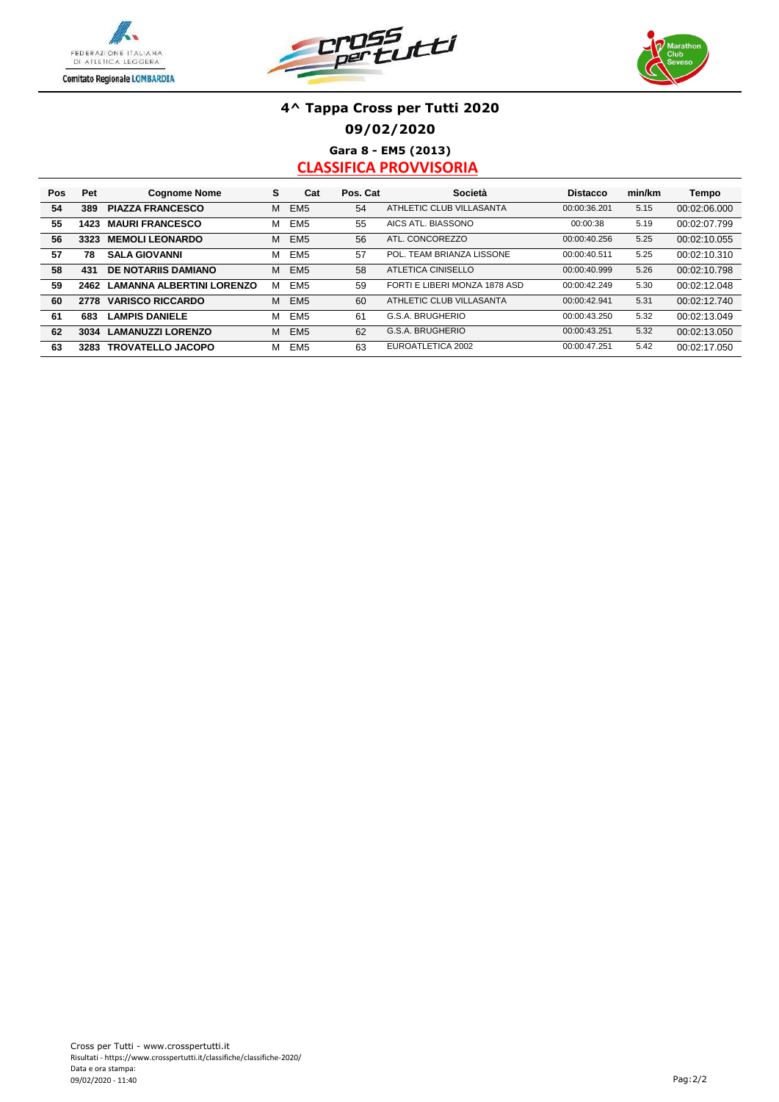





### **4^ Tappa Cross per Tutti 2020 09/02/2020 Gara 8 - EM5 (2013)**

| Pos | Pet  | <b>Cognome Nome</b>              | s | Cat             | Pos. Cat | Società                       | <b>Distacco</b> | min/km | Tempo        |
|-----|------|----------------------------------|---|-----------------|----------|-------------------------------|-----------------|--------|--------------|
| 54  | 389  | <b>PIAZZA FRANCESCO</b>          | М | EM <sub>5</sub> | 54       | ATHLETIC CLUB VILLASANTA      | 00:00:36.201    | 5.15   | 00:02:06.000 |
| 55  | 1423 | <b>MAURI FRANCESCO</b>           | М | EM <sub>5</sub> | 55       | AICS ATL. BIASSONO            | 00:00:38        | 5.19   | 00:02:07.799 |
| 56  | 3323 | <b>MEMOLI LEONARDO</b>           | М | EM <sub>5</sub> | 56       | ATL. CONCOREZZO               | 00:00:40.256    | 5.25   | 00:02:10.055 |
| 57  | 78   | <b>SALA GIOVANNI</b>             | М | EM <sub>5</sub> | 57       | POL. TEAM BRIANZA LISSONE     | 00:00:40.511    | 5.25   | 00:02:10.310 |
| 58  | 431  | <b>DE NOTARIIS DAMIANO</b>       | М | EM <sub>5</sub> | 58       | ATLETICA CINISELLO            | 00:00:40.999    | 5.26   | 00:02:10.798 |
| 59  | 2462 | <b>LAMANNA ALBERTINI LORENZO</b> | м | EM <sub>5</sub> | 59       | FORTI E LIBERI MONZA 1878 ASD | 00:00:42.249    | 5.30   | 00:02:12.048 |
| 60  | 2778 | <b>VARISCO RICCARDO</b>          | М | EM <sub>5</sub> | 60       | ATHLETIC CLUB VILLASANTA      | 00:00:42.941    | 5.31   | 00:02:12.740 |
| 61  | 683  | <b>LAMPIS DANIELE</b>            | М | EM <sub>5</sub> | 61       | G.S.A. BRUGHERIO              | 00:00:43.250    | 5.32   | 00:02:13.049 |
| 62  | 3034 | <b>LAMANUZZI LORENZO</b>         | М | EM <sub>5</sub> | 62       | G.S.A. BRUGHERIO              | 00:00:43.251    | 5.32   | 00:02:13.050 |
| 63  | 3283 | <b>TROVATELLO JACOPO</b>         | м | EM <sub>5</sub> | 63       | EUROATLETICA 2002             | 00:00:47.251    | 5.42   | 00:02:17.050 |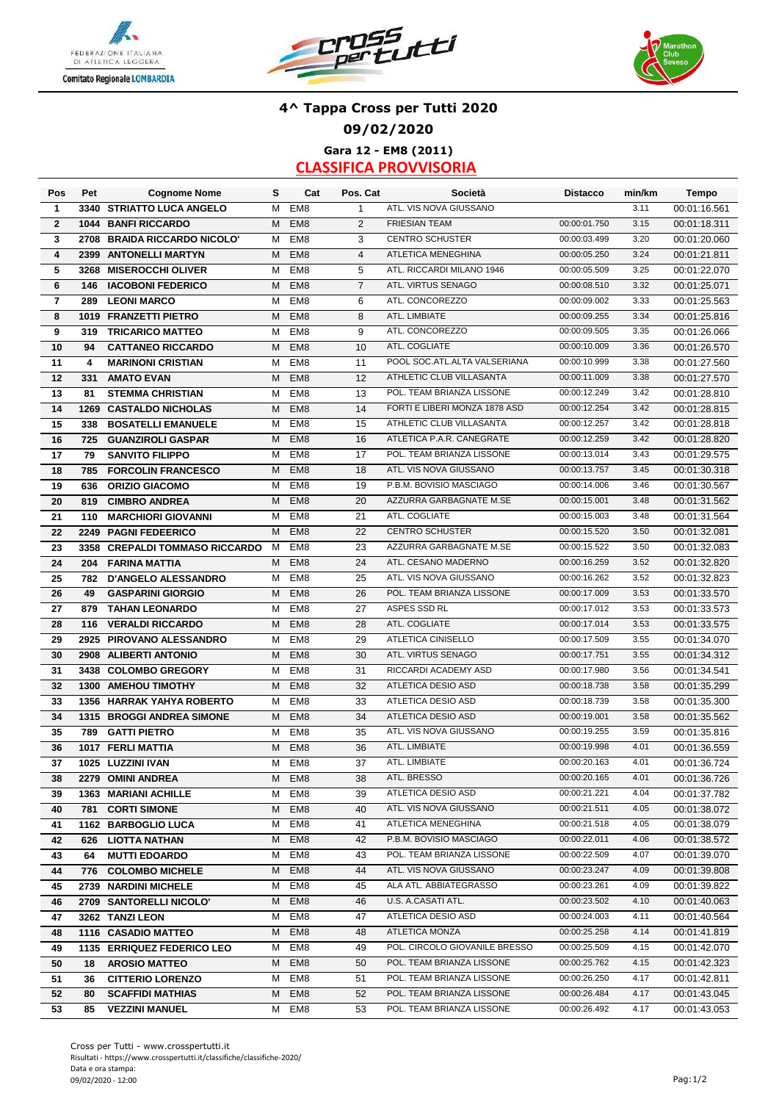





## **4^ Tappa Cross per Tutti 2020 09/02/2020 Gara 12 - EM8 (2011)**

| Pos                     | Pet  | <b>Cognome Nome</b>            | s | Cat             | Pos. Cat       | Società                       | <b>Distacco</b> | min/km | Tempo        |
|-------------------------|------|--------------------------------|---|-----------------|----------------|-------------------------------|-----------------|--------|--------------|
| $\mathbf{1}$            |      | 3340 STRIATTO LUCA ANGELO      | М | EM <sub>8</sub> | $\mathbf{1}$   | ATL. VIS NOVA GIUSSANO        |                 | 3.11   | 00:01:16.561 |
| $\overline{2}$          |      | 1044 BANFI RICCARDO            | M | EM <sub>8</sub> | $\overline{2}$ | <b>FRIESIAN TEAM</b>          | 00:00:01.750    | 3.15   | 00:01:18.311 |
| 3                       |      | 2708 BRAIDA RICCARDO NICOLO'   | М | EM <sub>8</sub> | 3              | <b>CENTRO SCHUSTER</b>        | 00:00:03.499    | 3.20   | 00:01:20.060 |
| $\overline{\mathbf{4}}$ |      | 2399 ANTONELLI MARTYN          | M | EM <sub>8</sub> | $\overline{4}$ | ATLETICA MENEGHINA            | 00:00:05.250    | 3.24   | 00:01:21.811 |
| 5                       |      | 3268 MISEROCCHI OLIVER         | М | EM <sub>8</sub> | 5              | ATL. RICCARDI MILANO 1946     | 00:00:05.509    | 3.25   | 00:01:22.070 |
| 6                       | 146  | <b>IACOBONI FEDERICO</b>       | M | EM <sub>8</sub> | $\overline{7}$ | ATL. VIRTUS SENAGO            | 00:00:08.510    | 3.32   | 00:01:25.071 |
| $\overline{\mathbf{r}}$ | 289  | <b>LEONI MARCO</b>             | М | EM <sub>8</sub> | 6              | ATL. CONCOREZZO               | 00:00:09.002    | 3.33   | 00:01:25.563 |
| 8                       |      | 1019 FRANZETTI PIETRO          | M | EM <sub>8</sub> | 8              | ATL. LIMBIATE                 | 00:00:09.255    | 3.34   | 00:01:25.816 |
| 9                       | 319  | <b>TRICARICO MATTEO</b>        | М | EM <sub>8</sub> | 9              | ATL. CONCOREZZO               | 00:00:09.505    | 3.35   | 00:01:26.066 |
| 10                      | 94   | <b>CATTANEO RICCARDO</b>       | M | EM <sub>8</sub> | 10             | ATL. COGLIATE                 | 00:00:10.009    | 3.36   | 00:01:26.570 |
| 11                      | 4    | <b>MARINONI CRISTIAN</b>       | м | EM <sub>8</sub> | 11             | POOL SOC.ATL.ALTA VALSERIANA  | 00:00:10.999    | 3.38   | 00:01:27.560 |
| 12                      | 331  | <b>AMATO EVAN</b>              | м | EM <sub>8</sub> | 12             | ATHLETIC CLUB VILLASANTA      | 00:00:11.009    | 3.38   | 00:01:27.570 |
| 13                      | 81   | <b>STEMMA CHRISTIAN</b>        | м | EM <sub>8</sub> | 13             | POL. TEAM BRIANZA LISSONE     | 00:00:12.249    | 3.42   | 00:01:28.810 |
| 14                      |      | <b>1269 CASTALDO NICHOLAS</b>  | м | EM <sub>8</sub> | 14             | FORTI E LIBERI MONZA 1878 ASD | 00:00:12.254    | 3.42   | 00:01:28.815 |
| 15                      | 338  | <b>BOSATELLI EMANUELE</b>      | М | EM <sub>8</sub> | 15             | ATHLETIC CLUB VILLASANTA      | 00:00:12.257    | 3.42   | 00:01:28.818 |
| 16                      | 725  | <b>GUANZIROLI GASPAR</b>       | M | EM <sub>8</sub> | 16             | ATLETICA P.A.R. CANEGRATE     | 00:00:12.259    | 3.42   | 00:01:28.820 |
| 17                      | 79   | <b>SANVITO FILIPPO</b>         | М | EM <sub>8</sub> | 17             | POL. TEAM BRIANZA LISSONE     | 00:00:13.014    | 3.43   | 00:01:29.575 |
| 18                      | 785  | <b>FORCOLIN FRANCESCO</b>      | М | EM <sub>8</sub> | 18             | ATL. VIS NOVA GIUSSANO        | 00:00:13.757    | 3.45   | 00:01:30.318 |
| 19                      | 636  | <b>ORIZIO GIACOMO</b>          | м | EM <sub>8</sub> | 19             | P.B.M. BOVISIO MASCIAGO       | 00:00:14.006    | 3.46   | 00:01:30.567 |
| 20                      | 819  | <b>CIMBRO ANDREA</b>           | M | EM <sub>8</sub> | 20             | AZZURRA GARBAGNATE M.SE       | 00:00:15.001    | 3.48   | 00:01:31.562 |
| 21                      | 110  | <b>MARCHIORI GIOVANNI</b>      | M | EM <sub>8</sub> | 21             | ATL. COGLIATE                 | 00:00:15.003    | 3.48   | 00:01:31.564 |
| 22                      | 2249 | <b>PAGNI FEDEERICO</b>         | М | EM <sub>8</sub> | 22             | <b>CENTRO SCHUSTER</b>        | 00:00:15.520    | 3.50   | 00:01:32.081 |
| 23                      |      | 3358 CREPALDI TOMMASO RICCARDO | M | EM <sub>8</sub> | 23             | AZZURRA GARBAGNATE M.SE       | 00:00:15.522    | 3.50   | 00:01:32.083 |
| 24                      | 204  | <b>FARINA MATTIA</b>           | м | EM <sub>8</sub> | 24             | ATL. CESANO MADERNO           | 00:00:16.259    | 3.52   | 00:01:32.820 |
| 25                      | 782  | <b>D'ANGELO ALESSANDRO</b>     | м | EM <sub>8</sub> | 25             | ATL. VIS NOVA GIUSSANO        | 00:00:16.262    | 3.52   | 00:01:32.823 |
| 26                      | 49   | <b>GASPARINI GIORGIO</b>       | M | EM <sub>8</sub> | 26             | POL. TEAM BRIANZA LISSONE     | 00:00:17.009    | 3.53   | 00:01:33.570 |
| 27                      | 879  | <b>TAHAN LEONARDO</b>          | М | EM <sub>8</sub> | 27             | ASPES SSD RL                  | 00:00:17.012    | 3.53   | 00:01:33.573 |
| 28                      | 116  | <b>VERALDI RICCARDO</b>        | M | EM <sub>8</sub> | 28             | ATL. COGLIATE                 | 00:00:17.014    | 3.53   | 00:01:33.575 |
| 29                      |      | 2925 PIROVANO ALESSANDRO       | М | EM <sub>8</sub> | 29             | ATLETICA CINISELLO            | 00:00:17.509    | 3.55   | 00:01:34.070 |
| 30                      |      | 2908 ALIBERTI ANTONIO          | М | EM <sub>8</sub> | 30             | ATL. VIRTUS SENAGO            | 00:00:17.751    | 3.55   | 00:01:34.312 |
| 31                      |      | 3438 COLOMBO GREGORY           | М | EM <sub>8</sub> | 31             | RICCARDI ACADEMY ASD          | 00:00:17.980    | 3.56   | 00:01:34.541 |
| 32                      |      | 1300 AMEHOU TIMOTHY            | М | EM <sub>8</sub> | 32             | <b>ATLETICA DESIO ASD</b>     | 00:00:18.738    | 3.58   | 00:01:35.299 |
| 33                      |      | 1356 HARRAK YAHYA ROBERTO      | м | EM <sub>8</sub> | 33             | ATLETICA DESIO ASD            | 00:00:18.739    | 3.58   | 00:01:35.300 |
| 34                      |      | 1315 BROGGI ANDREA SIMONE      | м | EM <sub>8</sub> | 34             | ATLETICA DESIO ASD            | 00:00:19.001    | 3.58   | 00:01:35.562 |
| 35                      | 789  | <b>GATTI PIETRO</b>            | м | EM <sub>8</sub> | 35             | ATL. VIS NOVA GIUSSANO        | 00:00:19.255    | 3.59   | 00:01:35.816 |
| 36                      |      | 1017 FERLI MATTIA              | Μ | EM <sub>8</sub> | 36             | ATL. LIMBIATE                 | 00:00:19.998    | 4.01   | 00:01:36.559 |
| 37                      |      | 1025 LUZZINI IVAN              | м | EM <sub>8</sub> | 37             | ATL. LIMBIATE                 | 00:00:20.163    | 4.01   | 00:01:36.724 |
| 38                      |      | 2279 OMINI ANDREA              |   | M EM8           | 38             | ATL. BRESSO                   | 00:00:20.165    | 4.01   | 00:01:36.726 |
| 39                      |      | 1363 MARIANI ACHILLE           |   | M EM8           | 39             | ATLETICA DESIO ASD            | 00:00:21.221    | 4.04   | 00:01:37.782 |
| 40                      |      | <b>781 CORTI SIMONE</b>        |   | M EM8           | 40             | ATL. VIS NOVA GIUSSANO        | 00:00:21.511    | 4.05   | 00:01:38.072 |
| 41                      |      | 1162 BARBOGLIO LUCA            | M | EM8             | 41             | ATLETICA MENEGHINA            | 00:00:21.518    | 4.05   | 00:01:38.079 |
| 42                      |      | 626 LIOTTA NATHAN              |   | M EM8           | 42             | P.B.M. BOVISIO MASCIAGO       | 00:00:22.011    | 4.06   | 00:01:38.572 |
| 43                      | 64   | <b>MUTTI EDOARDO</b>           |   | M EM8           | 43             | POL. TEAM BRIANZA LISSONE     | 00:00:22.509    | 4.07   | 00:01:39.070 |
| 44                      |      | 776 COLOMBO MICHELE            |   | M EM8           | 44             | ATL. VIS NOVA GIUSSANO        | 00:00:23.247    | 4.09   | 00:01:39.808 |
| 45                      |      | 2739 NARDINI MICHELE           | М | EM8             | 45             | ALA ATL. ABBIATEGRASSO        | 00:00:23.261    | 4.09   | 00:01:39.822 |
| 46                      |      | 2709 SANTORELLI NICOLO'        | м | EM8             | 46             | U.S. A.CASATI ATL.            | 00:00:23.502    | 4.10   | 00:01:40.063 |
| 47                      |      | 3262 TANZI LEON                | м | EM8             | 47             | ATLETICA DESIO ASD            | 00:00:24.003    | 4.11   | 00:01:40.564 |
| 48                      |      | 1116 CASADIO MATTEO            | м | EM <sub>8</sub> | 48             | <b>ATLETICA MONZA</b>         | 00:00:25.258    | 4.14   | 00:01:41.819 |
| 49                      |      | 1135 ERRIQUEZ FEDERICO LEO     | м | EM8             | 49             | POL. CIRCOLO GIOVANILE BRESSO | 00:00:25.509    | 4.15   | 00:01:42.070 |
| 50                      | 18   | <b>AROSIO MATTEO</b>           | м | EM8             | 50             | POL. TEAM BRIANZA LISSONE     | 00:00:25.762    | 4.15   | 00:01:42.323 |
| 51                      | 36   | <b>CITTERIO LORENZO</b>        | м | EM8             | 51             | POL. TEAM BRIANZA LISSONE     | 00:00:26.250    | 4.17   | 00:01:42.811 |
| 52                      | 80   | <b>SCAFFIDI MATHIAS</b>        | м | EM8             | 52             | POL. TEAM BRIANZA LISSONE     | 00:00:26.484    | 4.17   | 00:01:43.045 |
| 53                      | 85   | <b>VEZZINI MANUEL</b>          |   | M EM8           | 53             | POL. TEAM BRIANZA LISSONE     | 00:00:26.492    | 4.17   | 00:01:43.053 |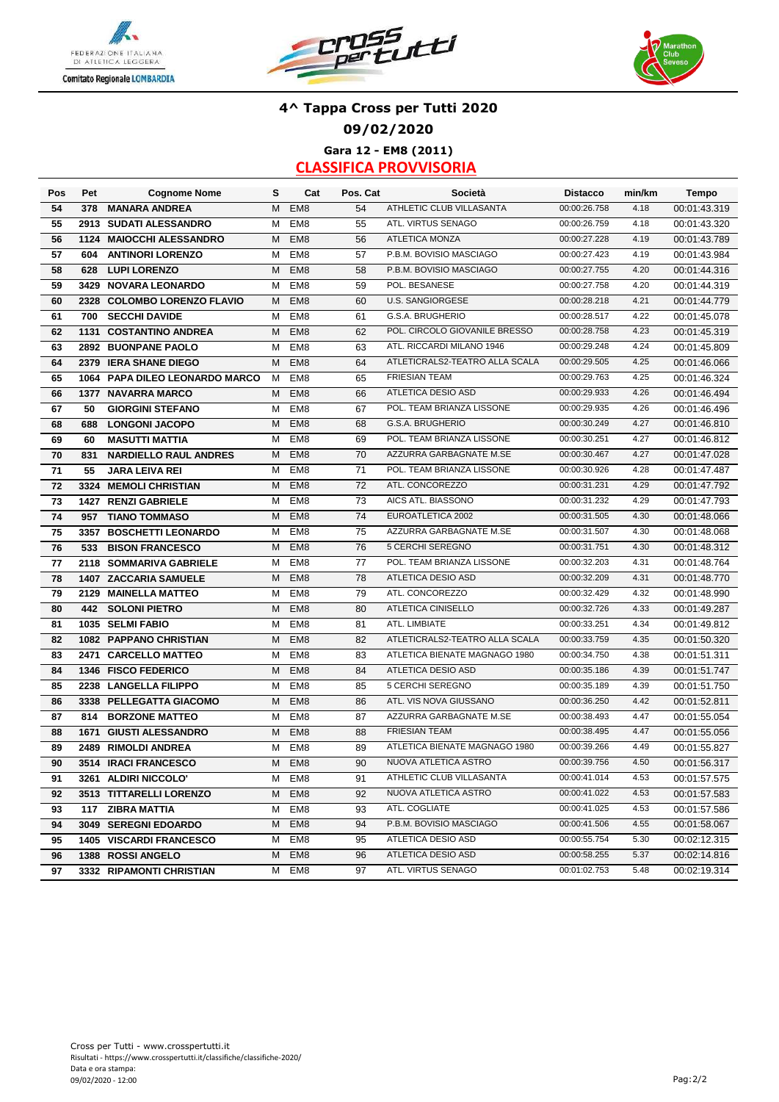





### **4^ Tappa Cross per Tutti 2020 09/02/2020 Gara 12 - EM8 (2011)**

| Pos | Pet  | <b>Cognome Nome</b>            | s | Cat             | Pos. Cat | Società                        | <b>Distacco</b> | min/km | Tempo        |
|-----|------|--------------------------------|---|-----------------|----------|--------------------------------|-----------------|--------|--------------|
| 54  | 378  | <b>MANARA ANDREA</b>           | M | EM <sub>8</sub> | 54       | ATHLETIC CLUB VILLASANTA       | 00:00:26.758    | 4.18   | 00:01:43.319 |
| 55  |      | 2913 SUDATI ALESSANDRO         | M | EM <sub>8</sub> | 55       | ATL. VIRTUS SENAGO             | 00:00:26.759    | 4.18   | 00:01:43.320 |
| 56  |      | 1124 MAIOCCHI ALESSANDRO       | M | EM <sub>8</sub> | 56       | <b>ATLETICA MONZA</b>          | 00:00:27.228    | 4.19   | 00:01:43.789 |
| 57  | 604  | <b>ANTINORI LORENZO</b>        | М | EM <sub>8</sub> | 57       | P.B.M. BOVISIO MASCIAGO        | 00:00:27.423    | 4.19   | 00:01:43.984 |
| 58  | 628  | <b>LUPI LORENZO</b>            | M | EM <sub>8</sub> | 58       | P.B.M. BOVISIO MASCIAGO        | 00:00:27.755    | 4.20   | 00:01:44.316 |
| 59  | 3429 | <b>NOVARA LEONARDO</b>         | м | EM <sub>8</sub> | 59       | POL. BESANESE                  | 00:00:27.758    | 4.20   | 00:01:44.319 |
| 60  | 2328 | <b>COLOMBO LORENZO FLAVIO</b>  | м | EM <sub>8</sub> | 60       | <b>U.S. SANGIORGESE</b>        | 00:00:28.218    | 4.21   | 00:01:44.779 |
| 61  | 700  | <b>SECCHI DAVIDE</b>           | М | EM <sub>8</sub> | 61       | G.S.A. BRUGHERIO               | 00:00:28.517    | 4.22   | 00:01:45.078 |
| 62  | 1131 | <b>COSTANTINO ANDREA</b>       | м | EM <sub>8</sub> | 62       | POL. CIRCOLO GIOVANILE BRESSO  | 00:00:28.758    | 4.23   | 00:01:45.319 |
| 63  |      | 2892 BUONPANE PAOLO            | м | EM <sub>8</sub> | 63       | ATL. RICCARDI MILANO 1946      | 00:00:29.248    | 4.24   | 00:01:45.809 |
| 64  |      | 2379 IERA SHANE DIEGO          | м | EM <sub>8</sub> | 64       | ATLETICRALS2-TEATRO ALLA SCALA | 00:00:29.505    | 4.25   | 00:01:46.066 |
| 65  |      | 1064 PAPA DILEO LEONARDO MARCO | м | EM <sub>8</sub> | 65       | <b>FRIESIAN TEAM</b>           | 00:00:29.763    | 4.25   | 00:01:46.324 |
| 66  |      | 1377 NAVARRA MARCO             | M | EM <sub>8</sub> | 66       | ATLETICA DESIO ASD             | 00:00:29.933    | 4.26   | 00:01:46.494 |
| 67  | 50   | <b>GIORGINI STEFANO</b>        | М | EM <sub>8</sub> | 67       | POL. TEAM BRIANZA LISSONE      | 00:00:29.935    | 4.26   | 00:01:46.496 |
| 68  | 688  | <b>LONGONI JACOPO</b>          | M | EM <sub>8</sub> | 68       | G.S.A. BRUGHERIO               | 00:00:30.249    | 4.27   | 00:01:46.810 |
| 69  | 60   | <b>MASUTTI MATTIA</b>          | м | EM <sub>8</sub> | 69       | POL. TEAM BRIANZA LISSONE      | 00:00:30.251    | 4.27   | 00:01:46.812 |
| 70  | 831  | <b>NARDIELLO RAUL ANDRES</b>   | м | EM <sub>8</sub> | 70       | AZZURRA GARBAGNATE M.SE        | 00:00:30.467    | 4.27   | 00:01:47.028 |
| 71  | 55   | <b>JARA LEIVA REI</b>          | м | EM <sub>8</sub> | 71       | POL. TEAM BRIANZA LISSONE      | 00:00:30.926    | 4.28   | 00:01:47.487 |
| 72  | 3324 | <b>MEMOLI CHRISTIAN</b>        | м | EM <sub>8</sub> | 72       | ATL. CONCOREZZO                | 00:00:31.231    | 4.29   | 00:01:47.792 |
| 73  | 1427 | <b>RENZI GABRIELE</b>          | М | EM <sub>8</sub> | 73       | AICS ATL. BIASSONO             | 00:00:31.232    | 4.29   | 00:01:47.793 |
| 74  | 957  | <b>TIANO TOMMASO</b>           | M | EM <sub>8</sub> | 74       | EUROATLETICA 2002              | 00:00:31.505    | 4.30   | 00:01:48.066 |
| 75  | 3357 | <b>BOSCHETTI LEONARDO</b>      | м | EM <sub>8</sub> | 75       | AZZURRA GARBAGNATE M.SE        | 00:00:31.507    | 4.30   | 00:01:48.068 |
| 76  | 533  | <b>BISON FRANCESCO</b>         | м | EM <sub>8</sub> | 76       | 5 CERCHI SEREGNO               | 00:00:31.751    | 4.30   | 00:01:48.312 |
| 77  |      | 2118 SOMMARIVA GABRIELE        | м | EM <sub>8</sub> | 77       | POL. TEAM BRIANZA LISSONE      | 00:00:32.203    | 4.31   | 00:01:48.764 |
| 78  | 1407 | <b>ZACCARIA SAMUELE</b>        | M | EM <sub>8</sub> | 78       | ATLETICA DESIO ASD             | 00:00:32.209    | 4.31   | 00:01:48.770 |
| 79  | 2129 | <b>MAINELLA MATTEO</b>         | M | EM <sub>8</sub> | 79       | ATL. CONCOREZZO                | 00:00:32.429    | 4.32   | 00:01:48.990 |
| 80  | 442  | <b>SOLONI PIETRO</b>           | M | EM <sub>8</sub> | 80       | <b>ATLETICA CINISELLO</b>      | 00:00:32.726    | 4.33   | 00:01:49.287 |
| 81  |      | 1035 SELMI FABIO               | М | EM <sub>8</sub> | 81       | ATL. LIMBIATE                  | 00:00:33.251    | 4.34   | 00:01:49.812 |
| 82  |      | 1082 PAPPANO CHRISTIAN         | M | EM <sub>8</sub> | 82       | ATLETICRALS2-TEATRO ALLA SCALA | 00:00:33.759    | 4.35   | 00:01:50.320 |
| 83  | 2471 | <b>CARCELLO MATTEO</b>         | м | EM <sub>8</sub> | 83       | ATLETICA BIENATE MAGNAGO 1980  | 00:00:34.750    | 4.38   | 00:01:51.311 |
| 84  |      | 1346 FISCO FEDERICO            | м | EM <sub>8</sub> | 84       | <b>ATLETICA DESIO ASD</b>      | 00:00:35.186    | 4.39   | 00:01:51.747 |
| 85  |      | 2238 LANGELLA FILIPPO          | м | EM <sub>8</sub> | 85       | 5 CERCHI SEREGNO               | 00:00:35.189    | 4.39   | 00:01:51.750 |
| 86  |      | 3338 PELLEGATTA GIACOMO        | м | EM <sub>8</sub> | 86       | ATL. VIS NOVA GIUSSANO         | 00:00:36.250    | 4.42   | 00:01:52.811 |
| 87  | 814  | <b>BORZONE MATTEO</b>          | м | EM <sub>8</sub> | 87       | AZZURRA GARBAGNATE M.SE        | 00:00:38.493    | 4.47   | 00:01:55.054 |
| 88  | 1671 | <b>GIUSTI ALESSANDRO</b>       | м | EM <sub>8</sub> | 88       | <b>FRIESIAN TEAM</b>           | 00:00:38.495    | 4.47   | 00:01:55.056 |
| 89  |      | 2489 RIMOLDI ANDREA            | м | EM <sub>8</sub> | 89       | ATLETICA BIENATE MAGNAGO 1980  | 00:00:39.266    | 4.49   | 00:01:55.827 |
| 90  |      | 3514 IRACI FRANCESCO           | м | EM <sub>8</sub> | 90       | NUOVA ATLETICA ASTRO           | 00:00:39.756    | 4.50   | 00:01:56.317 |
| 91  |      | 3261 ALDIRI NICCOLO'           |   | M EM8           | 91       | ATHLETIC CLUB VILLASANTA       | 00:00:41.014    | 4.53   | 00:01:57.575 |
| 92  |      | 3513 TITTARELLI LORENZO        |   | M EM8           | 92       | NUOVA ATLETICA ASTRO           | 00:00:41.022    | 4.53   | 00:01:57.583 |
| 93  |      | 117 ZIBRA MATTIA               | М | EM8             | 93       | ATL. COGLIATE                  | 00:00:41.025    | 4.53   | 00:01:57.586 |
| 94  |      | 3049 SEREGNI EDOARDO           | M | EM <sub>8</sub> | 94       | P.B.M. BOVISIO MASCIAGO        | 00:00:41.506    | 4.55   | 00:01:58.067 |
| 95  |      | <b>1405 VISCARDI FRANCESCO</b> | м | EM8             | 95       | ATLETICA DESIO ASD             | 00:00:55.754    | 5.30   | 00:02:12.315 |
| 96  |      | 1388 ROSSI ANGELO              | M | EM <sub>8</sub> | 96       | ATLETICA DESIO ASD             | 00:00:58.255    | 5.37   | 00:02:14.816 |
| 97  |      | 3332 RIPAMONTI CHRISTIAN       | M | EM8             | 97       | ATL. VIRTUS SENAGO             | 00:01:02.753    | 5.48   | 00:02:19.314 |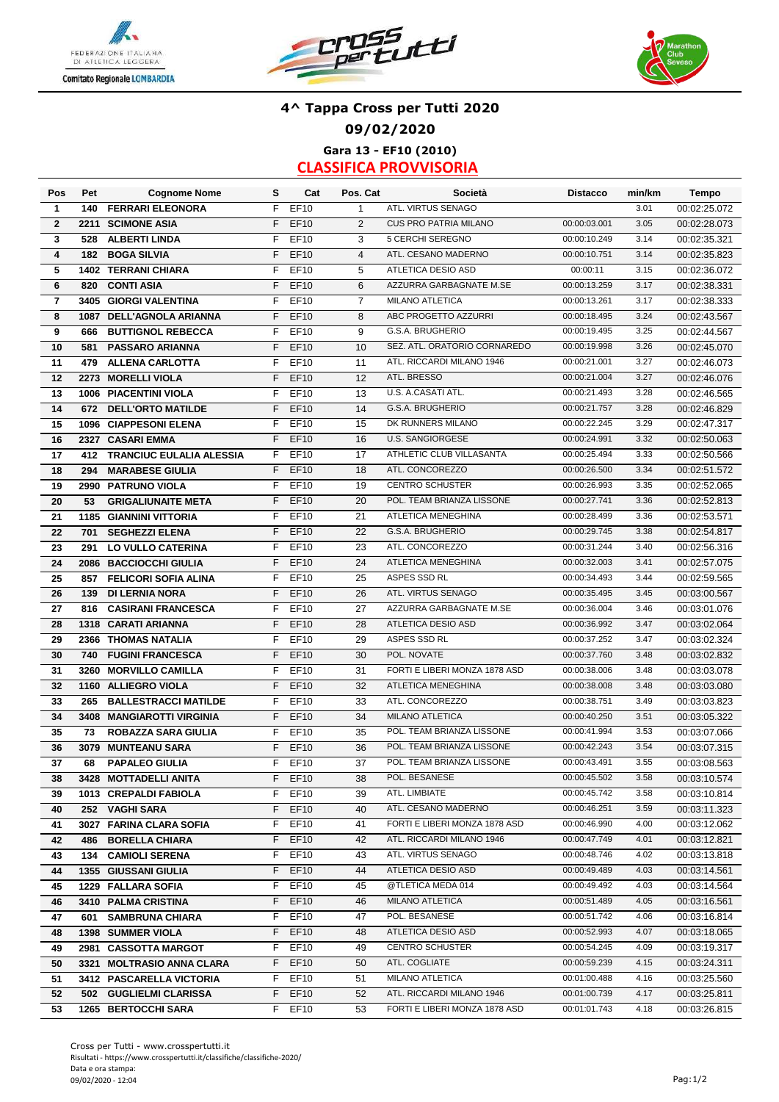





#### **4^ Tappa Cross per Tutti 2020 09/02/2020 Gara 13 - EF10 (2010) CLASSIFICA PROVVISORIA**

**Pos S Cat Pos. Cat Distacco min/km Pet Cognome Nome Società Tempo 1 140 FERRARI ELEONORA** F EF10 1 ATL. VIRTUS SENAGO 3.01 00:02:25.072 **2** F EF10 2 00:00:03.001 3.05 **2211 SCIMONE ASIA** CUS PRO PATRIA MILANO 00:02:28.073 **3 528 ALBERTI LINDA 628 F EF10 5 3 5 CERCHI SEREGNO 60:00:10.249 3.14 4** F EF10 4 00:00:10.751 3.14 **182 BOGA SILVIA** ATL. CESANO MADERNO 00:02:35.823 **5** F EF10 5 00:00:11 3.15 **1402 TERRANI CHIARA** ATLETICA DESIO ASD 00:02:36.072 **6 820 CONTI ASIA** F EF10 6 AZZURRA GARBAGNATE M.SE 00:00:13.259 3.17 00:02:38.331 **7 3405 GIORGI VALENTINA** F EF10 7 MILANO ATLETICA 00:00:13.261 3.17 00:02:38.333 **8** F EF10 8 00:00:18.495 3.24 **1087 DELL'AGNOLA ARIANNA** ABC PROGETTO AZZURRI 00:02:43.567 **9 666 BUTTIGNOL REBECCA** F EF10 9 G.S.A. BRUGHERIO 00:00:19.495 3.25 00:02:44.567 **10 581 PASSARO ARIANNA** F EF10 10 SEZ. ATL. ORATORIO CORNAREDO 00:00:19.998 3.26 00:02:45.070 **11 479 ALLENA CARLOTTA** F EF10 11 ATL. RICCARDI MILANO 1946 00:00:21.001 3.27 00:02:46.073 **12 2273 MORELLI VIOLA** F EF10 12 ATL. BRESSO 00:00:21.004 3.27 **13** F EF10 13 00:00:21.493 3.28 **1006 PIACENTINI VIOLA** U.S. A.CASATI ATL. 00:02:46.565 **14 672 DELL'ORTO MATILDE** F EF10 14 G.S.A. BRUGHERIO 00:00:21.757 3.28 00:02:46.829 **15 1096 CIAPPESONI ELENA** F EF10 15 DK RUNNERS MILANO 00:00:22.245 3.29 00:00:22.47.317 **16 2327 CASARI EMMA** F EF10 16 U.S. SANGIORGESE 00:00:24.991 3.32 **17 412 TRANCIUC EULALIA ALESSIA** FEF10 17 ATHLETIC CLUB VILLASANTA 00:00:25.494 3.33 00:02:50.566 **18 294 MARABESE GIULIA FEF10** 18 ATL. CONCOREZZO 00:00:26.500 3.34 **19** F EF10 19 00:00:26.993 3.35 **2990 PATRUNO VIOLA** CENTRO SCHUSTER 00:02:52.065 **20 53 GRIGALIUNAITE META** F EF10 20 POL. TEAM BRIANZA LISSONE 00:00:27.741 3.36 00:02:52.813 **21** F EF10 21 00:00:28.499 3.36 **1185 GIANNINI VITTORIA** ATLETICA MENEGHINA 00:02:53.571 **22 701 SEGHEZZI ELENA** F EF10 22 G.S.A. BRUGHERIO 00:00:29.745 3.38 00:02:54.817 **23 291 LO VULLO CATERINA** F EF10 23 ATL. CONCOREZZO 00:00:31.244 3.40 00:02:56.316 **24** F EF10 24 00:00:32.003 3.41 **2086 BACCIOCCHI GIULIA** ATLETICA MENEGHINA 00:02:57.075 **25** F EF10 25 00:00:34.493 3.44 **857 FELICORI SOFIA ALINA** ASPES SSD RL 00:02:59.565 **26** F EF10 26 00:00:35.495 3.45 **139 DI LERNIA NORA** ATL. VIRTUS SENAGO 00:03:00.567 **27** F EF10 27 00:00:36.004 3.46 **816 CASIRANI FRANCESCA** AZZURRA GARBAGNATE M.SE 00:03:01.076 **28** F EF10 28 00:00:36.992 3.47 **1318 CARATI ARIANNA** ATLETICA DESIO ASD 00:03:02.064 **29** F EF10 29 00:00:37.252 3.47 **2366 THOMAS NATALIA** ASPES SSD RL 00:03:02.324 **30 740 FUGINI FRANCESCA** F EF10 30 POL. NOVATE 00:00:37.760 3.48 **31** F EF10 31 00:00:38.006 3.48 **3260 MORVILLO CAMILLA** FORTI E LIBERI MONZA 1878 ASD 00:03:03.078 **32 1160 ALLIEGRO VIOLA** F EF10 32 ATLETICA MENEGHINA 00:00:38.008 3.48 00:03:33.080 **33 265 BALLESTRACCI MATILDE** F EF10 33 ATL. CONCOREZZO 00:00:38.751 3.49 00:03:03.823 **34** F EF10 34 00:00:40.250 3.51 **3408 MANGIAROTTI VIRGINIA** MILANO ATLETICA 00:03:05.322 **35 73 ROBAZZA SARA GIULIA** PET10 35 POL. TEAM BRIANZA LISSONE 00:00:41.994 3.53 00:03:07.066 **36** F EF10 36 00:00:42.243 3.54 **3079 MUNTEANU SARA** POL. TEAM BRIANZA LISSONE 00:03:07.315 **37** F EF10 37 00:00:43.491 3.55 **68 PAPALEO GIULIA** POL. TEAM BRIANZA LISSONE 00:03:08.563 **38** F EF10 38 00:00:45.502 3.58 **3428 MOTTADELLI ANITA** POL. BESANESE 00:03:10.574 **39** F EF10 39 00:00:45.742 3.58 **1013 CREPALDI FABIOLA** ATL. LIMBIATE 00:03:10.814 **40** F EF10 40 00:00:46.251 3.59 **252 VAGHI SARA** ATL. CESANO MADERNO 00:03:11.323 **41 3027 FARINA CLARA SOFIA** FEF10 41 FORTI E LIBERI MONZA 1878 ASD 00:00:46.990 4.00 00:03:12.062 **42** F EF10 42 00:00:47.749 4.01 **486 BORELLA CHIARA** ATL. RICCARDI MILANO 1946 00:03:12.821 **43 134 CAMIOLI SERENA** F EF10 **43** ATL. VIRTUS SENAGO 00:00:48.746 **4.02 44** F EF10 44 00:00:49.489 4.03 **1355 GIUSSANI GIULIA** ATLETICA DESIO ASD 00:03:14.561 **45** F EF10 45 00:00:49.492 4.03 **1229 FALLARA SOFIA** @TLETICA MEDA 014 00:03:14.564 **46** F EF10 46 00:00:51.489 4.05 **3410 PALMA CRISTINA** MILANO ATLETICA 00:03:16.561 **47** F EF10 47 00:00:51.742 4.06 **601 SAMBRUNA CHIARA** POL. BESANESE 00:03:16.814 **48 1398 SUMMER VIOLA** F EF10 48 ATLETICA DESIO ASD 00:00:52.993 4.07 **49** F EF10 49 00:00:54.245 4.09 **2981 CASSOTTA MARGOT** CENTRO SCHUSTER 00:03:19.317 **50** F EF10 50 00:00:59.239 4.15 **3321 MOLTRASIO ANNA CLARA** ATL. COGLIATE 00:03:24.311 **51 3412 PASCARELLA VICTORIA MELECO E PERIONEL E DE MILANO ATLETICA A CO-01:00.488 4.16 00:03:25.560 52 602 GUGLIELMI CLARISSA FEF10 52 ATL. RICCARDI MILANO 1946 00:01:00.739 4.17 00:03:25.811 53 1265 BERTOCCHI SARA** F EF10 53 FORTI E LIBERI MONZA 1878 ASD 00:01:01.743 4.18 00:03:26.815 **1398 SUMMER VIOLA** ATLETICA DESIO ASD 00:03:18.065 **134 CAMIOLI SERENA** F EF10 43 ATL. VIRTUS SENAGO 00:00:48.746 4.02 00:03:13.818 **740 FUGINI FRANCESCA** POL. NOVATE 00:03:02.832 **294 MARABESE GIULIA** ATL. CONCOREZZO 00:02:51.572 **2327 CASARI EMMA** U.S. SANGIORGESE 00:02:50.063 **2273 MORELLI VIOLA** ATL. BRESSO 00:02:46.076 **528 ALBERTI LINDA** 5 CERCHI SEREGNO 00:02:35.321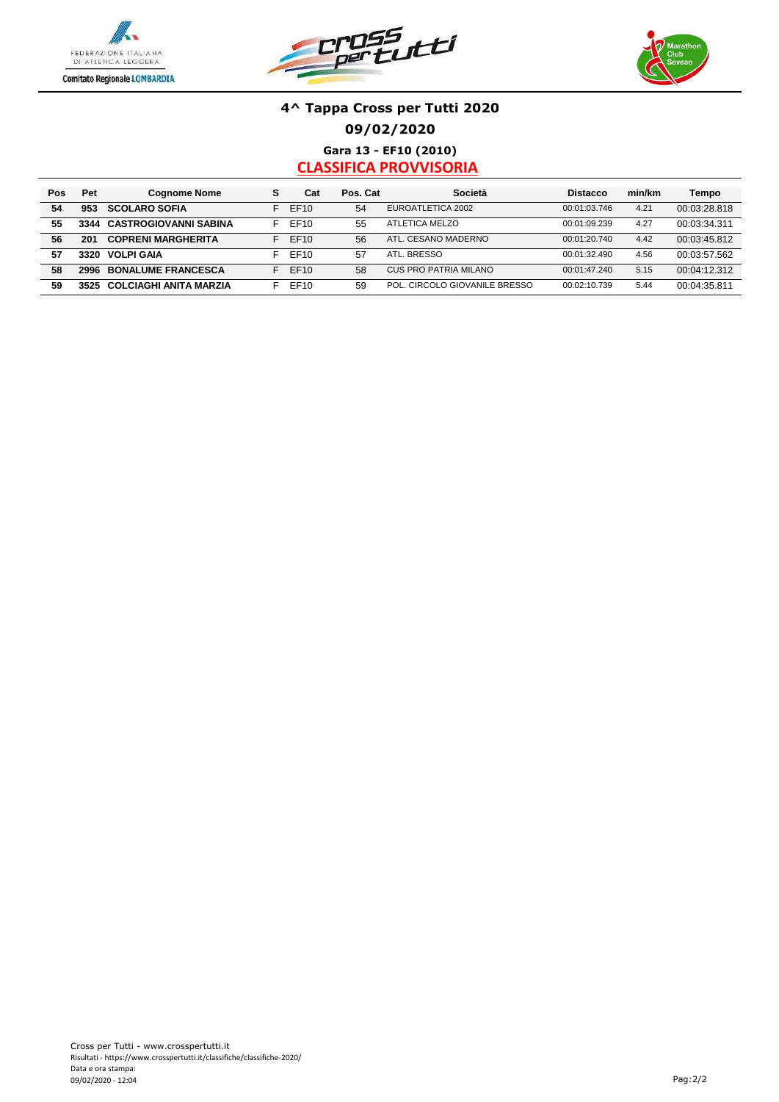





**Gara 13 - EF10 (2010) CLASSIFICA PROVVISORIA**

| Pos | Pet  | <b>Cognome Nome</b>        | s  | Cat              | Pos. Cat | Società                       | <b>Distacco</b> | min/km | Tempo        |
|-----|------|----------------------------|----|------------------|----------|-------------------------------|-----------------|--------|--------------|
| 54  | 953  | <b>SCOLARO SOFIA</b>       |    | EF10             | 54       | EUROATLETICA 2002             | 00:01:03.746    | 4.21   | 00:03:28.818 |
| 55  |      | 3344 CASTROGIOVANNI SABINA |    | EF10             | 55       | ATLETICA MELZO                | 00:01:09.239    | 4.27   | 00:03:34.311 |
| 56  | 201  | <b>COPRENI MARGHERITA</b>  |    | FF <sub>10</sub> | 56       | ATL. CESANO MADERNO           | 00:01:20.740    | 4.42   | 00:03:45.812 |
| 57  | 3320 | VOLPI GAIA                 |    | EF10             | 57       | ATL. BRESSO                   | 00:01:32.490    | 4.56   | 00:03:57.562 |
| 58  |      | 2996 BONALUME FRANCESCA    | E. | FF10             | 58       | CUS PRO PATRIA MILANO         | 00:01:47.240    | 5.15   | 00:04:12.312 |
| 59  | 3525 | COLCIAGHI ANITA MARZIA     |    | EF10             | 59       | POL. CIRCOLO GIOVANILE BRESSO | 00:02:10.739    | 5.44   | 00:04:35.811 |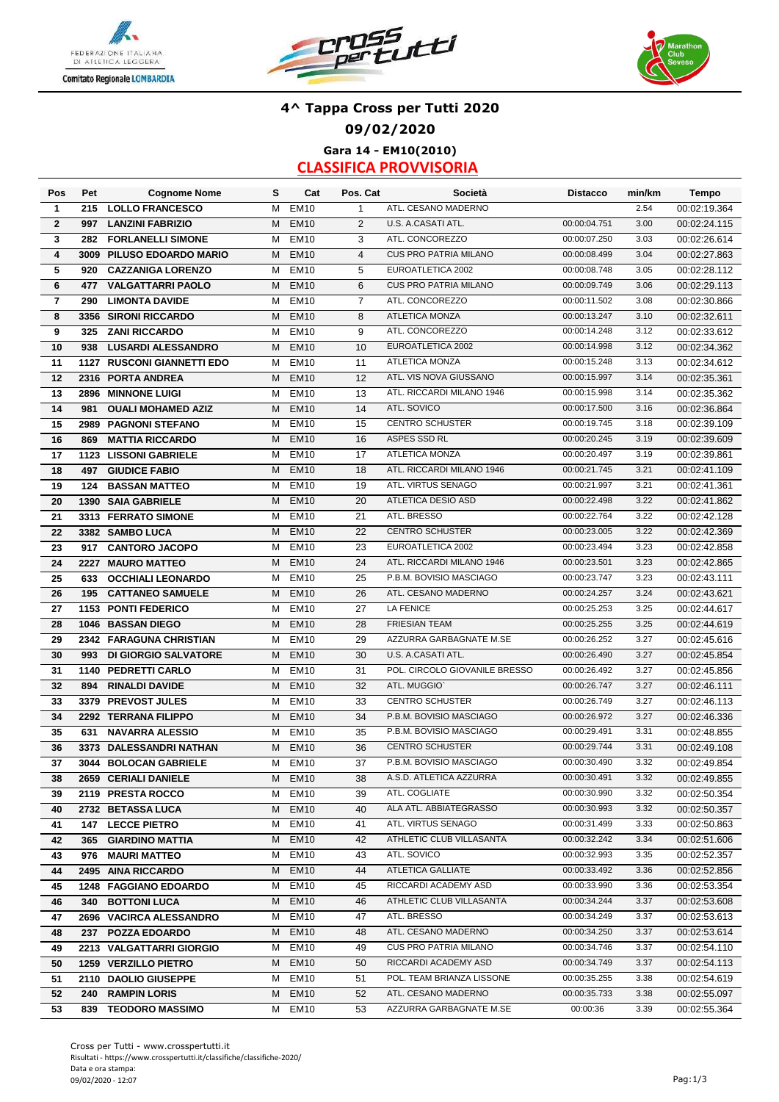





# **4^ Tappa Cross per Tutti 2020 09/02/2020 Gara 14 - EM10(2010)**

| Pos                     | Pet  | <b>Cognome Nome</b>         | s | Cat              | Pos. Cat       | Società                       | <b>Distacco</b>              | min/km | <b>Tempo</b> |
|-------------------------|------|-----------------------------|---|------------------|----------------|-------------------------------|------------------------------|--------|--------------|
| 1                       | 215  | <b>LOLLO FRANCESCO</b>      | М | <b>EM10</b>      | $\mathbf{1}$   | ATL. CESANO MADERNO           |                              | 2.54   | 00:02:19.364 |
| $\overline{2}$          | 997  | <b>LANZINI FABRIZIO</b>     | М | <b>EM10</b>      | 2              | U.S. A.CASATI ATL.            | 00:00:04.751                 | 3.00   | 00:02:24.115 |
| 3                       | 282  | <b>FORLANELLI SIMONE</b>    | м | <b>EM10</b>      | 3              | ATL. CONCOREZZO               | 00:00:07.250                 | 3.03   | 00:02:26.614 |
| $\overline{\mathbf{4}}$ |      | 3009 PILUSO EDOARDO MARIO   | М | <b>EM10</b>      | $\overline{4}$ | <b>CUS PRO PATRIA MILANO</b>  | 00:00:08.499                 | 3.04   | 00:02:27.863 |
| 5                       | 920  | <b>CAZZANIGA LORENZO</b>    | М | <b>EM10</b>      | 5              | EUROATLETICA 2002             | 00:00:08.748                 | 3.05   | 00:02:28.112 |
| 6                       | 477  | <b>VALGATTARRI PAOLO</b>    | М | <b>EM10</b>      | 6              | <b>CUS PRO PATRIA MILANO</b>  | 00:00:09.749                 | 3.06   | 00:02:29.113 |
| $\overline{\mathbf{r}}$ | 290  | <b>LIMONTA DAVIDE</b>       | М | <b>EM10</b>      | $\overline{7}$ | ATL. CONCOREZZO               | 00:00:11.502                 | 3.08   | 00:02:30.866 |
| 8                       |      | 3356 SIRONI RICCARDO        | м | <b>EM10</b>      | 8              | ATLETICA MONZA                | 00:00:13.247                 | 3.10   | 00:02:32.611 |
| 9                       | 325  | <b>ZANI RICCARDO</b>        | м | <b>EM10</b>      | 9              | ATL. CONCOREZZO               | 00:00:14.248                 | 3.12   | 00:02:33.612 |
| 10                      | 938  | <b>LUSARDI ALESSANDRO</b>   | м | <b>EM10</b>      | 10             | EUROATLETICA 2002             | 00:00:14.998                 | 3.12   | 00:02:34.362 |
| 11                      |      | 1127 RUSCONI GIANNETTI EDO  | м | <b>EM10</b>      | 11             | <b>ATLETICA MONZA</b>         | 00:00:15.248                 | 3.13   | 00:02:34.612 |
| 12                      |      | 2316 PORTA ANDREA           | м | <b>EM10</b>      | 12             | ATL. VIS NOVA GIUSSANO        | 00:00:15.997                 | 3.14   | 00:02:35.361 |
| 13                      |      | 2896 MINNONE LUIGI          | м | EM <sub>10</sub> | 13             | ATL. RICCARDI MILANO 1946     | 00:00:15.998                 | 3.14   | 00:02:35.362 |
| 14                      | 981  | <b>OUALI MOHAMED AZIZ</b>   | м | <b>EM10</b>      | 14             | ATL. SOVICO                   | 00:00:17.500                 | 3.16   | 00:02:36.864 |
| 15                      |      | 2989 PAGNONI STEFANO        | М | <b>EM10</b>      | 15             | <b>CENTRO SCHUSTER</b>        | 00:00:19.745                 | 3.18   | 00:02:39.109 |
| 16                      | 869  | <b>MATTIA RICCARDO</b>      | м | <b>EM10</b>      | 16             | ASPES SSD RL                  | 00:00:20.245                 | 3.19   | 00:02:39.609 |
| 17                      |      | 1123 LISSONI GABRIELE       | М | <b>EM10</b>      | 17             | <b>ATLETICA MONZA</b>         | 00:00:20.497                 | 3.19   | 00:02:39.861 |
| 18                      | 497  | <b>GIUDICE FABIO</b>        | M | <b>EM10</b>      | 18             | ATL. RICCARDI MILANO 1946     | 00:00:21.745                 | 3.21   | 00:02:41.109 |
| 19                      | 124  | <b>BASSAN MATTEO</b>        | м | <b>EM10</b>      | 19             | ATL. VIRTUS SENAGO            | 00:00:21.997                 | 3.21   | 00:02:41.361 |
| 20                      |      | <b>1390 SAIA GABRIELE</b>   | M | <b>EM10</b>      | 20             | <b>ATLETICA DESIO ASD</b>     | 00:00:22.498                 | 3.22   | 00:02:41.862 |
|                         |      | 3313 FERRATO SIMONE         | М | <b>EM10</b>      | 21             | ATL. BRESSO                   | 00:00:22.764                 | 3.22   | 00:02:42.128 |
| 21                      |      |                             |   |                  |                | <b>CENTRO SCHUSTER</b>        |                              | 3.22   |              |
| 22                      |      | 3382 SAMBO LUCA             | м | <b>EM10</b>      | 22             | EUROATLETICA 2002             | 00:00:23.005<br>00:00:23.494 | 3.23   | 00:02:42.369 |
| 23                      | 917  | <b>CANTORO JACOPO</b>       | Μ | <b>EM10</b>      | 23             |                               |                              |        | 00:02:42.858 |
| 24                      | 2227 | <b>MAURO MATTEO</b>         | M | <b>EM10</b>      | 24             | ATL. RICCARDI MILANO 1946     | 00:00:23.501                 | 3.23   | 00:02:42.865 |
| 25                      | 633  | <b>OCCHIALI LEONARDO</b>    | м | <b>EM10</b>      | 25             | P.B.M. BOVISIO MASCIAGO       | 00:00:23.747                 | 3.23   | 00:02:43.111 |
| 26                      | 195  | <b>CATTANEO SAMUELE</b>     | М | <b>EM10</b>      | 26             | ATL. CESANO MADERNO           | 00:00:24.257                 | 3.24   | 00:02:43.621 |
| 27                      |      | 1153 PONTI FEDERICO         | М | <b>EM10</b>      | 27             | <b>LA FENICE</b>              | 00:00:25.253                 | 3.25   | 00:02:44.617 |
| 28                      |      | 1046 BASSAN DIEGO           | М | <b>EM10</b>      | 28             | <b>FRIESIAN TEAM</b>          | 00:00:25.255                 | 3.25   | 00:02:44.619 |
| 29                      |      | 2342 FARAGUNA CHRISTIAN     | М | <b>EM10</b>      | 29             | AZZURRA GARBAGNATE M.SE       | 00:00:26.252                 | 3.27   | 00:02:45.616 |
| 30                      | 993  | <b>DI GIORGIO SALVATORE</b> | М | <b>EM10</b>      | 30             | U.S. A.CASATI ATL.            | 00:00:26.490                 | 3.27   | 00:02:45.854 |
| 31                      |      | 1140 PEDRETTI CARLO         | М | <b>EM10</b>      | 31             | POL. CIRCOLO GIOVANILE BRESSO | 00:00:26.492                 | 3.27   | 00:02:45.856 |
| 32                      | 894  | <b>RINALDI DAVIDE</b>       | М | <b>EM10</b>      | 32             | ATL. MUGGIO'                  | 00:00:26.747                 | 3.27   | 00:02:46.111 |
| 33                      |      | 3379 PREVOST JULES          | М | <b>EM10</b>      | 33             | <b>CENTRO SCHUSTER</b>        | 00:00:26.749                 | 3.27   | 00:02:46.113 |
| 34                      |      | 2292 TERRANA FILIPPO        | м | <b>EM10</b>      | 34             | P.B.M. BOVISIO MASCIAGO       | 00:00:26.972                 | 3.27   | 00:02:46.336 |
| 35                      | 631  | <b>NAVARRA ALESSIO</b>      | м | <b>EM10</b>      | 35             | P.B.M. BOVISIO MASCIAGO       | 00:00:29.491                 | 3.31   | 00:02:48.855 |
| 36                      |      | 3373 DALESSANDRI NATHAN     | м | <b>EM10</b>      | 36             | <b>CENTRO SCHUSTER</b>        | 00:00:29.744                 | 3.31   | 00:02:49.108 |
| 37                      |      | 3044 BOLOCAN GABRIELE       | м | <b>EM10</b>      | 37             | P.B.M. BOVISIO MASCIAGO       | 00:00:30.490                 | 3.32   | 00:02:49.854 |
| 38                      |      | 2659 CERIALI DANIELE        |   | M EM10           | 38             | A.S.D. ATLETICA AZZURRA       | 00:00:30.491                 | 3.32   | 00:02:49.855 |
| 39                      |      | 2119 PRESTA ROCCO           |   | M EM10           | 39             | ATL. COGLIATE                 | 00:00:30.990                 | 3.32   | 00:02:50.354 |
| 40                      |      | 2732 BETASSA LUCA           |   | M EM10           | 40             | ALA ATL. ABBIATEGRASSO        | 00:00:30.993                 | 3.32   | 00:02:50.357 |
| 41                      |      | <b>147 LECCE PIETRO</b>     |   | M EM10           | 41             | ATL. VIRTUS SENAGO            | 00:00:31.499                 | 3.33   | 00:02:50.863 |
| 42                      |      | 365 GIARDINO MATTIA         | M | <b>EM10</b>      | 42             | ATHLETIC CLUB VILLASANTA      | 00:00:32.242                 | 3.34   | 00:02:51.606 |
| 43                      |      | 976 MAURI MATTEO            | M | EM <sub>10</sub> | 43             | ATL. SOVICO                   | 00:00:32.993                 | 3.35   | 00:02:52.357 |
| 44                      |      | 2495 AINA RICCARDO          | M | <b>EM10</b>      | 44             | ATLETICA GALLIATE             | 00:00:33.492                 | 3.36   | 00:02:52.856 |
| 45                      |      | 1248 FAGGIANO EDOARDO       | м | EM <sub>10</sub> | 45             | RICCARDI ACADEMY ASD          | 00:00:33.990                 | 3.36   | 00:02:53.354 |
| 46                      | 340  | <b>BOTTONI LUCA</b>         | M | <b>EM10</b>      | 46             | ATHLETIC CLUB VILLASANTA      | 00:00:34.244                 | 3.37   | 00:02:53.608 |
| 47                      |      | 2696 VACIRCA ALESSANDRO     | м | <b>EM10</b>      | 47             | ATL. BRESSO                   | 00:00:34.249                 | 3.37   | 00:02:53.613 |
| 48                      | 237  | <b>POZZA EDOARDO</b>        | м | <b>EM10</b>      | 48             | ATL. CESANO MADERNO           | 00:00:34.250                 | 3.37   | 00:02:53.614 |
| 49                      |      | 2213 VALGATTARRI GIORGIO    | м | <b>EM10</b>      | 49             | <b>CUS PRO PATRIA MILANO</b>  | 00:00:34.746                 | 3.37   | 00:02:54.110 |
| 50                      |      | 1259 VERZILLO PIETRO        | м | <b>EM10</b>      | 50             | RICCARDI ACADEMY ASD          | 00:00:34.749                 | 3.37   | 00:02:54.113 |
| 51                      |      | 2110 DAOLIO GIUSEPPE        | м | EM <sub>10</sub> | 51             | POL. TEAM BRIANZA LISSONE     | 00:00:35.255                 | 3.38   | 00:02:54.619 |
| 52                      |      | 240 RAMPIN LORIS            | M | EM <sub>10</sub> | 52             | ATL. CESANO MADERNO           | 00:00:35.733                 | 3.38   | 00:02:55.097 |
| 53                      |      | 839 TEODORO MASSIMO         |   | M EM10           | 53             | AZZURRA GARBAGNATE M.SE       | 00:00:36                     | 3.39   | 00:02:55.364 |
|                         |      |                             |   |                  |                |                               |                              |        |              |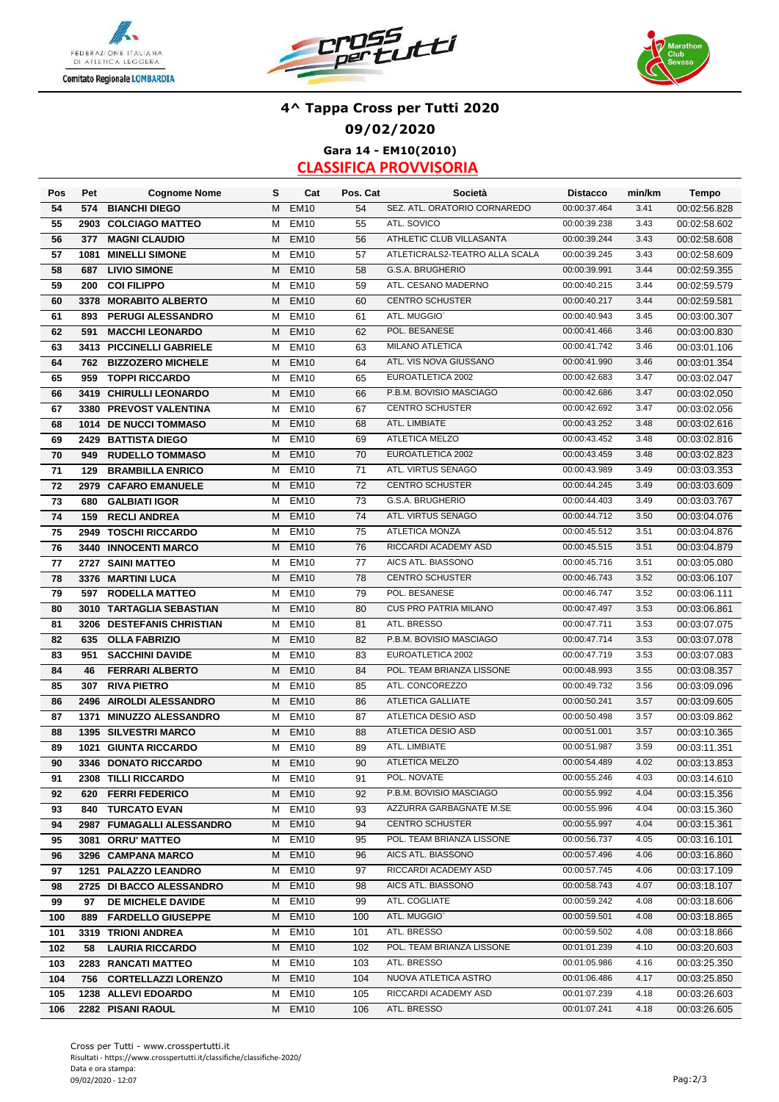





# **4^ Tappa Cross per Tutti 2020 09/02/2020 Gara 14 - EM10(2010)**

| Pos | Pet  | <b>Cognome Nome</b>                           | s      | Cat              | Pos. Cat  | Società                        | <b>Distacco</b> | min/km | <b>Tempo</b> |
|-----|------|-----------------------------------------------|--------|------------------|-----------|--------------------------------|-----------------|--------|--------------|
| 54  | 574  | <b>BIANCHI DIEGO</b>                          | м      | <b>EM10</b>      | 54        | SEZ. ATL. ORATORIO CORNAREDO   | 00:00:37.464    | 3.41   | 00:02:56.828 |
| 55  |      | 2903 COLCIAGO MATTEO                          | М      | <b>EM10</b>      | 55        | ATL. SOVICO                    | 00:00:39.238    | 3.43   | 00:02:58.602 |
| 56  | 377  | <b>MAGNI CLAUDIO</b>                          | м      | <b>EM10</b>      | 56        | ATHLETIC CLUB VILLASANTA       | 00:00:39.244    | 3.43   | 00:02:58.608 |
| 57  | 1081 | <b>MINELLI SIMONE</b>                         | M      | <b>EM10</b>      | 57        | ATLETICRALS2-TEATRO ALLA SCALA | 00:00:39.245    | 3.43   | 00:02:58.609 |
| 58  | 687  | <b>LIVIO SIMONE</b>                           | М      | <b>EM10</b>      | 58        | G.S.A. BRUGHERIO               | 00:00:39.991    | 3.44   | 00:02:59.355 |
| 59  | 200  | <b>COI FILIPPO</b>                            | М      | <b>EM10</b>      | 59        | ATL. CESANO MADERNO            | 00:00:40.215    | 3.44   | 00:02:59.579 |
| 60  |      | 3378 MORABITO ALBERTO                         | M      | <b>EM10</b>      | 60        | <b>CENTRO SCHUSTER</b>         | 00:00:40.217    | 3.44   | 00:02:59.581 |
| 61  | 893  | PERUGI ALESSANDRO                             | М      | <b>EM10</b>      | 61        | ATL. MUGGIO'                   | 00:00:40.943    | 3.45   | 00:03:00.307 |
| 62  | 591  | <b>MACCHI LEONARDO</b>                        | М      | <b>EM10</b>      | 62        | POL. BESANESE                  | 00:00:41.466    | 3.46   | 00:03:00.830 |
| 63  |      | 3413 PICCINELLI GABRIELE                      | М      | <b>EM10</b>      | 63        | <b>MILANO ATLETICA</b>         | 00:00:41.742    | 3.46   | 00:03:01.106 |
| 64  | 762  | <b>BIZZOZERO MICHELE</b>                      | M      | <b>EM10</b>      | 64        | ATL. VIS NOVA GIUSSANO         | 00:00:41.990    | 3.46   | 00:03:01.354 |
| 65  | 959  | <b>TOPPI RICCARDO</b>                         | М      | <b>EM10</b>      | 65        | EUROATLETICA 2002              | 00:00:42.683    | 3.47   | 00:03:02.047 |
| 66  |      | 3419 CHIRULLI LEONARDO                        | М      | <b>EM10</b>      | 66        | P.B.M. BOVISIO MASCIAGO        | 00:00:42.686    | 3.47   | 00:03:02.050 |
| 67  |      | 3380 PREVOST VALENTINA                        | м      | <b>EM10</b>      | 67        | <b>CENTRO SCHUSTER</b>         | 00:00:42.692    | 3.47   | 00:03:02.056 |
| 68  |      | 1014 DE NUCCI TOMMASO                         | М      | <b>EM10</b>      | 68        | ATL. LIMBIATE                  | 00:00:43.252    | 3.48   | 00:03:02.616 |
| 69  |      | 2429 BATTISTA DIEGO                           | м      | <b>EM10</b>      | 69        | ATLETICA MELZO                 | 00:00:43.452    | 3.48   | 00:03:02.816 |
| 70  | 949  | <b>RUDELLO TOMMASO</b>                        | м      | <b>EM10</b>      | 70        | EUROATLETICA 2002              | 00:00:43.459    | 3.48   | 00:03:02.823 |
| 71  | 129  | <b>BRAMBILLA ENRICO</b>                       | М      | <b>EM10</b>      | 71        | ATL. VIRTUS SENAGO             | 00:00:43.989    | 3.49   | 00:03:03.353 |
| 72  |      | 2979 CAFARO EMANUELE                          | м      | <b>EM10</b>      | 72        | <b>CENTRO SCHUSTER</b>         | 00:00:44.245    | 3.49   | 00:03:03.609 |
| 73  | 680  | <b>GALBIATI IGOR</b>                          | М      | <b>EM10</b>      | 73        | G.S.A. BRUGHERIO               | 00:00:44.403    | 3.49   | 00:03:03.767 |
| 74  | 159  | <b>RECLI ANDREA</b>                           | М      | <b>EM10</b>      | 74        | ATL. VIRTUS SENAGO             | 00:00:44.712    | 3.50   | 00:03:04.076 |
| 75  |      | 2949 TOSCHI RICCARDO                          | М      | <b>EM10</b>      | 75        | <b>ATLETICA MONZA</b>          | 00:00:45.512    | 3.51   | 00:03:04.876 |
| 76  |      | 3440 INNOCENTI MARCO                          | M      | <b>EM10</b>      | 76        | RICCARDI ACADEMY ASD           | 00:00:45.515    | 3.51   | 00:03:04.879 |
| 77  |      | 2727 SAINI MATTEO                             | M      | <b>EM10</b>      | 77        | AICS ATL. BIASSONO             | 00:00:45.716    | 3.51   | 00:03:05.080 |
| 78  |      | 3376 MARTINI LUCA                             | М      | <b>EM10</b>      | 78        | <b>CENTRO SCHUSTER</b>         | 00:00:46.743    | 3.52   | 00:03:06.107 |
| 79  |      | 597 RODELLA MATTEO                            | М      | <b>EM10</b>      | 79        | POL. BESANESE                  | 00:00:46.747    | 3.52   | 00:03:06.111 |
| 80  |      | 3010 TARTAGLIA SEBASTIAN                      | м      | <b>EM10</b>      | 80        | <b>CUS PRO PATRIA MILANO</b>   | 00:00:47.497    | 3.53   | 00:03:06.861 |
| 81  |      | 3206 DESTEFANIS CHRISTIAN                     | М      | <b>EM10</b>      | 81        | ATL. BRESSO                    | 00:00:47.711    | 3.53   | 00:03:07.075 |
| 82  | 635  | <b>OLLA FABRIZIO</b>                          | M      | <b>EM10</b>      | 82        | P.B.M. BOVISIO MASCIAGO        | 00:00:47.714    | 3.53   | 00:03:07.078 |
| 83  | 951  | <b>SACCHINI DAVIDE</b>                        | м      | <b>EM10</b>      | 83        | EUROATLETICA 2002              | 00:00:47.719    | 3.53   | 00:03:07.083 |
| 84  | 46   | <b>FERRARI ALBERTO</b>                        | М      | <b>EM10</b>      | 84        | POL. TEAM BRIANZA LISSONE      | 00:00:48.993    | 3.55   | 00:03:08.357 |
| 85  | 307  | <b>RIVA PIETRO</b>                            | М      | <b>EM10</b>      | 85        | ATL. CONCOREZZO                | 00:00:49.732    | 3.56   | 00:03:09.096 |
| 86  |      | 2496 AIROLDI ALESSANDRO                       | М      | <b>EM10</b>      | 86        | <b>ATLETICA GALLIATE</b>       | 00:00:50.241    | 3.57   | 00:03:09.605 |
| 87  |      | 1371 MINUZZO ALESSANDRO                       | М      | <b>EM10</b>      | 87        | ATLETICA DESIO ASD             | 00:00:50.498    | 3.57   | 00:03:09.862 |
| 88  |      | 1395 SILVESTRI MARCO                          | М      | <b>EM10</b>      | 88        | ATLETICA DESIO ASD             | 00:00:51.001    | 3.57   | 00:03:10.365 |
| 89  |      | 1021 GIUNTA RICCARDO                          | М      | <b>EM10</b>      | 89        | ATL. LIMBIATE                  | 00:00:51.987    | 3.59   | 00:03:11.351 |
| 90  |      | 3346 DONATO RICCARDO                          | М      | <b>EM10</b>      | 90        | ATLETICA MELZO                 | 00:00:54.489    | 4.02   | 00:03:13.853 |
| 91  |      | 2308 TILLI RICCARDO                           |        | EM <sub>10</sub> | 91        | POL. NOVATE                    | 00:00:55.246    | 4.03   | 00:03:14.610 |
| 92  |      | 620 FERRI FEDERICO                            | M<br>M | <b>EM10</b>      | 92        | P.B.M. BOVISIO MASCIAGO        | 00:00:55.992    | 4.04   | 00:03:15.356 |
| 93  |      | <b>840 TURCATO EVAN</b>                       | M      | EM <sub>10</sub> | 93        | AZZURRA GARBAGNATE M.SE        | 00:00:55.996    | 4.04   | 00:03:15.360 |
| 94  |      | 2987 FUMAGALLI ALESSANDRO                     | м      | <b>EM10</b>      | 94        | <b>CENTRO SCHUSTER</b>         | 00:00:55.997    | 4.04   | 00:03:15.361 |
| 95  |      | 3081 ORRU' MATTEO                             | м      | EM <sub>10</sub> | 95        | POL. TEAM BRIANZA LISSONE      | 00:00:56.737    | 4.05   | 00:03:16.101 |
| 96  |      | 3296 CAMPANA MARCO                            | M      | EM <sub>10</sub> | 96        | AICS ATL. BIASSONO             | 00:00:57.496    | 4.06   | 00:03:16.860 |
| 97  |      | 1251 PALAZZO LEANDRO                          | м      | EM10             | 97        | RICCARDI ACADEMY ASD           | 00:00:57.745    | 4.06   | 00:03:17.109 |
|     |      |                                               |        | EM <sub>10</sub> |           | AICS ATL. BIASSONO             | 00:00:58.743    | 4.07   |              |
| 98  |      | 2725 DI BACCO ALESSANDRO<br>DE MICHELE DAVIDE | м      | EM <sub>10</sub> | 98        | ATL. COGLIATE                  | 00:00:59.242    | 4.08   | 00:03:18.107 |
| 99  | 97   |                                               | м      | <b>EM10</b>      | 99<br>100 | ATL. MUGGIO'                   | 00:00:59.501    | 4.08   | 00:03:18.606 |
| 100 |      | 889 FARDELLO GIUSEPPE                         | м      | EM <sub>10</sub> | 101       | ATL. BRESSO                    | 00:00:59.502    | 4.08   | 00:03:18.865 |
| 101 |      | 3319 TRIONI ANDREA                            | м      |                  |           | POL. TEAM BRIANZA LISSONE      | 00:01:01.239    | 4.10   | 00:03:18.866 |
| 102 | 58   | <b>LAURIA RICCARDO</b>                        | M      | <b>EM10</b>      | 102       | ATL. BRESSO                    | 00:01:05.986    | 4.16   | 00:03:20.603 |
| 103 |      | 2283 RANCATI MATTEO                           | м      | EM <sub>10</sub> | 103       |                                |                 |        | 00:03:25.350 |
| 104 |      | 756 CORTELLAZZI LORENZO                       | м      | <b>EM10</b>      | 104       | NUOVA ATLETICA ASTRO           | 00:01:06.486    | 4.17   | 00:03:25.850 |
| 105 |      | 1238 ALLEVI EDOARDO                           | м      | <b>EM10</b>      | 105       | RICCARDI ACADEMY ASD           | 00:01:07.239    | 4.18   | 00:03:26.603 |
| 106 |      | 2282 PISANI RAOUL                             | М      | <b>EM10</b>      | 106       | ATL. BRESSO                    | 00:01:07.241    | 4.18   | 00:03:26.605 |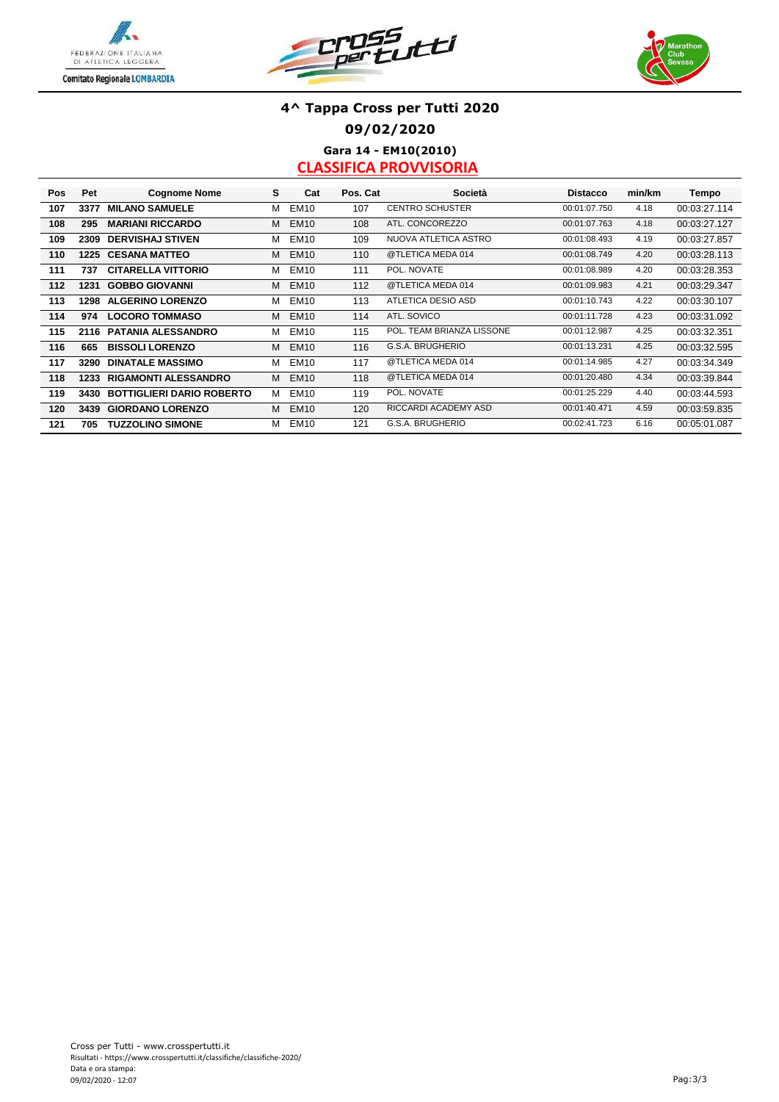





## **4^ Tappa Cross per Tutti 2020 09/02/2020 Gara 14 - EM10(2010)**

| <b>Pos</b> | Pet  | <b>Cognome Nome</b>              | s | Cat         | Pos. Cat | Società                   | <b>Distacco</b> | min/km | Tempo        |
|------------|------|----------------------------------|---|-------------|----------|---------------------------|-----------------|--------|--------------|
| 107        | 3377 | <b>MILANO SAMUELE</b>            | м | <b>EM10</b> | 107      | <b>CENTRO SCHUSTER</b>    | 00:01:07.750    | 4.18   | 00:03:27.114 |
| 108        | 295  | <b>MARIANI RICCARDO</b>          | м | <b>EM10</b> | 108      | ATL. CONCOREZZO           | 00:01:07.763    | 4.18   | 00:03:27.127 |
| 109        | 2309 | <b>DERVISHAJ STIVEN</b>          | м | <b>EM10</b> | 109      | NUOVA ATLETICA ASTRO      | 00:01:08.493    | 4.19   | 00:03:27.857 |
| 110        |      | <b>1225 CESANA MATTEO</b>        | м | <b>EM10</b> | 110      | @TLETICA MEDA 014         | 00:01:08.749    | 4.20   | 00:03:28.113 |
| 111        | 737  | <b>CITARELLA VITTORIO</b>        | м | <b>EM10</b> | 111      | POL. NOVATE               | 00:01:08.989    | 4.20   | 00:03:28.353 |
| 112        | 1231 | <b>GOBBO GIOVANNI</b>            | м | <b>EM10</b> | 112      | @TLETICA MEDA 014         | 00:01:09.983    | 4.21   | 00:03:29.347 |
| 113        |      | 1298 ALGERINO LORENZO            | м | <b>EM10</b> | 113      | ATLETICA DESIO ASD        | 00:01:10.743    | 4.22   | 00:03:30.107 |
| 114        | 974  | <b>LOCORO TOMMASO</b>            | м | <b>EM10</b> | 114      | ATL. SOVICO               | 00:01:11.728    | 4.23   | 00:03:31.092 |
| 115        | 2116 | <b>PATANIA ALESSANDRO</b>        | м | <b>EM10</b> | 115      | POL. TEAM BRIANZA LISSONE | 00:01:12.987    | 4.25   | 00:03:32.351 |
| 116        | 665  | <b>BISSOLI LORENZO</b>           | м | <b>EM10</b> | 116      | G.S.A. BRUGHERIO          | 00:01:13.231    | 4.25   | 00:03:32.595 |
| 117        | 3290 | <b>DINATALE MASSIMO</b>          | м | <b>EM10</b> | 117      | @TLETICA MEDA 014         | 00:01:14.985    | 4.27   | 00:03:34.349 |
| 118        | 1233 | <b>RIGAMONTI ALESSANDRO</b>      | м | <b>EM10</b> | 118      | @TLETICA MEDA 014         | 00:01:20.480    | 4.34   | 00:03:39.844 |
| 119        | 3430 | <b>BOTTIGLIERI DARIO ROBERTO</b> | м | <b>EM10</b> | 119      | POL. NOVATE               | 00:01:25.229    | 4.40   | 00:03:44.593 |
| 120        | 3439 | <b>GIORDANO LORENZO</b>          | м | <b>EM10</b> | 120      | RICCARDI ACADEMY ASD      | 00:01:40.471    | 4.59   | 00:03:59.835 |
| 121        | 705  | <b>TUZZOLINO SIMONE</b>          | м | <b>EM10</b> | 121      | G.S.A. BRUGHERIO          | 00:02:41.723    | 6.16   | 00:05:01.087 |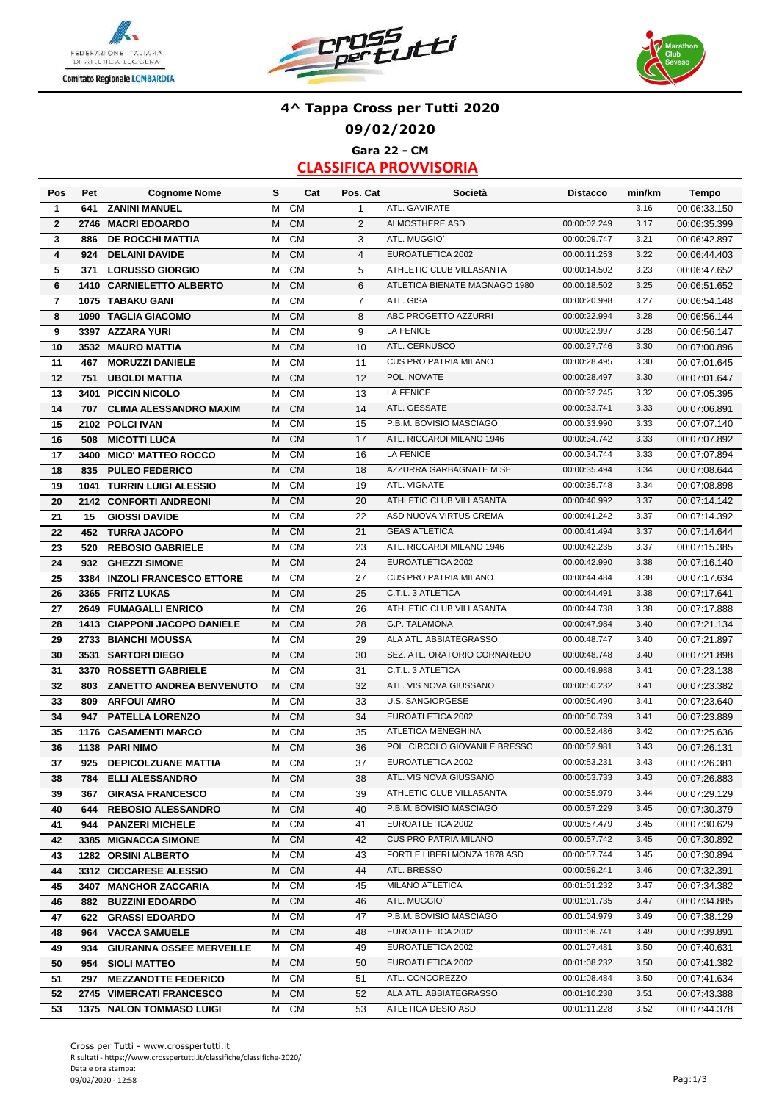





### **4^ Tappa Cross per Tutti 2020 09/02/2020 Gara 22 - CM**

| Pos                     | Pet  | <b>Cognome Nome</b>             | s | Cat       | Pos. Cat       | Società                       | <b>Distacco</b> | min/km | Tempo        |
|-------------------------|------|---------------------------------|---|-----------|----------------|-------------------------------|-----------------|--------|--------------|
| 1                       | 641  | <b>ZANINI MANUEL</b>            | M | <b>CM</b> | $\mathbf{1}$   | ATL. GAVIRATE                 |                 | 3.16   | 00:06:33.150 |
| $\overline{2}$          | 2746 | <b>MACRI EDOARDO</b>            | M | CM        | 2              | <b>ALMOSTHERE ASD</b>         | 00:00:02.249    | 3.17   | 00:06:35.399 |
| 3                       | 886  | <b>DE ROCCHI MATTIA</b>         | M | <b>CM</b> | 3              | ATL. MUGGIO'                  | 00:00:09.747    | 3.21   | 00:06:42.897 |
| 4                       | 924  | <b>DELAINI DAVIDE</b>           | M | CM        | $\overline{4}$ | EUROATLETICA 2002             | 00:00:11.253    | 3.22   | 00:06:44.403 |
| 5                       | 371  | <b>LORUSSO GIORGIO</b>          | М | CM        | 5              | ATHLETIC CLUB VILLASANTA      | 00:00:14.502    | 3.23   | 00:06:47.652 |
| 6                       |      | 1410 CARNIELETTO ALBERTO        | M | CM        | 6              | ATLETICA BIENATE MAGNAGO 1980 | 00:00:18.502    | 3.25   | 00:06:51.652 |
| $\overline{\mathbf{r}}$ |      | 1075 TABAKU GANI                | M | CM        | $\overline{7}$ | ATL. GISA                     | 00:00:20.998    | 3.27   | 00:06:54.148 |
| 8                       |      | 1090 TAGLIA GIACOMO             | M | CM        | 8              | ABC PROGETTO AZZURRI          | 00:00:22.994    | 3.28   | 00:06:56.144 |
| 9                       |      | 3397 AZZARA YURI                | М | CM        | 9              | <b>LA FENICE</b>              | 00:00:22.997    | 3.28   | 00:06:56.147 |
| 10                      |      | 3532 MAURO MATTIA               | M | <b>CM</b> | 10             | ATL. CERNUSCO                 | 00:00:27.746    | 3.30   | 00:07:00.896 |
| 11                      | 467  | <b>MORUZZI DANIELE</b>          | M | <b>CM</b> | 11             | <b>CUS PRO PATRIA MILANO</b>  | 00:00:28.495    | 3.30   | 00:07:01.645 |
| 12                      | 751  | <b>UBOLDI MATTIA</b>            | M | CM        | 12             | POL. NOVATE                   | 00:00:28.497    | 3.30   | 00:07:01.647 |
| 13                      |      | 3401 PICCIN NICOLO              | M | CM        | 13             | <b>LA FENICE</b>              | 00:00:32.245    | 3.32   | 00:07:05.395 |
| 14                      | 707  | <b>CLIMA ALESSANDRO MAXIM</b>   | м | <b>CM</b> | 14             | ATL. GESSATE                  | 00:00:33.741    | 3.33   | 00:07:06.891 |
| 15                      |      | 2102 POLCI IVAN                 | М | <b>CM</b> | 15             | P.B.M. BOVISIO MASCIAGO       | 00:00:33.990    | 3.33   | 00:07:07.140 |
| 16                      | 508  | <b>MICOTTI LUCA</b>             | M | CM        | 17             | ATL. RICCARDI MILANO 1946     | 00:00:34.742    | 3.33   | 00:07:07.892 |
| 17                      |      | 3400 MICO' MATTEO ROCCO         | м | <b>CM</b> | 16             | <b>LA FENICE</b>              | 00:00:34.744    | 3.33   | 00:07:07.894 |
| 18                      | 835  | <b>PULEO FEDERICO</b>           | м | <b>CM</b> | 18             | AZZURRA GARBAGNATE M.SE       | 00:00:35.494    | 3.34   | 00:07:08.644 |
| 19                      |      | 1041 TURRIN LUIGI ALESSIO       | М | <b>CM</b> | 19             | ATL. VIGNATE                  | 00:00:35.748    | 3.34   | 00:07:08.898 |
| 20                      |      | 2142 CONFORTI ANDREONI          | M | CM        | 20             | ATHLETIC CLUB VILLASANTA      | 00:00:40.992    | 3.37   | 00:07:14.142 |
| 21                      | 15   | <b>GIOSSI DAVIDE</b>            | M | CM        | 22             | ASD NUOVA VIRTUS CREMA        | 00:00:41.242    | 3.37   | 00:07:14.392 |
| 22                      | 452  | <b>TURRA JACOPO</b>             | M | <b>CM</b> | 21             | <b>GEAS ATLETICA</b>          | 00:00:41.494    | 3.37   | 00:07:14.644 |
| 23                      | 520  | <b>REBOSIO GABRIELE</b>         | M | <b>CM</b> | 23             | ATL. RICCARDI MILANO 1946     | 00:00:42.235    | 3.37   | 00:07:15.385 |
| 24                      | 932  | <b>GHEZZI SIMONE</b>            | M | <b>CM</b> | 24             | EUROATLETICA 2002             | 00:00:42.990    | 3.38   | 00:07:16.140 |
| 25                      |      | 3384 INZOLI FRANCESCO ETTORE    | м | <b>CM</b> | 27             | <b>CUS PRO PATRIA MILANO</b>  | 00:00:44.484    | 3.38   | 00:07:17.634 |
| 26                      |      | 3365 FRITZ LUKAS                | M | <b>CM</b> | 25             | C.T.L. 3 ATLETICA             | 00:00:44.491    | 3.38   | 00:07:17.641 |
| 27                      |      | 2649 FUMAGALLI ENRICO           | м | <b>CM</b> | 26             | ATHLETIC CLUB VILLASANTA      | 00:00:44.738    | 3.38   | 00:07:17.888 |
| 28                      |      | 1413 CIAPPONI JACOPO DANIELE    | M | CM        | 28             | G.P. TALAMONA                 | 00:00:47.984    | 3.40   | 00:07:21.134 |
| 29                      |      | 2733 BIANCHI MOUSSA             | м | <b>CM</b> | 29             | ALA ATL. ABBIATEGRASSO        | 00:00:48.747    | 3.40   | 00:07:21.897 |
| 30                      |      | 3531 SARTORI DIEGO              | M | <b>CM</b> | 30             | SEZ. ATL. ORATORIO CORNAREDO  | 00:00:48.748    | 3.40   | 00:07:21.898 |
| 31                      |      | 3370 ROSSETTI GABRIELE          | M | CM        | 31             | C.T.L. 3 ATLETICA             | 00:00:49.988    | 3.41   | 00:07:23.138 |
| 32                      | 803  | <b>ZANETTO ANDREA BENVENUTO</b> | M | CM        | 32             | ATL. VIS NOVA GIUSSANO        | 00:00:50.232    | 3.41   | 00:07:23.382 |
| 33                      | 809  | <b>ARFOUI AMRO</b>              | М | CM        | 33             | <b>U.S. SANGIORGESE</b>       | 00:00:50.490    | 3.41   | 00:07:23.640 |
| 34                      | 947  | <b>PATELLA LORENZO</b>          | M | <b>CM</b> | 34             | EUROATLETICA 2002             | 00:00:50.739    | 3.41   | 00:07:23.889 |
| 35                      |      | 1176 CASAMENTI MARCO            | М | <b>CM</b> | 35             | <b>ATLETICA MENEGHINA</b>     | 00:00:52.486    | 3.42   | 00:07:25.636 |
| 36                      |      | 1138 PARI NIMO                  | M | CM        | 36             | POL. CIRCOLO GIOVANILE BRESSO | 00:00:52.981    | 3.43   | 00:07:26.131 |
| 37                      | 925  | <b>DEPICOLZUANE MATTIA</b>      | М | CM        | 37             | EUROATLETICA 2002             | 00:00:53.231    | 3.43   | 00:07:26.381 |
| 38                      | 784  | <b>ELLI ALESSANDRO</b>          | M | <b>CM</b> | 38             | ATL. VIS NOVA GIUSSANO        | 00:00:53.733    | 3.43   | 00:07:26.883 |
| 39                      |      | 367 GIRASA FRANCESCO            | М | CM        | 39             | ATHLETIC CLUB VILLASANTA      | 00:00:55.979    | 3.44   | 00:07:29.129 |
| 40                      | 644  | <b>REBOSIO ALESSANDRO</b>       | М | <b>CM</b> | 40             | P.B.M. BOVISIO MASCIAGO       | 00:00:57.229    | 3.45   | 00:07:30.379 |
| 41                      |      | 944 PANZERI MICHELE             | м | <b>CM</b> | 41             | EUROATLETICA 2002             | 00:00:57.479    | 3.45   | 00:07:30.629 |
| 42                      |      | 3385 MIGNACCA SIMONE            | М | <b>CM</b> | 42             | CUS PRO PATRIA MILANO         | 00:00:57.742    | 3.45   | 00:07:30.892 |
| 43                      |      | 1282 ORSINI ALBERTO             | м | CM        | 43             | FORTI E LIBERI MONZA 1878 ASD | 00:00:57.744    | 3.45   | 00:07:30.894 |
| 44                      |      | 3312 CICCARESE ALESSIO          | M | <b>CM</b> | 44             | ATL. BRESSO                   | 00:00:59.241    | 3.46   | 00:07:32.391 |
| 45                      |      | 3407 MANCHOR ZACCARIA           | м | <b>CM</b> | 45             | <b>MILANO ATLETICA</b>        | 00:01:01.232    | 3.47   | 00:07:34.382 |
| 46                      |      | 882 BUZZINI EDOARDO             | м | <b>CM</b> | 46             | ATL. MUGGIO`                  | 00:01:01.735    | 3.47   | 00:07:34.885 |
| 47                      |      | 622 GRASSI EDOARDO              | М | <b>CM</b> | 47             | P.B.M. BOVISIO MASCIAGO       | 00:01:04.979    | 3.49   | 00:07:38.129 |
| 48                      |      | 964 VACCA SAMUELE               | M | <b>CM</b> | 48             | EUROATLETICA 2002             | 00:01:06.741    | 3.49   | 00:07:39.891 |
| 49                      |      | 934 GIURANNA OSSEE MERVEILLE    | м | CM        | 49             | EUROATLETICA 2002             | 00:01:07.481    | 3.50   | 00:07:40.631 |
| 50                      | 954  | <b>SIOLI MATTEO</b>             | М | <b>CM</b> | 50             | EUROATLETICA 2002             | 00:01:08.232    | 3.50   | 00:07:41.382 |
| 51                      |      | 297 MEZZANOTTE FEDERICO         | М | CM        | 51             | ATL. CONCOREZZO               | 00:01:08.484    | 3.50   | 00:07:41.634 |
| 52                      |      | 2745 VIMERCATI FRANCESCO        | М | <b>CM</b> | 52             | ALA ATL. ABBIATEGRASSO        | 00:01:10.238    | 3.51   | 00:07:43.388 |
| 53                      |      | 1375 NALON TOMMASO LUIGI        | м | <b>CM</b> | 53             | ATLETICA DESIO ASD            | 00:01:11.228    | 3.52   | 00:07:44.378 |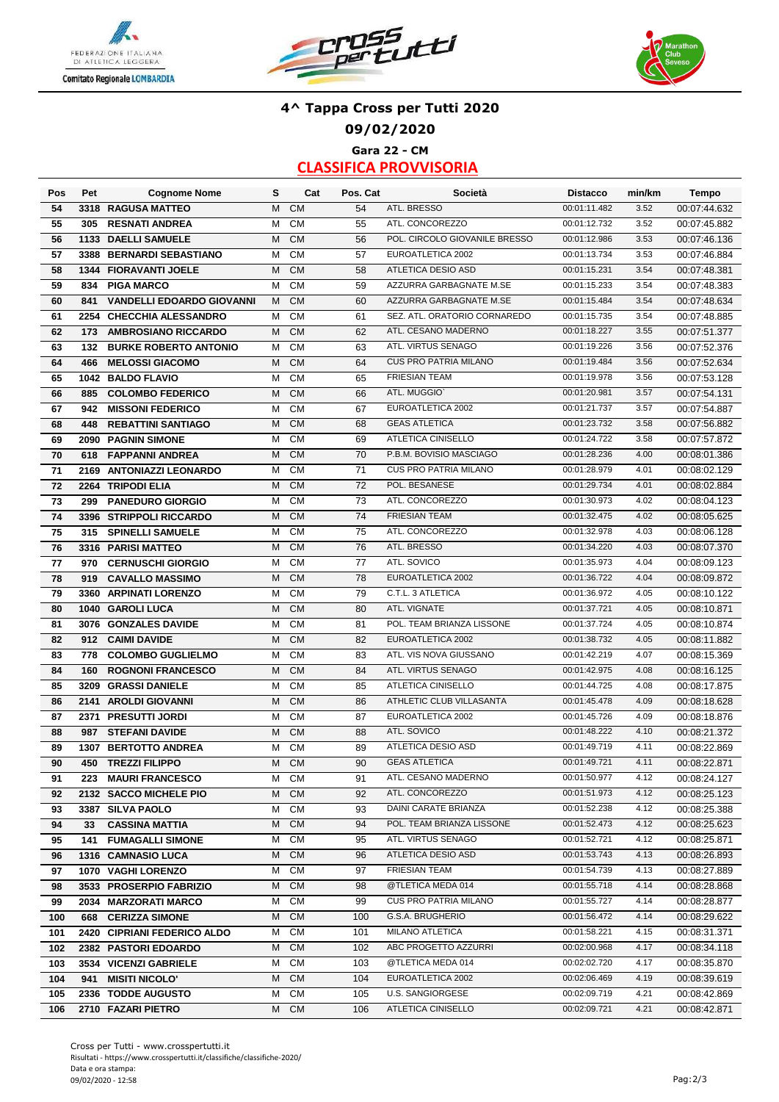





### **4^ Tappa Cross per Tutti 2020 09/02/2020 Gara 22 - CM**

| Pos        | Pet  | <b>Cognome Nome</b>                                 | s      | Cat                    | Pos. Cat  | Società                                           | <b>Distacco</b>              | min/km       | Tempo                        |
|------------|------|-----------------------------------------------------|--------|------------------------|-----------|---------------------------------------------------|------------------------------|--------------|------------------------------|
| 54         |      | 3318 RAGUSA MATTEO                                  | M      | <b>CM</b>              | 54        | ATL. BRESSO                                       | 00:01:11.482                 | 3.52         | 00:07:44.632                 |
| 55         | 305  | <b>RESNATI ANDREA</b>                               | M      | CM                     | 55        | ATL. CONCOREZZO                                   | 00:01:12.732                 | 3.52         | 00:07:45.882                 |
| 56         |      | 1133 DAELLI SAMUELE                                 | M      | <b>CM</b>              | 56        | POL. CIRCOLO GIOVANILE BRESSO                     | 00:01:12.986                 | 3.53         | 00:07:46.136                 |
| 57         |      | 3388 BERNARDI SEBASTIANO                            | M      | CM                     | 57        | EUROATLETICA 2002                                 | 00:01:13.734                 | 3.53         | 00:07:46.884                 |
| 58         |      | 1344 FIORAVANTI JOELE                               | M      | CM                     | 58        | ATLETICA DESIO ASD                                | 00:01:15.231                 | 3.54         | 00:07:48.381                 |
| 59         | 834  | <b>PIGA MARCO</b>                                   | M      | CM                     | 59        | AZZURRA GARBAGNATE M.SE                           | 00:01:15.233                 | 3.54         | 00:07:48.383                 |
| 60         | 841  | <b>VANDELLI EDOARDO GIOVANNI</b>                    | M      | CM                     | 60        | AZZURRA GARBAGNATE M.SE                           | 00:01:15.484                 | 3.54         | 00:07:48.634                 |
| 61         | 2254 | <b>CHECCHIA ALESSANDRO</b>                          | М      | CM                     | 61        | SEZ. ATL. ORATORIO CORNAREDO                      | 00:01:15.735                 | 3.54         | 00:07:48.885                 |
| 62         | 173  | <b>AMBROSIANO RICCARDO</b>                          | M      | CM                     | 62        | ATL. CESANO MADERNO                               | 00:01:18.227                 | 3.55         | 00:07:51.377                 |
| 63         | 132  | <b>BURKE ROBERTO ANTONIO</b>                        | M      | CM                     | 63        | ATL. VIRTUS SENAGO                                | 00:01:19.226                 | 3.56         | 00:07:52.376                 |
| 64         | 466  | <b>MELOSSI GIACOMO</b>                              | M      | <b>CM</b>              | 64        | <b>CUS PRO PATRIA MILANO</b>                      | 00:01:19.484                 | 3.56         | 00:07:52.634                 |
| 65         |      | 1042 BALDO FLAVIO                                   | М      | CM                     | 65        | <b>FRIESIAN TEAM</b>                              | 00:01:19.978                 | 3.56         | 00:07:53.128                 |
| 66         | 885  | <b>COLOMBO FEDERICO</b>                             | M      | <b>CM</b>              | 66        | ATL. MUGGIO'                                      | 00:01:20.981                 | 3.57         | 00:07:54.131                 |
| 67         | 942  | <b>MISSONI FEDERICO</b>                             | M      | <b>CM</b>              | 67        | EUROATLETICA 2002                                 | 00:01:21.737                 | 3.57         | 00:07:54.887                 |
| 68         | 448  | <b>REBATTINI SANTIAGO</b>                           | M      | CM                     | 68        | <b>GEAS ATLETICA</b>                              | 00:01:23.732                 | 3.58         | 00:07:56.882                 |
| 69         |      | 2090 PAGNIN SIMONE                                  | M      | CM                     | 69        | ATLETICA CINISELLO                                | 00:01:24.722                 | 3.58         | 00:07:57.872                 |
| 70         | 618  | <b>FAPPANNI ANDREA</b>                              | M      | CM                     | 70        | P.B.M. BOVISIO MASCIAGO                           | 00:01:28.236                 | 4.00         | 00:08:01.386                 |
| 71         | 2169 | <b>ANTONIAZZI LEONARDO</b>                          | М      | CM                     | 71        | <b>CUS PRO PATRIA MILANO</b>                      | 00:01:28.979                 | 4.01         | 00:08:02.129                 |
| 72         |      | 2264 TRIPODI ELIA                                   | M      | <b>CM</b>              | 72        | POL. BESANESE                                     | 00:01:29.734                 | 4.01         | 00:08:02.884                 |
| 73         | 299  | <b>PANEDURO GIORGIO</b>                             | м      | CM                     | 73        | ATL. CONCOREZZO                                   | 00:01:30.973                 | 4.02         | 00:08:04.123                 |
| 74         |      | 3396 STRIPPOLI RICCARDO                             | M      | CM                     | 74        | <b>FRIESIAN TEAM</b>                              | 00:01:32.475                 | 4.02         | 00:08:05.625                 |
| 75         | 315  | <b>SPINELLI SAMUELE</b>                             | М      | <b>CM</b>              | 75        | ATL. CONCOREZZO                                   | 00:01:32.978                 | 4.03         | 00:08:06.128                 |
| 76         |      | 3316 PARISI MATTEO                                  | M      | CM                     | 76        | ATL. BRESSO                                       | 00:01:34.220                 | 4.03         | 00:08:07.370                 |
| 77         | 970  | <b>CERNUSCHI GIORGIO</b>                            | M      | CM                     | 77        | ATL. SOVICO                                       | 00:01:35.973                 | 4.04         | 00:08:09.123                 |
| 78         | 919  | <b>CAVALLO MASSIMO</b>                              | М      | CM                     | 78        | EUROATLETICA 2002                                 | 00:01:36.722                 | 4.04         | 00:08:09.872                 |
| 79         |      | 3360 ARPINATI LORENZO                               | M      | <b>CM</b>              | 79        | C.T.L. 3 ATLETICA                                 | 00:01:36.972                 | 4.05         | 00:08:10.122                 |
| 80         |      | 1040 GAROLI LUCA                                    | M      | <b>CM</b>              | 80        | ATL. VIGNATE                                      | 00:01:37.721                 | 4.05         | 00:08:10.871                 |
| 81         |      | 3076 GONZALES DAVIDE                                | M      | <b>CM</b>              | 81        | POL. TEAM BRIANZA LISSONE                         | 00:01:37.724                 | 4.05         | 00:08:10.874                 |
| 82         | 912  | <b>CAIMI DAVIDE</b>                                 | M      | CM                     | 82        | EUROATLETICA 2002                                 | 00:01:38.732                 | 4.05         | 00:08:11.882                 |
| 83         | 778  | <b>COLOMBO GUGLIELMO</b>                            | м      | <b>CM</b>              | 83        | ATL. VIS NOVA GIUSSANO                            | 00:01:42.219                 | 4.07         | 00:08:15.369                 |
| 84         | 160  | <b>ROGNONI FRANCESCO</b>                            | M      | CM                     | 84        | ATL. VIRTUS SENAGO                                | 00:01:42.975                 | 4.08         | 00:08:16.125                 |
| 85         |      | 3209 GRASSI DANIELE                                 | м      | CM                     | 85        | <b>ATLETICA CINISELLO</b>                         | 00:01:44.725                 | 4.08         | 00:08:17.875                 |
| 86         | 2141 | <b>AROLDI GIOVANNI</b>                              | M      | CM                     | 86        | ATHLETIC CLUB VILLASANTA                          | 00:01:45.478                 | 4.09         | 00:08:18.628                 |
| 87         | 2371 | <b>PRESUTTI JORDI</b>                               | М      | CM                     | 87        | EUROATLETICA 2002                                 | 00:01:45.726                 | 4.09         | 00:08:18.876                 |
| 88         | 987  | <b>STEFANI DAVIDE</b>                               | M      | <b>CM</b>              | 88        | ATL. SOVICO                                       | 00:01:48.222                 | 4.10         | 00:08:21.372                 |
| 89         | 1307 | <b>BERTOTTO ANDREA</b>                              | M      | <b>CM</b>              | 89        | <b>ATLETICA DESIO ASD</b>                         | 00:01:49.719                 | 4.11         | 00:08:22.869                 |
| 90         | 450  | <b>TREZZI FILIPPO</b>                               | М      | <b>CM</b>              | 90        | <b>GEAS ATLETICA</b>                              | 00:01:49.721                 | 4.11         | 00:08:22.871                 |
| 91         |      | 223 MAURI FRANCESCO                                 |        | M CM                   | 91        | ATL. CESANO MADERNO                               | 00:01:50.977                 | 4.12         | 00:08:24.127                 |
| 92         |      | 2132 SACCO MICHELE PIO                              | М      | <b>CM</b>              | 92        | ATL. CONCOREZZO                                   | 00:01:51.973                 | 4.12         | 00:08:25.123                 |
| 93         |      | 3387 SILVA PAOLO                                    | м      | CM                     | 93        | DAINI CARATE BRIANZA<br>POL. TEAM BRIANZA LISSONE | 00:01:52.238<br>00:01:52.473 | 4.12         | 00:08:25.388                 |
| 94         | 33   | <b>CASSINA MATTIA</b>                               | M      | <b>CM</b>              | 94        | ATL. VIRTUS SENAGO                                | 00:01:52.721                 | 4.12<br>4.12 | 00:08:25.623                 |
| 95         | 141  | <b>FUMAGALLI SIMONE</b>                             | м      | CM<br><b>CM</b>        | 95        | ATLETICA DESIO ASD                                | 00:01:53.743                 | 4.13         | 00:08:25.871                 |
| 96         |      | 1316 CAMNASIO LUCA                                  | M      | <b>CM</b>              | 96<br>97  | <b>FRIESIAN TEAM</b>                              | 00:01:54.739                 | 4.13         | 00:08:26.893                 |
| 97         |      | 1070 VAGHI LORENZO                                  | м<br>м | <b>CM</b>              | 98        | @TLETICA MEDA 014                                 | 00:01:55.718                 | 4.14         | 00:08:27.889<br>00:08:28.868 |
| 98         |      | 3533 PROSERPIO FABRIZIO                             |        |                        |           | <b>CUS PRO PATRIA MILANO</b>                      | 00:01:55.727                 | 4.14         |                              |
| 99<br>100  | 668  | 2034 MARZORATI MARCO<br><b>CERIZZA SIMONE</b>       | м<br>M | <b>CM</b><br><b>CM</b> | 99<br>100 | G.S.A. BRUGHERIO                                  | 00:01:56.472                 | 4.14         | 00:08:28.877<br>00:08:29.622 |
|            |      |                                                     | м      | CM                     | 101       | MILANO ATLETICA                                   | 00:01:58.221                 | 4.15         | 00:08:31.371                 |
| 101<br>102 |      | 2420 CIPRIANI FEDERICO ALDO<br>2382 PASTORI EDOARDO | м      | <b>CM</b>              | 102       | ABC PROGETTO AZZURRI                              | 00:02:00.968                 | 4.17         | 00:08:34.118                 |
| 103        |      | 3534 VICENZI GABRIELE                               | м      | <b>CM</b>              | 103       | @TLETICA MEDA 014                                 | 00:02:02.720                 | 4.17         | 00:08:35.870                 |
| 104        |      | 941 MISITI NICOLO'                                  | М      | <b>CM</b>              | 104       | EUROATLETICA 2002                                 | 00:02:06.469                 | 4.19         | 00:08:39.619                 |
| 105        |      | 2336 TODDE AUGUSTO                                  | м      | CM                     | 105       | U.S. SANGIORGESE                                  | 00:02:09.719                 | 4.21         | 00:08:42.869                 |
| 106        |      | 2710 FAZARI PIETRO                                  | M      | <b>CM</b>              | 106       | ATLETICA CINISELLO                                | 00:02:09.721                 | 4.21         | 00:08:42.871                 |
|            |      |                                                     |        |                        |           |                                                   |                              |              |                              |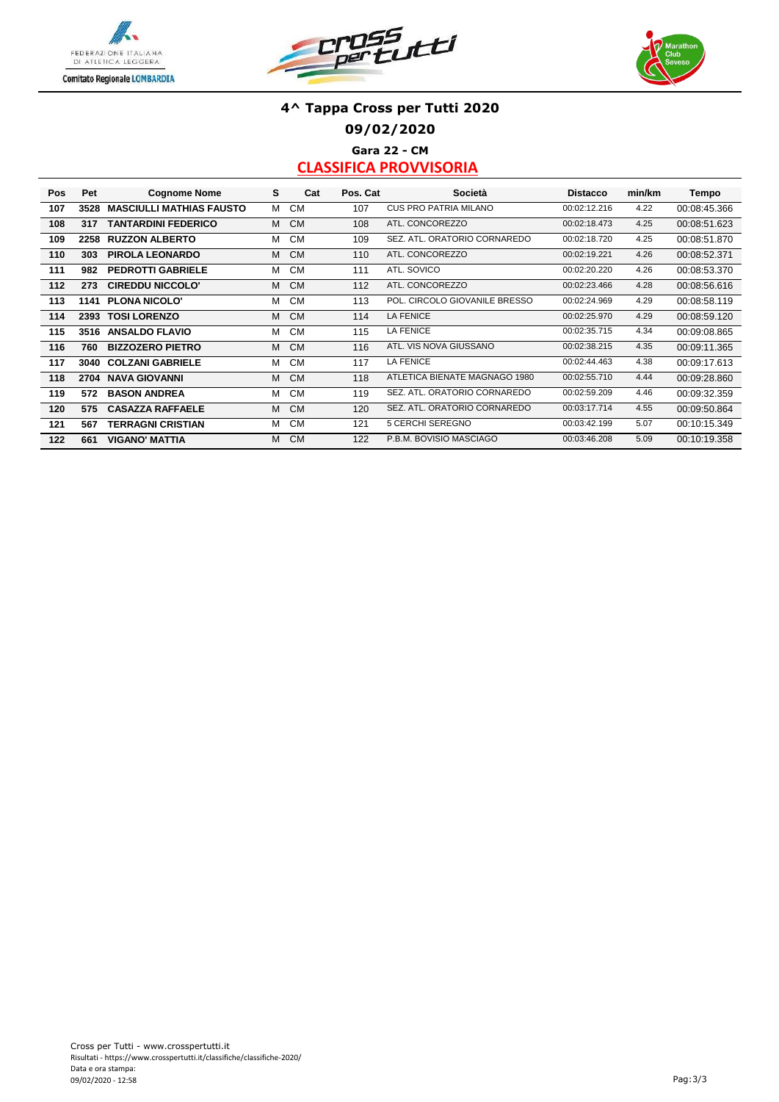





### **4^ Tappa Cross per Tutti 2020 09/02/2020 Gara 22 - CM**

| Pos | Pet  | <b>Cognome Nome</b>             | s | Cat       | Pos. Cat | Società                       | <b>Distacco</b> | min/km | Tempo        |
|-----|------|---------------------------------|---|-----------|----------|-------------------------------|-----------------|--------|--------------|
| 107 | 3528 | <b>MASCIULLI MATHIAS FAUSTO</b> | м | <b>CM</b> | 107      | <b>CUS PRO PATRIA MILANO</b>  | 00:02:12.216    | 4.22   | 00:08:45.366 |
| 108 | 317  | <b>TANTARDINI FEDERICO</b>      | М | <b>CM</b> | 108      | ATL. CONCOREZZO               | 00:02:18.473    | 4.25   | 00:08:51.623 |
| 109 | 2258 | <b>RUZZON ALBERTO</b>           | м | <b>CM</b> | 109      | SEZ. ATL. ORATORIO CORNAREDO  | 00:02:18.720    | 4.25   | 00:08:51.870 |
| 110 | 303  | PIROLA LEONARDO                 | M | <b>CM</b> | 110      | ATL. CONCOREZZO               | 00:02:19.221    | 4.26   | 00:08:52.371 |
| 111 | 982  | <b>PEDROTTI GABRIELE</b>        | м | <b>CM</b> | 111      | ATL. SOVICO                   | 00:02:20.220    | 4.26   | 00:08:53.370 |
| 112 | 273  | <b>CIREDDU NICCOLO'</b>         | м | <b>CM</b> | 112      | ATL. CONCOREZZO               | 00:02:23.466    | 4.28   | 00:08:56.616 |
| 113 | 1141 | <b>PLONA NICOLO'</b>            | M | <b>CM</b> | 113      | POL. CIRCOLO GIOVANILE BRESSO | 00:02:24.969    | 4.29   | 00:08:58.119 |
| 114 | 2393 | <b>TOSI LORENZO</b>             | м | <b>CM</b> | 114      | <b>LA FENICE</b>              | 00:02:25.970    | 4.29   | 00:08:59.120 |
| 115 | 3516 | <b>ANSALDO FLAVIO</b>           | м | <b>CM</b> | 115      | <b>LA FENICE</b>              | 00:02:35.715    | 4.34   | 00:09:08.865 |
| 116 | 760  | <b>BIZZOZERO PIETRO</b>         | М | <b>CM</b> | 116      | ATL. VIS NOVA GIUSSANO        | 00:02:38.215    | 4.35   | 00:09:11.365 |
| 117 | 3040 | <b>COLZANI GABRIELE</b>         | м | <b>CM</b> | 117      | <b>LA FENICE</b>              | 00:02:44.463    | 4.38   | 00:09:17.613 |
| 118 | 2704 | <b>NAVA GIOVANNI</b>            | М | <b>CM</b> | 118      | ATLETICA BIENATE MAGNAGO 1980 | 00:02:55.710    | 4.44   | 00:09:28.860 |
| 119 | 572  | <b>BASON ANDREA</b>             | М | <b>CM</b> | 119      | SEZ. ATL. ORATORIO CORNAREDO  | 00:02:59.209    | 4.46   | 00:09:32.359 |
| 120 | 575  | <b>CASAZZA RAFFAELE</b>         | M | <b>CM</b> | 120      | SEZ. ATL. ORATORIO CORNAREDO  | 00:03:17.714    | 4.55   | 00:09:50.864 |
| 121 | 567  | <b>TERRAGNI CRISTIAN</b>        | м | <b>CM</b> | 121      | 5 CERCHI SEREGNO              | 00:03:42.199    | 5.07   | 00:10:15.349 |
| 122 | 661  | <b>VIGANO' MATTIA</b>           | м | <b>CM</b> | 122      | P.B.M. BOVISIO MASCIAGO       | 00:03:46.208    | 5.09   | 00:10:19.358 |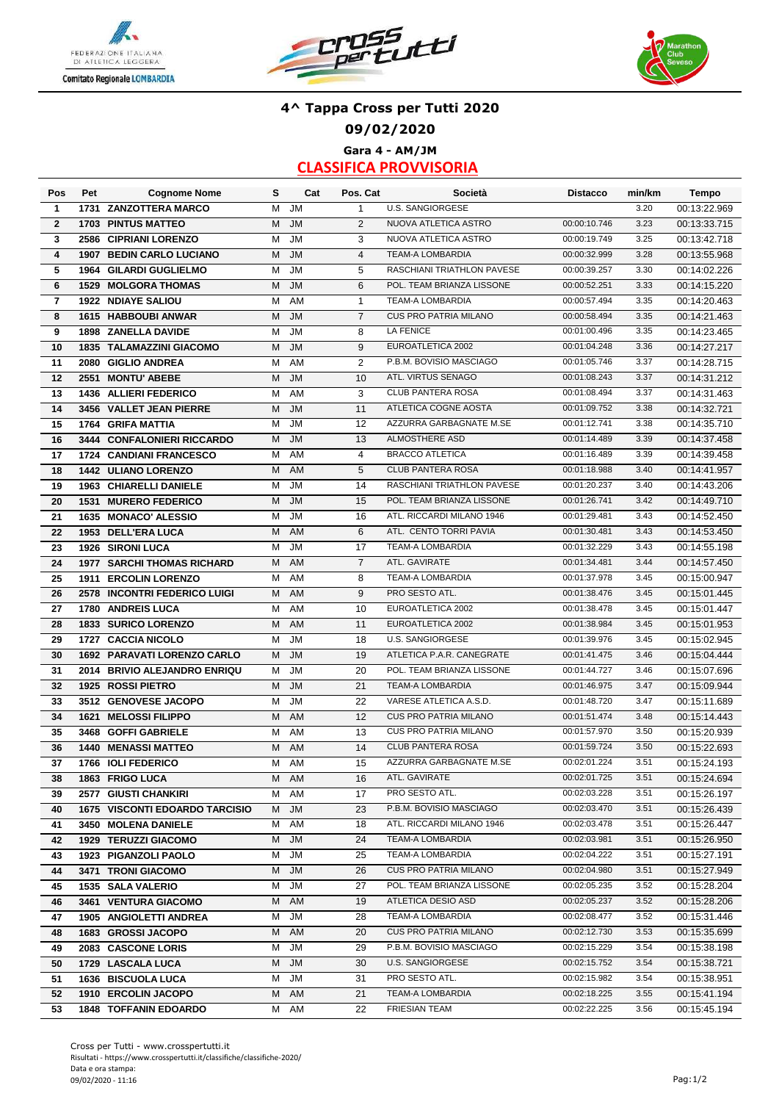





**Gara 4 - AM/JM**

| Pos                     | Pet  | <b>Cognome Nome</b>                   | s | Cat       | Pos. Cat             | Società                      | <b>Distacco</b> | min/km | <b>Tempo</b> |
|-------------------------|------|---------------------------------------|---|-----------|----------------------|------------------------------|-----------------|--------|--------------|
| $\mathbf{1}$            |      | 1731 ZANZOTTERA MARCO                 | М | <b>JM</b> | $\mathbf{1}$         | <b>U.S. SANGIORGESE</b>      |                 | 3.20   | 00:13:22.969 |
| $\overline{2}$          |      | <b>1703 PINTUS MATTEO</b>             | М | <b>JM</b> | 2                    | NUOVA ATLETICA ASTRO         | 00:00:10.746    | 3.23   | 00:13:33.715 |
| 3                       |      | 2586 CIPRIANI LORENZO                 | М | <b>JM</b> | 3                    | NUOVA ATLETICA ASTRO         | 00:00:19.749    | 3.25   | 00:13:42.718 |
| $\overline{\bf{4}}$     |      | <b>1907 BEDIN CARLO LUCIANO</b>       | M | <b>JM</b> | $\overline{4}$       | <b>TEAM-A LOMBARDIA</b>      | 00:00:32.999    | 3.28   | 00:13:55.968 |
| 5                       |      | 1964 GILARDI GUGLIELMO                | М | <b>JM</b> | 5                    | RASCHIANI TRIATHLON PAVESE   | 00:00:39.257    | 3.30   | 00:14:02.226 |
| 6                       |      | <b>1529 MOLGORA THOMAS</b>            | M | <b>JM</b> | 6                    | POL. TEAM BRIANZA LISSONE    | 00:00:52.251    | 3.33   | 00:14:15.220 |
| $\overline{\mathbf{r}}$ |      | 1922 NDIAYE SALIOU                    | М | AM        | $\mathbf{1}$         | TEAM-A LOMBARDIA             | 00:00:57.494    | 3.35   | 00:14:20.463 |
| 8                       |      | 1615 HABBOUBI ANWAR                   | M | <b>JM</b> | $\overline{7}$       | <b>CUS PRO PATRIA MILANO</b> | 00:00:58.494    | 3.35   | 00:14:21.463 |
| 9                       |      | 1898 ZANELLA DAVIDE                   | M | <b>JM</b> | 8                    | <b>LA FENICE</b>             | 00:01:00.496    | 3.35   | 00:14:23.465 |
| 10                      |      | <b>1835 TALAMAZZINI GIACOMO</b>       | М | <b>JM</b> | 9                    | EUROATLETICA 2002            | 00:01:04.248    | 3.36   | 00:14:27.217 |
| 11                      |      | 2080 GIGLIO ANDREA                    | М | AM        | 2                    | P.B.M. BOVISIO MASCIAGO      | 00:01:05.746    | 3.37   | 00:14:28.715 |
| 12                      |      | 2551 MONTU' ABEBE                     | Μ | <b>JM</b> | 10                   | ATL. VIRTUS SENAGO           | 00:01:08.243    | 3.37   | 00:14:31.212 |
| 13                      |      | 1436 ALLIERI FEDERICO                 | м | AM        | 3                    | <b>CLUB PANTERA ROSA</b>     | 00:01:08.494    | 3.37   | 00:14:31.463 |
| 14                      |      | 3456 VALLET JEAN PIERRE               | м | <b>JM</b> | 11                   | ATLETICA COGNE AOSTA         | 00:01:09.752    | 3.38   | 00:14:32.721 |
| 15                      |      | 1764 GRIFA MATTIA                     | М | <b>JM</b> | 12                   | AZZURRA GARBAGNATE M.SE      | 00:01:12.741    | 3.38   | 00:14:35.710 |
| 16                      |      | 3444 CONFALONIERI RICCARDO            | М | <b>JM</b> | 13                   | ALMOSTHERE ASD               | 00:01:14.489    | 3.39   | 00:14:37.458 |
| 17                      |      | 1724 CANDIANI FRANCESCO               | М | AM        | $\overline{4}$       | <b>BRACCO ATLETICA</b>       | 00:01:16.489    | 3.39   | 00:14:39.458 |
| 18                      |      | 1442 ULIANO LORENZO                   | М | AM        | 5                    | <b>CLUB PANTERA ROSA</b>     | 00:01:18.988    | 3.40   | 00:14:41.957 |
| 19                      |      | <b>1963 CHIARELLI DANIELE</b>         | м | <b>JM</b> | 14                   | RASCHIANI TRIATHLON PAVESE   | 00:01:20.237    | 3.40   | 00:14:43.206 |
| 20                      |      | 1531 MURERO FEDERICO                  | м | <b>JM</b> | 15                   | POL. TEAM BRIANZA LISSONE    | 00:01:26.741    | 3.42   | 00:14:49.710 |
| 21                      |      | 1635 MONACO' ALESSIO                  | М | <b>JM</b> | 16                   | ATL. RICCARDI MILANO 1946    | 00:01:29.481    | 3.43   | 00:14:52.450 |
| 22                      |      | 1953 DELL'ERA LUCA                    | м | AM        | 6                    | ATL. CENTO TORRI PAVIA       | 00:01:30.481    | 3.43   | 00:14:53.450 |
|                         |      |                                       | М | <b>JM</b> |                      | <b>TEAM-A LOMBARDIA</b>      | 00:01:32.229    | 3.43   |              |
| 23                      |      | 1926 SIRONI LUCA                      |   | <b>AM</b> | 17<br>$\overline{7}$ | ATL. GAVIRATE                | 00:01:34.481    | 3.44   | 00:14:55.198 |
| 24                      |      | <b>1977 SARCHI THOMAS RICHARD</b>     | м |           |                      |                              |                 |        | 00:14:57.450 |
| 25                      | 1911 | <b>ERCOLIN LORENZO</b>                | м | AM        | 8                    | <b>TEAM-A LOMBARDIA</b>      | 00:01:37.978    | 3.45   | 00:15:00.947 |
| 26                      |      | 2578 INCONTRI FEDERICO LUIGI          | м | AM        | 9                    | PRO SESTO ATL.               | 00:01:38.476    | 3.45   | 00:15:01.445 |
| 27                      |      | 1780 ANDREIS LUCA                     | м | AM        | 10                   | EUROATLETICA 2002            | 00:01:38.478    | 3.45   | 00:15:01.447 |
| 28                      |      | 1833 SURICO LORENZO                   | M | AM        | 11                   | EUROATLETICA 2002            | 00:01:38.984    | 3.45   | 00:15:01.953 |
| 29                      |      | 1727 CACCIA NICOLO                    | М | <b>JM</b> | 18                   | <b>U.S. SANGIORGESE</b>      | 00:01:39.976    | 3.45   | 00:15:02.945 |
| 30                      |      | 1692 PARAVATI LORENZO CARLO           | М | <b>JM</b> | 19                   | ATLETICA P.A.R. CANEGRATE    | 00:01:41.475    | 3.46   | 00:15:04.444 |
| 31                      |      | 2014 BRIVIO ALEJANDRO ENRIQU          | М | <b>JM</b> | 20                   | POL. TEAM BRIANZA LISSONE    | 00:01:44.727    | 3.46   | 00:15:07.696 |
| 32                      |      | 1925 ROSSI PIETRO                     | M | <b>JM</b> | 21                   | <b>TEAM-A LOMBARDIA</b>      | 00:01:46.975    | 3.47   | 00:15:09.944 |
| 33                      |      | 3512 GENOVESE JACOPO                  | М | <b>JM</b> | 22                   | VARESE ATLETICA A.S.D.       | 00:01:48.720    | 3.47   | 00:15:11.689 |
| 34                      |      | 1621 MELOSSI FILIPPO                  | М | AM        | 12                   | <b>CUS PRO PATRIA MILANO</b> | 00:01:51.474    | 3.48   | 00:15:14.443 |
| 35                      |      | 3468 GOFFI GABRIELE                   | М | AM        | 13                   | <b>CUS PRO PATRIA MILANO</b> | 00:01:57.970    | 3.50   | 00:15:20.939 |
| 36                      |      | <b>1440 MENASSI MATTEO</b>            | М | AM        | 14                   | <b>CLUB PANTERA ROSA</b>     | 00:01:59.724    | 3.50   | 00:15:22.693 |
| 37                      |      | 1766 IOLI FEDERICO                    | м | AM        | 15                   | AZZURRA GARBAGNATE M.SE      | 00:02:01.224    | 3.51   | 00:15:24.193 |
| 38                      |      | 1863 FRIGO LUCA                       |   | M AM      | 16                   | ATL. GAVIRATE                | 00:02:01.725    | 3.51   | 00:15:24.694 |
| 39                      |      | 2577 GIUSTI CHANKIRI                  |   | M AM      | 17                   | PRO SESTO ATL.               | 00:02:03.228    | 3.51   | 00:15:26.197 |
| 40                      |      | <b>1675 VISCONTI EDOARDO TARCISIO</b> |   | M JM      | 23                   | P.B.M. BOVISIO MASCIAGO      | 00:02:03.470    | 3.51   | 00:15:26.439 |
| 41                      |      | 3450 MOLENA DANIELE                   | м | AM        | 18                   | ATL. RICCARDI MILANO 1946    | 00:02:03.478    | 3.51   | 00:15:26.447 |
| 42                      |      | 1929 TERUZZI GIACOMO                  | M | JM        | 24                   | TEAM-A LOMBARDIA             | 00:02:03.981    | 3.51   | 00:15:26.950 |
| 43                      |      | 1923 PIGANZOLI PAOLO                  | м | JM        | 25                   | TEAM-A LOMBARDIA             | 00:02:04.222    | 3.51   | 00:15:27.191 |
| 44                      |      | 3471 TRONI GIACOMO                    | М | JM        | 26                   | <b>CUS PRO PATRIA MILANO</b> | 00:02:04.980    | 3.51   | 00:15:27.949 |
| 45                      |      | 1535 SALA VALERIO                     | М | JM        | 27                   | POL. TEAM BRIANZA LISSONE    | 00:02:05.235    | 3.52   | 00:15:28.204 |
| 46                      |      | 3461 VENTURA GIACOMO                  | М | AM        | 19                   | ATLETICA DESIO ASD           | 00:02:05.237    | 3.52   | 00:15:28.206 |
| 47                      |      | 1905 ANGIOLETTI ANDREA                | М | JM        | 28                   | TEAM-A LOMBARDIA             | 00:02:08.477    | 3.52   | 00:15:31.446 |
| 48                      |      | 1683 GROSSI JACOPO                    | м | AM        | 20                   | <b>CUS PRO PATRIA MILANO</b> | 00:02:12.730    | 3.53   | 00:15:35.699 |
| 49                      |      | 2083 CASCONE LORIS                    | м | JM        | 29                   | P.B.M. BOVISIO MASCIAGO      | 00:02:15.229    | 3.54   | 00:15:38.198 |
| 50                      |      | 1729 LASCALA LUCA                     | М | <b>JM</b> | 30                   | U.S. SANGIORGESE             | 00:02:15.752    | 3.54   | 00:15:38.721 |
| 51                      |      | 1636 BISCUOLA LUCA                    | м | JM        | 31                   | PRO SESTO ATL.               | 00:02:15.982    | 3.54   | 00:15:38.951 |
| 52                      |      | 1910 ERCOLIN JACOPO                   | M | AM        | 21                   | TEAM-A LOMBARDIA             | 00:02:18.225    | 3.55   | 00:15:41.194 |
| 53                      |      | <b>1848 TOFFANIN EDOARDO</b>          |   | M AM      | 22                   | <b>FRIESIAN TEAM</b>         | 00:02:22.225    | 3.56   | 00:15:45.194 |
|                         |      |                                       |   |           |                      |                              |                 |        |              |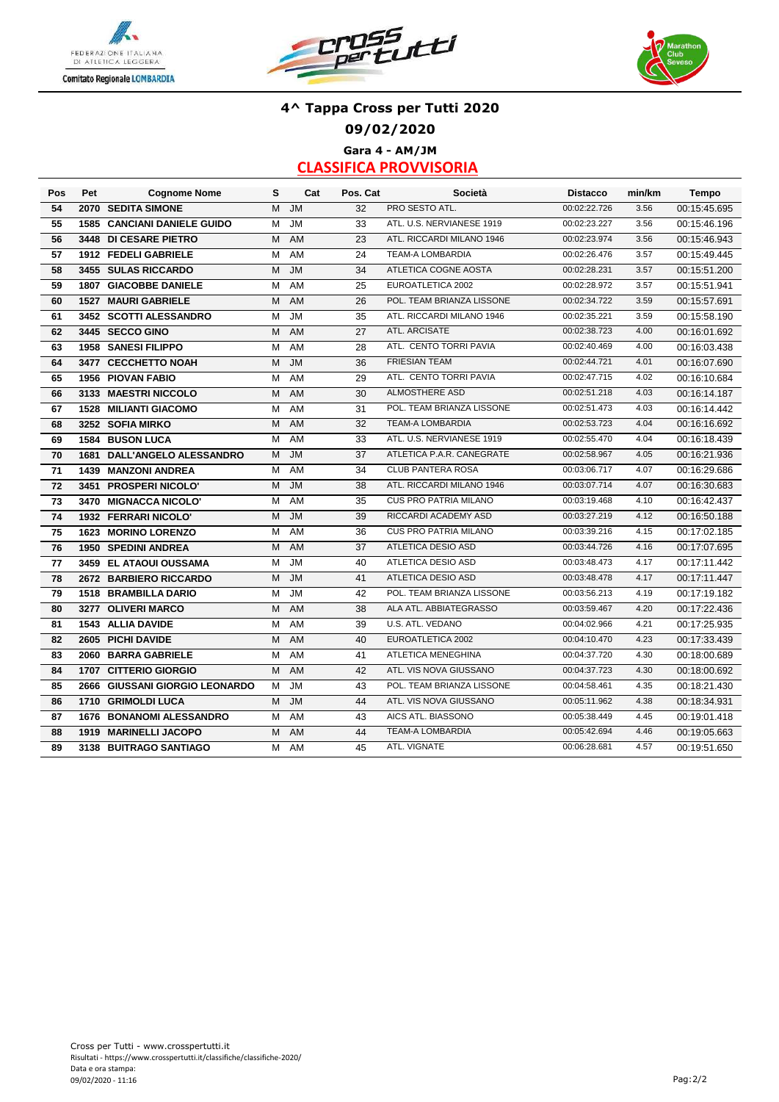





### **4^ Tappa Cross per Tutti 2020 09/02/2020 Gara 4 - AM/JM**

| Pos | Pet  | <b>Cognome Nome</b>                | s | Cat                               | Pos. Cat | Società                      | <b>Distacco</b> | min/km | <b>Tempo</b> |
|-----|------|------------------------------------|---|-----------------------------------|----------|------------------------------|-----------------|--------|--------------|
| 54  |      | 2070 SEDITA SIMONE                 | M | <b>JM</b>                         | 32       | PRO SESTO ATL.               | 00:02:22.726    | 3.56   | 00:15:45.695 |
| 55  |      | <b>1585 CANCIANI DANIELE GUIDO</b> | M | $\overline{\mathsf{J}}\mathsf{M}$ | 33       | ATL. U.S. NERVIANESE 1919    | 00:02:23.227    | 3.56   | 00:15:46.196 |
| 56  |      | 3448 DI CESARE PIETRO              | M | AM                                | 23       | ATL. RICCARDI MILANO 1946    | 00:02:23.974    | 3.56   | 00:15:46.943 |
| 57  |      | 1912 FEDELI GABRIELE               | M | AM                                | 24       | <b>TEAM-A LOMBARDIA</b>      | 00:02:26.476    | 3.57   | 00:15:49.445 |
| 58  |      | 3455 SULAS RICCARDO                | M | <b>JM</b>                         | 34       | ATLETICA COGNE AOSTA         | 00:02:28.231    | 3.57   | 00:15:51.200 |
| 59  |      | 1807 GIACOBBE DANIELE              | м | AM                                | 25       | EUROATLETICA 2002            | 00:02:28.972    | 3.57   | 00:15:51.941 |
| 60  |      | <b>1527 MAURI GABRIELE</b>         | м | AM                                | 26       | POL. TEAM BRIANZA LISSONE    | 00:02:34.722    | 3.59   | 00:15:57.691 |
| 61  |      | 3452 SCOTTI ALESSANDRO             | М | <b>JM</b>                         | 35       | ATL. RICCARDI MILANO 1946    | 00:02:35.221    | 3.59   | 00:15:58.190 |
| 62  |      | 3445 SECCO GINO                    | M | AM                                | 27       | ATL. ARCISATE                | 00:02:38.723    | 4.00   | 00:16:01.692 |
| 63  |      | 1958 SANESI FILIPPO                | М | AM                                | 28       | ATL. CENTO TORRI PAVIA       | 00:02:40.469    | 4.00   | 00:16:03.438 |
| 64  |      | 3477 CECCHETTO NOAH                | M | <b>JM</b>                         | 36       | <b>FRIESIAN TEAM</b>         | 00:02:44.721    | 4.01   | 00:16:07.690 |
| 65  |      | 1956 PIOVAN FABIO                  | M | <b>AM</b>                         | 29       | ATL. CENTO TORRI PAVIA       | 00:02:47.715    | 4.02   | 00:16:10.684 |
| 66  |      | 3133 MAESTRI NICCOLO               | M | <b>AM</b>                         | 30       | ALMOSTHERE ASD               | 00:02:51.218    | 4.03   | 00:16:14.187 |
| 67  |      | 1528 MILIANTI GIACOMO              | м | AM                                | 31       | POL. TEAM BRIANZA LISSONE    | 00:02:51.473    | 4.03   | 00:16:14.442 |
| 68  |      | 3252 SOFIA MIRKO                   | м | <b>AM</b>                         | 32       | <b>TEAM-A LOMBARDIA</b>      | 00:02:53.723    | 4.04   | 00:16:16.692 |
| 69  |      | <b>1584 BUSON LUCA</b>             | м | <b>AM</b>                         | 33       | ATL. U.S. NERVIANESE 1919    | 00:02:55.470    | 4.04   | 00:16:18.439 |
| 70  | 1681 | <b>DALL'ANGELO ALESSANDRO</b>      | м | <b>JM</b>                         | 37       | ATLETICA P.A.R. CANEGRATE    | 00:02:58.967    | 4.05   | 00:16:21.936 |
| 71  |      | <b>1439 MANZONI ANDREA</b>         | м | AM                                | 34       | <b>CLUB PANTERA ROSA</b>     | 00:03:06.717    | 4.07   | 00:16:29.686 |
| 72  |      | 3451 PROSPERI NICOLO'              | м | <b>JM</b>                         | 38       | ATL. RICCARDI MILANO 1946    | 00:03:07.714    | 4.07   | 00:16:30.683 |
| 73  |      | 3470 MIGNACCA NICOLO'              | М | AM                                | 35       | <b>CUS PRO PATRIA MILANO</b> | 00:03:19.468    | 4.10   | 00:16:42.437 |
| 74  |      | 1932 FERRARI NICOLO'               | M | <b>JM</b>                         | 39       | RICCARDI ACADEMY ASD         | 00:03:27.219    | 4.12   | 00:16:50.188 |
| 75  |      | <b>1623 MORINO LORENZO</b>         | м | AM                                | 36       | <b>CUS PRO PATRIA MILANO</b> | 00:03:39.216    | 4.15   | 00:17:02.185 |
| 76  |      | <b>1950 SPEDINI ANDREA</b>         | M | AM                                | 37       | ATLETICA DESIO ASD           | 00:03:44.726    | 4.16   | 00:17:07.695 |
| 77  |      | 3459 EL ATAOUI OUSSAMA             | M | JM                                | 40       | ATLETICA DESIO ASD           | 00:03:48.473    | 4.17   | 00:17:11.442 |
| 78  |      | 2672 BARBIERO RICCARDO             | M | <b>JM</b>                         | 41       | ATLETICA DESIO ASD           | 00:03:48.478    | 4.17   | 00:17:11.447 |
| 79  |      | 1518 BRAMBILLA DARIO               | M | <b>JM</b>                         | 42       | POL. TEAM BRIANZA LISSONE    | 00:03:56.213    | 4.19   | 00:17:19.182 |
| 80  |      | 3277 OLIVERI MARCO                 | M | AM                                | 38       | ALA ATL. ABBIATEGRASSO       | 00:03:59.467    | 4.20   | 00:17:22.436 |
| 81  |      | <b>1543 ALLIA DAVIDE</b>           | M | <b>AM</b>                         | 39       | U.S. ATL. VEDANO             | 00:04:02.966    | 4.21   | 00:17:25.935 |
| 82  |      | 2605 PICHI DAVIDE                  | M | AM                                | 40       | EUROATLETICA 2002            | 00:04:10.470    | 4.23   | 00:17:33.439 |
| 83  | 2060 | <b>BARRA GABRIELE</b>              | M | AM                                | 41       | ATLETICA MENEGHINA           | 00:04:37.720    | 4.30   | 00:18:00.689 |
| 84  | 1707 | <b>CITTERIO GIORGIO</b>            | м | AM                                | 42       | ATL. VIS NOVA GIUSSANO       | 00:04:37.723    | 4.30   | 00:18:00.692 |
| 85  | 2666 | <b>GIUSSANI GIORGIO LEONARDO</b>   | м | <b>JM</b>                         | 43       | POL. TEAM BRIANZA LISSONE    | 00:04:58.461    | 4.35   | 00:18:21.430 |
| 86  | 1710 | <b>GRIMOLDI LUCA</b>               | м | <b>JM</b>                         | 44       | ATL. VIS NOVA GIUSSANO       | 00:05:11.962    | 4.38   | 00:18:34.931 |
| 87  | 1676 | <b>BONANOMI ALESSANDRO</b>         | м | AM                                | 43       | AICS ATL. BIASSONO           | 00:05:38.449    | 4.45   | 00:19:01.418 |
| 88  | 1919 | <b>MARINELLI JACOPO</b>            | M | AM                                | 44       | <b>TEAM-A LOMBARDIA</b>      | 00:05:42.694    | 4.46   | 00:19:05.663 |
| 89  |      | 3138 BUITRAGO SANTIAGO             | М | <b>AM</b>                         | 45       | ATL. VIGNATE                 | 00:06:28.681    | 4.57   | 00:19:51.650 |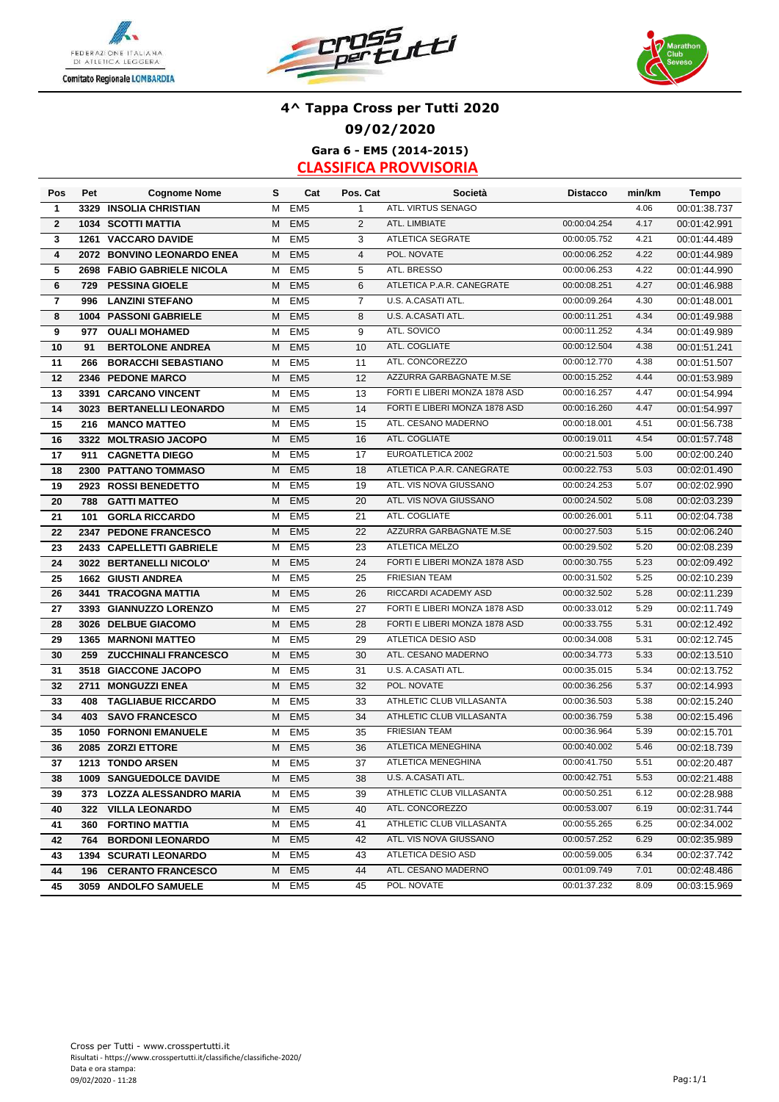





## **4^ Tappa Cross per Tutti 2020 09/02/2020 Gara 6 - EM5 (2014-2015)**

| Pos                     | Pet  | <b>Cognome Nome</b>          | s | Cat             | Pos. Cat       | Società                       | <b>Distacco</b> | min/km | Tempo        |
|-------------------------|------|------------------------------|---|-----------------|----------------|-------------------------------|-----------------|--------|--------------|
| $\mathbf{1}$            |      | 3329 INSOLIA CHRISTIAN       | M | EM <sub>5</sub> | $\mathbf{1}$   | ATL. VIRTUS SENAGO            |                 | 4.06   | 00:01:38.737 |
| $\overline{\mathbf{2}}$ |      | <b>1034 SCOTTI MATTIA</b>    | M | EM <sub>5</sub> | 2              | ATL. LIMBIATE                 | 00:00:04.254    | 4.17   | 00:01:42.991 |
| 3                       | 1261 | <b>VACCARO DAVIDE</b>        | M | EM <sub>5</sub> | 3              | <b>ATLETICA SEGRATE</b>       | 00:00:05.752    | 4.21   | 00:01:44.489 |
| $\overline{\mathbf{4}}$ |      | 2072 BONVINO LEONARDO ENEA   | М | EM <sub>5</sub> | $\overline{4}$ | POL. NOVATE                   | 00:00:06.252    | 4.22   | 00:01:44.989 |
| 5                       |      | 2698 FABIO GABRIELE NICOLA   | м | EM <sub>5</sub> | 5              | ATL. BRESSO                   | 00:00:06.253    | 4.22   | 00:01:44.990 |
| 6                       | 729  | <b>PESSINA GIOELE</b>        | M | EM <sub>5</sub> | 6              | ATLETICA P.A.R. CANEGRATE     | 00:00:08.251    | 4.27   | 00:01:46.988 |
| $\overline{7}$          | 996  | <b>LANZINI STEFANO</b>       | М | EM <sub>5</sub> | $\overline{7}$ | U.S. A CASATI ATL.            | 00:00:09.264    | 4.30   | 00:01:48.001 |
| 8                       |      | 1004 PASSONI GABRIELE        | М | EM <sub>5</sub> | 8              | U.S. A.CASATI ATL.            | 00:00:11.251    | 4.34   | 00:01:49.988 |
| 9                       | 977  | <b>OUALI MOHAMED</b>         | M | EM <sub>5</sub> | 9              | ATL. SOVICO                   | 00:00:11.252    | 4.34   | 00:01:49.989 |
| 10                      | 91   | <b>BERTOLONE ANDREA</b>      | M | EM <sub>5</sub> | 10             | ATL. COGLIATE                 | 00:00:12.504    | 4.38   | 00:01:51.241 |
| 11                      | 266  | <b>BORACCHI SEBASTIANO</b>   | м | EM <sub>5</sub> | 11             | ATL. CONCOREZZO               | 00:00:12.770    | 4.38   | 00:01:51.507 |
| 12                      |      | 2346 PEDONE MARCO            | M | EM <sub>5</sub> | 12             | AZZURRA GARBAGNATE M.SE       | 00:00:15.252    | 4.44   | 00:01:53.989 |
| 13                      |      | 3391 CARCANO VINCENT         | M | EM <sub>5</sub> | 13             | FORTI E LIBERI MONZA 1878 ASD | 00:00:16.257    | 4.47   | 00:01:54.994 |
| 14                      |      | 3023 BERTANELLI LEONARDO     | M | EM <sub>5</sub> | 14             | FORTI E LIBERI MONZA 1878 ASD | 00:00:16.260    | 4.47   | 00:01:54.997 |
| 15                      | 216  | <b>MANCO MATTEO</b>          | M | EM <sub>5</sub> | 15             | ATL. CESANO MADERNO           | 00:00:18.001    | 4.51   | 00:01:56.738 |
| 16                      |      | 3322 MOLTRASIO JACOPO        | M | EM <sub>5</sub> | 16             | ATL. COGLIATE                 | 00:00:19.011    | 4.54   | 00:01:57.748 |
| 17                      | 911  | <b>CAGNETTA DIEGO</b>        | M | EM <sub>5</sub> | 17             | EUROATLETICA 2002             | 00:00:21.503    | 5.00   | 00:02:00.240 |
| 18                      | 2300 | <b>PATTANO TOMMASO</b>       | M | EM <sub>5</sub> | 18             | ATLETICA P.A.R. CANEGRATE     | 00:00:22.753    | 5.03   | 00:02:01.490 |
| 19                      |      | 2923 ROSSI BENEDETTO         | М | EM <sub>5</sub> | 19             | ATL. VIS NOVA GIUSSANO        | 00:00:24.253    | 5.07   | 00:02:02.990 |
| 20                      | 788  | <b>GATTI MATTEO</b>          | M | EM <sub>5</sub> | 20             | ATL. VIS NOVA GIUSSANO        | 00:00:24.502    | 5.08   | 00:02:03.239 |
| 21                      | 101  | <b>GORLA RICCARDO</b>        | M | EM <sub>5</sub> | 21             | ATL. COGLIATE                 | 00:00:26.001    | 5.11   | 00:02:04.738 |
| 22                      | 2347 | <b>PEDONE FRANCESCO</b>      | M | EM <sub>5</sub> | 22             | AZZURRA GARBAGNATE M.SE       | 00:00:27.503    | 5.15   | 00:02:06.240 |
| 23                      |      | 2433 CAPELLETTI GABRIELE     | М | EM <sub>5</sub> | 23             | ATLETICA MELZO                | 00:00:29.502    | 5.20   | 00:02:08.239 |
| 24                      |      | 3022 BERTANELLI NICOLO'      | M | EM <sub>5</sub> | 24             | FORTI E LIBERI MONZA 1878 ASD | 00:00:30.755    | 5.23   | 00:02:09.492 |
| 25                      |      | 1662 GIUSTI ANDREA           | М | EM <sub>5</sub> | 25             | <b>FRIESIAN TEAM</b>          | 00:00:31.502    | 5.25   | 00:02:10.239 |
| 26                      | 3441 | <b>TRACOGNA MATTIA</b>       | M | EM <sub>5</sub> | 26             | RICCARDI ACADEMY ASD          | 00:00:32.502    | 5.28   | 00:02:11.239 |
| 27                      |      | 3393 GIANNUZZO LORENZO       | м | EM <sub>5</sub> | 27             | FORTI E LIBERI MONZA 1878 ASD | 00:00:33.012    | 5.29   | 00:02:11.749 |
| 28                      |      | 3026 DELBUE GIACOMO          | M | EM <sub>5</sub> | 28             | FORTI E LIBERI MONZA 1878 ASD | 00:00:33.755    | 5.31   | 00:02:12.492 |
| 29                      |      | <b>1365 MARNONI MATTEO</b>   | M | EM <sub>5</sub> | 29             | ATLETICA DESIO ASD            | 00:00:34.008    | 5.31   | 00:02:12.745 |
| 30                      | 259  | <b>ZUCCHINALI FRANCESCO</b>  | м | EM <sub>5</sub> | 30             | ATL. CESANO MADERNO           | 00:00:34.773    | 5.33   | 00:02:13.510 |
| 31                      |      | 3518 GIACCONE JACOPO         | М | EM <sub>5</sub> | 31             | U.S. A.CASATI ATL.            | 00:00:35.015    | 5.34   | 00:02:13.752 |
| 32                      | 2711 | <b>MONGUZZI ENEA</b>         | М | EM <sub>5</sub> | 32             | POL. NOVATE                   | 00:00:36.256    | 5.37   | 00:02:14.993 |
| 33                      | 408  | <b>TAGLIABUE RICCARDO</b>    | М | EM <sub>5</sub> | 33             | ATHLETIC CLUB VILLASANTA      | 00:00:36.503    | 5.38   | 00:02:15.240 |
| 34                      | 403  | <b>SAVO FRANCESCO</b>        | М | EM <sub>5</sub> | 34             | ATHLETIC CLUB VILLASANTA      | 00:00:36.759    | 5.38   | 00:02:15.496 |
| 35                      |      | <b>1050 FORNONI EMANUELE</b> | М | EM <sub>5</sub> | 35             | <b>FRIESIAN TEAM</b>          | 00:00:36.964    | 5.39   | 00:02:15.701 |
| 36                      |      | 2085 ZORZI ETTORE            | M | EM <sub>5</sub> | 36             | <b>ATLETICA MENEGHINA</b>     | 00:00:40.002    | 5.46   | 00:02:18.739 |
| 37                      |      | 1213 TONDO ARSEN             | М | EM <sub>5</sub> | 37             | ATLETICA MENEGHINA            | 00:00:41.750    | 5.51   | 00:02:20.487 |
| 38                      |      | 1009 SANGUEDOLCE DAVIDE      |   | M EM5           | 38             | U.S. A CASATI ATL.            | 00:00:42.751    | 5.53   | 00:02:21.488 |
| 39                      |      | 373 LOZZA ALESSANDRO MARIA   |   | M EM5           | 39             | ATHLETIC CLUB VILLASANTA      | 00:00:50.251    | 6.12   | 00:02:28.988 |
| 40                      |      | 322 VILLA LEONARDO           | M | EM <sub>5</sub> | 40             | ATL. CONCOREZZO               | 00:00:53.007    | 6.19   | 00:02:31.744 |
| 41                      |      | 360 FORTINO MATTIA           | м | EM <sub>5</sub> | 41             | ATHLETIC CLUB VILLASANTA      | 00:00:55.265    | 6.25   | 00:02:34.002 |
| 42                      | 764  | <b>BORDONI LEONARDO</b>      | м | EM <sub>5</sub> | 42             | ATL. VIS NOVA GIUSSANO        | 00:00:57.252    | 6.29   | 00:02:35.989 |
| 43                      |      | 1394 SCURATI LEONARDO        | м | EM <sub>5</sub> | 43             | ATLETICA DESIO ASD            | 00:00:59.005    | 6.34   | 00:02:37.742 |
| 44                      | 196  | <b>CERANTO FRANCESCO</b>     | м | EM <sub>5</sub> | 44             | ATL. CESANO MADERNO           | 00:01:09.749    | 7.01   | 00:02:48.486 |
| 45                      |      | 3059 ANDOLFO SAMUELE         | М | EM <sub>5</sub> | 45             | POL. NOVATE                   | 00:01:37.232    | 8.09   | 00:03:15.969 |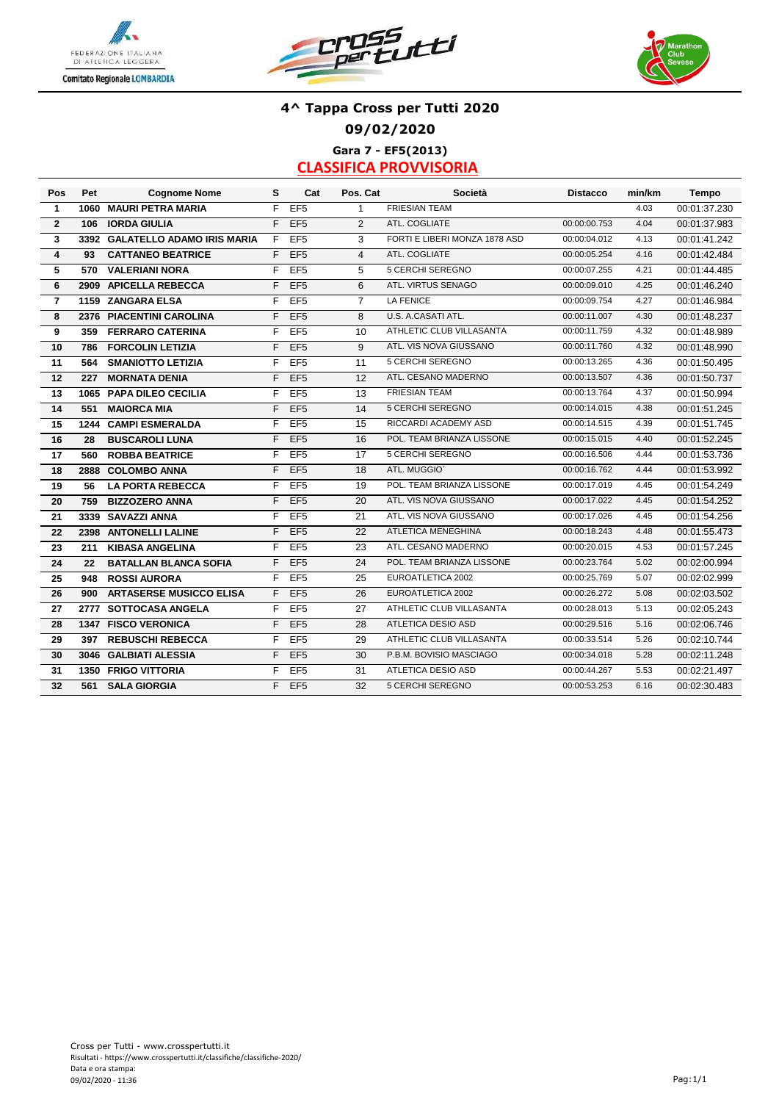





# **4^ Tappa Cross per Tutti 2020 09/02/2020 Gara 7 - EF5(2013)**

| Pos                     | Pet  | <b>Cognome Nome</b>             | s  | Cat             | Pos. Cat       | Società                       | <b>Distacco</b> | min/km | <b>Tempo</b> |
|-------------------------|------|---------------------------------|----|-----------------|----------------|-------------------------------|-----------------|--------|--------------|
| $\mathbf{1}$            | 1060 | <b>MAURI PETRA MARIA</b>        | F  | EF <sub>5</sub> | $\mathbf{1}$   | <b>FRIESIAN TEAM</b>          |                 | 4.03   | 00:01:37.230 |
| $\overline{2}$          | 106  | <b>IORDA GIULIA</b>             | F  | EF <sub>5</sub> | 2              | ATL. COGLIATE                 | 00:00:00.753    | 4.04   | 00:01:37.983 |
| 3                       |      | 3392 GALATELLO ADAMO IRIS MARIA | F. | EF <sub>5</sub> | 3              | FORTI E LIBERI MONZA 1878 ASD | 00:00:04.012    | 4.13   | 00:01:41.242 |
| $\overline{\mathbf{4}}$ | 93   | <b>CATTANEO BEATRICE</b>        | F  | EF <sub>5</sub> | $\overline{4}$ | ATL. COGLIATE                 | 00:00:05.254    | 4.16   | 00:01:42.484 |
| 5                       | 570  | <b>VALERIANI NORA</b>           | F  | EF <sub>5</sub> | 5              | <b>5 CERCHI SEREGNO</b>       | 00:00:07.255    | 4.21   | 00:01:44.485 |
| 6                       |      | 2909 APICELLA REBECCA           | F  | EF <sub>5</sub> | 6              | ATL. VIRTUS SENAGO            | 00:00:09.010    | 4.25   | 00:01:46.240 |
| $\overline{7}$          |      | 1159 ZANGARA ELSA               | F  | EF <sub>5</sub> | $\overline{7}$ | <b>LA FENICE</b>              | 00:00:09.754    | 4.27   | 00:01:46.984 |
| 8                       |      | 2376 PIACENTINI CAROLINA        | F  | EF <sub>5</sub> | 8              | U.S. A.CASATI ATL.            | 00:00:11.007    | 4.30   | 00:01:48.237 |
| 9                       | 359  | <b>FERRARO CATERINA</b>         | F  | EF <sub>5</sub> | 10             | ATHLETIC CLUB VILLASANTA      | 00:00:11.759    | 4.32   | 00:01:48.989 |
| 10                      | 786  | <b>FORCOLIN LETIZIA</b>         | F  | EF <sub>5</sub> | 9              | ATL. VIS NOVA GIUSSANO        | 00:00:11.760    | 4.32   | 00:01:48.990 |
| 11                      | 564  | <b>SMANIOTTO LETIZIA</b>        | F  | EF <sub>5</sub> | 11             | 5 CERCHI SEREGNO              | 00:00:13.265    | 4.36   | 00:01:50.495 |
| 12                      | 227  | <b>MORNATA DENIA</b>            | F  | EF <sub>5</sub> | 12             | ATL. CESANO MADERNO           | 00:00:13.507    | 4.36   | 00:01:50.737 |
| 13                      |      | 1065 PAPA DILEO CECILIA         | F  | EF <sub>5</sub> | 13             | <b>FRIESIAN TEAM</b>          | 00:00:13.764    | 4.37   | 00:01:50.994 |
| 14                      | 551  | <b>MAIORCA MIA</b>              | F  | EF <sub>5</sub> | 14             | 5 CERCHI SEREGNO              | 00:00:14.015    | 4.38   | 00:01:51.245 |
| 15                      |      | 1244 CAMPI ESMERALDA            | F  | EF <sub>5</sub> | 15             | RICCARDI ACADEMY ASD          | 00:00:14.515    | 4.39   | 00:01:51.745 |
| 16                      | 28   | <b>BUSCAROLI LUNA</b>           | F  | EF <sub>5</sub> | 16             | POL. TEAM BRIANZA LISSONE     | 00:00:15.015    | 4.40   | 00:01:52.245 |
| 17                      | 560  | <b>ROBBA BEATRICE</b>           | F  | EF <sub>5</sub> | 17             | <b>5 CERCHI SEREGNO</b>       | 00:00:16.506    | 4.44   | 00:01:53.736 |
| 18                      | 2888 | <b>COLOMBO ANNA</b>             | F  | EF <sub>5</sub> | 18             | ATL. MUGGIO'                  | 00:00:16.762    | 4.44   | 00:01:53.992 |
| 19                      | 56   | <b>LA PORTA REBECCA</b>         | F  | EF <sub>5</sub> | 19             | POL. TEAM BRIANZA LISSONE     | 00:00:17.019    | 4.45   | 00:01:54.249 |
| 20                      | 759  | <b>BIZZOZERO ANNA</b>           | F  | EF <sub>5</sub> | 20             | ATL. VIS NOVA GIUSSANO        | 00:00:17.022    | 4.45   | 00:01:54.252 |
| 21                      | 3339 | <b>SAVAZZI ANNA</b>             | F  | EF <sub>5</sub> | 21             | ATL. VIS NOVA GIUSSANO        | 00:00:17.026    | 4.45   | 00:01:54.256 |
| 22                      |      | 2398 ANTONELLI LALINE           | F  | EF <sub>5</sub> | 22             | ATLETICA MENEGHINA            | 00:00:18.243    | 4.48   | 00:01:55.473 |
| 23                      | 211  | <b>KIBASA ANGELINA</b>          | F  | EF <sub>5</sub> | 23             | ATL. CESANO MADERNO           | 00:00:20.015    | 4.53   | 00:01:57.245 |
| 24                      | 22   | <b>BATALLAN BLANCA SOFIA</b>    | F  | EF <sub>5</sub> | 24             | POL. TEAM BRIANZA LISSONE     | 00:00:23.764    | 5.02   | 00:02:00.994 |
| 25                      | 948  | <b>ROSSI AURORA</b>             | F  | EF <sub>5</sub> | 25             | EUROATLETICA 2002             | 00:00:25.769    | 5.07   | 00:02:02.999 |
| 26                      | 900  | <b>ARTASERSE MUSICCO ELISA</b>  | F  | EF <sub>5</sub> | 26             | EUROATLETICA 2002             | 00:00:26.272    | 5.08   | 00:02:03.502 |
| 27                      | 2777 | <b>SOTTOCASA ANGELA</b>         | F  | EF <sub>5</sub> | 27             | ATHLETIC CLUB VILLASANTA      | 00:00:28.013    | 5.13   | 00:02:05.243 |
| 28                      | 1347 | <b>FISCO VERONICA</b>           | F  | EF <sub>5</sub> | 28             | <b>ATLETICA DESIO ASD</b>     | 00:00:29.516    | 5.16   | 00:02:06.746 |
| 29                      | 397  | <b>REBUSCHI REBECCA</b>         | F  | EF <sub>5</sub> | 29             | ATHLETIC CLUB VILLASANTA      | 00:00:33.514    | 5.26   | 00:02:10.744 |
| 30                      |      | 3046 GALBIATI ALESSIA           | F  | EF <sub>5</sub> | 30             | P.B.M. BOVISIO MASCIAGO       | 00:00:34.018    | 5.28   | 00:02:11.248 |
| 31                      |      | <b>1350 FRIGO VITTORIA</b>      | F  | EF <sub>5</sub> | 31             | <b>ATLETICA DESIO ASD</b>     | 00:00:44.267    | 5.53   | 00:02:21.497 |
| 32                      | 561  | <b>SALA GIORGIA</b>             | F  | EF <sub>5</sub> | 32             | 5 CERCHI SEREGNO              | 00:00:53.253    | 6.16   | 00:02:30.483 |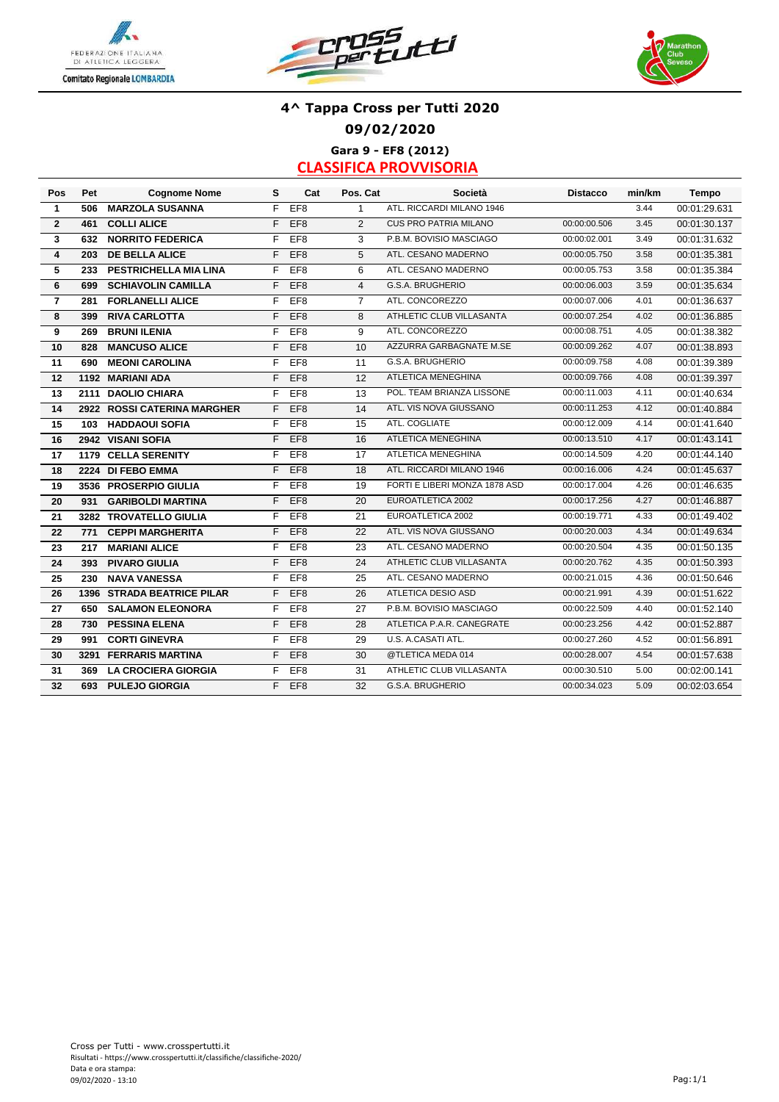





# **4^ Tappa Cross per Tutti 2020 09/02/2020 Gara 9 - EF8 (2012)**

| Pos            | Pet | <b>Cognome Nome</b>         | s  | Cat             | Pos. Cat       | <b>Società</b>                | <b>Distacco</b> | min/km | Tempo        |
|----------------|-----|-----------------------------|----|-----------------|----------------|-------------------------------|-----------------|--------|--------------|
| $\mathbf{1}$   | 506 | <b>MARZOLA SUSANNA</b>      | F  | EF <sub>8</sub> | $\mathbf{1}$   | ATL. RICCARDI MILANO 1946     |                 | 3.44   | 00:01:29.631 |
| $\overline{2}$ | 461 | <b>COLLI ALICE</b>          | F  | EF <sub>8</sub> | 2              | <b>CUS PRO PATRIA MILANO</b>  | 00:00:00.506    | 3.45   | 00:01:30.137 |
| 3              | 632 | <b>NORRITO FEDERICA</b>     | F  | EF8             | 3              | P.B.M. BOVISIO MASCIAGO       | 00:00:02.001    | 3.49   | 00:01:31.632 |
| 4              | 203 | <b>DE BELLA ALICE</b>       | F  | EF <sub>8</sub> | 5              | ATL. CESANO MADERNO           | 00:00:05.750    | 3.58   | 00:01:35.381 |
| 5              | 233 | PESTRICHELLA MIA LINA       | F  | EF <sub>8</sub> | 6              | ATL. CESANO MADERNO           | 00:00:05.753    | 3.58   | 00:01:35.384 |
| 6              | 699 | <b>SCHIAVOLIN CAMILLA</b>   | F  | EF <sub>8</sub> | $\overline{4}$ | G.S.A. BRUGHERIO              | 00:00:06.003    | 3.59   | 00:01:35.634 |
| $\overline{7}$ | 281 | <b>FORLANELLI ALICE</b>     | F  | EF <sub>8</sub> | $\overline{7}$ | ATL. CONCOREZZO               | 00:00:07.006    | 4.01   | 00:01:36.637 |
| 8              | 399 | <b>RIVA CARLOTTA</b>        | F  | EF8             | 8              | ATHLETIC CLUB VILLASANTA      | 00:00:07.254    | 4.02   | 00:01:36.885 |
| 9              | 269 | <b>BRUNI ILENIA</b>         | F  | EF8             | 9              | ATL. CONCOREZZO               | 00:00:08.751    | 4.05   | 00:01:38.382 |
| 10             | 828 | <b>MANCUSO ALICE</b>        | F  | EF8             | 10             | AZZURRA GARBAGNATE M.SE       | 00:00:09.262    | 4.07   | 00:01:38.893 |
| 11             | 690 | <b>MEONI CAROLINA</b>       | F  | EF <sub>8</sub> | 11             | G.S.A. BRUGHERIO              | 00:00:09.758    | 4.08   | 00:01:39.389 |
| 12             |     | 1192 MARIANI ADA            | F  | EF <sub>8</sub> | 12             | ATLETICA MENEGHINA            | 00:00:09.766    | 4.08   | 00:01:39.397 |
| 13             |     | 2111 DAOLIO CHIARA          | F  | EF8             | 13             | POL. TEAM BRIANZA LISSONE     | 00:00:11.003    | 4.11   | 00:01:40.634 |
| 14             |     | 2922 ROSSI CATERINA MARGHER | F  | EF <sub>8</sub> | 14             | ATL. VIS NOVA GIUSSANO        | 00:00:11.253    | 4.12   | 00:01:40.884 |
| 15             | 103 | <b>HADDAOUI SOFIA</b>       | F  | EF <sub>8</sub> | 15             | ATL. COGLIATE                 | 00:00:12.009    | 4.14   | 00:01:41.640 |
| 16             |     | 2942 VISANI SOFIA           | F  | EF <sub>8</sub> | 16             | ATLETICA MENEGHINA            | 00:00:13.510    | 4.17   | 00:01:43.141 |
| 17             |     | 1179 CELLA SERENITY         | F  | EF8             | 17             | <b>ATLETICA MENEGHINA</b>     | 00:00:14.509    | 4.20   | 00:01:44.140 |
| 18             |     | 2224 DI FEBO EMMA           | F  | EF <sub>8</sub> | 18             | ATL. RICCARDI MILANO 1946     | 00:00:16.006    | 4.24   | 00:01:45.637 |
| 19             |     | 3536 PROSERPIO GIULIA       | F  | EF <sub>8</sub> | 19             | FORTI E LIBERI MONZA 1878 ASD | 00:00:17.004    | 4.26   | 00:01:46.635 |
| 20             | 931 | <b>GARIBOLDI MARTINA</b>    | F  | EF <sub>8</sub> | 20             | EUROATLETICA 2002             | 00:00:17.256    | 4.27   | 00:01:46.887 |
| 21             |     | 3282 TROVATELLO GIULIA      | F  | EF <sub>8</sub> | 21             | EUROATLETICA 2002             | 00:00:19.771    | 4.33   | 00:01:49.402 |
| 22             | 771 | <b>CEPPI MARGHERITA</b>     | F. | EF8             | 22             | ATL. VIS NOVA GIUSSANO        | 00:00:20.003    | 4.34   | 00:01:49.634 |
| 23             | 217 | <b>MARIANI ALICE</b>        | F  | EF8             | 23             | ATL. CESANO MADERNO           | 00:00:20.504    | 4.35   | 00:01:50.135 |
| 24             | 393 | <b>PIVARO GIULIA</b>        | F. | EF <sub>8</sub> | 24             | ATHLETIC CLUB VILLASANTA      | 00:00:20.762    | 4.35   | 00:01:50.393 |
| 25             | 230 | <b>NAVA VANESSA</b>         | F  | EF8             | 25             | ATL. CESANO MADERNO           | 00:00:21.015    | 4.36   | 00:01:50.646 |
| 26             |     | 1396 STRADA BEATRICE PILAR  | F  | EF <sub>8</sub> | 26             | <b>ATLETICA DESIO ASD</b>     | 00:00:21.991    | 4.39   | 00:01:51.622 |
| 27             | 650 | <b>SALAMON ELEONORA</b>     | F  | EF <sub>8</sub> | 27             | P.B.M. BOVISIO MASCIAGO       | 00:00:22.509    | 4.40   | 00:01:52.140 |
| 28             | 730 | <b>PESSINA ELENA</b>        | F  | EF <sub>8</sub> | 28             | ATLETICA P.A.R. CANEGRATE     | 00:00:23.256    | 4.42   | 00:01:52.887 |
| 29             | 991 | <b>CORTI GINEVRA</b>        | F  | EF <sub>8</sub> | 29             | U.S. A.CASATI ATL.            | 00:00:27.260    | 4.52   | 00:01:56.891 |
| 30             |     | 3291 FERRARIS MARTINA       | F. | EF <sub>8</sub> | 30             | @TLETICA MEDA 014             | 00:00:28.007    | 4.54   | 00:01:57.638 |
| 31             | 369 | <b>LA CROCIERA GIORGIA</b>  | F  | EF8             | 31             | ATHLETIC CLUB VILLASANTA      | 00:00:30.510    | 5.00   | 00:02:00.141 |
| 32             | 693 | <b>PULEJO GIORGIA</b>       | F. | EF <sub>8</sub> | 32             | <b>G.S.A. BRUGHERIO</b>       | 00:00:34.023    | 5.09   | 00:02:03.654 |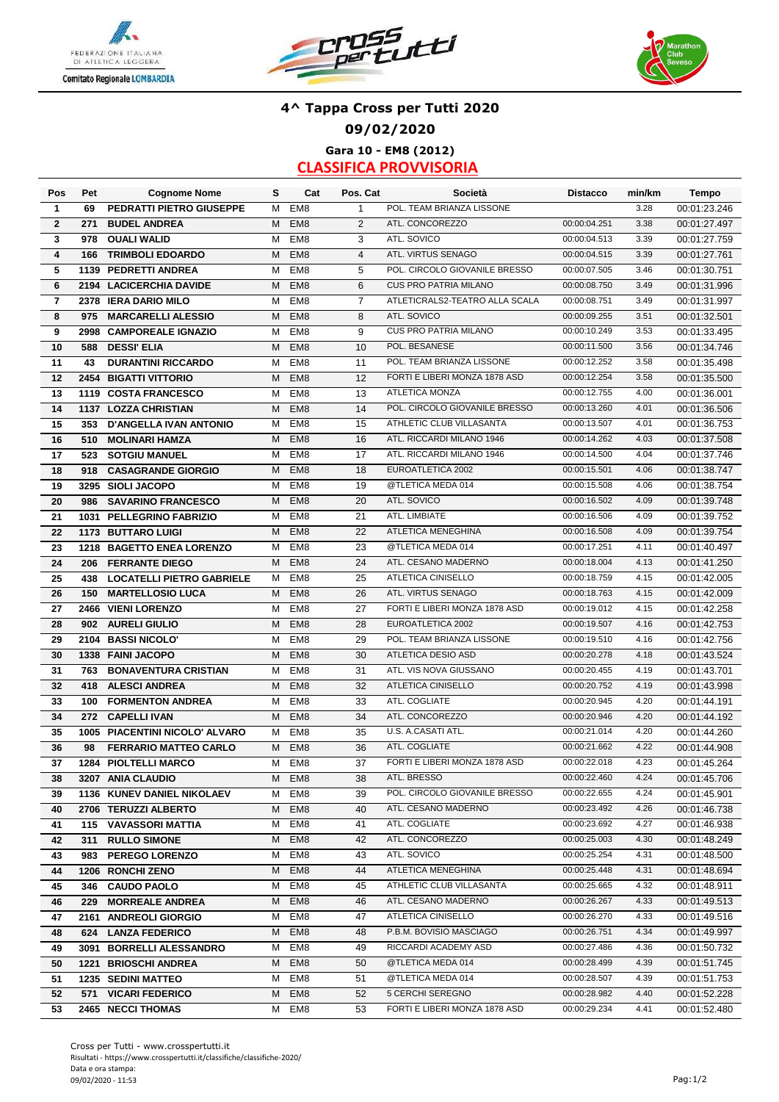





### **4^ Tappa Cross per Tutti 2020 09/02/2020 Gara 10 - EM8 (2012)**

| POL. TEAM BRIANZA LISSONE<br>3.28<br>PEDRATTI PIETRO GIUSEPPE<br>EM <sub>8</sub><br>$\mathbf{1}$<br>1<br>69<br>М<br>00:01:23.246<br>$\overline{2}$<br>EM <sub>8</sub><br>2<br>ATL. CONCOREZZO<br>00:00:04.251<br>3.38<br>271<br>00:01:27.497<br><b>BUDEL ANDREA</b><br>М<br>ATL. SOVICO<br>3<br><b>OUALI WALID</b><br>EM <sub>8</sub><br>3<br>3.39<br>978<br>M<br>00:00:04.513<br>00:01:27.759<br>ATL. VIRTUS SENAGO<br>EM <sub>8</sub><br>$\overline{4}$<br>00:00:04.515<br>3.39<br>4<br>M<br>00:01:27.761<br>166<br><b>TRIMBOLI EDOARDO</b><br>POL. CIRCOLO GIOVANILE BRESSO<br>5<br>EM <sub>8</sub><br>5<br>00:00:07.505<br>3.46<br>М<br>00:01:30.751<br>1139<br><b>PEDRETTI ANDREA</b><br><b>CUS PRO PATRIA MILANO</b><br>6<br>EM <sub>8</sub><br>6<br>00:00:08.750<br>3.49<br>2194 LACICERCHIA DAVIDE<br>M<br>00:01:31.996<br>ATLETICRALS2-TEATRO ALLA SCALA<br>EM <sub>8</sub><br>$\overline{7}$<br>00:00:08.751<br>3.49<br>00:01:31.997<br>$\overline{\mathbf{r}}$<br>М<br>2378 IERA DARIO MILO<br>EM <sub>8</sub><br>8<br>ATL. SOVICO<br>3.51<br>00:01:32.501<br>8<br><b>MARCARELLI ALESSIO</b><br>M<br>00:00:09.255<br>975<br><b>CUS PRO PATRIA MILANO</b><br>9<br><b>CAMPOREALE IGNAZIO</b><br>EM <sub>8</sub><br>9<br>00:00:10.249<br>3.53<br>00:01:33.495<br>2998<br>М<br>POL. BESANESE<br>EM <sub>8</sub><br>10<br>00:00:11.500<br>3.56<br>00:01:34.746<br>10<br><b>DESSI' ELIA</b><br>M<br>588<br>11<br>POL. TEAM BRIANZA LISSONE<br>3.58<br><b>DURANTINI RICCARDO</b><br>EM <sub>8</sub><br>11<br>00:00:12.252<br>00:01:35.498<br>43<br>М<br>EM <sub>8</sub><br>12<br>FORTI E LIBERI MONZA 1878 ASD<br>00:00:12.254<br>3.58<br>00:01:35.500<br>12<br>2454 BIGATTI VITTORIO<br>M<br>EM <sub>8</sub><br>13<br><b>ATLETICA MONZA</b><br>00:00:12.755<br>4.00<br>13<br>М<br>00:01:36.001<br>1119 COSTA FRANCESCO<br>POL. CIRCOLO GIOVANILE BRESSO<br>14<br>1137 LOZZA CHRISTIAN<br>EM <sub>8</sub><br>14<br>00:00:13.260<br>4.01<br>М<br>00:01:36.506<br>EM <sub>8</sub><br>15<br>ATHLETIC CLUB VILLASANTA<br>4.01<br>15<br><b>D'ANGELLA IVAN ANTONIO</b><br>М<br>00:00:13.507<br>00:01:36.753<br>353<br>EM <sub>8</sub><br>16<br><b>MOLINARI HAMZA</b><br>M<br>16<br>ATL. RICCARDI MILANO 1946<br>4.03<br>00:01:37.508<br>00:00:14.262<br>510<br>17<br><b>SOTGIU MANUEL</b><br>EM <sub>8</sub><br>ATL. RICCARDI MILANO 1946<br>4.04<br>523<br>M<br>17<br>00:00:14.500<br>00:01:37.746<br>EM <sub>8</sub><br>EUROATLETICA 2002<br>4.06<br>18<br>18<br>00:00:15.501<br>00:01:38.747<br><b>CASAGRANDE GIORGIO</b><br>Μ<br>918<br>EM <sub>8</sub><br>@TLETICA MEDA 014<br>19<br>3295 SIOLI JACOPO<br>19<br>00:00:15.508<br>4.06<br>м<br>00:01:38.754<br>EM <sub>8</sub><br>ATL. SOVICO<br>4.09<br>20<br>00:00:16.502<br>20<br><b>SAVARINO FRANCESCO</b><br>M<br>00:01:39.748<br>986<br>21<br>ATL. LIMBIATE<br>21<br>EM <sub>8</sub><br>00:00:16.506<br>4.09<br>00:01:39.752<br>1031 PELLEGRINO FABRIZIO<br>М<br>22<br>ATLETICA MENEGHINA<br><b>1173 BUTTARO LUIGI</b><br>EM <sub>8</sub><br>22<br>00:00:16.508<br>4.09<br>00:01:39.754<br>м<br>@TLETICA MEDA 014<br>4.11<br>23<br>EM <sub>8</sub><br>23<br>00:00:17.251<br>1218 BAGETTO ENEA LORENZO<br>м<br>00:01:40.497<br>EM <sub>8</sub><br>24<br>ATL. CESANO MADERNO<br>4.13<br>24<br>00:00:18.004<br><b>FERRANTE DIEGO</b><br>м<br>00:01:41.250<br>206<br><b>ATLETICA CINISELLO</b><br>4.15<br>25<br>EM <sub>8</sub><br>25<br>438<br><b>LOCATELLI PIETRO GABRIELE</b><br>00:00:18.759<br>00:01:42.005<br>м<br>EM <sub>8</sub><br>26<br>ATL. VIRTUS SENAGO<br>4.15<br>00:00:18.763<br>00:01:42.009<br>26<br>150<br><b>MARTELLOSIO LUCA</b><br>м<br>27<br>2466 VIENI LORENZO<br>EM <sub>8</sub><br>27<br>FORTI E LIBERI MONZA 1878 ASD<br>4.15<br>00:00:19.012<br>00:01:42.258<br>м<br>EM <sub>8</sub><br>28<br>EUROATLETICA 2002<br>4.16<br>28<br>M<br>00:00:19.507<br>00:01:42.753<br>902<br><b>AURELI GIULIO</b><br>POL. TEAM BRIANZA LISSONE<br>EM <sub>8</sub><br>M<br>29<br>00:00:19.510<br>4.16<br>00:01:42.756<br>29<br>2104 BASSI NICOLO'<br>EM <sub>8</sub><br><b>ATLETICA DESIO ASD</b><br>4.18<br>30<br>1338 FAINI JACOPO<br>M<br>30<br>00:00:20.278<br>00:01:43.524<br>ATL. VIS NOVA GIUSSANO<br>EM <sub>8</sub><br>00:00:20.455<br>4.19<br>М<br>31<br>00:01:43.701<br>31<br><b>BONAVENTURA CRISTIAN</b><br>763<br>EM <sub>8</sub><br>M<br>32<br>ATLETICA CINISELLO<br>00:01:43.998<br>32<br><b>ALESCI ANDREA</b><br>00:00:20.752<br>4.19<br>418<br>ATL. COGLIATE<br>EM <sub>8</sub><br>33<br>00:00:20.945<br>4.20<br>33<br><b>FORMENTON ANDREA</b><br>00:01:44.191<br>100<br>M<br>ATL. CONCOREZZO<br>EM <sub>8</sub><br>34<br>00:00:20.946<br>4.20<br><b>CAPELLI IVAN</b><br>M<br>00:01:44.192<br>34<br>272<br>EM <sub>8</sub><br>U.S. A CASATI ATL.<br>4.20<br>35<br>1005 PIACENTINI NICOLO' ALVARO<br>35<br>00:00:21.014<br>00:01:44.260<br>м<br>ATL. COGLIATE<br>4.22<br>M<br>EM <sub>8</sub><br>36<br>00:00:21.662<br>00:01:44.908<br>36<br><b>FERRARIO MATTEO CARLO</b><br>98<br>37<br>FORTI E LIBERI MONZA 1878 ASD<br>4.23<br>00:00:22.018<br>37<br>М<br>EM <sub>8</sub><br>00:01:45.264<br><b>1284 PIOLTELLI MARCO</b><br>3207 ANIA CLAUDIO<br>ATL. BRESSO<br>00:00:22.460<br>4.24<br>38<br>M EM8<br>38<br>00:01:45.706<br>EM8<br>39<br>POL. CIRCOLO GIOVANILE BRESSO<br>00:00:22.655<br>4.24<br>1136 KUNEV DANIEL NIKOLAEV<br>м<br>00:01:45.901<br>39<br>ATL. CESANO MADERNO<br>EM <sub>8</sub><br>40<br>00:00:23.492<br>4.26<br>40<br>2706 TERUZZI ALBERTO<br>М<br>00:01:46.738<br>ATL. COGLIATE<br>41<br>115 VAVASSORI MATTIA<br>EM <sub>8</sub><br>41<br>00:00:23.692<br>4.27<br>00:01:46.938<br>м<br>ATL. CONCOREZZO<br>EM <sub>8</sub><br>00:00:25.003<br>4.30<br>42<br><b>RULLO SIMONE</b><br>м<br>42<br>00:01:48.249<br>311<br>EM <sub>8</sub><br>ATL. SOVICO<br>43<br>983 PEREGO LORENZO<br>43<br>00:00:25.254<br>4.31<br>00:01:48.500<br>м<br>ATLETICA MENEGHINA<br>44<br>1206 RONCHI ZENO<br>EM <sub>8</sub><br>00:00:25.448<br>4.31<br>М<br>44<br>00:01:48.694<br>ATHLETIC CLUB VILLASANTA<br>4.32<br>EM8<br>45<br>00:00:25.665<br>45<br><b>CAUDO PAOLO</b><br>м<br>00:01:48.911<br>346<br>ATL. CESANO MADERNO<br>4.33<br>46<br><b>MORREALE ANDREA</b><br>EM8<br>00:00:26.267<br>229<br>46<br>00:01:49.513<br>м<br>ATLETICA CINISELLO<br>EM8<br>47<br>00:00:26.270<br>4.33<br>47<br>2161 ANDREOLI GIORGIO<br>00:01:49.516<br>м<br>P.B.M. BOVISIO MASCIAGO<br>00:00:26.751<br>4.34<br>624 LANZA FEDERICO<br>EM8<br>48<br>00:01:49.997<br>48<br>м<br>49<br>3091 BORRELLI ALESSANDRO<br>RICCARDI ACADEMY ASD<br>00:00:27.486<br>4.36<br>EM8<br>49<br>00:01:50.732<br>м<br>@TLETICA MEDA 014<br>00:00:28.499<br>4.39<br>50<br>EM8<br>50<br>00:01:51.745<br>1221 BRIOSCHI ANDREA<br>м<br>EM8<br>51<br>@TLETICA MEDA 014<br>4.39<br>51<br><b>1235 SEDINI MATTEO</b><br>м<br>00:00:28.507<br>00:01:51.753<br>52<br>571 VICARI FEDERICO<br>EM8<br>52<br>5 CERCHI SEREGNO<br>00:00:28.982<br>4.40<br>00:01:52.228<br>м<br>FORTI E LIBERI MONZA 1878 ASD<br>M EM8<br>53<br>00:00:29.234<br>4.41<br>53<br>2465 NECCI THOMAS<br>00:01:52.480 | Pos | Pet | <b>Cognome Nome</b> | s | Cat | Pos. Cat | Società | <b>Distacco</b> | min/km | Tempo |
|--------------------------------------------------------------------------------------------------------------------------------------------------------------------------------------------------------------------------------------------------------------------------------------------------------------------------------------------------------------------------------------------------------------------------------------------------------------------------------------------------------------------------------------------------------------------------------------------------------------------------------------------------------------------------------------------------------------------------------------------------------------------------------------------------------------------------------------------------------------------------------------------------------------------------------------------------------------------------------------------------------------------------------------------------------------------------------------------------------------------------------------------------------------------------------------------------------------------------------------------------------------------------------------------------------------------------------------------------------------------------------------------------------------------------------------------------------------------------------------------------------------------------------------------------------------------------------------------------------------------------------------------------------------------------------------------------------------------------------------------------------------------------------------------------------------------------------------------------------------------------------------------------------------------------------------------------------------------------------------------------------------------------------------------------------------------------------------------------------------------------------------------------------------------------------------------------------------------------------------------------------------------------------------------------------------------------------------------------------------------------------------------------------------------------------------------------------------------------------------------------------------------------------------------------------------------------------------------------------------------------------------------------------------------------------------------------------------------------------------------------------------------------------------------------------------------------------------------------------------------------------------------------------------------------------------------------------------------------------------------------------------------------------------------------------------------------------------------------------------------------------------------------------------------------------------------------------------------------------------------------------------------------------------------------------------------------------------------------------------------------------------------------------------------------------------------------------------------------------------------------------------------------------------------------------------------------------------------------------------------------------------------------------------------------------------------------------------------------------------------------------------------------------------------------------------------------------------------------------------------------------------------------------------------------------------------------------------------------------------------------------------------------------------------------------------------------------------------------------------------------------------------------------------------------------------------------------------------------------------------------------------------------------------------------------------------------------------------------------------------------------------------------------------------------------------------------------------------------------------------------------------------------------------------------------------------------------------------------------------------------------------------------------------------------------------------------------------------------------------------------------------------------------------------------------------------------------------------------------------------------------------------------------------------------------------------------------------------------------------------------------------------------------------------------------------------------------------------------------------------------------------------------------------------------------------------------------------------------------------------------------------------------------------------------------------------------------------------------------------------------------------------------------------------------------------------------------------------------------------------------------------------------------------------------------------------------------------------------------------------------------------------------------------------------------------------------------------------------------------------------------------------------------------------------------------------------------------------------------------------------------------------------------------------------------------------------------------------------------------------------------------------------------------------------------------------------------------------------------------------------------------------------------------------------------------------------------------------------------------------------------------------------------------------------------------------------------------------------------------------------------------------------------------------------------------------------------------------------------------------------------------------------------------------------------------------------------------------------------------------------------------------------------------------------------------------------------------------------------------------------------------------------------------------------------------------------------------------------------------------------------------------------------------------------------------------------------------------------------------------------------------------------------|-----|-----|---------------------|---|-----|----------|---------|-----------------|--------|-------|
|                                                                                                                                                                                                                                                                                                                                                                                                                                                                                                                                                                                                                                                                                                                                                                                                                                                                                                                                                                                                                                                                                                                                                                                                                                                                                                                                                                                                                                                                                                                                                                                                                                                                                                                                                                                                                                                                                                                                                                                                                                                                                                                                                                                                                                                                                                                                                                                                                                                                                                                                                                                                                                                                                                                                                                                                                                                                                                                                                                                                                                                                                                                                                                                                                                                                                                                                                                                                                                                                                                                                                                                                                                                                                                                                                                                                                                                                                                                                                                                                                                                                                                                                                                                                                                                                                                                                                                                                                                                                                                                                                                                                                                                                                                                                                                                                                                                                                                                                                                                                                                                                                                                                                                                                                                                                                                                                                                                                                                                                                                                                                                                                                                                                                                                                                                                                                                                                                                                                                                                                                                                                                                                                                                                                                                                                                                                                                                                                                                                                                                                                                                                                                                                                                                                                                                                                                                                                                                                                                                                                                                |     |     |                     |   |     |          |         |                 |        |       |
|                                                                                                                                                                                                                                                                                                                                                                                                                                                                                                                                                                                                                                                                                                                                                                                                                                                                                                                                                                                                                                                                                                                                                                                                                                                                                                                                                                                                                                                                                                                                                                                                                                                                                                                                                                                                                                                                                                                                                                                                                                                                                                                                                                                                                                                                                                                                                                                                                                                                                                                                                                                                                                                                                                                                                                                                                                                                                                                                                                                                                                                                                                                                                                                                                                                                                                                                                                                                                                                                                                                                                                                                                                                                                                                                                                                                                                                                                                                                                                                                                                                                                                                                                                                                                                                                                                                                                                                                                                                                                                                                                                                                                                                                                                                                                                                                                                                                                                                                                                                                                                                                                                                                                                                                                                                                                                                                                                                                                                                                                                                                                                                                                                                                                                                                                                                                                                                                                                                                                                                                                                                                                                                                                                                                                                                                                                                                                                                                                                                                                                                                                                                                                                                                                                                                                                                                                                                                                                                                                                                                                                |     |     |                     |   |     |          |         |                 |        |       |
|                                                                                                                                                                                                                                                                                                                                                                                                                                                                                                                                                                                                                                                                                                                                                                                                                                                                                                                                                                                                                                                                                                                                                                                                                                                                                                                                                                                                                                                                                                                                                                                                                                                                                                                                                                                                                                                                                                                                                                                                                                                                                                                                                                                                                                                                                                                                                                                                                                                                                                                                                                                                                                                                                                                                                                                                                                                                                                                                                                                                                                                                                                                                                                                                                                                                                                                                                                                                                                                                                                                                                                                                                                                                                                                                                                                                                                                                                                                                                                                                                                                                                                                                                                                                                                                                                                                                                                                                                                                                                                                                                                                                                                                                                                                                                                                                                                                                                                                                                                                                                                                                                                                                                                                                                                                                                                                                                                                                                                                                                                                                                                                                                                                                                                                                                                                                                                                                                                                                                                                                                                                                                                                                                                                                                                                                                                                                                                                                                                                                                                                                                                                                                                                                                                                                                                                                                                                                                                                                                                                                                                |     |     |                     |   |     |          |         |                 |        |       |
|                                                                                                                                                                                                                                                                                                                                                                                                                                                                                                                                                                                                                                                                                                                                                                                                                                                                                                                                                                                                                                                                                                                                                                                                                                                                                                                                                                                                                                                                                                                                                                                                                                                                                                                                                                                                                                                                                                                                                                                                                                                                                                                                                                                                                                                                                                                                                                                                                                                                                                                                                                                                                                                                                                                                                                                                                                                                                                                                                                                                                                                                                                                                                                                                                                                                                                                                                                                                                                                                                                                                                                                                                                                                                                                                                                                                                                                                                                                                                                                                                                                                                                                                                                                                                                                                                                                                                                                                                                                                                                                                                                                                                                                                                                                                                                                                                                                                                                                                                                                                                                                                                                                                                                                                                                                                                                                                                                                                                                                                                                                                                                                                                                                                                                                                                                                                                                                                                                                                                                                                                                                                                                                                                                                                                                                                                                                                                                                                                                                                                                                                                                                                                                                                                                                                                                                                                                                                                                                                                                                                                                |     |     |                     |   |     |          |         |                 |        |       |
|                                                                                                                                                                                                                                                                                                                                                                                                                                                                                                                                                                                                                                                                                                                                                                                                                                                                                                                                                                                                                                                                                                                                                                                                                                                                                                                                                                                                                                                                                                                                                                                                                                                                                                                                                                                                                                                                                                                                                                                                                                                                                                                                                                                                                                                                                                                                                                                                                                                                                                                                                                                                                                                                                                                                                                                                                                                                                                                                                                                                                                                                                                                                                                                                                                                                                                                                                                                                                                                                                                                                                                                                                                                                                                                                                                                                                                                                                                                                                                                                                                                                                                                                                                                                                                                                                                                                                                                                                                                                                                                                                                                                                                                                                                                                                                                                                                                                                                                                                                                                                                                                                                                                                                                                                                                                                                                                                                                                                                                                                                                                                                                                                                                                                                                                                                                                                                                                                                                                                                                                                                                                                                                                                                                                                                                                                                                                                                                                                                                                                                                                                                                                                                                                                                                                                                                                                                                                                                                                                                                                                                |     |     |                     |   |     |          |         |                 |        |       |
|                                                                                                                                                                                                                                                                                                                                                                                                                                                                                                                                                                                                                                                                                                                                                                                                                                                                                                                                                                                                                                                                                                                                                                                                                                                                                                                                                                                                                                                                                                                                                                                                                                                                                                                                                                                                                                                                                                                                                                                                                                                                                                                                                                                                                                                                                                                                                                                                                                                                                                                                                                                                                                                                                                                                                                                                                                                                                                                                                                                                                                                                                                                                                                                                                                                                                                                                                                                                                                                                                                                                                                                                                                                                                                                                                                                                                                                                                                                                                                                                                                                                                                                                                                                                                                                                                                                                                                                                                                                                                                                                                                                                                                                                                                                                                                                                                                                                                                                                                                                                                                                                                                                                                                                                                                                                                                                                                                                                                                                                                                                                                                                                                                                                                                                                                                                                                                                                                                                                                                                                                                                                                                                                                                                                                                                                                                                                                                                                                                                                                                                                                                                                                                                                                                                                                                                                                                                                                                                                                                                                                                |     |     |                     |   |     |          |         |                 |        |       |
|                                                                                                                                                                                                                                                                                                                                                                                                                                                                                                                                                                                                                                                                                                                                                                                                                                                                                                                                                                                                                                                                                                                                                                                                                                                                                                                                                                                                                                                                                                                                                                                                                                                                                                                                                                                                                                                                                                                                                                                                                                                                                                                                                                                                                                                                                                                                                                                                                                                                                                                                                                                                                                                                                                                                                                                                                                                                                                                                                                                                                                                                                                                                                                                                                                                                                                                                                                                                                                                                                                                                                                                                                                                                                                                                                                                                                                                                                                                                                                                                                                                                                                                                                                                                                                                                                                                                                                                                                                                                                                                                                                                                                                                                                                                                                                                                                                                                                                                                                                                                                                                                                                                                                                                                                                                                                                                                                                                                                                                                                                                                                                                                                                                                                                                                                                                                                                                                                                                                                                                                                                                                                                                                                                                                                                                                                                                                                                                                                                                                                                                                                                                                                                                                                                                                                                                                                                                                                                                                                                                                                                |     |     |                     |   |     |          |         |                 |        |       |
|                                                                                                                                                                                                                                                                                                                                                                                                                                                                                                                                                                                                                                                                                                                                                                                                                                                                                                                                                                                                                                                                                                                                                                                                                                                                                                                                                                                                                                                                                                                                                                                                                                                                                                                                                                                                                                                                                                                                                                                                                                                                                                                                                                                                                                                                                                                                                                                                                                                                                                                                                                                                                                                                                                                                                                                                                                                                                                                                                                                                                                                                                                                                                                                                                                                                                                                                                                                                                                                                                                                                                                                                                                                                                                                                                                                                                                                                                                                                                                                                                                                                                                                                                                                                                                                                                                                                                                                                                                                                                                                                                                                                                                                                                                                                                                                                                                                                                                                                                                                                                                                                                                                                                                                                                                                                                                                                                                                                                                                                                                                                                                                                                                                                                                                                                                                                                                                                                                                                                                                                                                                                                                                                                                                                                                                                                                                                                                                                                                                                                                                                                                                                                                                                                                                                                                                                                                                                                                                                                                                                                                |     |     |                     |   |     |          |         |                 |        |       |
|                                                                                                                                                                                                                                                                                                                                                                                                                                                                                                                                                                                                                                                                                                                                                                                                                                                                                                                                                                                                                                                                                                                                                                                                                                                                                                                                                                                                                                                                                                                                                                                                                                                                                                                                                                                                                                                                                                                                                                                                                                                                                                                                                                                                                                                                                                                                                                                                                                                                                                                                                                                                                                                                                                                                                                                                                                                                                                                                                                                                                                                                                                                                                                                                                                                                                                                                                                                                                                                                                                                                                                                                                                                                                                                                                                                                                                                                                                                                                                                                                                                                                                                                                                                                                                                                                                                                                                                                                                                                                                                                                                                                                                                                                                                                                                                                                                                                                                                                                                                                                                                                                                                                                                                                                                                                                                                                                                                                                                                                                                                                                                                                                                                                                                                                                                                                                                                                                                                                                                                                                                                                                                                                                                                                                                                                                                                                                                                                                                                                                                                                                                                                                                                                                                                                                                                                                                                                                                                                                                                                                                |     |     |                     |   |     |          |         |                 |        |       |
|                                                                                                                                                                                                                                                                                                                                                                                                                                                                                                                                                                                                                                                                                                                                                                                                                                                                                                                                                                                                                                                                                                                                                                                                                                                                                                                                                                                                                                                                                                                                                                                                                                                                                                                                                                                                                                                                                                                                                                                                                                                                                                                                                                                                                                                                                                                                                                                                                                                                                                                                                                                                                                                                                                                                                                                                                                                                                                                                                                                                                                                                                                                                                                                                                                                                                                                                                                                                                                                                                                                                                                                                                                                                                                                                                                                                                                                                                                                                                                                                                                                                                                                                                                                                                                                                                                                                                                                                                                                                                                                                                                                                                                                                                                                                                                                                                                                                                                                                                                                                                                                                                                                                                                                                                                                                                                                                                                                                                                                                                                                                                                                                                                                                                                                                                                                                                                                                                                                                                                                                                                                                                                                                                                                                                                                                                                                                                                                                                                                                                                                                                                                                                                                                                                                                                                                                                                                                                                                                                                                                                                |     |     |                     |   |     |          |         |                 |        |       |
|                                                                                                                                                                                                                                                                                                                                                                                                                                                                                                                                                                                                                                                                                                                                                                                                                                                                                                                                                                                                                                                                                                                                                                                                                                                                                                                                                                                                                                                                                                                                                                                                                                                                                                                                                                                                                                                                                                                                                                                                                                                                                                                                                                                                                                                                                                                                                                                                                                                                                                                                                                                                                                                                                                                                                                                                                                                                                                                                                                                                                                                                                                                                                                                                                                                                                                                                                                                                                                                                                                                                                                                                                                                                                                                                                                                                                                                                                                                                                                                                                                                                                                                                                                                                                                                                                                                                                                                                                                                                                                                                                                                                                                                                                                                                                                                                                                                                                                                                                                                                                                                                                                                                                                                                                                                                                                                                                                                                                                                                                                                                                                                                                                                                                                                                                                                                                                                                                                                                                                                                                                                                                                                                                                                                                                                                                                                                                                                                                                                                                                                                                                                                                                                                                                                                                                                                                                                                                                                                                                                                                                |     |     |                     |   |     |          |         |                 |        |       |
|                                                                                                                                                                                                                                                                                                                                                                                                                                                                                                                                                                                                                                                                                                                                                                                                                                                                                                                                                                                                                                                                                                                                                                                                                                                                                                                                                                                                                                                                                                                                                                                                                                                                                                                                                                                                                                                                                                                                                                                                                                                                                                                                                                                                                                                                                                                                                                                                                                                                                                                                                                                                                                                                                                                                                                                                                                                                                                                                                                                                                                                                                                                                                                                                                                                                                                                                                                                                                                                                                                                                                                                                                                                                                                                                                                                                                                                                                                                                                                                                                                                                                                                                                                                                                                                                                                                                                                                                                                                                                                                                                                                                                                                                                                                                                                                                                                                                                                                                                                                                                                                                                                                                                                                                                                                                                                                                                                                                                                                                                                                                                                                                                                                                                                                                                                                                                                                                                                                                                                                                                                                                                                                                                                                                                                                                                                                                                                                                                                                                                                                                                                                                                                                                                                                                                                                                                                                                                                                                                                                                                                |     |     |                     |   |     |          |         |                 |        |       |
|                                                                                                                                                                                                                                                                                                                                                                                                                                                                                                                                                                                                                                                                                                                                                                                                                                                                                                                                                                                                                                                                                                                                                                                                                                                                                                                                                                                                                                                                                                                                                                                                                                                                                                                                                                                                                                                                                                                                                                                                                                                                                                                                                                                                                                                                                                                                                                                                                                                                                                                                                                                                                                                                                                                                                                                                                                                                                                                                                                                                                                                                                                                                                                                                                                                                                                                                                                                                                                                                                                                                                                                                                                                                                                                                                                                                                                                                                                                                                                                                                                                                                                                                                                                                                                                                                                                                                                                                                                                                                                                                                                                                                                                                                                                                                                                                                                                                                                                                                                                                                                                                                                                                                                                                                                                                                                                                                                                                                                                                                                                                                                                                                                                                                                                                                                                                                                                                                                                                                                                                                                                                                                                                                                                                                                                                                                                                                                                                                                                                                                                                                                                                                                                                                                                                                                                                                                                                                                                                                                                                                                |     |     |                     |   |     |          |         |                 |        |       |
|                                                                                                                                                                                                                                                                                                                                                                                                                                                                                                                                                                                                                                                                                                                                                                                                                                                                                                                                                                                                                                                                                                                                                                                                                                                                                                                                                                                                                                                                                                                                                                                                                                                                                                                                                                                                                                                                                                                                                                                                                                                                                                                                                                                                                                                                                                                                                                                                                                                                                                                                                                                                                                                                                                                                                                                                                                                                                                                                                                                                                                                                                                                                                                                                                                                                                                                                                                                                                                                                                                                                                                                                                                                                                                                                                                                                                                                                                                                                                                                                                                                                                                                                                                                                                                                                                                                                                                                                                                                                                                                                                                                                                                                                                                                                                                                                                                                                                                                                                                                                                                                                                                                                                                                                                                                                                                                                                                                                                                                                                                                                                                                                                                                                                                                                                                                                                                                                                                                                                                                                                                                                                                                                                                                                                                                                                                                                                                                                                                                                                                                                                                                                                                                                                                                                                                                                                                                                                                                                                                                                                                |     |     |                     |   |     |          |         |                 |        |       |
|                                                                                                                                                                                                                                                                                                                                                                                                                                                                                                                                                                                                                                                                                                                                                                                                                                                                                                                                                                                                                                                                                                                                                                                                                                                                                                                                                                                                                                                                                                                                                                                                                                                                                                                                                                                                                                                                                                                                                                                                                                                                                                                                                                                                                                                                                                                                                                                                                                                                                                                                                                                                                                                                                                                                                                                                                                                                                                                                                                                                                                                                                                                                                                                                                                                                                                                                                                                                                                                                                                                                                                                                                                                                                                                                                                                                                                                                                                                                                                                                                                                                                                                                                                                                                                                                                                                                                                                                                                                                                                                                                                                                                                                                                                                                                                                                                                                                                                                                                                                                                                                                                                                                                                                                                                                                                                                                                                                                                                                                                                                                                                                                                                                                                                                                                                                                                                                                                                                                                                                                                                                                                                                                                                                                                                                                                                                                                                                                                                                                                                                                                                                                                                                                                                                                                                                                                                                                                                                                                                                                                                |     |     |                     |   |     |          |         |                 |        |       |
|                                                                                                                                                                                                                                                                                                                                                                                                                                                                                                                                                                                                                                                                                                                                                                                                                                                                                                                                                                                                                                                                                                                                                                                                                                                                                                                                                                                                                                                                                                                                                                                                                                                                                                                                                                                                                                                                                                                                                                                                                                                                                                                                                                                                                                                                                                                                                                                                                                                                                                                                                                                                                                                                                                                                                                                                                                                                                                                                                                                                                                                                                                                                                                                                                                                                                                                                                                                                                                                                                                                                                                                                                                                                                                                                                                                                                                                                                                                                                                                                                                                                                                                                                                                                                                                                                                                                                                                                                                                                                                                                                                                                                                                                                                                                                                                                                                                                                                                                                                                                                                                                                                                                                                                                                                                                                                                                                                                                                                                                                                                                                                                                                                                                                                                                                                                                                                                                                                                                                                                                                                                                                                                                                                                                                                                                                                                                                                                                                                                                                                                                                                                                                                                                                                                                                                                                                                                                                                                                                                                                                                |     |     |                     |   |     |          |         |                 |        |       |
|                                                                                                                                                                                                                                                                                                                                                                                                                                                                                                                                                                                                                                                                                                                                                                                                                                                                                                                                                                                                                                                                                                                                                                                                                                                                                                                                                                                                                                                                                                                                                                                                                                                                                                                                                                                                                                                                                                                                                                                                                                                                                                                                                                                                                                                                                                                                                                                                                                                                                                                                                                                                                                                                                                                                                                                                                                                                                                                                                                                                                                                                                                                                                                                                                                                                                                                                                                                                                                                                                                                                                                                                                                                                                                                                                                                                                                                                                                                                                                                                                                                                                                                                                                                                                                                                                                                                                                                                                                                                                                                                                                                                                                                                                                                                                                                                                                                                                                                                                                                                                                                                                                                                                                                                                                                                                                                                                                                                                                                                                                                                                                                                                                                                                                                                                                                                                                                                                                                                                                                                                                                                                                                                                                                                                                                                                                                                                                                                                                                                                                                                                                                                                                                                                                                                                                                                                                                                                                                                                                                                                                |     |     |                     |   |     |          |         |                 |        |       |
|                                                                                                                                                                                                                                                                                                                                                                                                                                                                                                                                                                                                                                                                                                                                                                                                                                                                                                                                                                                                                                                                                                                                                                                                                                                                                                                                                                                                                                                                                                                                                                                                                                                                                                                                                                                                                                                                                                                                                                                                                                                                                                                                                                                                                                                                                                                                                                                                                                                                                                                                                                                                                                                                                                                                                                                                                                                                                                                                                                                                                                                                                                                                                                                                                                                                                                                                                                                                                                                                                                                                                                                                                                                                                                                                                                                                                                                                                                                                                                                                                                                                                                                                                                                                                                                                                                                                                                                                                                                                                                                                                                                                                                                                                                                                                                                                                                                                                                                                                                                                                                                                                                                                                                                                                                                                                                                                                                                                                                                                                                                                                                                                                                                                                                                                                                                                                                                                                                                                                                                                                                                                                                                                                                                                                                                                                                                                                                                                                                                                                                                                                                                                                                                                                                                                                                                                                                                                                                                                                                                                                                |     |     |                     |   |     |          |         |                 |        |       |
|                                                                                                                                                                                                                                                                                                                                                                                                                                                                                                                                                                                                                                                                                                                                                                                                                                                                                                                                                                                                                                                                                                                                                                                                                                                                                                                                                                                                                                                                                                                                                                                                                                                                                                                                                                                                                                                                                                                                                                                                                                                                                                                                                                                                                                                                                                                                                                                                                                                                                                                                                                                                                                                                                                                                                                                                                                                                                                                                                                                                                                                                                                                                                                                                                                                                                                                                                                                                                                                                                                                                                                                                                                                                                                                                                                                                                                                                                                                                                                                                                                                                                                                                                                                                                                                                                                                                                                                                                                                                                                                                                                                                                                                                                                                                                                                                                                                                                                                                                                                                                                                                                                                                                                                                                                                                                                                                                                                                                                                                                                                                                                                                                                                                                                                                                                                                                                                                                                                                                                                                                                                                                                                                                                                                                                                                                                                                                                                                                                                                                                                                                                                                                                                                                                                                                                                                                                                                                                                                                                                                                                |     |     |                     |   |     |          |         |                 |        |       |
|                                                                                                                                                                                                                                                                                                                                                                                                                                                                                                                                                                                                                                                                                                                                                                                                                                                                                                                                                                                                                                                                                                                                                                                                                                                                                                                                                                                                                                                                                                                                                                                                                                                                                                                                                                                                                                                                                                                                                                                                                                                                                                                                                                                                                                                                                                                                                                                                                                                                                                                                                                                                                                                                                                                                                                                                                                                                                                                                                                                                                                                                                                                                                                                                                                                                                                                                                                                                                                                                                                                                                                                                                                                                                                                                                                                                                                                                                                                                                                                                                                                                                                                                                                                                                                                                                                                                                                                                                                                                                                                                                                                                                                                                                                                                                                                                                                                                                                                                                                                                                                                                                                                                                                                                                                                                                                                                                                                                                                                                                                                                                                                                                                                                                                                                                                                                                                                                                                                                                                                                                                                                                                                                                                                                                                                                                                                                                                                                                                                                                                                                                                                                                                                                                                                                                                                                                                                                                                                                                                                                                                |     |     |                     |   |     |          |         |                 |        |       |
|                                                                                                                                                                                                                                                                                                                                                                                                                                                                                                                                                                                                                                                                                                                                                                                                                                                                                                                                                                                                                                                                                                                                                                                                                                                                                                                                                                                                                                                                                                                                                                                                                                                                                                                                                                                                                                                                                                                                                                                                                                                                                                                                                                                                                                                                                                                                                                                                                                                                                                                                                                                                                                                                                                                                                                                                                                                                                                                                                                                                                                                                                                                                                                                                                                                                                                                                                                                                                                                                                                                                                                                                                                                                                                                                                                                                                                                                                                                                                                                                                                                                                                                                                                                                                                                                                                                                                                                                                                                                                                                                                                                                                                                                                                                                                                                                                                                                                                                                                                                                                                                                                                                                                                                                                                                                                                                                                                                                                                                                                                                                                                                                                                                                                                                                                                                                                                                                                                                                                                                                                                                                                                                                                                                                                                                                                                                                                                                                                                                                                                                                                                                                                                                                                                                                                                                                                                                                                                                                                                                                                                |     |     |                     |   |     |          |         |                 |        |       |
|                                                                                                                                                                                                                                                                                                                                                                                                                                                                                                                                                                                                                                                                                                                                                                                                                                                                                                                                                                                                                                                                                                                                                                                                                                                                                                                                                                                                                                                                                                                                                                                                                                                                                                                                                                                                                                                                                                                                                                                                                                                                                                                                                                                                                                                                                                                                                                                                                                                                                                                                                                                                                                                                                                                                                                                                                                                                                                                                                                                                                                                                                                                                                                                                                                                                                                                                                                                                                                                                                                                                                                                                                                                                                                                                                                                                                                                                                                                                                                                                                                                                                                                                                                                                                                                                                                                                                                                                                                                                                                                                                                                                                                                                                                                                                                                                                                                                                                                                                                                                                                                                                                                                                                                                                                                                                                                                                                                                                                                                                                                                                                                                                                                                                                                                                                                                                                                                                                                                                                                                                                                                                                                                                                                                                                                                                                                                                                                                                                                                                                                                                                                                                                                                                                                                                                                                                                                                                                                                                                                                                                |     |     |                     |   |     |          |         |                 |        |       |
|                                                                                                                                                                                                                                                                                                                                                                                                                                                                                                                                                                                                                                                                                                                                                                                                                                                                                                                                                                                                                                                                                                                                                                                                                                                                                                                                                                                                                                                                                                                                                                                                                                                                                                                                                                                                                                                                                                                                                                                                                                                                                                                                                                                                                                                                                                                                                                                                                                                                                                                                                                                                                                                                                                                                                                                                                                                                                                                                                                                                                                                                                                                                                                                                                                                                                                                                                                                                                                                                                                                                                                                                                                                                                                                                                                                                                                                                                                                                                                                                                                                                                                                                                                                                                                                                                                                                                                                                                                                                                                                                                                                                                                                                                                                                                                                                                                                                                                                                                                                                                                                                                                                                                                                                                                                                                                                                                                                                                                                                                                                                                                                                                                                                                                                                                                                                                                                                                                                                                                                                                                                                                                                                                                                                                                                                                                                                                                                                                                                                                                                                                                                                                                                                                                                                                                                                                                                                                                                                                                                                                                |     |     |                     |   |     |          |         |                 |        |       |
|                                                                                                                                                                                                                                                                                                                                                                                                                                                                                                                                                                                                                                                                                                                                                                                                                                                                                                                                                                                                                                                                                                                                                                                                                                                                                                                                                                                                                                                                                                                                                                                                                                                                                                                                                                                                                                                                                                                                                                                                                                                                                                                                                                                                                                                                                                                                                                                                                                                                                                                                                                                                                                                                                                                                                                                                                                                                                                                                                                                                                                                                                                                                                                                                                                                                                                                                                                                                                                                                                                                                                                                                                                                                                                                                                                                                                                                                                                                                                                                                                                                                                                                                                                                                                                                                                                                                                                                                                                                                                                                                                                                                                                                                                                                                                                                                                                                                                                                                                                                                                                                                                                                                                                                                                                                                                                                                                                                                                                                                                                                                                                                                                                                                                                                                                                                                                                                                                                                                                                                                                                                                                                                                                                                                                                                                                                                                                                                                                                                                                                                                                                                                                                                                                                                                                                                                                                                                                                                                                                                                                                |     |     |                     |   |     |          |         |                 |        |       |
|                                                                                                                                                                                                                                                                                                                                                                                                                                                                                                                                                                                                                                                                                                                                                                                                                                                                                                                                                                                                                                                                                                                                                                                                                                                                                                                                                                                                                                                                                                                                                                                                                                                                                                                                                                                                                                                                                                                                                                                                                                                                                                                                                                                                                                                                                                                                                                                                                                                                                                                                                                                                                                                                                                                                                                                                                                                                                                                                                                                                                                                                                                                                                                                                                                                                                                                                                                                                                                                                                                                                                                                                                                                                                                                                                                                                                                                                                                                                                                                                                                                                                                                                                                                                                                                                                                                                                                                                                                                                                                                                                                                                                                                                                                                                                                                                                                                                                                                                                                                                                                                                                                                                                                                                                                                                                                                                                                                                                                                                                                                                                                                                                                                                                                                                                                                                                                                                                                                                                                                                                                                                                                                                                                                                                                                                                                                                                                                                                                                                                                                                                                                                                                                                                                                                                                                                                                                                                                                                                                                                                                |     |     |                     |   |     |          |         |                 |        |       |
|                                                                                                                                                                                                                                                                                                                                                                                                                                                                                                                                                                                                                                                                                                                                                                                                                                                                                                                                                                                                                                                                                                                                                                                                                                                                                                                                                                                                                                                                                                                                                                                                                                                                                                                                                                                                                                                                                                                                                                                                                                                                                                                                                                                                                                                                                                                                                                                                                                                                                                                                                                                                                                                                                                                                                                                                                                                                                                                                                                                                                                                                                                                                                                                                                                                                                                                                                                                                                                                                                                                                                                                                                                                                                                                                                                                                                                                                                                                                                                                                                                                                                                                                                                                                                                                                                                                                                                                                                                                                                                                                                                                                                                                                                                                                                                                                                                                                                                                                                                                                                                                                                                                                                                                                                                                                                                                                                                                                                                                                                                                                                                                                                                                                                                                                                                                                                                                                                                                                                                                                                                                                                                                                                                                                                                                                                                                                                                                                                                                                                                                                                                                                                                                                                                                                                                                                                                                                                                                                                                                                                                |     |     |                     |   |     |          |         |                 |        |       |
|                                                                                                                                                                                                                                                                                                                                                                                                                                                                                                                                                                                                                                                                                                                                                                                                                                                                                                                                                                                                                                                                                                                                                                                                                                                                                                                                                                                                                                                                                                                                                                                                                                                                                                                                                                                                                                                                                                                                                                                                                                                                                                                                                                                                                                                                                                                                                                                                                                                                                                                                                                                                                                                                                                                                                                                                                                                                                                                                                                                                                                                                                                                                                                                                                                                                                                                                                                                                                                                                                                                                                                                                                                                                                                                                                                                                                                                                                                                                                                                                                                                                                                                                                                                                                                                                                                                                                                                                                                                                                                                                                                                                                                                                                                                                                                                                                                                                                                                                                                                                                                                                                                                                                                                                                                                                                                                                                                                                                                                                                                                                                                                                                                                                                                                                                                                                                                                                                                                                                                                                                                                                                                                                                                                                                                                                                                                                                                                                                                                                                                                                                                                                                                                                                                                                                                                                                                                                                                                                                                                                                                |     |     |                     |   |     |          |         |                 |        |       |
|                                                                                                                                                                                                                                                                                                                                                                                                                                                                                                                                                                                                                                                                                                                                                                                                                                                                                                                                                                                                                                                                                                                                                                                                                                                                                                                                                                                                                                                                                                                                                                                                                                                                                                                                                                                                                                                                                                                                                                                                                                                                                                                                                                                                                                                                                                                                                                                                                                                                                                                                                                                                                                                                                                                                                                                                                                                                                                                                                                                                                                                                                                                                                                                                                                                                                                                                                                                                                                                                                                                                                                                                                                                                                                                                                                                                                                                                                                                                                                                                                                                                                                                                                                                                                                                                                                                                                                                                                                                                                                                                                                                                                                                                                                                                                                                                                                                                                                                                                                                                                                                                                                                                                                                                                                                                                                                                                                                                                                                                                                                                                                                                                                                                                                                                                                                                                                                                                                                                                                                                                                                                                                                                                                                                                                                                                                                                                                                                                                                                                                                                                                                                                                                                                                                                                                                                                                                                                                                                                                                                                                |     |     |                     |   |     |          |         |                 |        |       |
|                                                                                                                                                                                                                                                                                                                                                                                                                                                                                                                                                                                                                                                                                                                                                                                                                                                                                                                                                                                                                                                                                                                                                                                                                                                                                                                                                                                                                                                                                                                                                                                                                                                                                                                                                                                                                                                                                                                                                                                                                                                                                                                                                                                                                                                                                                                                                                                                                                                                                                                                                                                                                                                                                                                                                                                                                                                                                                                                                                                                                                                                                                                                                                                                                                                                                                                                                                                                                                                                                                                                                                                                                                                                                                                                                                                                                                                                                                                                                                                                                                                                                                                                                                                                                                                                                                                                                                                                                                                                                                                                                                                                                                                                                                                                                                                                                                                                                                                                                                                                                                                                                                                                                                                                                                                                                                                                                                                                                                                                                                                                                                                                                                                                                                                                                                                                                                                                                                                                                                                                                                                                                                                                                                                                                                                                                                                                                                                                                                                                                                                                                                                                                                                                                                                                                                                                                                                                                                                                                                                                                                |     |     |                     |   |     |          |         |                 |        |       |
|                                                                                                                                                                                                                                                                                                                                                                                                                                                                                                                                                                                                                                                                                                                                                                                                                                                                                                                                                                                                                                                                                                                                                                                                                                                                                                                                                                                                                                                                                                                                                                                                                                                                                                                                                                                                                                                                                                                                                                                                                                                                                                                                                                                                                                                                                                                                                                                                                                                                                                                                                                                                                                                                                                                                                                                                                                                                                                                                                                                                                                                                                                                                                                                                                                                                                                                                                                                                                                                                                                                                                                                                                                                                                                                                                                                                                                                                                                                                                                                                                                                                                                                                                                                                                                                                                                                                                                                                                                                                                                                                                                                                                                                                                                                                                                                                                                                                                                                                                                                                                                                                                                                                                                                                                                                                                                                                                                                                                                                                                                                                                                                                                                                                                                                                                                                                                                                                                                                                                                                                                                                                                                                                                                                                                                                                                                                                                                                                                                                                                                                                                                                                                                                                                                                                                                                                                                                                                                                                                                                                                                |     |     |                     |   |     |          |         |                 |        |       |
|                                                                                                                                                                                                                                                                                                                                                                                                                                                                                                                                                                                                                                                                                                                                                                                                                                                                                                                                                                                                                                                                                                                                                                                                                                                                                                                                                                                                                                                                                                                                                                                                                                                                                                                                                                                                                                                                                                                                                                                                                                                                                                                                                                                                                                                                                                                                                                                                                                                                                                                                                                                                                                                                                                                                                                                                                                                                                                                                                                                                                                                                                                                                                                                                                                                                                                                                                                                                                                                                                                                                                                                                                                                                                                                                                                                                                                                                                                                                                                                                                                                                                                                                                                                                                                                                                                                                                                                                                                                                                                                                                                                                                                                                                                                                                                                                                                                                                                                                                                                                                                                                                                                                                                                                                                                                                                                                                                                                                                                                                                                                                                                                                                                                                                                                                                                                                                                                                                                                                                                                                                                                                                                                                                                                                                                                                                                                                                                                                                                                                                                                                                                                                                                                                                                                                                                                                                                                                                                                                                                                                                |     |     |                     |   |     |          |         |                 |        |       |
|                                                                                                                                                                                                                                                                                                                                                                                                                                                                                                                                                                                                                                                                                                                                                                                                                                                                                                                                                                                                                                                                                                                                                                                                                                                                                                                                                                                                                                                                                                                                                                                                                                                                                                                                                                                                                                                                                                                                                                                                                                                                                                                                                                                                                                                                                                                                                                                                                                                                                                                                                                                                                                                                                                                                                                                                                                                                                                                                                                                                                                                                                                                                                                                                                                                                                                                                                                                                                                                                                                                                                                                                                                                                                                                                                                                                                                                                                                                                                                                                                                                                                                                                                                                                                                                                                                                                                                                                                                                                                                                                                                                                                                                                                                                                                                                                                                                                                                                                                                                                                                                                                                                                                                                                                                                                                                                                                                                                                                                                                                                                                                                                                                                                                                                                                                                                                                                                                                                                                                                                                                                                                                                                                                                                                                                                                                                                                                                                                                                                                                                                                                                                                                                                                                                                                                                                                                                                                                                                                                                                                                |     |     |                     |   |     |          |         |                 |        |       |
|                                                                                                                                                                                                                                                                                                                                                                                                                                                                                                                                                                                                                                                                                                                                                                                                                                                                                                                                                                                                                                                                                                                                                                                                                                                                                                                                                                                                                                                                                                                                                                                                                                                                                                                                                                                                                                                                                                                                                                                                                                                                                                                                                                                                                                                                                                                                                                                                                                                                                                                                                                                                                                                                                                                                                                                                                                                                                                                                                                                                                                                                                                                                                                                                                                                                                                                                                                                                                                                                                                                                                                                                                                                                                                                                                                                                                                                                                                                                                                                                                                                                                                                                                                                                                                                                                                                                                                                                                                                                                                                                                                                                                                                                                                                                                                                                                                                                                                                                                                                                                                                                                                                                                                                                                                                                                                                                                                                                                                                                                                                                                                                                                                                                                                                                                                                                                                                                                                                                                                                                                                                                                                                                                                                                                                                                                                                                                                                                                                                                                                                                                                                                                                                                                                                                                                                                                                                                                                                                                                                                                                |     |     |                     |   |     |          |         |                 |        |       |
|                                                                                                                                                                                                                                                                                                                                                                                                                                                                                                                                                                                                                                                                                                                                                                                                                                                                                                                                                                                                                                                                                                                                                                                                                                                                                                                                                                                                                                                                                                                                                                                                                                                                                                                                                                                                                                                                                                                                                                                                                                                                                                                                                                                                                                                                                                                                                                                                                                                                                                                                                                                                                                                                                                                                                                                                                                                                                                                                                                                                                                                                                                                                                                                                                                                                                                                                                                                                                                                                                                                                                                                                                                                                                                                                                                                                                                                                                                                                                                                                                                                                                                                                                                                                                                                                                                                                                                                                                                                                                                                                                                                                                                                                                                                                                                                                                                                                                                                                                                                                                                                                                                                                                                                                                                                                                                                                                                                                                                                                                                                                                                                                                                                                                                                                                                                                                                                                                                                                                                                                                                                                                                                                                                                                                                                                                                                                                                                                                                                                                                                                                                                                                                                                                                                                                                                                                                                                                                                                                                                                                                |     |     |                     |   |     |          |         |                 |        |       |
|                                                                                                                                                                                                                                                                                                                                                                                                                                                                                                                                                                                                                                                                                                                                                                                                                                                                                                                                                                                                                                                                                                                                                                                                                                                                                                                                                                                                                                                                                                                                                                                                                                                                                                                                                                                                                                                                                                                                                                                                                                                                                                                                                                                                                                                                                                                                                                                                                                                                                                                                                                                                                                                                                                                                                                                                                                                                                                                                                                                                                                                                                                                                                                                                                                                                                                                                                                                                                                                                                                                                                                                                                                                                                                                                                                                                                                                                                                                                                                                                                                                                                                                                                                                                                                                                                                                                                                                                                                                                                                                                                                                                                                                                                                                                                                                                                                                                                                                                                                                                                                                                                                                                                                                                                                                                                                                                                                                                                                                                                                                                                                                                                                                                                                                                                                                                                                                                                                                                                                                                                                                                                                                                                                                                                                                                                                                                                                                                                                                                                                                                                                                                                                                                                                                                                                                                                                                                                                                                                                                                                                |     |     |                     |   |     |          |         |                 |        |       |
|                                                                                                                                                                                                                                                                                                                                                                                                                                                                                                                                                                                                                                                                                                                                                                                                                                                                                                                                                                                                                                                                                                                                                                                                                                                                                                                                                                                                                                                                                                                                                                                                                                                                                                                                                                                                                                                                                                                                                                                                                                                                                                                                                                                                                                                                                                                                                                                                                                                                                                                                                                                                                                                                                                                                                                                                                                                                                                                                                                                                                                                                                                                                                                                                                                                                                                                                                                                                                                                                                                                                                                                                                                                                                                                                                                                                                                                                                                                                                                                                                                                                                                                                                                                                                                                                                                                                                                                                                                                                                                                                                                                                                                                                                                                                                                                                                                                                                                                                                                                                                                                                                                                                                                                                                                                                                                                                                                                                                                                                                                                                                                                                                                                                                                                                                                                                                                                                                                                                                                                                                                                                                                                                                                                                                                                                                                                                                                                                                                                                                                                                                                                                                                                                                                                                                                                                                                                                                                                                                                                                                                |     |     |                     |   |     |          |         |                 |        |       |
|                                                                                                                                                                                                                                                                                                                                                                                                                                                                                                                                                                                                                                                                                                                                                                                                                                                                                                                                                                                                                                                                                                                                                                                                                                                                                                                                                                                                                                                                                                                                                                                                                                                                                                                                                                                                                                                                                                                                                                                                                                                                                                                                                                                                                                                                                                                                                                                                                                                                                                                                                                                                                                                                                                                                                                                                                                                                                                                                                                                                                                                                                                                                                                                                                                                                                                                                                                                                                                                                                                                                                                                                                                                                                                                                                                                                                                                                                                                                                                                                                                                                                                                                                                                                                                                                                                                                                                                                                                                                                                                                                                                                                                                                                                                                                                                                                                                                                                                                                                                                                                                                                                                                                                                                                                                                                                                                                                                                                                                                                                                                                                                                                                                                                                                                                                                                                                                                                                                                                                                                                                                                                                                                                                                                                                                                                                                                                                                                                                                                                                                                                                                                                                                                                                                                                                                                                                                                                                                                                                                                                                |     |     |                     |   |     |          |         |                 |        |       |
|                                                                                                                                                                                                                                                                                                                                                                                                                                                                                                                                                                                                                                                                                                                                                                                                                                                                                                                                                                                                                                                                                                                                                                                                                                                                                                                                                                                                                                                                                                                                                                                                                                                                                                                                                                                                                                                                                                                                                                                                                                                                                                                                                                                                                                                                                                                                                                                                                                                                                                                                                                                                                                                                                                                                                                                                                                                                                                                                                                                                                                                                                                                                                                                                                                                                                                                                                                                                                                                                                                                                                                                                                                                                                                                                                                                                                                                                                                                                                                                                                                                                                                                                                                                                                                                                                                                                                                                                                                                                                                                                                                                                                                                                                                                                                                                                                                                                                                                                                                                                                                                                                                                                                                                                                                                                                                                                                                                                                                                                                                                                                                                                                                                                                                                                                                                                                                                                                                                                                                                                                                                                                                                                                                                                                                                                                                                                                                                                                                                                                                                                                                                                                                                                                                                                                                                                                                                                                                                                                                                                                                |     |     |                     |   |     |          |         |                 |        |       |
|                                                                                                                                                                                                                                                                                                                                                                                                                                                                                                                                                                                                                                                                                                                                                                                                                                                                                                                                                                                                                                                                                                                                                                                                                                                                                                                                                                                                                                                                                                                                                                                                                                                                                                                                                                                                                                                                                                                                                                                                                                                                                                                                                                                                                                                                                                                                                                                                                                                                                                                                                                                                                                                                                                                                                                                                                                                                                                                                                                                                                                                                                                                                                                                                                                                                                                                                                                                                                                                                                                                                                                                                                                                                                                                                                                                                                                                                                                                                                                                                                                                                                                                                                                                                                                                                                                                                                                                                                                                                                                                                                                                                                                                                                                                                                                                                                                                                                                                                                                                                                                                                                                                                                                                                                                                                                                                                                                                                                                                                                                                                                                                                                                                                                                                                                                                                                                                                                                                                                                                                                                                                                                                                                                                                                                                                                                                                                                                                                                                                                                                                                                                                                                                                                                                                                                                                                                                                                                                                                                                                                                |     |     |                     |   |     |          |         |                 |        |       |
|                                                                                                                                                                                                                                                                                                                                                                                                                                                                                                                                                                                                                                                                                                                                                                                                                                                                                                                                                                                                                                                                                                                                                                                                                                                                                                                                                                                                                                                                                                                                                                                                                                                                                                                                                                                                                                                                                                                                                                                                                                                                                                                                                                                                                                                                                                                                                                                                                                                                                                                                                                                                                                                                                                                                                                                                                                                                                                                                                                                                                                                                                                                                                                                                                                                                                                                                                                                                                                                                                                                                                                                                                                                                                                                                                                                                                                                                                                                                                                                                                                                                                                                                                                                                                                                                                                                                                                                                                                                                                                                                                                                                                                                                                                                                                                                                                                                                                                                                                                                                                                                                                                                                                                                                                                                                                                                                                                                                                                                                                                                                                                                                                                                                                                                                                                                                                                                                                                                                                                                                                                                                                                                                                                                                                                                                                                                                                                                                                                                                                                                                                                                                                                                                                                                                                                                                                                                                                                                                                                                                                                |     |     |                     |   |     |          |         |                 |        |       |
|                                                                                                                                                                                                                                                                                                                                                                                                                                                                                                                                                                                                                                                                                                                                                                                                                                                                                                                                                                                                                                                                                                                                                                                                                                                                                                                                                                                                                                                                                                                                                                                                                                                                                                                                                                                                                                                                                                                                                                                                                                                                                                                                                                                                                                                                                                                                                                                                                                                                                                                                                                                                                                                                                                                                                                                                                                                                                                                                                                                                                                                                                                                                                                                                                                                                                                                                                                                                                                                                                                                                                                                                                                                                                                                                                                                                                                                                                                                                                                                                                                                                                                                                                                                                                                                                                                                                                                                                                                                                                                                                                                                                                                                                                                                                                                                                                                                                                                                                                                                                                                                                                                                                                                                                                                                                                                                                                                                                                                                                                                                                                                                                                                                                                                                                                                                                                                                                                                                                                                                                                                                                                                                                                                                                                                                                                                                                                                                                                                                                                                                                                                                                                                                                                                                                                                                                                                                                                                                                                                                                                                |     |     |                     |   |     |          |         |                 |        |       |
|                                                                                                                                                                                                                                                                                                                                                                                                                                                                                                                                                                                                                                                                                                                                                                                                                                                                                                                                                                                                                                                                                                                                                                                                                                                                                                                                                                                                                                                                                                                                                                                                                                                                                                                                                                                                                                                                                                                                                                                                                                                                                                                                                                                                                                                                                                                                                                                                                                                                                                                                                                                                                                                                                                                                                                                                                                                                                                                                                                                                                                                                                                                                                                                                                                                                                                                                                                                                                                                                                                                                                                                                                                                                                                                                                                                                                                                                                                                                                                                                                                                                                                                                                                                                                                                                                                                                                                                                                                                                                                                                                                                                                                                                                                                                                                                                                                                                                                                                                                                                                                                                                                                                                                                                                                                                                                                                                                                                                                                                                                                                                                                                                                                                                                                                                                                                                                                                                                                                                                                                                                                                                                                                                                                                                                                                                                                                                                                                                                                                                                                                                                                                                                                                                                                                                                                                                                                                                                                                                                                                                                |     |     |                     |   |     |          |         |                 |        |       |
|                                                                                                                                                                                                                                                                                                                                                                                                                                                                                                                                                                                                                                                                                                                                                                                                                                                                                                                                                                                                                                                                                                                                                                                                                                                                                                                                                                                                                                                                                                                                                                                                                                                                                                                                                                                                                                                                                                                                                                                                                                                                                                                                                                                                                                                                                                                                                                                                                                                                                                                                                                                                                                                                                                                                                                                                                                                                                                                                                                                                                                                                                                                                                                                                                                                                                                                                                                                                                                                                                                                                                                                                                                                                                                                                                                                                                                                                                                                                                                                                                                                                                                                                                                                                                                                                                                                                                                                                                                                                                                                                                                                                                                                                                                                                                                                                                                                                                                                                                                                                                                                                                                                                                                                                                                                                                                                                                                                                                                                                                                                                                                                                                                                                                                                                                                                                                                                                                                                                                                                                                                                                                                                                                                                                                                                                                                                                                                                                                                                                                                                                                                                                                                                                                                                                                                                                                                                                                                                                                                                                                                |     |     |                     |   |     |          |         |                 |        |       |
|                                                                                                                                                                                                                                                                                                                                                                                                                                                                                                                                                                                                                                                                                                                                                                                                                                                                                                                                                                                                                                                                                                                                                                                                                                                                                                                                                                                                                                                                                                                                                                                                                                                                                                                                                                                                                                                                                                                                                                                                                                                                                                                                                                                                                                                                                                                                                                                                                                                                                                                                                                                                                                                                                                                                                                                                                                                                                                                                                                                                                                                                                                                                                                                                                                                                                                                                                                                                                                                                                                                                                                                                                                                                                                                                                                                                                                                                                                                                                                                                                                                                                                                                                                                                                                                                                                                                                                                                                                                                                                                                                                                                                                                                                                                                                                                                                                                                                                                                                                                                                                                                                                                                                                                                                                                                                                                                                                                                                                                                                                                                                                                                                                                                                                                                                                                                                                                                                                                                                                                                                                                                                                                                                                                                                                                                                                                                                                                                                                                                                                                                                                                                                                                                                                                                                                                                                                                                                                                                                                                                                                |     |     |                     |   |     |          |         |                 |        |       |
|                                                                                                                                                                                                                                                                                                                                                                                                                                                                                                                                                                                                                                                                                                                                                                                                                                                                                                                                                                                                                                                                                                                                                                                                                                                                                                                                                                                                                                                                                                                                                                                                                                                                                                                                                                                                                                                                                                                                                                                                                                                                                                                                                                                                                                                                                                                                                                                                                                                                                                                                                                                                                                                                                                                                                                                                                                                                                                                                                                                                                                                                                                                                                                                                                                                                                                                                                                                                                                                                                                                                                                                                                                                                                                                                                                                                                                                                                                                                                                                                                                                                                                                                                                                                                                                                                                                                                                                                                                                                                                                                                                                                                                                                                                                                                                                                                                                                                                                                                                                                                                                                                                                                                                                                                                                                                                                                                                                                                                                                                                                                                                                                                                                                                                                                                                                                                                                                                                                                                                                                                                                                                                                                                                                                                                                                                                                                                                                                                                                                                                                                                                                                                                                                                                                                                                                                                                                                                                                                                                                                                                |     |     |                     |   |     |          |         |                 |        |       |
|                                                                                                                                                                                                                                                                                                                                                                                                                                                                                                                                                                                                                                                                                                                                                                                                                                                                                                                                                                                                                                                                                                                                                                                                                                                                                                                                                                                                                                                                                                                                                                                                                                                                                                                                                                                                                                                                                                                                                                                                                                                                                                                                                                                                                                                                                                                                                                                                                                                                                                                                                                                                                                                                                                                                                                                                                                                                                                                                                                                                                                                                                                                                                                                                                                                                                                                                                                                                                                                                                                                                                                                                                                                                                                                                                                                                                                                                                                                                                                                                                                                                                                                                                                                                                                                                                                                                                                                                                                                                                                                                                                                                                                                                                                                                                                                                                                                                                                                                                                                                                                                                                                                                                                                                                                                                                                                                                                                                                                                                                                                                                                                                                                                                                                                                                                                                                                                                                                                                                                                                                                                                                                                                                                                                                                                                                                                                                                                                                                                                                                                                                                                                                                                                                                                                                                                                                                                                                                                                                                                                                                |     |     |                     |   |     |          |         |                 |        |       |
|                                                                                                                                                                                                                                                                                                                                                                                                                                                                                                                                                                                                                                                                                                                                                                                                                                                                                                                                                                                                                                                                                                                                                                                                                                                                                                                                                                                                                                                                                                                                                                                                                                                                                                                                                                                                                                                                                                                                                                                                                                                                                                                                                                                                                                                                                                                                                                                                                                                                                                                                                                                                                                                                                                                                                                                                                                                                                                                                                                                                                                                                                                                                                                                                                                                                                                                                                                                                                                                                                                                                                                                                                                                                                                                                                                                                                                                                                                                                                                                                                                                                                                                                                                                                                                                                                                                                                                                                                                                                                                                                                                                                                                                                                                                                                                                                                                                                                                                                                                                                                                                                                                                                                                                                                                                                                                                                                                                                                                                                                                                                                                                                                                                                                                                                                                                                                                                                                                                                                                                                                                                                                                                                                                                                                                                                                                                                                                                                                                                                                                                                                                                                                                                                                                                                                                                                                                                                                                                                                                                                                                |     |     |                     |   |     |          |         |                 |        |       |
|                                                                                                                                                                                                                                                                                                                                                                                                                                                                                                                                                                                                                                                                                                                                                                                                                                                                                                                                                                                                                                                                                                                                                                                                                                                                                                                                                                                                                                                                                                                                                                                                                                                                                                                                                                                                                                                                                                                                                                                                                                                                                                                                                                                                                                                                                                                                                                                                                                                                                                                                                                                                                                                                                                                                                                                                                                                                                                                                                                                                                                                                                                                                                                                                                                                                                                                                                                                                                                                                                                                                                                                                                                                                                                                                                                                                                                                                                                                                                                                                                                                                                                                                                                                                                                                                                                                                                                                                                                                                                                                                                                                                                                                                                                                                                                                                                                                                                                                                                                                                                                                                                                                                                                                                                                                                                                                                                                                                                                                                                                                                                                                                                                                                                                                                                                                                                                                                                                                                                                                                                                                                                                                                                                                                                                                                                                                                                                                                                                                                                                                                                                                                                                                                                                                                                                                                                                                                                                                                                                                                                                |     |     |                     |   |     |          |         |                 |        |       |
|                                                                                                                                                                                                                                                                                                                                                                                                                                                                                                                                                                                                                                                                                                                                                                                                                                                                                                                                                                                                                                                                                                                                                                                                                                                                                                                                                                                                                                                                                                                                                                                                                                                                                                                                                                                                                                                                                                                                                                                                                                                                                                                                                                                                                                                                                                                                                                                                                                                                                                                                                                                                                                                                                                                                                                                                                                                                                                                                                                                                                                                                                                                                                                                                                                                                                                                                                                                                                                                                                                                                                                                                                                                                                                                                                                                                                                                                                                                                                                                                                                                                                                                                                                                                                                                                                                                                                                                                                                                                                                                                                                                                                                                                                                                                                                                                                                                                                                                                                                                                                                                                                                                                                                                                                                                                                                                                                                                                                                                                                                                                                                                                                                                                                                                                                                                                                                                                                                                                                                                                                                                                                                                                                                                                                                                                                                                                                                                                                                                                                                                                                                                                                                                                                                                                                                                                                                                                                                                                                                                                                                |     |     |                     |   |     |          |         |                 |        |       |
|                                                                                                                                                                                                                                                                                                                                                                                                                                                                                                                                                                                                                                                                                                                                                                                                                                                                                                                                                                                                                                                                                                                                                                                                                                                                                                                                                                                                                                                                                                                                                                                                                                                                                                                                                                                                                                                                                                                                                                                                                                                                                                                                                                                                                                                                                                                                                                                                                                                                                                                                                                                                                                                                                                                                                                                                                                                                                                                                                                                                                                                                                                                                                                                                                                                                                                                                                                                                                                                                                                                                                                                                                                                                                                                                                                                                                                                                                                                                                                                                                                                                                                                                                                                                                                                                                                                                                                                                                                                                                                                                                                                                                                                                                                                                                                                                                                                                                                                                                                                                                                                                                                                                                                                                                                                                                                                                                                                                                                                                                                                                                                                                                                                                                                                                                                                                                                                                                                                                                                                                                                                                                                                                                                                                                                                                                                                                                                                                                                                                                                                                                                                                                                                                                                                                                                                                                                                                                                                                                                                                                                |     |     |                     |   |     |          |         |                 |        |       |
|                                                                                                                                                                                                                                                                                                                                                                                                                                                                                                                                                                                                                                                                                                                                                                                                                                                                                                                                                                                                                                                                                                                                                                                                                                                                                                                                                                                                                                                                                                                                                                                                                                                                                                                                                                                                                                                                                                                                                                                                                                                                                                                                                                                                                                                                                                                                                                                                                                                                                                                                                                                                                                                                                                                                                                                                                                                                                                                                                                                                                                                                                                                                                                                                                                                                                                                                                                                                                                                                                                                                                                                                                                                                                                                                                                                                                                                                                                                                                                                                                                                                                                                                                                                                                                                                                                                                                                                                                                                                                                                                                                                                                                                                                                                                                                                                                                                                                                                                                                                                                                                                                                                                                                                                                                                                                                                                                                                                                                                                                                                                                                                                                                                                                                                                                                                                                                                                                                                                                                                                                                                                                                                                                                                                                                                                                                                                                                                                                                                                                                                                                                                                                                                                                                                                                                                                                                                                                                                                                                                                                                |     |     |                     |   |     |          |         |                 |        |       |
|                                                                                                                                                                                                                                                                                                                                                                                                                                                                                                                                                                                                                                                                                                                                                                                                                                                                                                                                                                                                                                                                                                                                                                                                                                                                                                                                                                                                                                                                                                                                                                                                                                                                                                                                                                                                                                                                                                                                                                                                                                                                                                                                                                                                                                                                                                                                                                                                                                                                                                                                                                                                                                                                                                                                                                                                                                                                                                                                                                                                                                                                                                                                                                                                                                                                                                                                                                                                                                                                                                                                                                                                                                                                                                                                                                                                                                                                                                                                                                                                                                                                                                                                                                                                                                                                                                                                                                                                                                                                                                                                                                                                                                                                                                                                                                                                                                                                                                                                                                                                                                                                                                                                                                                                                                                                                                                                                                                                                                                                                                                                                                                                                                                                                                                                                                                                                                                                                                                                                                                                                                                                                                                                                                                                                                                                                                                                                                                                                                                                                                                                                                                                                                                                                                                                                                                                                                                                                                                                                                                                                                |     |     |                     |   |     |          |         |                 |        |       |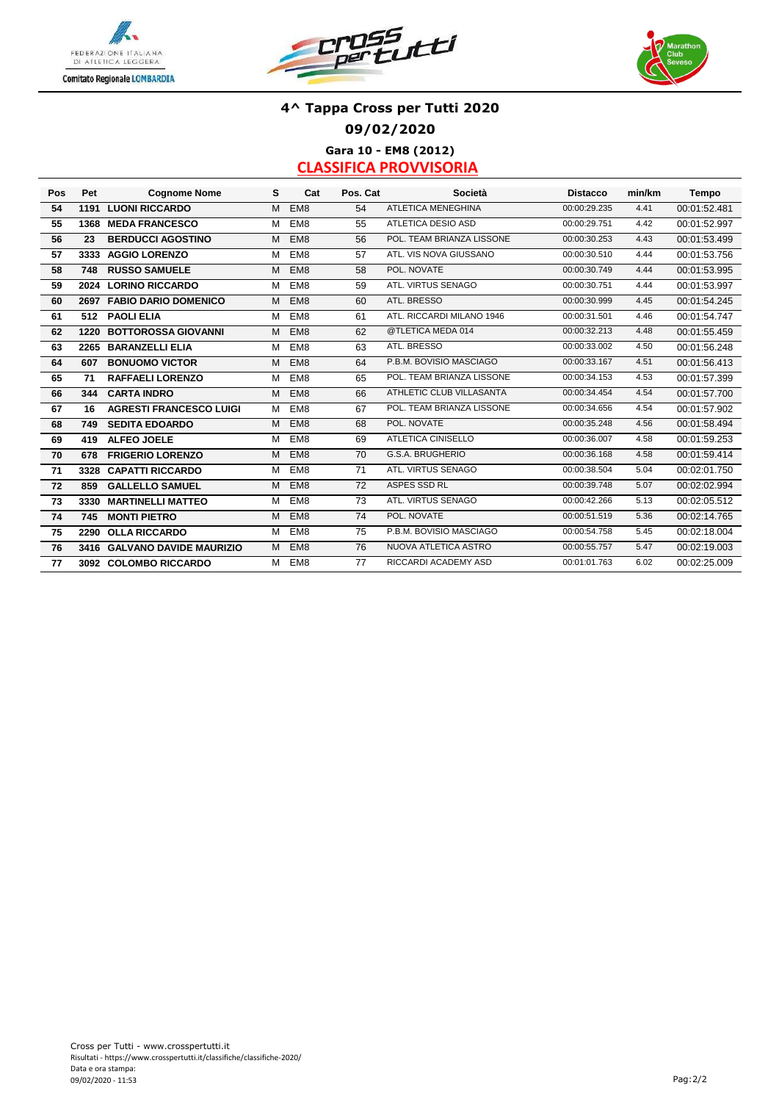





### **4^ Tappa Cross per Tutti 2020 09/02/2020 Gara 10 - EM8 (2012)**

| Pos | Pet  | <b>Cognome Nome</b>            | s | Cat             | Pos. Cat | Società                   | <b>Distacco</b> | min/km | Tempo        |
|-----|------|--------------------------------|---|-----------------|----------|---------------------------|-----------------|--------|--------------|
| 54  | 1191 | <b>LUONI RICCARDO</b>          | M | EM <sub>8</sub> | 54       | <b>ATLETICA MENEGHINA</b> | 00:00:29.235    | 4.41   | 00:01:52.481 |
| 55  |      | 1368 MEDA FRANCESCO            | M | EM <sub>8</sub> | 55       | <b>ATLETICA DESIO ASD</b> | 00:00:29.751    | 4.42   | 00:01:52.997 |
| 56  | 23   | <b>BERDUCCI AGOSTINO</b>       | M | EM <sub>8</sub> | 56       | POL. TEAM BRIANZA LISSONE | 00:00:30.253    | 4.43   | 00:01:53.499 |
| 57  |      | 3333 AGGIO LORENZO             | м | EM <sub>8</sub> | 57       | ATL. VIS NOVA GIUSSANO    | 00:00:30.510    | 4.44   | 00:01:53.756 |
| 58  | 748  | <b>RUSSO SAMUELE</b>           | M | EM <sub>8</sub> | 58       | POL. NOVATE               | 00:00:30.749    | 4.44   | 00:01:53.995 |
| 59  |      | 2024 LORINO RICCARDO           | M | EM <sub>8</sub> | 59       | ATL. VIRTUS SENAGO        | 00:00:30.751    | 4.44   | 00:01:53.997 |
| 60  |      | 2697 FABIO DARIO DOMENICO      | м | EM <sub>8</sub> | 60       | ATL. BRESSO               | 00:00:30.999    | 4.45   | 00:01:54.245 |
| 61  | 512  | <b>PAOLI ELIA</b>              | м | EM <sub>8</sub> | 61       | ATL. RICCARDI MILANO 1946 | 00:00:31.501    | 4.46   | 00:01:54.747 |
| 62  | 1220 | <b>BOTTOROSSA GIOVANNI</b>     | M | EM <sub>8</sub> | 62       | @TLETICA MEDA 014         | 00:00:32.213    | 4.48   | 00:01:55.459 |
| 63  |      | 2265 BARANZELLI ELIA           | M | EM <sub>8</sub> | 63       | ATL. BRESSO               | 00:00:33.002    | 4.50   | 00:01:56.248 |
| 64  | 607  | <b>BONUOMO VICTOR</b>          | М | EM <sub>8</sub> | 64       | P.B.M. BOVISIO MASCIAGO   | 00:00:33.167    | 4.51   | 00:01:56.413 |
| 65  | 71   | <b>RAFFAELI LORENZO</b>        | M | EM <sub>8</sub> | 65       | POL. TEAM BRIANZA LISSONE | 00:00:34.153    | 4.53   | 00:01:57.399 |
| 66  | 344  | <b>CARTA INDRO</b>             | M | EM <sub>8</sub> | 66       | ATHLETIC CLUB VILLASANTA  | 00:00:34.454    | 4.54   | 00:01:57.700 |
| 67  | 16   | <b>AGRESTI FRANCESCO LUIGI</b> | M | EM <sub>8</sub> | 67       | POL. TEAM BRIANZA LISSONE | 00:00:34.656    | 4.54   | 00:01:57.902 |
| 68  | 749  | <b>SEDITA EDOARDO</b>          | M | EM <sub>8</sub> | 68       | POL. NOVATE               | 00:00:35.248    | 4.56   | 00:01:58.494 |
| 69  | 419  | <b>ALFEO JOELE</b>             | M | EM <sub>8</sub> | 69       | <b>ATLETICA CINISELLO</b> | 00:00:36.007    | 4.58   | 00:01:59.253 |
| 70  | 678  | <b>FRIGERIO LORENZO</b>        | M | EM <sub>8</sub> | 70       | G.S.A. BRUGHERIO          | 00:00:36.168    | 4.58   | 00:01:59.414 |
| 71  | 3328 | <b>CAPATTI RICCARDO</b>        | M | EM <sub>8</sub> | 71       | ATL. VIRTUS SENAGO        | 00:00:38.504    | 5.04   | 00:02:01.750 |
| 72  | 859  | <b>GALLELLO SAMUEL</b>         | М | EM <sub>8</sub> | 72       | ASPES SSD RL              | 00:00:39.748    | 5.07   | 00:02:02.994 |
| 73  | 3330 | <b>MARTINELLI MATTEO</b>       | M | EM <sub>8</sub> | 73       | ATL. VIRTUS SENAGO        | 00:00:42.266    | 5.13   | 00:02:05.512 |
| 74  | 745  | <b>MONTI PIETRO</b>            | M | EM <sub>8</sub> | 74       | POL. NOVATE               | 00:00:51.519    | 5.36   | 00:02:14.765 |
| 75  |      | 2290 OLLA RICCARDO             | M | EM <sub>8</sub> | 75       | P.B.M. BOVISIO MASCIAGO   | 00:00:54.758    | 5.45   | 00:02:18.004 |
| 76  |      | 3416 GALVANO DAVIDE MAURIZIO   | М | EM <sub>8</sub> | 76       | NUOVA ATLETICA ASTRO      | 00:00:55.757    | 5.47   | 00:02:19.003 |
| 77  |      | 3092 COLOMBO RICCARDO          | м | EM <sub>8</sub> | 77       | RICCARDI ACADEMY ASD      | 00:01:01.763    | 6.02   | 00:02:25.009 |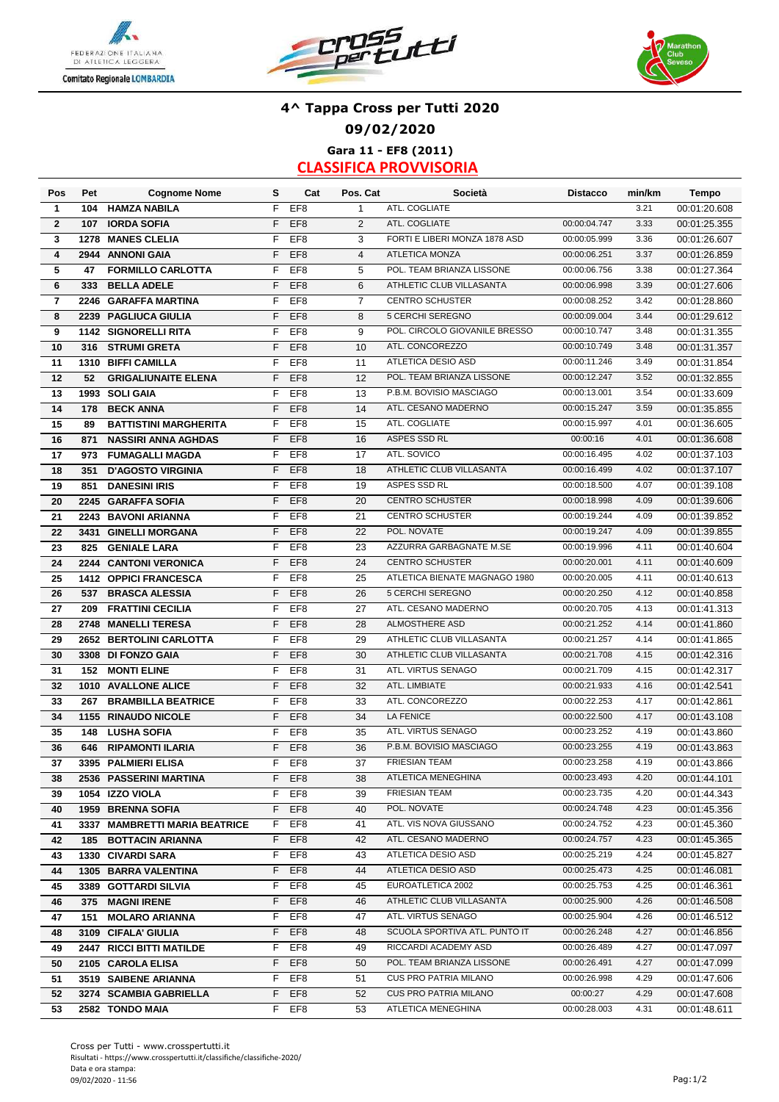





### **4^ Tappa Cross per Tutti 2020 09/02/2020 Gara 11 - EF8 (2011)**

| Pos                     | Pet  | <b>Cognome Nome</b>           | s  | Cat             | Pos. Cat       | Società                       | <b>Distacco</b> | min/km | Tempo        |
|-------------------------|------|-------------------------------|----|-----------------|----------------|-------------------------------|-----------------|--------|--------------|
| $\mathbf{1}$            | 104  | <b>HAMZA NABILA</b>           | F  | EF <sub>8</sub> | $\mathbf{1}$   | ATL. COGLIATE                 |                 | 3.21   | 00:01:20.608 |
| $\overline{2}$          | 107  | <b>IORDA SOFIA</b>            | F  | EF <sub>8</sub> | 2              | ATL. COGLIATE                 | 00:00:04.747    | 3.33   | 00:01:25.355 |
| 3                       | 1278 | <b>MANES CLELIA</b>           | F  | EF <sub>8</sub> | 3              | FORTI E LIBERI MONZA 1878 ASD | 00:00:05.999    | 3.36   | 00:01:26.607 |
| $\overline{\mathbf{4}}$ |      | 2944 ANNONI GAIA              | F  | EF <sub>8</sub> | $\overline{4}$ | <b>ATLETICA MONZA</b>         | 00:00:06.251    | 3.37   | 00:01:26.859 |
| 5                       | 47   | <b>FORMILLO CARLOTTA</b>      | F  | EF <sub>8</sub> | 5              | POL. TEAM BRIANZA LISSONE     | 00:00:06.756    | 3.38   | 00:01:27.364 |
| 6                       | 333  | <b>BELLA ADELE</b>            | F  | EF <sub>8</sub> | 6              | ATHLETIC CLUB VILLASANTA      | 00:00:06.998    | 3.39   | 00:01:27.606 |
| $\overline{\mathbf{r}}$ |      | 2246 GARAFFA MARTINA          | F  | EF <sub>8</sub> | $\overline{7}$ | <b>CENTRO SCHUSTER</b>        | 00:00:08.252    | 3.42   | 00:01:28.860 |
| 8                       |      | 2239 PAGLIUCA GIULIA          | F  | EF <sub>8</sub> | 8              | 5 CERCHI SEREGNO              | 00:00:09.004    | 3.44   | 00:01:29.612 |
| 9                       |      | 1142 SIGNORELLI RITA          | F  | EF <sub>8</sub> | 9              | POL. CIRCOLO GIOVANILE BRESSO | 00:00:10.747    | 3.48   | 00:01:31.355 |
| 10                      | 316  | <b>STRUMI GRETA</b>           | F  | EF <sub>8</sub> | 10             | ATL. CONCOREZZO               | 00:00:10.749    | 3.48   | 00:01:31.357 |
| 11                      |      | 1310 BIFFI CAMILLA            | F  | EF <sub>8</sub> | 11             | ATLETICA DESIO ASD            | 00:00:11.246    | 3.49   | 00:01:31.854 |
| 12                      | 52   | <b>GRIGALIUNAITE ELENA</b>    | F  | EF <sub>8</sub> | 12             | POL. TEAM BRIANZA LISSONE     | 00:00:12.247    | 3.52   | 00:01:32.855 |
| 13                      |      | 1993 SOLI GAIA                | F  | EF <sub>8</sub> | 13             | P.B.M. BOVISIO MASCIAGO       | 00:00:13.001    | 3.54   | 00:01:33.609 |
| 14                      | 178  | <b>BECK ANNA</b>              | F  | EF <sub>8</sub> | 14             | ATL. CESANO MADERNO           | 00:00:15.247    | 3.59   | 00:01:35.855 |
| 15                      | 89   | <b>BATTISTINI MARGHERITA</b>  | F  | EF <sub>8</sub> | 15             | ATL. COGLIATE                 | 00:00:15.997    | 4.01   | 00:01:36.605 |
| 16                      | 871  | <b>NASSIRI ANNA AGHDAS</b>    | F  | EF <sub>8</sub> | 16             | ASPES SSD RL                  | 00:00:16        | 4.01   | 00:01:36.608 |
| 17                      | 973  | <b>FUMAGALLI MAGDA</b>        | F  | EF <sub>8</sub> | 17             | ATL. SOVICO                   | 00:00:16.495    | 4.02   | 00:01:37.103 |
| 18                      | 351  | <b>D'AGOSTO VIRGINIA</b>      | F  | EF <sub>8</sub> | 18             | ATHLETIC CLUB VILLASANTA      | 00:00:16.499    | 4.02   | 00:01:37.107 |
| 19                      | 851  | <b>DANESINI IRIS</b>          | F  | EF <sub>8</sub> | 19             | ASPES SSD RL                  | 00:00:18.500    | 4.07   | 00:01:39.108 |
| 20                      |      | 2245 GARAFFA SOFIA            | F  | EF <sub>8</sub> | 20             | <b>CENTRO SCHUSTER</b>        | 00:00:18.998    | 4.09   | 00:01:39.606 |
| 21                      |      | 2243 BAVONI ARIANNA           | F  | EF <sub>8</sub> | 21             | <b>CENTRO SCHUSTER</b>        | 00:00:19.244    | 4.09   | 00:01:39.852 |
| 22                      |      | 3431 GINELLI MORGANA          | F  | EF <sub>8</sub> | 22             | POL. NOVATE                   | 00:00:19.247    | 4.09   | 00:01:39.855 |
| 23                      | 825  | <b>GENIALE LARA</b>           | F  | EF <sub>8</sub> | 23             | AZZURRA GARBAGNATE M.SE       | 00:00:19.996    | 4.11   | 00:01:40.604 |
| 24                      |      | 2244 CANTONI VERONICA         | F  | EF <sub>8</sub> | 24             | <b>CENTRO SCHUSTER</b>        | 00:00:20.001    | 4.11   | 00:01:40.609 |
| 25                      |      | 1412 OPPICI FRANCESCA         | F  | EF <sub>8</sub> | 25             | ATLETICA BIENATE MAGNAGO 1980 | 00:00:20.005    | 4.11   | 00:01:40.613 |
| 26                      | 537  | <b>BRASCA ALESSIA</b>         | F  | EF <sub>8</sub> | 26             | 5 CERCHI SEREGNO              | 00:00:20.250    | 4.12   | 00:01:40.858 |
| 27                      | 209  | <b>FRATTINI CECILIA</b>       | F  | EF <sub>8</sub> | 27             | ATL. CESANO MADERNO           | 00:00:20.705    | 4.13   | 00:01:41.313 |
| 28                      | 2748 | <b>MANELLI TERESA</b>         | F  | EF <sub>8</sub> | 28             | ALMOSTHERE ASD                | 00:00:21.252    | 4.14   | 00:01:41.860 |
| 29                      |      | 2652 BERTOLINI CARLOTTA       | F  | EF <sub>8</sub> | 29             | ATHLETIC CLUB VILLASANTA      | 00:00:21.257    | 4.14   | 00:01:41.865 |
| 30                      |      | 3308 DI FONZO GAIA            | F  | EF <sub>8</sub> | 30             | ATHLETIC CLUB VILLASANTA      | 00:00:21.708    | 4.15   | 00:01:42.316 |
| 31                      | 152  | <b>MONTI ELINE</b>            | F  | EF <sub>8</sub> | 31             | ATL. VIRTUS SENAGO            | 00:00:21.709    | 4.15   | 00:01:42.317 |
| 32                      |      | 1010 AVALLONE ALICE           | F  | EF <sub>8</sub> | 32             | ATL. LIMBIATE                 | 00:00:21.933    | 4.16   | 00:01:42.541 |
| 33                      | 267  | <b>BRAMBILLA BEATRICE</b>     | F  | EF <sub>8</sub> | 33             | ATL. CONCOREZZO               | 00:00:22.253    | 4.17   | 00:01:42.861 |
| 34                      |      | 1155 RINAUDO NICOLE           | F  | EF <sub>8</sub> | 34             | LA FENICE                     | 00:00:22.500    | 4.17   | 00:01:43.108 |
| 35                      | 148  | <b>LUSHA SOFIA</b>            | F  | EF8             | 35             | ATL. VIRTUS SENAGO            | 00:00:23.252    | 4.19   | 00:01:43.860 |
| 36                      | 646  | <b>RIPAMONTI ILARIA</b>       | F  | EF <sub>8</sub> | 36             | P.B.M. BOVISIO MASCIAGO       | 00:00:23.255    | 4.19   | 00:01:43.863 |
| 37                      |      | 3395 PALMIERI ELISA           | F  | EF <sub>8</sub> | 37             | <b>FRIESIAN TEAM</b>          | 00:00:23.258    | 4.19   | 00:01:43.866 |
| 38                      |      | 2536 PASSERINI MARTINA        |    | F EF8           | 38             | ATLETICA MENEGHINA            | 00:00:23.493    | 4.20   | 00:01:44.101 |
| 39                      |      | 1054 IZZO VIOLA               | F. | EF8             | 39             | <b>FRIESIAN TEAM</b>          | 00:00:23.735    | 4.20   | 00:01:44.343 |
| 40                      |      | 1959 BRENNA SOFIA             |    | F EF8           | 40             | POL. NOVATE                   | 00:00:24.748    | 4.23   | 00:01:45.356 |
| 41                      |      | 3337 MAMBRETTI MARIA BEATRICE |    | F EF8           | 41             | ATL. VIS NOVA GIUSSANO        | 00:00:24.752    | 4.23   | 00:01:45.360 |
| 42                      |      | 185 BOTTACIN ARIANNA          | F. | EF8             | 42             | ATL. CESANO MADERNO           | 00:00:24.757    | 4.23   | 00:01:45.365 |
| 43                      |      | 1330 CIVARDI SARA             | F. | EF8             | 43             | ATLETICA DESIO ASD            | 00:00:25.219    | 4.24   | 00:01:45.827 |
| 44                      |      | 1305 BARRA VALENTINA          | F. | EF8             | 44             | ATLETICA DESIO ASD            | 00:00:25.473    | 4.25   | 00:01:46.081 |
| 45                      |      | 3389 GOTTARDI SILVIA          | F. | EF8             | 45             | EUROATLETICA 2002             | 00:00:25.753    | 4.25   | 00:01:46.361 |
| 46                      |      | 375 MAGNI IRENE               | F. | EF8             | 46             | ATHLETIC CLUB VILLASANTA      | 00:00:25.900    | 4.26   | 00:01:46.508 |
| 47                      |      | 151 MOLARO ARIANNA            | F. | EF8             | 47             | ATL. VIRTUS SENAGO            | 00:00:25.904    | 4.26   | 00:01:46.512 |
| 48                      |      | 3109 CIFALA' GIULIA           | F. | EF8             | 48             | SCUOLA SPORTIVA ATL. PUNTO IT | 00:00:26.248    | 4.27   | 00:01:46.856 |
| 49                      |      | 2447 RICCI BITTI MATILDE      | F. | EF8             | 49             | RICCARDI ACADEMY ASD          | 00:00:26.489    | 4.27   | 00:01:47.097 |
| 50                      |      | 2105 CAROLA ELISA             | F. | EF8             | 50             | POL. TEAM BRIANZA LISSONE     | 00:00:26.491    | 4.27   | 00:01:47.099 |
| 51                      |      | 3519 SAIBENE ARIANNA          | F. | EF8             | 51             | CUS PRO PATRIA MILANO         | 00:00:26.998    | 4.29   | 00:01:47.606 |
| 52                      |      | 3274 SCAMBIA GABRIELLA        | F. | EF <sub>8</sub> | 52             | <b>CUS PRO PATRIA MILANO</b>  | 00:00:27        | 4.29   | 00:01:47.608 |
| 53                      |      | 2582 TONDO MAIA               |    | F EF8           | 53             | ATLETICA MENEGHINA            | 00:00:28.003    | 4.31   | 00:01:48.611 |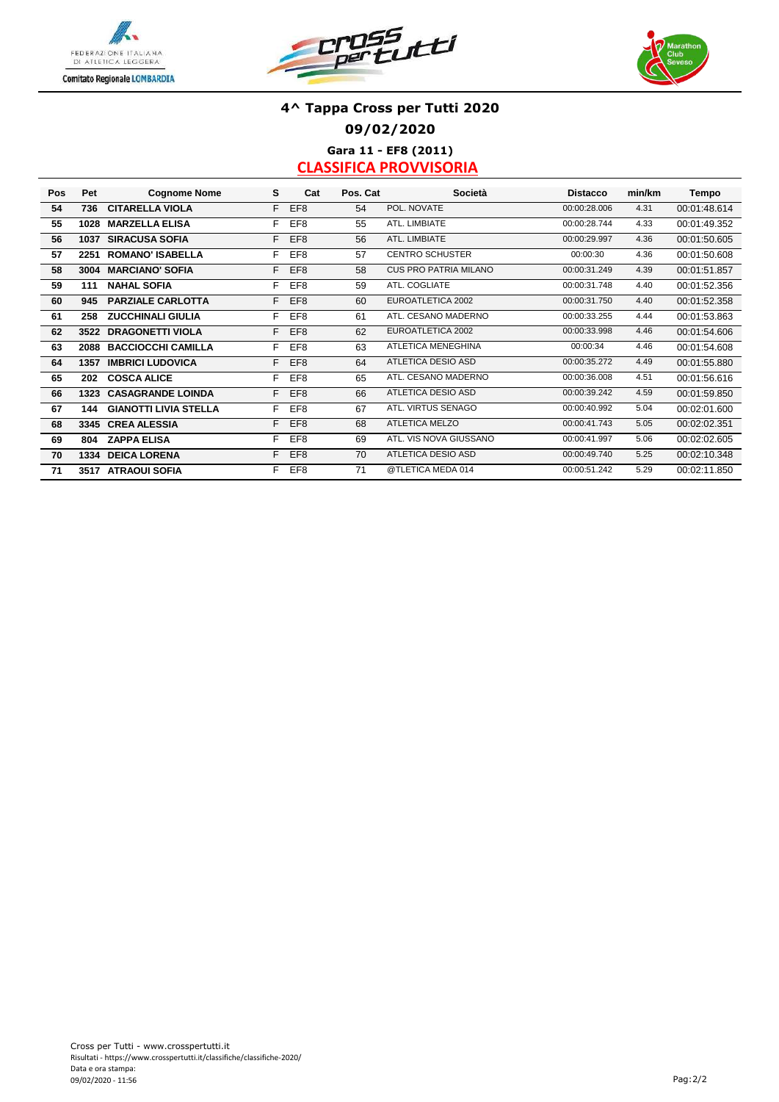





### **4^ Tappa Cross per Tutti 2020 09/02/2020 Gara 11 - EF8 (2011)**

| Pos | Pet  | <b>Cognome Nome</b>           | s  | Cat             | Pos. Cat | Società                      | <b>Distacco</b> | min/km | Tempo        |
|-----|------|-------------------------------|----|-----------------|----------|------------------------------|-----------------|--------|--------------|
| 54  | 736  | <b>CITARELLA VIOLA</b>        | F. | EF <sub>8</sub> | 54       | POL. NOVATE                  | 00:00:28.006    | 4.31   | 00:01:48.614 |
| 55  | 1028 | <b>MARZELLA ELISA</b>         | F. | EF8             | 55       | ATL. LIMBIATE                | 00:00:28.744    | 4.33   | 00:01:49.352 |
| 56  | 1037 | <b>SIRACUSA SOFIA</b>         | F. | EF <sub>8</sub> | 56       | ATL. LIMBIATE                | 00:00:29.997    | 4.36   | 00:01:50.605 |
| 57  | 2251 | <b>ROMANO' ISABELLA</b>       | F. | EF8             | 57       | <b>CENTRO SCHUSTER</b>       | 00:00:30        | 4.36   | 00:01:50.608 |
| 58  | 3004 | <b>MARCIANO' SOFIA</b>        | F. | EF <sub>8</sub> | 58       | <b>CUS PRO PATRIA MILANO</b> | 00:00:31.249    | 4.39   | 00:01:51.857 |
| 59  | 111  | <b>NAHAL SOFIA</b>            | F. | EF <sub>8</sub> | 59       | ATL. COGLIATE                | 00:00:31.748    | 4.40   | 00:01:52.356 |
| 60  | 945  | <b>PARZIALE CARLOTTA</b>      | F. | EF <sub>8</sub> | 60       | EUROATLETICA 2002            | 00:00:31.750    | 4.40   | 00:01:52.358 |
| 61  | 258  | <b>ZUCCHINALI GIULIA</b>      | F. | EF8             | 61       | ATL. CESANO MADERNO          | 00:00:33.255    | 4.44   | 00:01:53.863 |
| 62  |      | 3522 DRAGONETTI VIOLA         | F. | EF <sub>8</sub> | 62       | EUROATLETICA 2002            | 00:00:33.998    | 4.46   | 00:01:54.606 |
| 63  | 2088 | <b>BACCIOCCHI CAMILLA</b>     | F. | EF8             | 63       | <b>ATLETICA MENEGHINA</b>    | 00:00:34        | 4.46   | 00:01:54.608 |
| 64  | 1357 | <b>IMBRICI LUDOVICA</b>       | F. | EF <sub>8</sub> | 64       | <b>ATLETICA DESIO ASD</b>    | 00:00:35.272    | 4.49   | 00:01:55.880 |
| 65  | 202  | <b>COSCA ALICE</b>            | F. | EF <sub>8</sub> | 65       | ATL. CESANO MADERNO          | 00:00:36.008    | 4.51   | 00:01:56.616 |
| 66  |      | <b>1323 CASAGRANDE LOINDA</b> | F. | EF <sub>8</sub> | 66       | <b>ATLETICA DESIO ASD</b>    | 00:00:39.242    | 4.59   | 00:01:59.850 |
| 67  | 144  | <b>GIANOTTI LIVIA STELLA</b>  | F. | EF <sub>8</sub> | 67       | ATL. VIRTUS SENAGO           | 00:00:40.992    | 5.04   | 00:02:01.600 |
| 68  |      | 3345 CREA ALESSIA             | F. | EF <sub>8</sub> | 68       | <b>ATLETICA MELZO</b>        | 00:00:41.743    | 5.05   | 00:02:02.351 |
| 69  | 804  | <b>ZAPPA ELISA</b>            | F. | EF <sub>8</sub> | 69       | ATL. VIS NOVA GIUSSANO       | 00:00:41.997    | 5.06   | 00:02:02.605 |
| 70  |      | <b>1334 DEICA LORENA</b>      | F. | EF <sub>8</sub> | 70       | <b>ATLETICA DESIO ASD</b>    | 00:00:49.740    | 5.25   | 00:02:10.348 |
| 71  |      | 3517 ATRAOUI SOFIA            | F. | EF8             | 71       | @TLETICA MEDA 014            | 00:00:51.242    | 5.29   | 00:02:11.850 |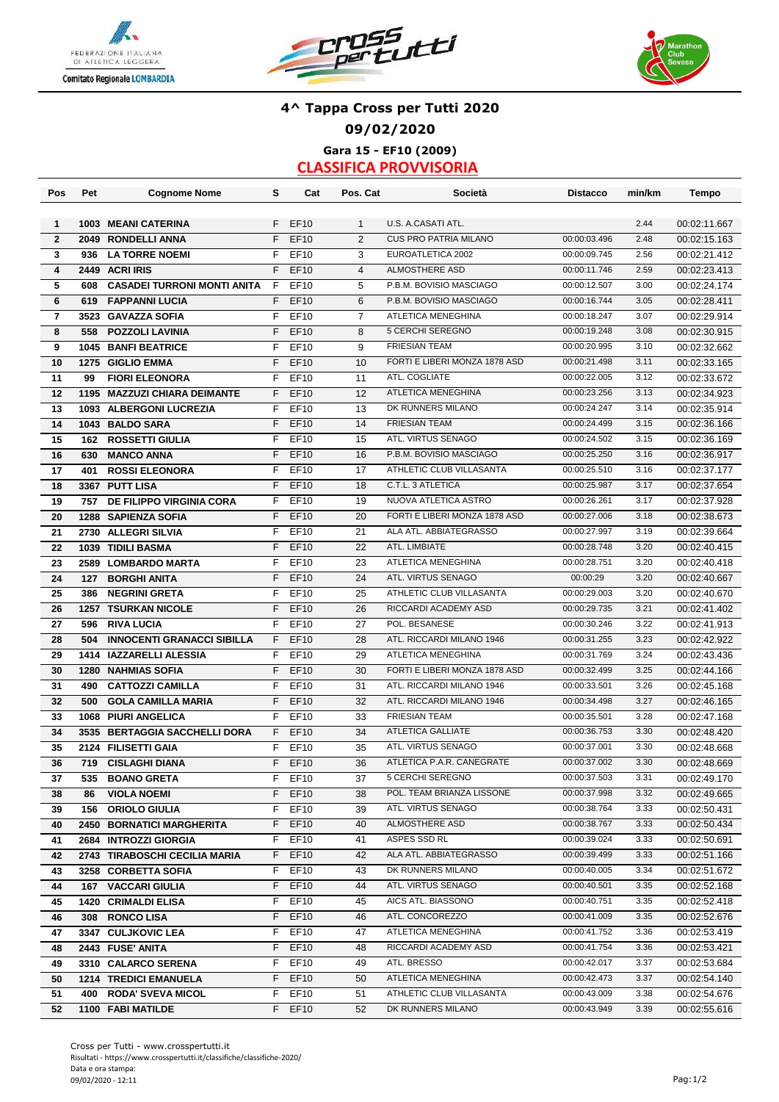





### **4^ Tappa Cross per Tutti 2020 09/02/2020 Gara 15 - EF10 (2009)**

| Pos                     | Pet | <b>Cognome Nome</b>                | s  | Cat              | Pos. Cat       | Società                       | <b>Distacco</b> | min/km | Tempo        |
|-------------------------|-----|------------------------------------|----|------------------|----------------|-------------------------------|-----------------|--------|--------------|
|                         |     |                                    |    |                  |                |                               |                 |        |              |
| $\mathbf{1}$            |     | 1003 MEANI CATERINA                | F. | EF10             | $\mathbf{1}$   | U.S. A.CASATI ATL.            |                 | 2.44   | 00:02:11.667 |
| $\overline{2}$          |     | 2049 RONDELLI ANNA                 | F  | <b>EF10</b>      | $\overline{2}$ | <b>CUS PRO PATRIA MILANO</b>  | 00:00:03.496    | 2.48   | 00:02:15.163 |
| 3                       | 936 | <b>LA TORRE NOEMI</b>              | F  | EF10             | 3              | EUROATLETICA 2002             | 00:00:09.745    | 2.56   | 00:02:21.412 |
| $\overline{\mathbf{4}}$ |     | 2449 ACRI IRIS                     | F  | <b>EF10</b>      | $\overline{4}$ | <b>ALMOSTHERE ASD</b>         | 00:00:11.746    | 2.59   | 00:02:23.413 |
| 5                       | 608 | <b>CASADEI TURRONI MONTI ANITA</b> | F  | EF10             | 5              | P.B.M. BOVISIO MASCIAGO       | 00:00:12.507    | 3.00   | 00:02:24.174 |
| 6                       | 619 | <b>FAPPANNI LUCIA</b>              | F  | <b>EF10</b>      | 6              | P.B.M. BOVISIO MASCIAGO       | 00:00:16.744    | 3.05   | 00:02:28.411 |
| $\overline{7}$          |     | 3523 GAVAZZA SOFIA                 | F  | EF10             | $\overline{7}$ | ATLETICA MENEGHINA            | 00:00:18.247    | 3.07   | 00:02:29.914 |
| 8                       | 558 | <b>POZZOLI LAVINIA</b>             | F  | EF10             | 8              | 5 CERCHI SEREGNO              | 00:00:19.248    | 3.08   | 00:02:30.915 |
| 9                       |     | <b>1045 BANFI BEATRICE</b>         | F  | EF10             | 9              | <b>FRIESIAN TEAM</b>          | 00:00:20.995    | 3.10   | 00:02:32.662 |
| 10                      |     | 1275 GIGLIO EMMA                   | F  | EF10             | 10             | FORTI E LIBERI MONZA 1878 ASD | 00:00:21.498    | 3.11   | 00:02:33.165 |
| 11                      | 99  | <b>FIORI ELEONORA</b>              | F  | EF10             | 11             | ATL. COGLIATE                 | 00:00:22.005    | 3.12   | 00:02:33.672 |
| 12                      |     | 1195 MAZZUZI CHIARA DEIMANTE       | F  | <b>EF10</b>      | 12             | ATLETICA MENEGHINA            | 00:00:23.256    | 3.13   | 00:02:34.923 |
| 13                      |     | 1093 ALBERGONI LUCREZIA            | F  | EF10             | 13             | DK RUNNERS MILANO             | 00:00:24.247    | 3.14   | 00:02:35.914 |
| 14                      |     | 1043 BALDO SARA                    | F  | <b>EF10</b>      | 14             | <b>FRIESIAN TEAM</b>          | 00:00:24.499    | 3.15   | 00:02:36.166 |
| 15                      | 162 | <b>ROSSETTI GIULIA</b>             | F  | EF10             | 15             | ATL. VIRTUS SENAGO            | 00:00:24.502    | 3.15   | 00:02:36.169 |
| 16                      | 630 | <b>MANCO ANNA</b>                  | F  | <b>EF10</b>      | 16             | P.B.M. BOVISIO MASCIAGO       | 00:00:25.250    | 3.16   | 00:02:36.917 |
| 17                      | 401 | <b>ROSSI ELEONORA</b>              | F  | EF10             | 17             | ATHLETIC CLUB VILLASANTA      | 00:00:25.510    | 3.16   | 00:02:37.177 |
| 18                      |     | 3367 PUTT LISA                     | F  | <b>EF10</b>      | 18             | C.T.L. 3 ATLETICA             | 00:00:25.987    | 3.17   | 00:02:37.654 |
|                         |     | DE FILIPPO VIRGINIA CORA           | F  | EF10             | 19             | NUOVA ATLETICA ASTRO          | 00:00:26.261    | 3.17   | 00:02:37.928 |
| 19                      | 757 |                                    | F. | EF10             | 20             | FORTI E LIBERI MONZA 1878 ASD | 00:00:27.006    | 3.18   | 00:02:38.673 |
| 20                      |     | 1288 SAPIENZA SOFIA                |    |                  |                | ALA ATL. ABBIATEGRASSO        |                 |        |              |
| 21                      |     | 2730 ALLEGRI SILVIA                | F  | EF10             | 21             |                               | 00:00:27.997    | 3.19   | 00:02:39.664 |
| 22                      |     | 1039 TIDILI BASMA                  | F  | EF10             | 22             | ATL. LIMBIATE                 | 00:00:28.748    | 3.20   | 00:02:40.415 |
| 23                      |     | 2589 LOMBARDO MARTA                | F  | EF10             | 23             | ATLETICA MENEGHINA            | 00:00:28.751    | 3.20   | 00:02:40.418 |
| 24                      | 127 | <b>BORGHI ANITA</b>                | F  | <b>EF10</b>      | 24             | ATL. VIRTUS SENAGO            | 00:00:29        | 3.20   | 00:02:40.667 |
| 25                      | 386 | <b>NEGRINI GRETA</b>               | F  | EF10             | 25             | ATHLETIC CLUB VILLASANTA      | 00:00:29.003    | 3.20   | 00:02:40.670 |
| 26                      |     | 1257 TSURKAN NICOLE                | F  | EF10             | 26             | RICCARDI ACADEMY ASD          | 00:00:29.735    | 3.21   | 00:02:41.402 |
| 27                      | 596 | <b>RIVA LUCIA</b>                  | F. | EF10             | 27             | POL. BESANESE                 | 00:00:30.246    | 3.22   | 00:02:41.913 |
| 28                      | 504 | <b>INNOCENTI GRANACCI SIBILLA</b>  | F. | <b>EF10</b>      | 28             | ATL. RICCARDI MILANO 1946     | 00:00:31.255    | 3.23   | 00:02:42.922 |
| 29                      |     | 1414 IAZZARELLI ALESSIA            | F. | EF10             | 29             | ATLETICA MENEGHINA            | 00:00:31.769    | 3.24   | 00:02:43.436 |
| 30                      |     | <b>1280 NAHMIAS SOFIA</b>          | F  | <b>EF10</b>      | 30             | FORTI E LIBERI MONZA 1878 ASD | 00:00:32.499    | 3.25   | 00:02:44.166 |
| 31                      | 490 | <b>CATTOZZI CAMILLA</b>            | F  | EF10             | 31             | ATL. RICCARDI MILANO 1946     | 00:00:33.501    | 3.26   | 00:02:45.168 |
| 32                      | 500 | <b>GOLA CAMILLA MARIA</b>          | F  | <b>EF10</b>      | 32             | ATL. RICCARDI MILANO 1946     | 00:00:34.498    | 3.27   | 00:02:46.165 |
| 33                      |     | 1068 PIURI ANGELICA                | F  | EF10             | 33             | <b>FRIESIAN TEAM</b>          | 00:00:35.501    | 3.28   | 00:02:47.168 |
| 34                      |     | 3535 BERTAGGIA SACCHELLI DORA      | F  | EF10             | 34             | <b>ATLETICA GALLIATE</b>      | 00:00:36.753    | 3.30   | 00:02:48.420 |
| 35                      |     | 2124 FILISETTI GAIA                | F  | EF10             | 35             | ATL. VIRTUS SENAGO            | 00:00:37.001    | 3.30   | 00:02:48.668 |
| 36                      | 719 | <b>CISLAGHI DIANA</b>              | F  | EF10             | 36             | ATLETICA P.A.R. CANEGRATE     | 00:00:37.002    | 3.30   | 00:02:48.669 |
| 37                      |     | 535 BOANO GRETA                    |    | $F$ EF10         | 37             | 5 CERCHI SEREGNO              | 00:00:37.503    | 3.31   | 00:02:49.170 |
| 38                      | 86  | <b>VIOLA NOEMI</b>                 |    | F EF10           | 38             | POL. TEAM BRIANZA LISSONE     | 00:00:37.998    | 3.32   | 00:02:49.665 |
| 39                      |     | 156 ORIOLO GIULIA                  |    | F EF10           | 39             | ATL. VIRTUS SENAGO            | 00:00:38.764    | 3.33   | 00:02:50.431 |
| 40                      |     | 2450 BORNATICI MARGHERITA          | F. | EF10             | 40             | ALMOSTHERE ASD                | 00:00:38.767    | 3.33   | 00:02:50.434 |
| 41                      |     | 2684 INTROZZI GIORGIA              | F. | EF <sub>10</sub> | 41             | ASPES SSD RL                  | 00:00:39.024    | 3.33   | 00:02:50.691 |
| 42                      |     | 2743 TIRABOSCHI CECILIA MARIA      | F. | EF10             | 42             | ALA ATL. ABBIATEGRASSO        | 00:00:39.499    | 3.33   | 00:02:51.166 |
| 43                      |     | 3258 CORBETTA SOFIA                | F. | EF10             | 43             | DK RUNNERS MILANO             | 00:00:40.005    | 3.34   | 00:02:51.672 |
| 44                      |     | 167 VACCARI GIULIA                 | F. | EF10             | 44             | ATL. VIRTUS SENAGO            | 00:00:40.501    | 3.35   | 00:02:52.168 |
| 45                      |     | 1420 CRIMALDI ELISA                |    | F EF10           | 45             | AICS ATL. BIASSONO            | 00:00:40.751    | 3.35   | 00:02:52.418 |
| 46                      |     | 308 RONCO LISA                     |    | F EF10           | 46             | ATL. CONCOREZZO               | 00:00:41.009    | 3.35   | 00:02:52.676 |
| 47                      |     | 3347 CULJKOVIC LEA                 |    | F EF10           | 47             | ATLETICA MENEGHINA            | 00:00:41.752    | 3.36   | 00:02:53.419 |
| 48                      |     | 2443 FUSE' ANITA                   |    | F EF10           | 48             | RICCARDI ACADEMY ASD          | 00:00:41.754    | 3.36   | 00:02:53.421 |
| 49                      |     | 3310 CALARCO SERENA                |    | F EF10           | 49             | ATL. BRESSO                   | 00:00:42.017    | 3.37   | 00:02:53.684 |
| 50                      |     | 1214 TREDICI EMANUELA              |    | F EF10           | 50             | ATLETICA MENEGHINA            | 00:00:42.473    | 3.37   | 00:02:54.140 |
|                         |     |                                    |    |                  |                | ATHLETIC CLUB VILLASANTA      | 00:00:43.009    | 3.38   |              |
| 51                      |     | 400 RODA' SVEVA MICOL              |    | F EF10           | 51             |                               |                 |        | 00:02:54.676 |
| 52                      |     | 1100 FABI MATILDE                  |    | F EF10           | 52             | DK RUNNERS MILANO             | 00:00:43.949    | 3.39   | 00:02:55.616 |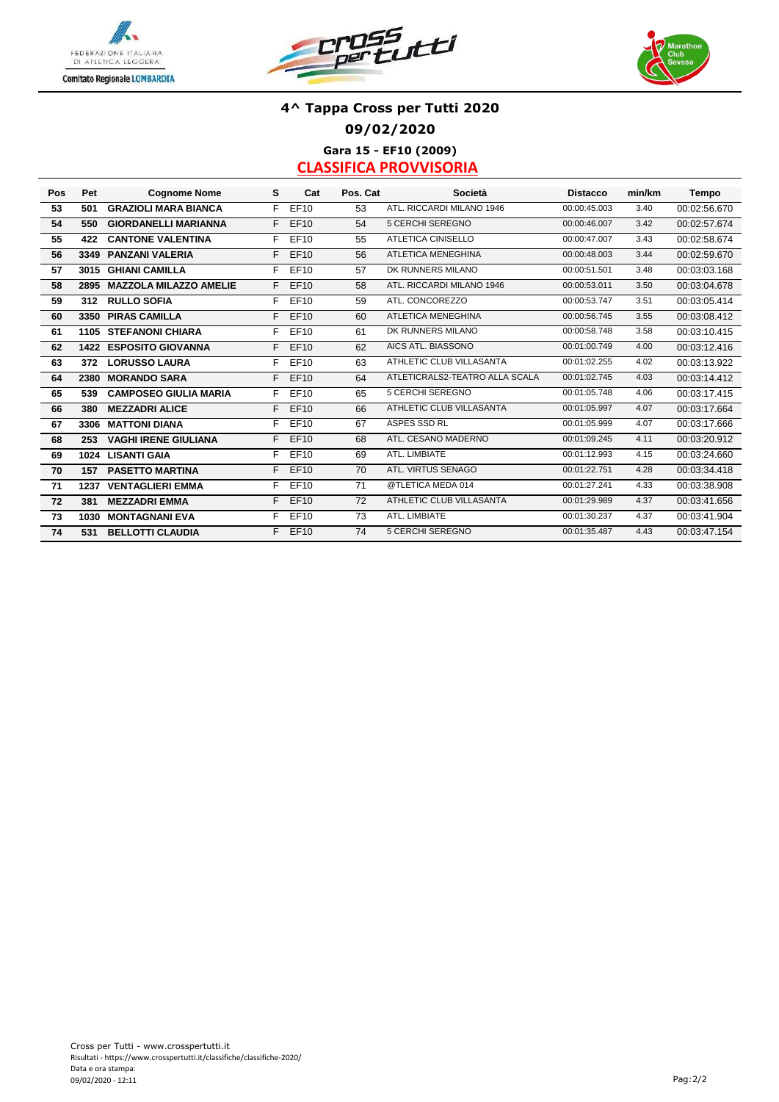





# **4^ Tappa Cross per Tutti 2020 09/02/2020 Gara 15 - EF10 (2009)**

| Pos | Pet  | <b>Cognome Nome</b>           | s  | Cat         | Pos. Cat | Società                        | <b>Distacco</b> | min/km | Tempo        |
|-----|------|-------------------------------|----|-------------|----------|--------------------------------|-----------------|--------|--------------|
| 53  | 501  | <b>GRAZIOLI MARA BIANCA</b>   | F. | EF10        | 53       | ATL. RICCARDI MILANO 1946      | 00:00:45.003    | 3.40   | 00:02:56.670 |
| 54  | 550  | <b>GIORDANELLI MARIANNA</b>   | F. | EF10        | 54       | 5 CERCHI SEREGNO               | 00:00:46.007    | 3.42   | 00:02:57.674 |
| 55  | 422  | <b>CANTONE VALENTINA</b>      | F. | EF10        | 55       | <b>ATLETICA CINISELLO</b>      | 00:00:47.007    | 3.43   | 00:02:58.674 |
| 56  | 3349 | <b>PANZANI VALERIA</b>        | F. | EF10        | 56       | <b>ATLETICA MENEGHINA</b>      | 00:00:48.003    | 3.44   | 00:02:59.670 |
| 57  |      | 3015 GHIANI CAMILLA           | F. | EF10        | 57       | DK RUNNERS MILANO              | 00:00:51.501    | 3.48   | 00:03:03.168 |
| 58  | 2895 | <b>MAZZOLA MILAZZO AMELIE</b> | F. | <b>EF10</b> | 58       | ATL. RICCARDI MILANO 1946      | 00:00:53.011    | 3.50   | 00:03:04.678 |
| 59  | 312  | <b>RULLO SOFIA</b>            | F. | EF10        | 59       | ATL. CONCOREZZO                | 00:00:53.747    | 3.51   | 00:03:05.414 |
| 60  |      | 3350 PIRAS CAMILLA            | F. | EF10        | 60       | <b>ATLETICA MENEGHINA</b>      | 00:00:56.745    | 3.55   | 00:03:08.412 |
| 61  |      | <b>1105 STEFANONI CHIARA</b>  | F. | EF10        | 61       | DK RUNNERS MILANO              | 00:00:58.748    | 3.58   | 00:03:10.415 |
| 62  |      | <b>1422 ESPOSITO GIOVANNA</b> | F. | EF10        | 62       | AICS ATL. BIASSONO             | 00:01:00.749    | 4.00   | 00:03:12.416 |
| 63  | 372  | <b>LORUSSO LAURA</b>          | F. | EF10        | 63       | ATHLETIC CLUB VILLASANTA       | 00:01:02.255    | 4.02   | 00:03:13.922 |
| 64  | 2380 | <b>MORANDO SARA</b>           | F. | <b>EF10</b> | 64       | ATLETICRALS2-TEATRO ALLA SCALA | 00:01:02.745    | 4.03   | 00:03:14.412 |
| 65  | 539  | <b>CAMPOSEO GIULIA MARIA</b>  | F. | EF10        | 65       | 5 CERCHI SEREGNO               | 00:01:05.748    | 4.06   | 00:03:17.415 |
| 66  | 380  | <b>MEZZADRI ALICE</b>         | F. | EF10        | 66       | ATHLETIC CLUB VILLASANTA       | 00:01:05.997    | 4.07   | 00:03:17.664 |
| 67  | 3306 | <b>MATTONI DIANA</b>          | F. | EF10        | 67       | ASPES SSD RL                   | 00:01:05.999    | 4.07   | 00:03:17.666 |
| 68  | 253  | <b>VAGHI IRENE GIULIANA</b>   | F. | <b>EF10</b> | 68       | ATL. CESANO MADERNO            | 00:01:09.245    | 4.11   | 00:03:20.912 |
| 69  |      | 1024 LISANTI GAIA             | F. | EF10        | 69       | ATL. LIMBIATE                  | 00:01:12.993    | 4.15   | 00:03:24.660 |
| 70  | 157  | <b>PASETTO MARTINA</b>        | F. | EF10        | 70       | ATL. VIRTUS SENAGO             | 00:01:22.751    | 4.28   | 00:03:34.418 |
| 71  | 1237 | <b>VENTAGLIERI EMMA</b>       | F. | EF10        | 71       | @TLETICA MEDA 014              | 00:01:27.241    | 4.33   | 00:03:38.908 |
| 72  | 381  | <b>MEZZADRI EMMA</b>          | F. | <b>EF10</b> | 72       | ATHLETIC CLUB VILLASANTA       | 00:01:29.989    | 4.37   | 00:03:41.656 |
| 73  | 1030 | <b>MONTAGNANI EVA</b>         | F. | EF10        | 73       | ATL. LIMBIATE                  | 00:01:30.237    | 4.37   | 00:03:41.904 |
| 74  | 531  | <b>BELLOTTI CLAUDIA</b>       | F. | EF10        | 74       | <b>5 CERCHI SEREGNO</b>        | 00:01:35.487    | 4.43   | 00:03:47.154 |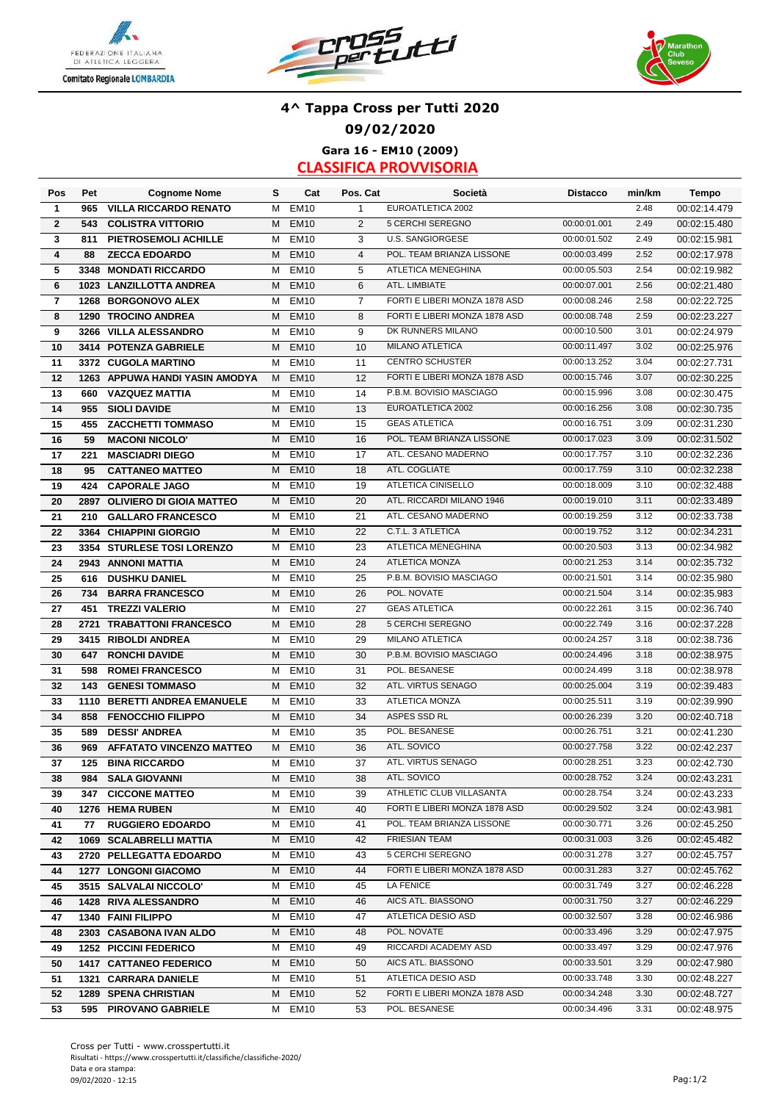





### **4^ Tappa Cross per Tutti 2020 09/02/2020 Gara 16 - EM10 (2009)**

| Pos                     | Pet | <b>Cognome Nome</b>             | s | Cat              | Pos. Cat       | Società                       | <b>Distacco</b> | min/km | <b>Tempo</b> |
|-------------------------|-----|---------------------------------|---|------------------|----------------|-------------------------------|-----------------|--------|--------------|
| $\mathbf{1}$            | 965 | <b>VILLA RICCARDO RENATO</b>    | М | <b>EM10</b>      | $\mathbf{1}$   | EUROATLETICA 2002             |                 | 2.48   | 00:02:14.479 |
| $\overline{2}$          | 543 | <b>COLISTRA VITTORIO</b>        | М | <b>EM10</b>      | 2              | 5 CERCHI SEREGNO              | 00:00:01.001    | 2.49   | 00:02:15.480 |
| 3                       | 811 | PIETROSEMOLI ACHILLE            | М | <b>EM10</b>      | 3              | <b>U.S. SANGIORGESE</b>       | 00:00:01.502    | 2.49   | 00:02:15.981 |
| $\overline{\mathbf{4}}$ | 88  | <b>ZECCA EDOARDO</b>            | М | <b>EM10</b>      | $\overline{4}$ | POL. TEAM BRIANZA LISSONE     | 00:00:03.499    | 2.52   | 00:02:17.978 |
| 5                       |     | 3348 MONDATI RICCARDO           | М | <b>EM10</b>      | 5              | ATLETICA MENEGHINA            | 00:00:05.503    | 2.54   | 00:02:19.982 |
| 6                       |     | 1023 LANZILLOTTA ANDREA         | М | <b>EM10</b>      | 6              | ATL. LIMBIATE                 | 00:00:07.001    | 2.56   | 00:02:21.480 |
| $\overline{\mathbf{r}}$ |     | 1268 BORGONOVO ALEX             | М | <b>EM10</b>      | $\overline{7}$ | FORTI E LIBERI MONZA 1878 ASD | 00:00:08.246    | 2.58   | 00:02:22.725 |
| 8                       |     | 1290 TROCINO ANDREA             | М | <b>EM10</b>      | 8              | FORTI E LIBERI MONZA 1878 ASD | 00:00:08.748    | 2.59   | 00:02:23.227 |
| 9                       |     | 3266 VILLA ALESSANDRO           | м | <b>EM10</b>      | 9              | DK RUNNERS MILANO             | 00:00:10.500    | 3.01   | 00:02:24.979 |
| 10                      |     | 3414 POTENZA GABRIELE           | м | <b>EM10</b>      | 10             | <b>MILANO ATLETICA</b>        | 00:00:11.497    | 3.02   | 00:02:25.976 |
| 11                      |     | 3372 CUGOLA MARTINO             | м | <b>EM10</b>      | 11             | <b>CENTRO SCHUSTER</b>        | 00:00:13.252    | 3.04   | 00:02:27.731 |
| 12                      |     | 1263 APPUWA HANDI YASIN AMODYA  | M | <b>EM10</b>      | 12             | FORTI E LIBERI MONZA 1878 ASD | 00:00:15.746    | 3.07   | 00:02:30.225 |
| 13                      | 660 | <b>VAZQUEZ MATTIA</b>           | м | <b>EM10</b>      | 14             | P.B.M. BOVISIO MASCIAGO       | 00:00:15.996    | 3.08   | 00:02:30.475 |
| 14                      | 955 | <b>SIOLI DAVIDE</b>             | м | <b>EM10</b>      | 13             | EUROATLETICA 2002             | 00:00:16.256    | 3.08   | 00:02:30.735 |
| 15                      | 455 | <b>ZACCHETTI TOMMASO</b>        | М | <b>EM10</b>      | 15             | <b>GEAS ATLETICA</b>          | 00:00:16.751    | 3.09   | 00:02:31.230 |
| 16                      | 59  | <b>MACONI NICOLO'</b>           | М | <b>EM10</b>      | 16             | POL. TEAM BRIANZA LISSONE     | 00:00:17.023    | 3.09   | 00:02:31.502 |
| 17                      | 221 | <b>MASCIADRI DIEGO</b>          | М | <b>EM10</b>      | 17             | ATL. CESANO MADERNO           | 00:00:17.757    | 3.10   | 00:02:32.236 |
| 18                      | 95  |                                 | M | <b>EM10</b>      | 18             | ATL. COGLIATE                 | 00:00:17.759    | 3.10   | 00:02:32.238 |
|                         |     | <b>CATTANEO MATTEO</b>          |   |                  |                | ATLETICA CINISELLO            | 00:00:18.009    | 3.10   |              |
| 19                      | 424 | <b>CAPORALE JAGO</b>            | м | <b>EM10</b>      | 19             |                               |                 |        | 00:02:32.488 |
| 20                      |     | 2897 OLIVIERO DI GIOIA MATTEO   | M | <b>EM10</b>      | 20             | ATL. RICCARDI MILANO 1946     | 00:00:19.010    | 3.11   | 00:02:33.489 |
| 21                      | 210 | <b>GALLARO FRANCESCO</b>        | М | <b>EM10</b>      | 21             | ATL. CESANO MADERNO           | 00:00:19.259    | 3.12   | 00:02:33.738 |
| 22                      |     | 3364 CHIAPPINI GIORGIO          | м | <b>EM10</b>      | 22             | C.T.L. 3 ATLETICA             | 00:00:19.752    | 3.12   | 00:02:34.231 |
| 23                      |     | 3354 STURLESE TOSI LORENZO      | м | <b>EM10</b>      | 23             | <b>ATLETICA MENEGHINA</b>     | 00:00:20.503    | 3.13   | 00:02:34.982 |
| 24                      |     | 2943 ANNONI MATTIA              | M | <b>EM10</b>      | 24             | <b>ATLETICA MONZA</b>         | 00:00:21.253    | 3.14   | 00:02:35.732 |
| 25                      | 616 | <b>DUSHKU DANIEL</b>            | М | <b>EM10</b>      | 25             | P.B.M. BOVISIO MASCIAGO       | 00:00:21.501    | 3.14   | 00:02:35.980 |
| 26                      | 734 | <b>BARRA FRANCESCO</b>          | M | <b>EM10</b>      | 26             | POL. NOVATE                   | 00:00:21.504    | 3.14   | 00:02:35.983 |
| 27                      | 451 | <b>TREZZI VALERIO</b>           | М | <b>EM10</b>      | 27             | <b>GEAS ATLETICA</b>          | 00:00:22.261    | 3.15   | 00:02:36.740 |
| 28                      |     | 2721 TRABATTONI FRANCESCO       | М | <b>EM10</b>      | 28             | 5 CERCHI SEREGNO              | 00:00:22.749    | 3.16   | 00:02:37.228 |
| 29                      |     | 3415 RIBOLDI ANDREA             | М | <b>EM10</b>      | 29             | <b>MILANO ATLETICA</b>        | 00:00:24.257    | 3.18   | 00:02:38.736 |
| 30                      | 647 | <b>RONCHI DAVIDE</b>            | М | <b>EM10</b>      | 30             | P.B.M. BOVISIO MASCIAGO       | 00:00:24.496    | 3.18   | 00:02:38.975 |
| 31                      | 598 | <b>ROMEI FRANCESCO</b>          | м | <b>EM10</b>      | 31             | POL. BESANESE                 | 00:00:24.499    | 3.18   | 00:02:38.978 |
| 32                      | 143 | <b>GENESI TOMMASO</b>           | м | <b>EM10</b>      | 32             | ATL. VIRTUS SENAGO            | 00:00:25.004    | 3.19   | 00:02:39.483 |
| 33                      |     | 1110 BERETTI ANDREA EMANUELE    | м | <b>EM10</b>      | 33             | <b>ATLETICA MONZA</b>         | 00:00:25.511    | 3.19   | 00:02:39.990 |
| 34                      | 858 | <b>FENOCCHIO FILIPPO</b>        | м | <b>EM10</b>      | 34             | <b>ASPES SSD RL</b>           | 00:00:26.239    | 3.20   | 00:02:40.718 |
| 35                      | 589 | <b>DESSI' ANDREA</b>            | м | <b>EM10</b>      | 35             | POL. BESANESE                 | 00:00:26.751    | 3.21   | 00:02:41.230 |
| 36                      | 969 | <b>AFFATATO VINCENZO MATTEO</b> | м | <b>EM10</b>      | 36             | ATL. SOVICO                   | 00:00:27.758    | 3.22   | 00:02:42.237 |
| 37                      | 125 | <b>BINA RICCARDO</b>            | М | <b>EM10</b>      | 37             | ATL. VIRTUS SENAGO            | 00:00:28.251    | 3.23   | 00:02:42.730 |
| 38                      |     | 984 SALA GIOVANNI               |   | M EM10           | 38             | ATL. SOVICO                   | 00:00:28.752    | 3.24   | 00:02:43.231 |
| 39                      |     | 347 CICCONE MATTEO              |   | M EM10           | 39             | ATHLETIC CLUB VILLASANTA      | 00:00:28.754    | 3.24   | 00:02:43.233 |
| 40                      |     | 1276 HEMA RUBEN                 |   | M EM10           | 40             | FORTI E LIBERI MONZA 1878 ASD | 00:00:29.502    | 3.24   | 00:02:43.981 |
| 41                      |     | 77 RUGGIERO EDOARDO             | M | EM10             | 41             | POL. TEAM BRIANZA LISSONE     | 00:00:30.771    | 3.26   | 00:02:45.250 |
| 42                      |     | 1069 SCALABRELLI MATTIA         | M | <b>EM10</b>      | 42             | FRIESIAN TEAM                 | 00:00:31.003    | 3.26   | 00:02:45.482 |
| 43                      |     | 2720 PELLEGATTA EDOARDO         | M | EM <sub>10</sub> | 43             | 5 CERCHI SEREGNO              | 00:00:31.278    | 3.27   | 00:02:45.757 |
| 44                      |     | <b>1277 LONGONI GIACOMO</b>     | M | <b>EM10</b>      | 44             | FORTI E LIBERI MONZA 1878 ASD | 00:00:31.283    | 3.27   | 00:02:45.762 |
| 45                      |     | 3515 SALVALAI NICCOLO'          | м | EM <sub>10</sub> | 45             | LA FENICE                     | 00:00:31.749    | 3.27   | 00:02:46.228 |
| 46                      |     | <b>1428 RIVA ALESSANDRO</b>     | M | <b>EM10</b>      | 46             | AICS ATL. BIASSONO            | 00:00:31.750    | 3.27   | 00:02:46.229 |
| 47                      |     | 1340 FAINI FILIPPO              | м | <b>EM10</b>      | 47             | ATLETICA DESIO ASD            | 00:00:32.507    | 3.28   | 00:02:46.986 |
|                         |     |                                 |   | <b>EM10</b>      | 48             | POL. NOVATE                   | 00:00:33.496    | 3.29   |              |
| 48                      |     | 2303 CASABONA IVAN ALDO         | м |                  |                |                               |                 |        | 00:02:47.975 |
| 49                      |     | <b>1252 PICCINI FEDERICO</b>    | м | <b>EM10</b>      | 49             | RICCARDI ACADEMY ASD          | 00:00:33.497    | 3.29   | 00:02:47.976 |
| 50                      |     | 1417 CATTANEO FEDERICO          | м | <b>EM10</b>      | 50             | AICS ATL. BIASSONO            | 00:00:33.501    | 3.29   | 00:02:47.980 |
| 51                      |     | 1321 CARRARA DANIELE            | м | EM <sub>10</sub> | 51             | ATLETICA DESIO ASD            | 00:00:33.748    | 3.30   | 00:02:48.227 |
| 52                      |     | <b>1289 SPENA CHRISTIAN</b>     | M | EM <sub>10</sub> | 52             | FORTI E LIBERI MONZA 1878 ASD | 00:00:34.248    | 3.30   | 00:02:48.727 |
| 53                      |     | 595 PIROVANO GABRIELE           |   | M EM10           | 53             | POL. BESANESE                 | 00:00:34.496    | 3.31   | 00:02:48.975 |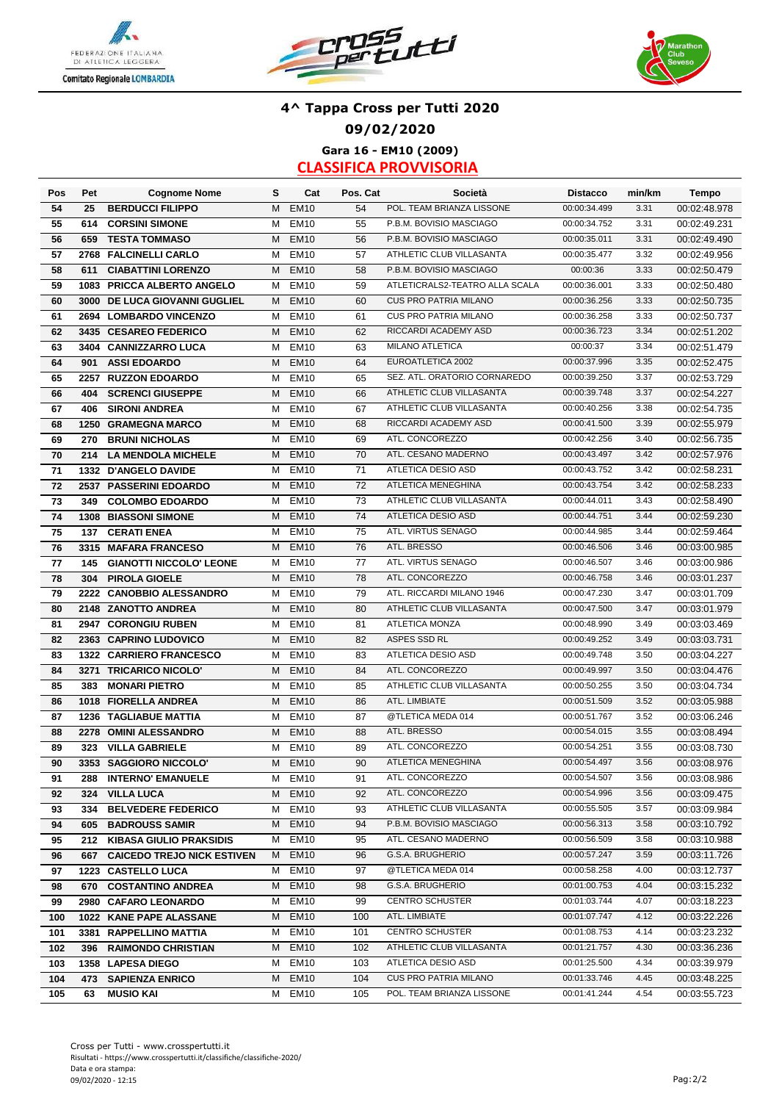





### **4^ Tappa Cross per Tutti 2020 09/02/2020 Gara 16 - EM10 (2009)**

| Pos      | Pet         | <b>Cognome Nome</b>                             | s      | Cat              | Pos. Cat | Società                                     | <b>Distacco</b>              | min/km       | <b>Tempo</b>                 |
|----------|-------------|-------------------------------------------------|--------|------------------|----------|---------------------------------------------|------------------------------|--------------|------------------------------|
| 54       | 25          | <b>BERDUCCI FILIPPO</b>                         | M      | <b>EM10</b>      | 54       | POL. TEAM BRIANZA LISSONE                   | 00:00:34.499                 | 3.31         | 00:02:48.978                 |
| 55       | 614         | <b>CORSINI SIMONE</b>                           | М      | <b>EM10</b>      | 55       | P.B.M. BOVISIO MASCIAGO                     | 00:00:34.752                 | 3.31         | 00:02:49.231                 |
| 56       | 659         | <b>TESTA TOMMASO</b>                            | M      | <b>EM10</b>      | 56       | P.B.M. BOVISIO MASCIAGO                     | 00:00:35.011                 | 3.31         | 00:02:49.490                 |
| 57       | 2768        | <b>FALCINELLI CARLO</b>                         | М      | <b>EM10</b>      | 57       | ATHLETIC CLUB VILLASANTA                    | 00:00:35.477                 | 3.32         | 00:02:49.956                 |
| 58       | 611         | <b>CIABATTINI LORENZO</b>                       | м      | <b>EM10</b>      | 58       | P.B.M. BOVISIO MASCIAGO                     | 00:00:36                     | 3.33         | 00:02:50.479                 |
| 59       | 1083        | PRICCA ALBERTO ANGELO                           | м      | <b>EM10</b>      | 59       | ATLETICRALS2-TEATRO ALLA SCALA              | 00:00:36.001                 | 3.33         | 00:02:50.480                 |
| 60       | 3000        | DE LUCA GIOVANNI GUGLIEL                        | м      | <b>EM10</b>      | 60       | CUS PRO PATRIA MILANO                       | 00:00:36.256                 | 3.33         | 00:02:50.735                 |
| 61       | 2694        | <b>LOMBARDO VINCENZO</b>                        | М      | <b>EM10</b>      | 61       | <b>CUS PRO PATRIA MILANO</b>                | 00:00:36.258                 | 3.33         | 00:02:50.737                 |
| 62       |             | 3435 CESAREO FEDERICO                           | M      | <b>EM10</b>      | 62       | RICCARDI ACADEMY ASD                        | 00:00:36.723                 | 3.34         | 00:02:51.202                 |
| 63       |             | 3404 CANNIZZARRO LUCA                           | М      | <b>EM10</b>      | 63       | <b>MILANO ATLETICA</b>                      | 00:00:37                     | 3.34         | 00:02:51.479                 |
| 64       | 901         | <b>ASSI EDOARDO</b>                             | M      | <b>EM10</b>      | 64       | EUROATLETICA 2002                           | 00:00:37.996                 | 3.35         | 00:02:52.475                 |
| 65       | 2257        | <b>RUZZON EDOARDO</b>                           | М      | <b>EM10</b>      | 65       | SEZ. ATL. ORATORIO CORNAREDO                | 00:00:39.250                 | 3.37         | 00:02:53.729                 |
| 66       | 404         | <b>SCRENCI GIUSEPPE</b>                         | M      | <b>EM10</b>      | 66       | ATHLETIC CLUB VILLASANTA                    | 00:00:39.748                 | 3.37         | 00:02:54.227                 |
| 67       | 406         | <b>SIRONI ANDREA</b>                            | м      | <b>EM10</b>      | 67       | ATHLETIC CLUB VILLASANTA                    | 00:00:40.256                 | 3.38         | 00:02:54.735                 |
| 68       | 1250        | <b>GRAMEGNA MARCO</b>                           | M      | <b>EM10</b>      | 68       | RICCARDI ACADEMY ASD                        | 00:00:41.500                 | 3.39         | 00:02:55.979                 |
| 69       | 270         | <b>BRUNI NICHOLAS</b>                           | М      | <b>EM10</b>      | 69       | ATL. CONCOREZZO                             | 00:00:42.256                 | 3.40         | 00:02:56.735                 |
| 70       | 214         | <b>LA MENDOLA MICHELE</b>                       | M      | <b>EM10</b>      | 70       | ATL. CESANO MADERNO                         | 00:00:43.497                 | 3.42         | 00:02:57.976                 |
| 71       |             | 1332 D'ANGELO DAVIDE                            | м      | <b>EM10</b>      | 71       | ATLETICA DESIO ASD                          | 00:00:43.752                 | 3.42         | 00:02:58.231                 |
| 72       |             | 2537 PASSERINI EDOARDO                          | м      | <b>EM10</b>      | 72       | ATLETICA MENEGHINA                          | 00:00:43.754                 | 3.42         | 00:02:58.233                 |
| 73       | 349         | <b>COLOMBO EDOARDO</b>                          | М      | EM <sub>10</sub> | 73       | ATHLETIC CLUB VILLASANTA                    | 00:00:44.011                 | 3.43         | 00:02:58.490                 |
| 74       |             | <b>1308 BIASSONI SIMONE</b>                     | м      | <b>EM10</b>      | 74       | ATLETICA DESIO ASD                          | 00:00:44.751                 | 3.44         | 00:02:59.230                 |
| 75       | 137         | <b>CERATI ENEA</b>                              | М      | <b>EM10</b>      | 75       | ATL. VIRTUS SENAGO                          | 00:00:44.985                 | 3.44         | 00:02:59.464                 |
| 76       |             | 3315 MAFARA FRANCESO                            | M      | <b>EM10</b>      | 76       | ATL. BRESSO                                 | 00:00:46.506                 | 3.46         | 00:03:00.985                 |
| 77       | 145         | <b>GIANOTTI NICCOLO' LEONE</b>                  | м      | <b>EM10</b>      | 77       | ATL. VIRTUS SENAGO                          | 00:00:46.507                 | 3.46         | 00:03:00.986                 |
| 78       | 304         | <b>PIROLA GIOELE</b>                            | M      | <b>EM10</b>      | 78       | ATL. CONCOREZZO                             | 00:00:46.758                 | 3.46         | 00:03:01.237                 |
| 79       |             |                                                 | м      | <b>EM10</b>      | 79       | ATL. RICCARDI MILANO 1946                   | 00:00:47.230                 | 3.47         | 00:03:01.709                 |
| 80       |             | 2222 CANOBBIO ALESSANDRO<br>2148 ZANOTTO ANDREA | м      | <b>EM10</b>      | 80       | ATHLETIC CLUB VILLASANTA                    | 00:00:47.500                 | 3.47         |                              |
| 81       | 2947        | <b>CORONGIU RUBEN</b>                           | м      | <b>EM10</b>      | 81       | <b>ATLETICA MONZA</b>                       | 00:00:48.990                 | 3.49         | 00:03:01.979<br>00:03:03.469 |
|          |             | 2363 CAPRINO LUDOVICO                           | м      | <b>EM10</b>      | 82       | ASPES SSD RL                                | 00:00:49.252                 | 3.49         | 00:03:03.731                 |
| 82<br>83 |             | 1322 CARRIERO FRANCESCO                         | м      | <b>EM10</b>      | 83       | ATLETICA DESIO ASD                          | 00:00:49.748                 | 3.50         | 00:03:04.227                 |
|          |             | <b>TRICARICO NICOLO'</b>                        | м      | <b>EM10</b>      | 84       | ATL. CONCOREZZO                             | 00:00:49.997                 | 3.50         | 00:03:04.476                 |
| 84       | 3271<br>383 |                                                 | М      | <b>EM10</b>      | 85       | ATHLETIC CLUB VILLASANTA                    | 00:00:50.255                 | 3.50         | 00:03:04.734                 |
| 85       |             | <b>MONARI PIETRO</b><br>1018 FIORELLA ANDREA    |        | <b>EM10</b>      |          | ATL. LIMBIATE                               | 00:00:51.509                 | 3.52         |                              |
| 86       |             |                                                 | M      |                  | 86       | @TLETICA MEDA 014                           | 00:00:51.767                 | 3.52         | 00:03:05.988<br>00:03:06.246 |
| 87       | 1236        | <b>TAGLIABUE MATTIA</b>                         | М      | <b>EM10</b>      | 87       |                                             |                              |              |                              |
| 88       |             | 2278 OMINI ALESSANDRO                           | M      | <b>EM10</b>      | 88       | ATL. BRESSO<br>ATL. CONCOREZZO              | 00:00:54.015                 | 3.55<br>3.55 | 00:03:08.494                 |
| 89       | 323         | <b>VILLA GABRIELE</b>                           | м<br>м | <b>EM10</b>      | 89<br>90 | ATLETICA MENEGHINA                          | 00:00:54.251<br>00:00:54.497 | 3.56         | 00:03:08.730<br>00:03:08.976 |
| 90       |             | 3353 SAGGIORO NICCOLO'                          |        | <b>EM10</b>      |          |                                             |                              |              |                              |
| 91       | 288         | <b>INTERNO' EMANUELE</b>                        |        | M EM10           | 91       | ATL. CONCOREZZO                             | 00:00:54.507                 | 3.56         | 00:03:08.986                 |
| 92       | 324         | <b>VILLA LUCA</b>                               | М      | <b>EM10</b>      | 92       | ATL. CONCOREZZO<br>ATHLETIC CLUB VILLASANTA | 00:00:54.996                 | 3.56         | 00:03:09.475                 |
| 93       | 334         | <b>BELVEDERE FEDERICO</b>                       | М      | <b>EM10</b>      | 93       | P.B.M. BOVISIO MASCIAGO                     | 00:00:55.505                 | 3.57         | 00:03:09.984                 |
| 94       | 605         | <b>BADROUSS SAMIR</b>                           | M      | <b>EM10</b>      | 94       |                                             | 00:00:56.313                 | 3.58         | 00:03:10.792                 |
| 95       | 212         | <b>KIBASA GIULIO PRAKSIDIS</b>                  | M      | <b>EM10</b>      | 95       | ATL. CESANO MADERNO                         | 00:00:56.509                 | 3.58         | 00:03:10.988                 |
| 96       | 667         | <b>CAICEDO TREJO NICK ESTIVEN</b>               | M      | EM <sub>10</sub> | 96       | G.S.A. BRUGHERIO                            | 00:00:57.247                 | 3.59         | 00:03:11.726                 |
| 97       |             | 1223 CASTELLO LUCA                              | M      | EM <sub>10</sub> | 97       | @TLETICA MEDA 014                           | 00:00:58.258                 | 4.00         | 00:03:12.737                 |
| 98       | 670         | <b>COSTANTINO ANDREA</b>                        | M      | EM <sub>10</sub> | 98       | G.S.A. BRUGHERIO                            | 00:01:00.753                 | 4.04         | 00:03:15.232                 |
| 99       |             | 2980 CAFARO LEONARDO                            |        | M EM10           | 99       | <b>CENTRO SCHUSTER</b>                      | 00:01:03.744                 | 4.07         | 00:03:18.223                 |
| 100      |             | 1022 KANE PAPE ALASSANE                         | M      | EM <sub>10</sub> | 100      | ATL. LIMBIATE                               | 00:01:07.747                 | 4.12         | 00:03:22.226                 |
| 101      |             | 3381 RAPPELLINO MATTIA                          | M      | EM <sub>10</sub> | 101      | <b>CENTRO SCHUSTER</b>                      | 00:01:08.753                 | 4.14         | 00:03:23.232                 |
| 102      | 396         | <b>RAIMONDO CHRISTIAN</b>                       | M      | <b>EM10</b>      | 102      | ATHLETIC CLUB VILLASANTA                    | 00:01:21.757                 | 4.30         | 00:03:36.236                 |
| 103      |             | 1358 LAPESA DIEGO                               | M      | <b>EM10</b>      | 103      | ATLETICA DESIO ASD                          | 00:01:25.500                 | 4.34         | 00:03:39.979                 |
| 104      | 473         | <b>SAPIENZA ENRICO</b>                          | М      | EM <sub>10</sub> | 104      | <b>CUS PRO PATRIA MILANO</b>                | 00:01:33.746                 | 4.45         | 00:03:48.225                 |
| 105      | 63          | <b>MUSIO KAI</b>                                |        | M EM10           | 105      | POL. TEAM BRIANZA LISSONE                   | 00:01:41.244                 | 4.54         | 00:03:55.723                 |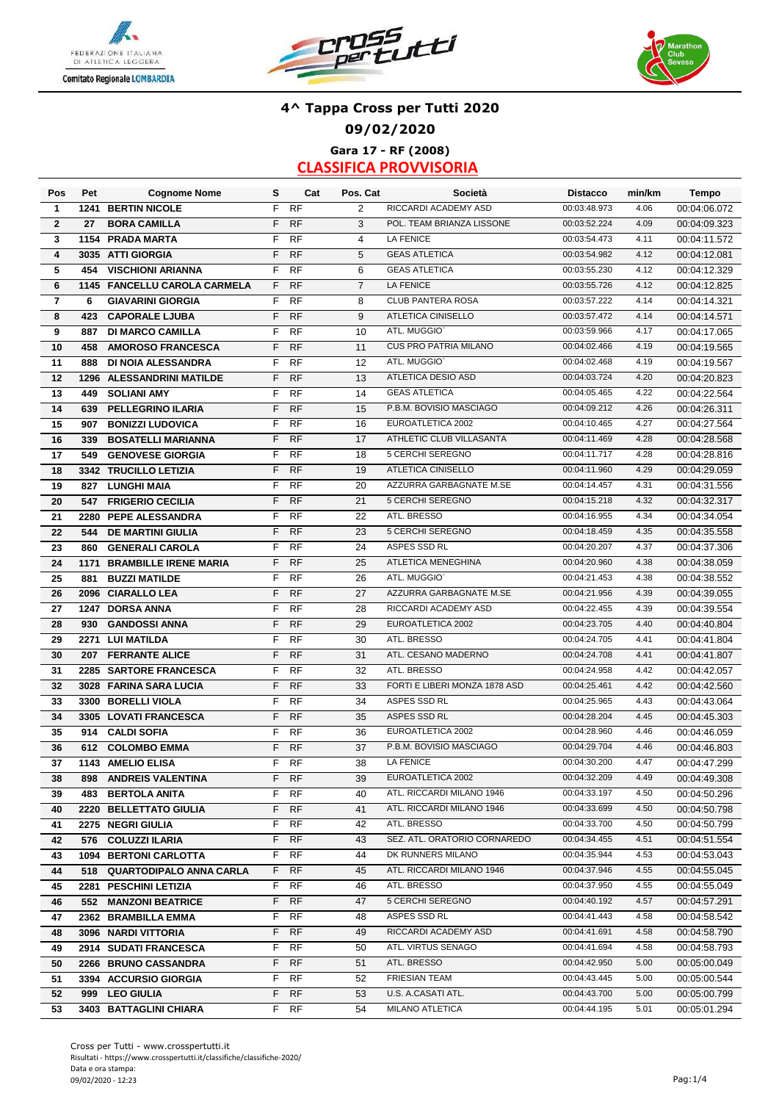





**Gara 17 - RF (2008) CLASSIFICA PROVVISORIA**

| Pos                     | Pet  | <b>Cognome Nome</b>          | s  | Cat       | Pos. Cat       | <b>Società</b>                | <b>Distacco</b> | min/km | Tempo        |
|-------------------------|------|------------------------------|----|-----------|----------------|-------------------------------|-----------------|--------|--------------|
| $\mathbf{1}$            | 1241 | <b>BERTIN NICOLE</b>         | F  | <b>RF</b> | $\overline{c}$ | RICCARDI ACADEMY ASD          | 00:03:48.973    | 4.06   | 00:04:06.072 |
| $\overline{2}$          | 27   | <b>BORA CAMILLA</b>          | F  | RF        | 3              | POL. TEAM BRIANZA LISSONE     | 00:03:52.224    | 4.09   | 00:04:09.323 |
| 3                       |      | 1154 PRADA MARTA             | F  | <b>RF</b> | $\overline{4}$ | <b>LA FENICE</b>              | 00:03:54.473    | 4.11   | 00:04:11.572 |
| 4                       |      | 3035 ATTI GIORGIA            | F  | <b>RF</b> | 5              | <b>GEAS ATLETICA</b>          | 00:03:54.982    | 4.12   | 00:04:12.081 |
| 5                       | 454  | <b>VISCHIONI ARIANNA</b>     | F  | RF        | 6              | <b>GEAS ATLETICA</b>          | 00:03:55.230    | 4.12   | 00:04:12.329 |
| 6                       |      | 1145 FANCELLU CAROLA CARMELA | F  | RF        | $\overline{7}$ | <b>LA FENICE</b>              | 00:03:55.726    | 4.12   | 00:04:12.825 |
| $\overline{\mathbf{r}}$ | 6    | <b>GIAVARINI GIORGIA</b>     | F  | <b>RF</b> | 8              | CLUB PANTERA ROSA             | 00:03:57.222    | 4.14   | 00:04:14.321 |
| 8                       | 423  | <b>CAPORALE LJUBA</b>        | F  | <b>RF</b> | 9              | <b>ATLETICA CINISELLO</b>     | 00:03:57.472    | 4.14   | 00:04:14.571 |
| 9                       | 887  | <b>DI MARCO CAMILLA</b>      | F  | <b>RF</b> | 10             | ATL. MUGGIO'                  | 00:03:59.966    | 4.17   | 00:04:17.065 |
| 10                      | 458  | <b>AMOROSO FRANCESCA</b>     | F  | RF        | 11             | <b>CUS PRO PATRIA MILANO</b>  | 00:04:02.466    | 4.19   | 00:04:19.565 |
| 11                      | 888  | DI NOIA ALESSANDRA           | F  | <b>RF</b> | 12             | ATL. MUGGIO'                  | 00:04:02.468    | 4.19   | 00:04:19.567 |
| 12                      |      | 1296 ALESSANDRINI MATILDE    | F  | RF        | 13             | <b>ATLETICA DESIO ASD</b>     | 00:04:03.724    | 4.20   | 00:04:20.823 |
| 13                      | 449  | <b>SOLIANI AMY</b>           | F  | RF        | 14             | <b>GEAS ATLETICA</b>          | 00:04:05.465    | 4.22   | 00:04:22.564 |
| 14                      | 639  | PELLEGRINO ILARIA            | F  | <b>RF</b> | 15             | P.B.M. BOVISIO MASCIAGO       | 00:04:09.212    | 4.26   | 00:04:26.311 |
| 15                      | 907  | <b>BONIZZI LUDOVICA</b>      | F. | RF        | 16             | EUROATLETICA 2002             | 00:04:10.465    | 4.27   | 00:04:27.564 |
| 16                      | 339  | <b>BOSATELLI MARIANNA</b>    | F  | <b>RF</b> | 17             | ATHLETIC CLUB VILLASANTA      | 00:04:11.469    | 4.28   | 00:04:28.568 |
| 17                      | 549  | <b>GENOVESE GIORGIA</b>      | F  | <b>RF</b> | 18             | 5 CERCHI SEREGNO              | 00:04:11.717    | 4.28   | 00:04:28.816 |
| 18                      |      | 3342 TRUCILLO LETIZIA        | F  | RF        | 19             | <b>ATLETICA CINISELLO</b>     | 00:04:11.960    | 4.29   | 00:04:29.059 |
| 19                      |      | 827 LUNGHI MAIA              | F  | <b>RF</b> | 20             | AZZURRA GARBAGNATE M.SE       | 00:04:14.457    | 4.31   | 00:04:31.556 |
| 20                      | 547  | <b>FRIGERIO CECILIA</b>      | F  | <b>RF</b> | 21             | 5 CERCHI SEREGNO              | 00:04:15.218    | 4.32   | 00:04:32.317 |
| 21                      |      | 2280 PEPE ALESSANDRA         | F  | <b>RF</b> | 22             | ATL. BRESSO                   | 00:04:16.955    | 4.34   | 00:04:34.054 |
| 22                      | 544  | <b>DE MARTINI GIULIA</b>     | F  | <b>RF</b> | 23             | 5 CERCHI SEREGNO              | 00:04:18.459    | 4.35   | 00:04:35.558 |
| 23                      | 860  | <b>GENERALI CAROLA</b>       | F  | <b>RF</b> | 24             | ASPES SSD RL                  | 00:04:20.207    | 4.37   | 00:04:37.306 |
|                         |      | <b>BRAMBILLE IRENE MARIA</b> | F  | <b>RF</b> | 25             | ATLETICA MENEGHINA            | 00:04:20.960    | 4.38   | 00:04:38.059 |
| 24                      | 1171 |                              | F  |           |                | ATL. MUGGIO'                  | 00:04:21.453    | 4.38   |              |
| 25                      | 881  | <b>BUZZI MATILDE</b>         | F  | <b>RF</b> | 26             | AZZURRA GARBAGNATE M.SE       | 00:04:21.956    | 4.39   | 00:04:38.552 |
| 26                      |      | 2096 CIARALLO LEA            |    | <b>RF</b> | 27             |                               |                 |        | 00:04:39.055 |
| 27                      | 1247 | <b>DORSA ANNA</b>            | F. | <b>RF</b> | 28             | RICCARDI ACADEMY ASD          | 00:04:22.455    | 4.39   | 00:04:39.554 |
| 28                      | 930  | <b>GANDOSSI ANNA</b>         | F  | <b>RF</b> | 29             | EUROATLETICA 2002             | 00:04:23.705    | 4.40   | 00:04:40.804 |
| 29                      |      | 2271 LUI MATILDA             | F  | <b>RF</b> | 30             | ATL. BRESSO                   | 00:04:24.705    | 4.41   | 00:04:41.804 |
| 30                      | 207  | <b>FERRANTE ALICE</b>        | F  | <b>RF</b> | 31             | ATL. CESANO MADERNO           | 00:04:24.708    | 4.41   | 00:04:41.807 |
| 31                      |      | 2285 SARTORE FRANCESCA       | F  | <b>RF</b> | 32             | ATL. BRESSO                   | 00:04:24.958    | 4.42   | 00:04:42.057 |
| 32                      |      | 3028 FARINA SARA LUCIA       | F  | <b>RF</b> | 33             | FORTI E LIBERI MONZA 1878 ASD | 00:04:25.461    | 4.42   | 00:04:42.560 |
| 33                      |      | 3300 BORELLI VIOLA           | F  | <b>RF</b> | 34             | ASPES SSD RL                  | 00:04:25.965    | 4.43   | 00:04:43.064 |
| 34                      |      | 3305 LOVATI FRANCESCA        | F  | <b>RF</b> | 35             | ASPES SSD RL                  | 00:04:28.204    | 4.45   | 00:04:45.303 |
| 35                      | 914  | <b>CALDI SOFIA</b>           | F  | <b>RF</b> | 36             | EUROATLETICA 2002             | 00:04:28.960    | 4.46   | 00:04:46.059 |
| 36                      | 612  | <b>COLOMBO EMMA</b>          | F  | <b>RF</b> | 37             | P.B.M. BOVISIO MASCIAGO       | 00:04:29.704    | 4.46   | 00:04:46.803 |
| 37                      |      | 1143 AMELIO ELISA            | F  | <b>RF</b> | 38             | <b>LA FENICE</b>              | 00:04:30.200    | 4.47   | 00:04:47.299 |
| 38                      |      | 898 ANDREIS VALENTINA        |    | F RF      | 39             | EUROATLETICA 2002             | 00:04:32.209    | 4.49   | 00:04:49.308 |
| 39                      |      | <b>483 BERTOLA ANITA</b>     | F. | RF        | 40             | ATL. RICCARDI MILANO 1946     | 00:04:33.197    | 4.50   | 00:04:50.296 |
| 40                      |      | 2220 BELLETTATO GIULIA       | F. | <b>RF</b> | 41             | ATL. RICCARDI MILANO 1946     | 00:04:33.699    | 4.50   | 00:04:50.798 |
| 41                      |      | 2275 NEGRI GIULIA            | F. | <b>RF</b> | 42             | ATL. BRESSO                   | 00:04:33.700    | 4.50   | 00:04:50.799 |
| 42                      |      | 576 COLUZZI ILARIA           | F. | <b>RF</b> | 43             | SEZ. ATL. ORATORIO CORNAREDO  | 00:04:34.455    | 4.51   | 00:04:51.554 |
| 43                      |      | 1094 BERTONI CARLOTTA        | F. | RF        | 44             | DK RUNNERS MILANO             | 00:04:35.944    | 4.53   | 00:04:53.043 |
| 44                      |      | 518 QUARTODIPALO ANNA CARLA  | F. | <b>RF</b> | 45             | ATL. RICCARDI MILANO 1946     | 00:04:37.946    | 4.55   | 00:04:55.045 |
| 45                      |      | 2281 PESCHINI LETIZIA        | F. | RF        | 46             | ATL. BRESSO                   | 00:04:37.950    | 4.55   | 00:04:55.049 |
| 46                      |      | 552 MANZONI BEATRICE         | F. | <b>RF</b> | 47             | 5 CERCHI SEREGNO              | 00:04:40.192    | 4.57   | 00:04:57.291 |
| 47                      |      | 2362 BRAMBILLA EMMA          | F. | RF        | 48             | ASPES SSD RL                  | 00:04:41.443    | 4.58   | 00:04:58.542 |
| 48                      |      | 3096 NARDI VITTORIA          | F. | <b>RF</b> | 49             | RICCARDI ACADEMY ASD          | 00:04:41.691    | 4.58   | 00:04:58.790 |
| 49                      |      | 2914 SUDATI FRANCESCA        | F. | RF        | 50             | ATL. VIRTUS SENAGO            | 00:04:41.694    | 4.58   | 00:04:58.793 |
| 50                      |      | 2266 BRUNO CASSANDRA         | F. | <b>RF</b> | 51             | ATL. BRESSO                   | 00:04:42.950    | 5.00   | 00:05:00.049 |
| 51                      |      | 3394 ACCURSIO GIORGIA        | F. | RF        | 52             | <b>FRIESIAN TEAM</b>          | 00:04:43.445    | 5.00   | 00:05:00.544 |
| 52                      | 999  | <b>LEO GIULIA</b>            | F. | <b>RF</b> | 53             | U.S. A.CASATI ATL.            | 00:04:43.700    | 5.00   | 00:05:00.799 |
| 53                      |      | 3403 BATTAGLINI CHIARA       |    | F RF      | 54             | MILANO ATLETICA               | 00:04:44.195    | 5.01   | 00:05:01.294 |
|                         |      |                              |    |           |                |                               |                 |        |              |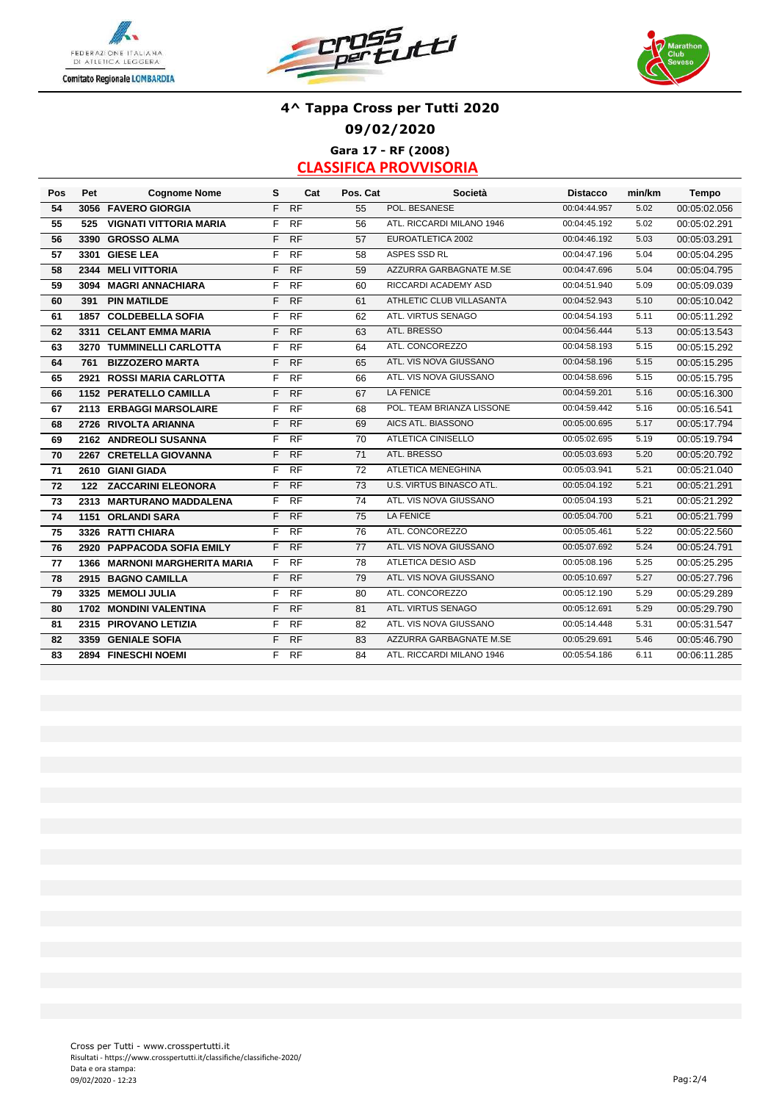





### **4^ Tappa Cross per Tutti 2020 09/02/2020 Gara 17 - RF (2008)**

| Pos | Pet | <b>Cognome Nome</b>           | s  | Cat             | Pos. Cat | Società                   | <b>Distacco</b> | min/km | Tempo        |
|-----|-----|-------------------------------|----|-----------------|----------|---------------------------|-----------------|--------|--------------|
| 54  |     | 3056 FAVERO GIORGIA           | F  | <b>RF</b>       | 55       | POL. BESANESE             | 00:04:44.957    | 5.02   | 00:05:02.056 |
| 55  | 525 | <b>VIGNATI VITTORIA MARIA</b> | F. | <b>RF</b>       | 56       | ATL. RICCARDI MILANO 1946 | 00:04:45.192    | 5.02   | 00:05:02.291 |
| 56  |     | 3390 GROSSO ALMA              | F  | <b>RF</b>       | 57       | EUROATLETICA 2002         | 00:04:46.192    | 5.03   | 00:05:03.291 |
| 57  |     | 3301 GIESE LEA                | F. | <b>RF</b>       | 58       | ASPES SSD RL              | 00:04:47.196    | 5.04   | 00:05:04.295 |
| 58  |     | 2344 MELI VITTORIA            | F  | <b>RF</b>       | 59       | AZZURRA GARBAGNATE M.SE   | 00:04:47.696    | 5.04   | 00:05:04.795 |
| 59  |     | 3094 MAGRI ANNACHIARA         | F. | <b>RF</b>       | 60       | RICCARDI ACADEMY ASD      | 00:04:51.940    | 5.09   | 00:05:09.039 |
| 60  | 391 | <b>PIN MATILDE</b>            | F  | RF              | 61       | ATHLETIC CLUB VILLASANTA  | 00:04:52.943    | 5.10   | 00:05:10.042 |
| 61  |     | <b>1857 COLDEBELLA SOFIA</b>  | F  | <b>RF</b>       | 62       | ATL. VIRTUS SENAGO        | 00:04:54.193    | 5.11   | 00:05:11.292 |
| 62  |     | 3311 CELANT EMMA MARIA        | F  | <b>RF</b>       | 63       | ATL. BRESSO               | 00:04:56.444    | 5.13   | 00:05:13.543 |
| 63  |     | 3270 TUMMINELLI CARLOTTA      | F. | <b>RF</b>       | 64       | ATL. CONCOREZZO           | 00:04:58.193    | 5.15   | 00:05:15.292 |
| 64  | 761 | <b>BIZZOZERO MARTA</b>        | F. | <b>RF</b>       | 65       | ATL. VIS NOVA GIUSSANO    | 00:04:58.196    | 5.15   | 00:05:15.295 |
| 65  |     | 2921 ROSSI MARIA CARLOTTA     | F. | $\overline{RF}$ | 66       | ATL. VIS NOVA GIUSSANO    | 00:04:58.696    | 5.15   | 00:05:15.795 |
| 66  |     | 1152 PERATELLO CAMILLA        | F. | <b>RF</b>       | 67       | <b>LA FENICE</b>          | 00:04:59.201    | 5.16   | 00:05:16.300 |
| 67  |     | 2113 ERBAGGI MARSOLAIRE       | F  | <b>RF</b>       | 68       | POL. TEAM BRIANZA LISSONE | 00:04:59.442    | 5.16   | 00:05:16.541 |
| 68  |     | 2726 RIVOLTA ARIANNA          | F  | <b>RF</b>       | 69       | AICS ATL. BIASSONO        | 00:05:00.695    | 5.17   | 00:05:17.794 |
| 69  |     | 2162 ANDREOLI SUSANNA         | F. | <b>RF</b>       | 70       | ATLETICA CINISELLO        | 00:05:02.695    | 5.19   | 00:05:19.794 |
| 70  |     | 2267 CRETELLA GIOVANNA        | F. | <b>RF</b>       | 71       | ATL. BRESSO               | 00:05:03.693    | 5.20   | 00:05:20.792 |
| 71  |     | 2610 GIANI GIADA              | F. | <b>RF</b>       | 72       | ATLETICA MENEGHINA        | 00:05:03.941    | 5.21   | 00:05:21.040 |
| 72  |     | 122 ZACCARINI ELEONORA        | F. | <b>RF</b>       | 73       | U.S. VIRTUS BINASCO ATL.  | 00:05:04.192    | 5.21   | 00:05:21.291 |
| 73  |     | 2313 MARTURANO MADDALENA      | F. | <b>RF</b>       | 74       | ATL. VIS NOVA GIUSSANO    | 00:05:04.193    | 5.21   | 00:05:21.292 |
| 74  |     | 1151 ORLANDI SARA             | F  | RF              | 75       | <b>LA FENICE</b>          | 00:05:04.700    | 5.21   | 00:05:21.799 |
| 75  |     | 3326 RATTI CHIARA             | F. | <b>RF</b>       | 76       | ATL. CONCOREZZO           | 00:05:05.461    | 5.22   | 00:05:22.560 |
| 76  |     | 2920 PAPPACODA SOFIA EMILY    | F. | <b>RF</b>       | 77       | ATL. VIS NOVA GIUSSANO    | 00:05:07.692    | 5.24   | 00:05:24.791 |
| 77  |     | 1366 MARNONI MARGHERITA MARIA | F. | <b>RF</b>       | 78       | <b>ATLETICA DESIO ASD</b> | 00:05:08.196    | 5.25   | 00:05:25.295 |
| 78  |     | 2915 BAGNO CAMILLA            | F. | <b>RF</b>       | 79       | ATL. VIS NOVA GIUSSANO    | 00:05:10.697    | 5.27   | 00:05:27.796 |
| 79  |     | 3325 MEMOLI JULIA             | F. | <b>RF</b>       | 80       | ATL. CONCOREZZO           | 00:05:12.190    | 5.29   | 00:05:29.289 |
| 80  |     | 1702 MONDINI VALENTINA        | F. | <b>RF</b>       | 81       | ATL. VIRTUS SENAGO        | 00:05:12.691    | 5.29   | 00:05:29.790 |
| 81  |     | 2315 PIROVANO LETIZIA         | F  | <b>RF</b>       | 82       | ATL. VIS NOVA GIUSSANO    | 00:05:14.448    | 5.31   | 00:05:31.547 |
| 82  |     | 3359 GENIALE SOFIA            | F  | <b>RF</b>       | 83       | AZZURRA GARBAGNATE M.SE   | 00:05:29.691    | 5.46   | 00:05:46.790 |
| 83  |     | 2894 FINESCHI NOEMI           |    | F RF            | 84       | ATL. RICCARDI MILANO 1946 | 00:05:54.186    | 6.11   | 00:06:11.285 |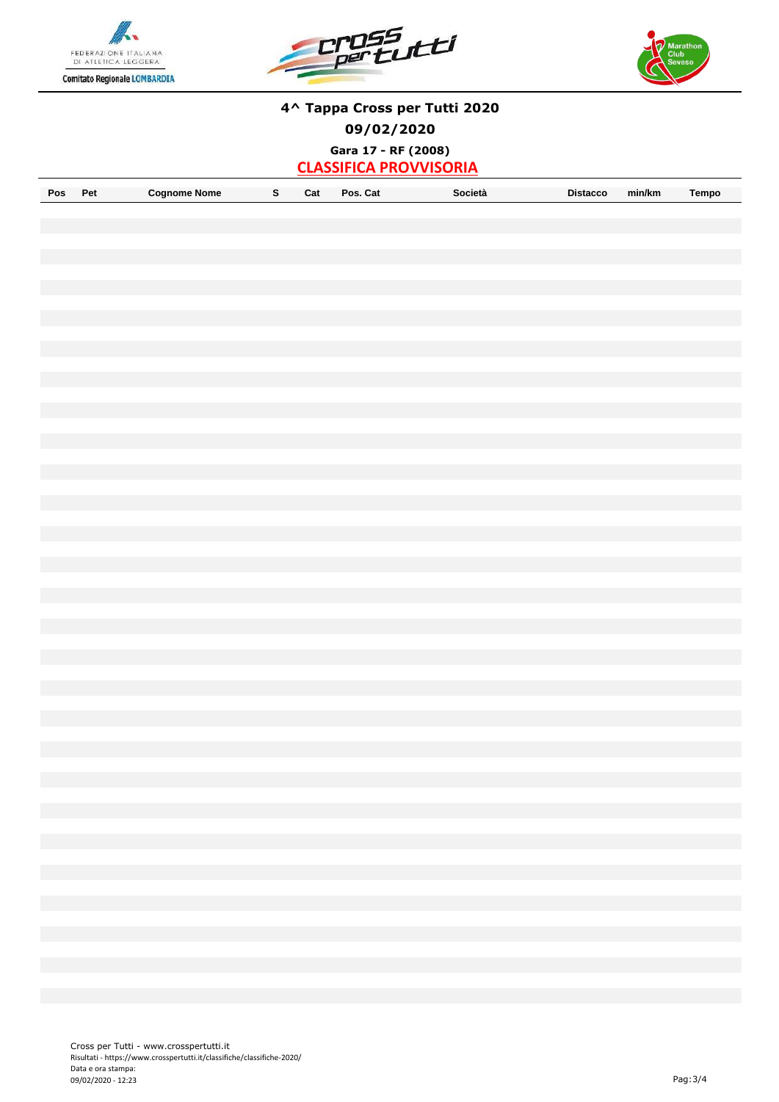





**Gara 17 - RF (2008)**

| Pos<br>Coanome<br>Nome<br>Do.<br>. | Cat<br>Cat<br>Pos. | Distacco<br>Societa | min/km | empc |
|------------------------------------|--------------------|---------------------|--------|------|
|------------------------------------|--------------------|---------------------|--------|------|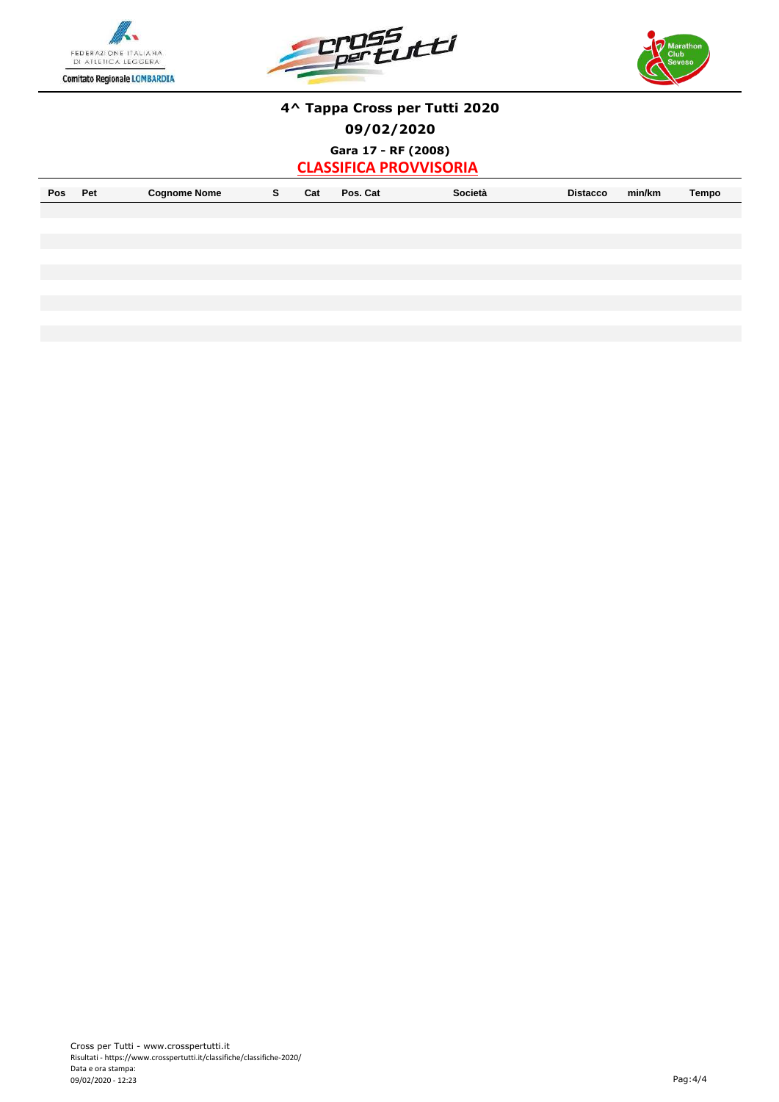





**Gara 17 - RF (2008)**

|  | Pos | ∍.<br>. . | Nome<br>ימ<br>1nom. |  | Cal<br>- - - - | <b>DA</b><br>$\cdots$<br>va<br>-08<br>. | Societa<br>. | Distacco<br>. | min/km | Tempo |
|--|-----|-----------|---------------------|--|----------------|-----------------------------------------|--------------|---------------|--------|-------|
|--|-----|-----------|---------------------|--|----------------|-----------------------------------------|--------------|---------------|--------|-------|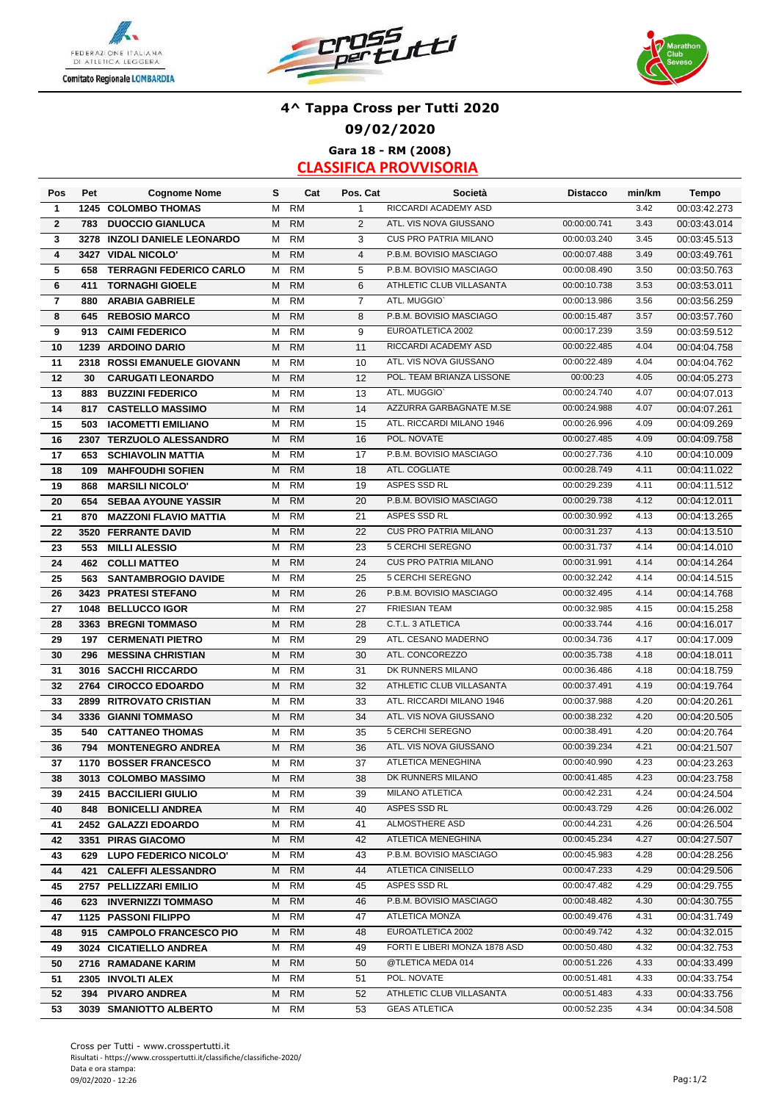





### **4^ Tappa Cross per Tutti 2020 09/02/2020 Gara 18 - RM (2008)**

| Pos                     | Pet | <b>Cognome Nome</b>                               | s      | Cat             | Pos. Cat       | Società                              | <b>Distacco</b>              | min/km       | <b>Tempo</b> |
|-------------------------|-----|---------------------------------------------------|--------|-----------------|----------------|--------------------------------------|------------------------------|--------------|--------------|
| 1                       |     | 1245 COLOMBO THOMAS                               | М      | <b>RM</b>       | $\mathbf{1}$   | RICCARDI ACADEMY ASD                 |                              | 3.42         | 00:03:42.273 |
| $\mathbf{2}$            | 783 | <b>DUOCCIO GIANLUCA</b>                           | M      | <b>RM</b>       | 2              | ATL. VIS NOVA GIUSSANO               | 00:00:00.741                 | 3.43         | 00:03:43.014 |
| 3                       |     | 3278 INZOLI DANIELE LEONARDO                      | M      | <b>RM</b>       | 3              | <b>CUS PRO PATRIA MILANO</b>         | 00:00:03.240                 | 3.45         | 00:03:45.513 |
| 4                       |     | 3427 VIDAL NICOLO'                                | M      | RM              | $\overline{4}$ | P.B.M. BOVISIO MASCIAGO              | 00:00:07.488                 | 3.49         | 00:03:49.761 |
| 5                       | 658 | <b>TERRAGNI FEDERICO CARLO</b>                    | M      | <b>RM</b>       | 5              | P.B.M. BOVISIO MASCIAGO              | 00:00:08.490                 | 3.50         | 00:03:50.763 |
| 6                       | 411 | <b>TORNAGHI GIOELE</b>                            | M      | <b>RM</b>       | 6              | ATHLETIC CLUB VILLASANTA             | 00:00:10.738                 | 3.53         | 00:03:53.011 |
| $\overline{\mathbf{r}}$ | 880 | <b>ARABIA GABRIELE</b>                            | M      | <b>RM</b>       | $\overline{7}$ | ATL. MUGGIO'                         | 00:00:13.986                 | 3.56         | 00:03:56.259 |
| 8                       | 645 | <b>REBOSIO MARCO</b>                              | M      | <b>RM</b>       | 8              | P.B.M. BOVISIO MASCIAGO              | 00:00:15.487                 | 3.57         | 00:03:57.760 |
| 9                       | 913 | <b>CAIMI FEDERICO</b>                             | М      | <b>RM</b>       | 9              | EUROATLETICA 2002                    | 00:00:17.239                 | 3.59         | 00:03:59.512 |
| 10                      |     | 1239 ARDOINO DARIO                                | M      | <b>RM</b>       | 11             | RICCARDI ACADEMY ASD                 | 00:00:22.485                 | 4.04         | 00:04:04.758 |
| 11                      |     | 2318 ROSSI EMANUELE GIOVANN                       | M      | <b>RM</b>       | 10             | ATL. VIS NOVA GIUSSANO               | 00:00:22.489                 | 4.04         | 00:04:04.762 |
| 12                      | 30  | <b>CARUGATI LEONARDO</b>                          | М      | <b>RM</b>       | 12             | POL. TEAM BRIANZA LISSONE            | 00:00:23                     | 4.05         | 00:04:05.273 |
| 13                      | 883 | <b>BUZZINI FEDERICO</b>                           | М      | <b>RM</b>       | 13             | ATL. MUGGIO'                         | 00:00:24.740                 | 4.07         | 00:04:07.013 |
| 14                      | 817 | <b>CASTELLO MASSIMO</b>                           | М      | <b>RM</b>       | 14             | AZZURRA GARBAGNATE M.SE              | 00:00:24.988                 | 4.07         | 00:04:07.261 |
| 15                      | 503 | <b>IACOMETTI EMILIANO</b>                         | M      | <b>RM</b>       | 15             | ATL. RICCARDI MILANO 1946            | 00:00:26.996                 | 4.09         | 00:04:09.269 |
| 16                      |     | 2307 TERZUOLO ALESSANDRO                          | М      | <b>RM</b>       | 16             | POL. NOVATE                          | 00:00:27.485                 | 4.09         | 00:04:09.758 |
| 17                      | 653 | <b>SCHIAVOLIN MATTIA</b>                          | м      | <b>RM</b>       | 17             | P.B.M. BOVISIO MASCIAGO              | 00:00:27.736                 | 4.10         | 00:04:10.009 |
| 18                      | 109 | <b>MAHFOUDHI SOFIEN</b>                           | М      | <b>RM</b>       | 18             | ATL. COGLIATE                        | 00:00:28.749                 | 4.11         | 00:04:11.022 |
| 19                      | 868 | <b>MARSILI NICOLO'</b>                            | М      | <b>RM</b>       | 19             | ASPES SSD RL                         | 00:00:29.239                 | 4.11         | 00:04:11.512 |
| 20                      | 654 | <b>SEBAA AYOUNE YASSIR</b>                        | M      | <b>RM</b>       | 20             | P.B.M. BOVISIO MASCIAGO              | 00:00:29.738                 | 4.12         | 00:04:12.011 |
| 21                      | 870 | <b>MAZZONI FLAVIO MATTIA</b>                      | М      | <b>RM</b>       | 21             | ASPES SSD RL                         | 00:00:30.992                 | 4.13         | 00:04:13.265 |
| 22                      |     | 3520 FERRANTE DAVID                               | M      | <b>RM</b>       | 22             | <b>CUS PRO PATRIA MILANO</b>         | 00:00:31.237                 | 4.13         | 00:04:13.510 |
| 23                      | 553 | <b>MILLI ALESSIO</b>                              | M      | <b>RM</b>       | 23             | 5 CERCHI SEREGNO                     | 00:00:31.737                 | 4.14         | 00:04:14.010 |
| 24                      | 462 | <b>COLLI MATTEO</b>                               | M      | <b>RM</b>       | 24             | <b>CUS PRO PATRIA MILANO</b>         | 00:00:31.991                 | 4.14         | 00:04:14.264 |
| 25                      | 563 | <b>SANTAMBROGIO DAVIDE</b>                        | M      | <b>RM</b>       | 25             | 5 CERCHI SEREGNO                     | 00:00:32.242                 | 4.14         | 00:04:14.515 |
| 26                      |     | 3423 PRATESI STEFANO                              | M      | <b>RM</b>       | 26             | P.B.M. BOVISIO MASCIAGO              | 00:00:32.495                 | 4.14         | 00:04:14.768 |
| 27                      |     | 1048 BELLUCCO IGOR                                | М      | <b>RM</b>       | 27             | <b>FRIESIAN TEAM</b>                 | 00:00:32.985                 | 4.15         | 00:04:15.258 |
| 28                      |     | 3363 BREGNI TOMMASO                               | M      | <b>RM</b>       | 28             | C.T.L. 3 ATLETICA                    | 00:00:33.744                 | 4.16         | 00:04:16.017 |
| 29                      | 197 | <b>CERMENATI PIETRO</b>                           | M      | <b>RM</b>       | 29             | ATL. CESANO MADERNO                  | 00:00:34.736                 | 4.17         | 00:04:17.009 |
| 30                      | 296 | <b>MESSINA CHRISTIAN</b>                          | M      | <b>RM</b>       | 30             | ATL. CONCOREZZO                      | 00:00:35.738                 | 4.18         | 00:04:18.011 |
| 31                      |     | 3016 SACCHI RICCARDO                              | M      | <b>RM</b>       | 31             | DK RUNNERS MILANO                    | 00:00:36.486                 | 4.18         | 00:04:18.759 |
| 32                      |     | 2764 CIROCCO EDOARDO                              | M      | <b>RM</b>       | 32             | ATHLETIC CLUB VILLASANTA             | 00:00:37.491                 | 4.19         | 00:04:19.764 |
| 33                      |     | 2899 RITROVATO CRISTIAN                           | M      | <b>RM</b>       | 33             | ATL. RICCARDI MILANO 1946            | 00:00:37.988                 | 4.20         | 00:04:20.261 |
| 34                      |     | 3336 GIANNI TOMMASO                               | M      | <b>RM</b>       | 34             | ATL. VIS NOVA GIUSSANO               | 00:00:38.232                 | 4.20         | 00:04:20.505 |
| 35                      | 540 | <b>CATTANEO THOMAS</b>                            | M      | <b>RM</b>       | 35             | 5 CERCHI SEREGNO                     | 00:00:38.491                 | 4.20         | 00:04:20.764 |
| 36                      | 794 | <b>MONTENEGRO ANDREA</b>                          | M      | <b>RM</b>       | 36             | ATL. VIS NOVA GIUSSANO               | 00:00:39.234                 | 4.21         | 00:04:21.507 |
| 37                      |     | 1170 BOSSER FRANCESCO                             | М      | <b>RM</b>       | 37             | ATLETICA MENEGHINA                   | 00:00:40.990                 | 4.23         | 00:04:23.263 |
|                         |     |                                                   |        |                 |                |                                      |                              |              |              |
| 38                      |     | 3013 COLOMBO MASSIMO                              | M      | RM              | 38             | DK RUNNERS MILANO<br>MILANO ATLETICA | 00:00:41.485<br>00:00:42.231 | 4.23<br>4.24 | 00:04:23.758 |
| 39                      |     | 2415 BACCILIERI GIULIO<br><b>BONICELLI ANDREA</b> | м<br>М | RM<br><b>RM</b> | 39<br>40       | ASPES SSD RL                         | 00:00:43.729                 | 4.26         | 00:04:24.504 |
| 40                      | 848 |                                                   |        |                 |                | ALMOSTHERE ASD                       | 00:00:44.231                 | 4.26         | 00:04:26.002 |
| 41                      |     | 2452 GALAZZI EDOARDO                              | м      | RM              | 41             | ATLETICA MENEGHINA                   |                              | 4.27         | 00:04:26.504 |
| 42                      |     | 3351 PIRAS GIACOMO                                | м      | <b>RM</b>       | 42             |                                      | 00:00:45.234                 |              | 00:04:27.507 |
| 43                      |     | 629 LUPO FEDERICO NICOLO'                         | м      | RM              | 43             | P.B.M. BOVISIO MASCIAGO              | 00:00:45.983                 | 4.28         | 00:04:28.256 |
| 44                      |     | 421 CALEFFI ALESSANDRO                            | м      | <b>RM</b>       | 44             | ATLETICA CINISELLO                   | 00:00:47.233                 | 4.29         | 00:04:29.506 |
| 45                      |     | 2757 PELLIZZARI EMILIO                            | м      | RM              | 45             | ASPES SSD RL                         | 00:00:47.482                 | 4.29         | 00:04:29.755 |
| 46                      |     | 623 INVERNIZZI TOMMASO                            | м      | <b>RM</b>       | 46             | P.B.M. BOVISIO MASCIAGO              | 00:00:48.482                 | 4.30         | 00:04:30.755 |
| 47                      |     | 1125 PASSONI FILIPPO                              | м      | RM              | 47             | <b>ATLETICA MONZA</b>                | 00:00:49.476                 | 4.31         | 00:04:31.749 |
| 48                      |     | 915 CAMPOLO FRANCESCO PIO                         | М      | <b>RM</b>       | 48             | EUROATLETICA 2002                    | 00:00:49.742                 | 4.32         | 00:04:32.015 |
| 49                      |     | 3024 CICATIELLO ANDREA                            | м      | RM              | 49             | FORTI E LIBERI MONZA 1878 ASD        | 00:00:50.480                 | 4.32         | 00:04:32.753 |
| 50                      |     | 2716 RAMADANE KARIM                               | м      | <b>RM</b>       | 50             | @TLETICA MEDA 014                    | 00:00:51.226                 | 4.33         | 00:04:33.499 |
| 51                      |     | 2305 INVOLTI ALEX                                 | М      | RM              | 51             | POL. NOVATE                          | 00:00:51.481                 | 4.33         | 00:04:33.754 |
| 52                      |     | 394 PIVARO ANDREA                                 | м      | <b>RM</b>       | 52             | ATHLETIC CLUB VILLASANTA             | 00:00:51.483                 | 4.33         | 00:04:33.756 |
| 53                      |     | 3039 SMANIOTTO ALBERTO                            | м      | RM              | 53             | <b>GEAS ATLETICA</b>                 | 00:00:52.235                 | 4.34         | 00:04:34.508 |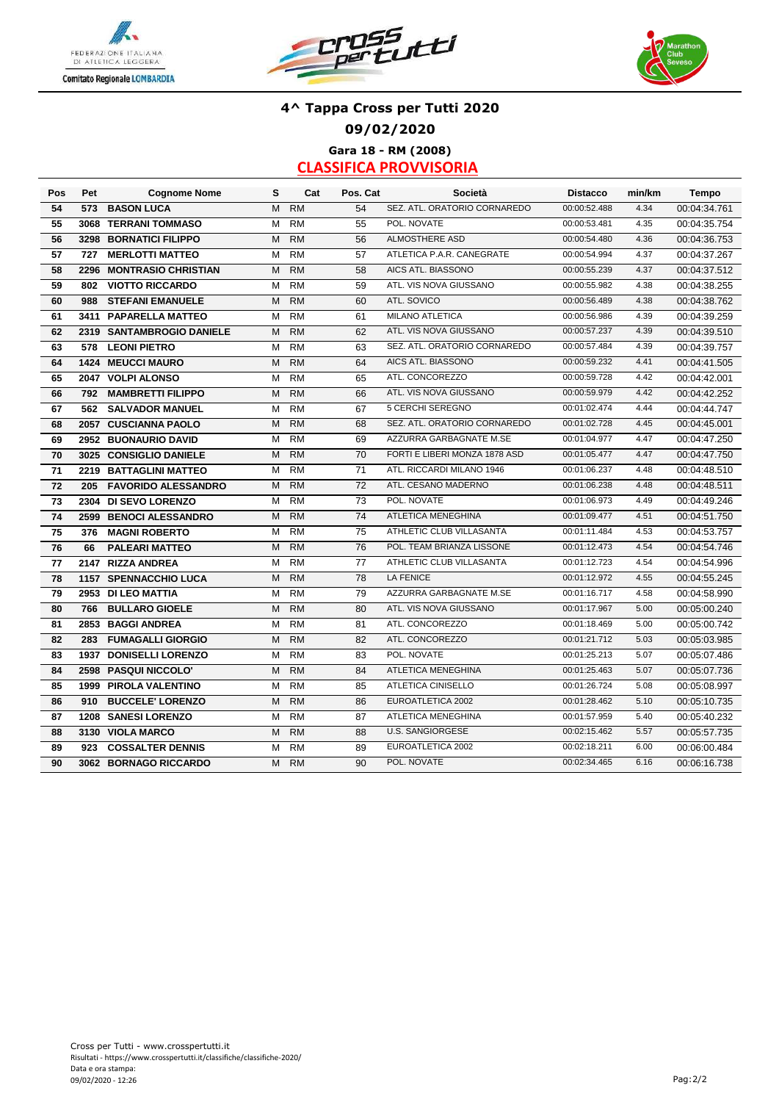





### **4^ Tappa Cross per Tutti 2020 09/02/2020 Gara 18 - RM (2008)**

| Pos | Pet  | <b>Cognome Nome</b>          | s | Cat       | Pos. Cat | Società                       | <b>Distacco</b> | min/km | <b>Tempo</b> |
|-----|------|------------------------------|---|-----------|----------|-------------------------------|-----------------|--------|--------------|
| 54  | 573  | <b>BASON LUCA</b>            | M | <b>RM</b> | 54       | SEZ. ATL. ORATORIO CORNAREDO  | 00:00:52.488    | 4.34   | 00:04:34.761 |
| 55  | 3068 | <b>TERRANI TOMMASO</b>       | M | <b>RM</b> | 55       | POL. NOVATE                   | 00:00:53.481    | 4.35   | 00:04:35.754 |
| 56  | 3298 | <b>BORNATICI FILIPPO</b>     | M | <b>RM</b> | 56       | ALMOSTHERE ASD                | 00:00:54.480    | 4.36   | 00:04:36.753 |
| 57  | 727  | <b>MERLOTTI MATTEO</b>       | M | <b>RM</b> | 57       | ATLETICA P.A.R. CANEGRATE     | 00:00:54.994    | 4.37   | 00:04:37.267 |
| 58  | 2296 | <b>MONTRASIO CHRISTIAN</b>   | M | <b>RM</b> | 58       | AICS ATL. BIASSONO            | 00:00:55.239    | 4.37   | 00:04:37.512 |
| 59  | 802  | <b>VIOTTO RICCARDO</b>       | M | <b>RM</b> | 59       | ATL. VIS NOVA GIUSSANO        | 00:00:55.982    | 4.38   | 00:04:38.255 |
| 60  | 988  | <b>STEFANI EMANUELE</b>      | M | <b>RM</b> | 60       | ATL. SOVICO                   | 00:00:56.489    | 4.38   | 00:04:38.762 |
| 61  |      | 3411 PAPARELLA MATTEO        | M | RM        | 61       | <b>MILANO ATLETICA</b>        | 00:00:56.986    | 4.39   | 00:04:39.259 |
| 62  |      | 2319 SANTAMBROGIO DANIELE    | M | <b>RM</b> | 62       | ATL. VIS NOVA GIUSSANO        | 00:00:57.237    | 4.39   | 00:04:39.510 |
| 63  | 578  | <b>LEONI PIETRO</b>          | М | <b>RM</b> | 63       | SEZ. ATL. ORATORIO CORNAREDO  | 00:00:57.484    | 4.39   | 00:04:39.757 |
| 64  |      | 1424 MEUCCI MAURO            | M | <b>RM</b> | 64       | AICS ATL. BIASSONO            | 00:00:59.232    | 4.41   | 00:04:41.505 |
| 65  | 2047 | <b>VOLPI ALONSO</b>          | M | <b>RM</b> | 65       | ATL. CONCOREZZO               | 00:00:59.728    | 4.42   | 00:04:42.001 |
| 66  | 792  | <b>MAMBRETTI FILIPPO</b>     | M | <b>RM</b> | 66       | ATL. VIS NOVA GIUSSANO        | 00:00:59.979    | 4.42   | 00:04:42.252 |
| 67  | 562  | <b>SALVADOR MANUEL</b>       | M | <b>RM</b> | 67       | 5 CERCHI SEREGNO              | 00:01:02.474    | 4.44   | 00:04:44.747 |
| 68  | 2057 | <b>CUSCIANNA PAOLO</b>       | M | RM        | 68       | SEZ. ATL. ORATORIO CORNAREDO  | 00:01:02.728    | 4.45   | 00:04:45.001 |
| 69  |      | 2952 BUONAURIO DAVID         | М | <b>RM</b> | 69       | AZZURRA GARBAGNATE M.SE       | 00:01:04.977    | 4.47   | 00:04:47.250 |
| 70  |      | 3025 CONSIGLIO DANIELE       | M | <b>RM</b> | 70       | FORTI E LIBERI MONZA 1878 ASD | 00:01:05.477    | 4.47   | 00:04:47.750 |
| 71  |      | 2219 BATTAGLINI MATTEO       | М | RM        | 71       | ATL. RICCARDI MILANO 1946     | 00:01:06.237    | 4.48   | 00:04:48.510 |
| 72  | 205  | <b>FAVORIDO ALESSANDRO</b>   | M | <b>RM</b> | 72       | ATL. CESANO MADERNO           | 00:01:06.238    | 4.48   | 00:04:48.511 |
| 73  |      | 2304 DI SEVO LORENZO         | м | <b>RM</b> | 73       | POL. NOVATE                   | 00:01:06.973    | 4.49   | 00:04:49.246 |
| 74  |      | 2599 BENOCI ALESSANDRO       | м | <b>RM</b> | 74       | ATLETICA MENEGHINA            | 00:01:09.477    | 4.51   | 00:04:51.750 |
| 75  | 376  | <b>MAGNI ROBERTO</b>         | м | <b>RM</b> | 75       | ATHLETIC CLUB VILLASANTA      | 00:01:11.484    | 4.53   | 00:04:53.757 |
| 76  | 66   | <b>PALEARI MATTEO</b>        | M | <b>RM</b> | 76       | POL. TEAM BRIANZA LISSONE     | 00:01:12.473    | 4.54   | 00:04:54.746 |
| 77  |      | 2147 RIZZA ANDREA            | М | RM        | 77       | ATHLETIC CLUB VILLASANTA      | 00:01:12.723    | 4.54   | 00:04:54.996 |
| 78  |      | 1157 SPENNACCHIO LUCA        | м | <b>RM</b> | 78       | <b>LA FENICE</b>              | 00:01:12.972    | 4.55   | 00:04:55.245 |
| 79  |      | 2953 DI LEO MATTIA           | М | <b>RM</b> | 79       | AZZURRA GARBAGNATE M.SE       | 00:01:16.717    | 4.58   | 00:04:58.990 |
| 80  | 766  | <b>BULLARO GIOELE</b>        | M | <b>RM</b> | 80       | ATL. VIS NOVA GIUSSANO        | 00:01:17.967    | 5.00   | 00:05:00.240 |
| 81  |      | 2853 BAGGI ANDREA            | M | <b>RM</b> | 81       | ATL. CONCOREZZO               | 00:01:18.469    | 5.00   | 00:05:00.742 |
| 82  | 283  | <b>FUMAGALLI GIORGIO</b>     | M | <b>RM</b> | 82       | ATL. CONCOREZZO               | 00:01:21.712    | 5.03   | 00:05:03.985 |
| 83  |      | 1937 DONISELLI LORENZO       | М | <b>RM</b> | 83       | POL. NOVATE                   | 00:01:25.213    | 5.07   | 00:05:07.486 |
| 84  |      | 2598 PASQUI NICCOLO'         | M | <b>RM</b> | 84       | ATLETICA MENEGHINA            | 00:01:25.463    | 5.07   | 00:05:07.736 |
| 85  |      | <b>1999 PIROLA VALENTINO</b> | м | <b>RM</b> | 85       | ATLETICA CINISELLO            | 00:01:26.724    | 5.08   | 00:05:08.997 |
| 86  | 910  | <b>BUCCELE' LORENZO</b>      | M | <b>RM</b> | 86       | EUROATLETICA 2002             | 00:01:28.462    | 5.10   | 00:05:10.735 |
| 87  |      | <b>1208 SANESI LORENZO</b>   | M | <b>RM</b> | 87       | ATLETICA MENEGHINA            | 00:01:57.959    | 5.40   | 00:05:40.232 |
| 88  |      | 3130 VIOLA MARCO             | M | <b>RM</b> | 88       | <b>U.S. SANGIORGESE</b>       | 00:02:15.462    | 5.57   | 00:05:57.735 |
| 89  | 923  | <b>COSSALTER DENNIS</b>      | м | <b>RM</b> | 89       | EUROATLETICA 2002             | 00:02:18.211    | 6.00   | 00:06:00.484 |
| 90  |      | 3062 BORNAGO RICCARDO        | M | <b>RM</b> | 90       | POL. NOVATE                   | 00:02:34.465    | 6.16   | 00:06:16.738 |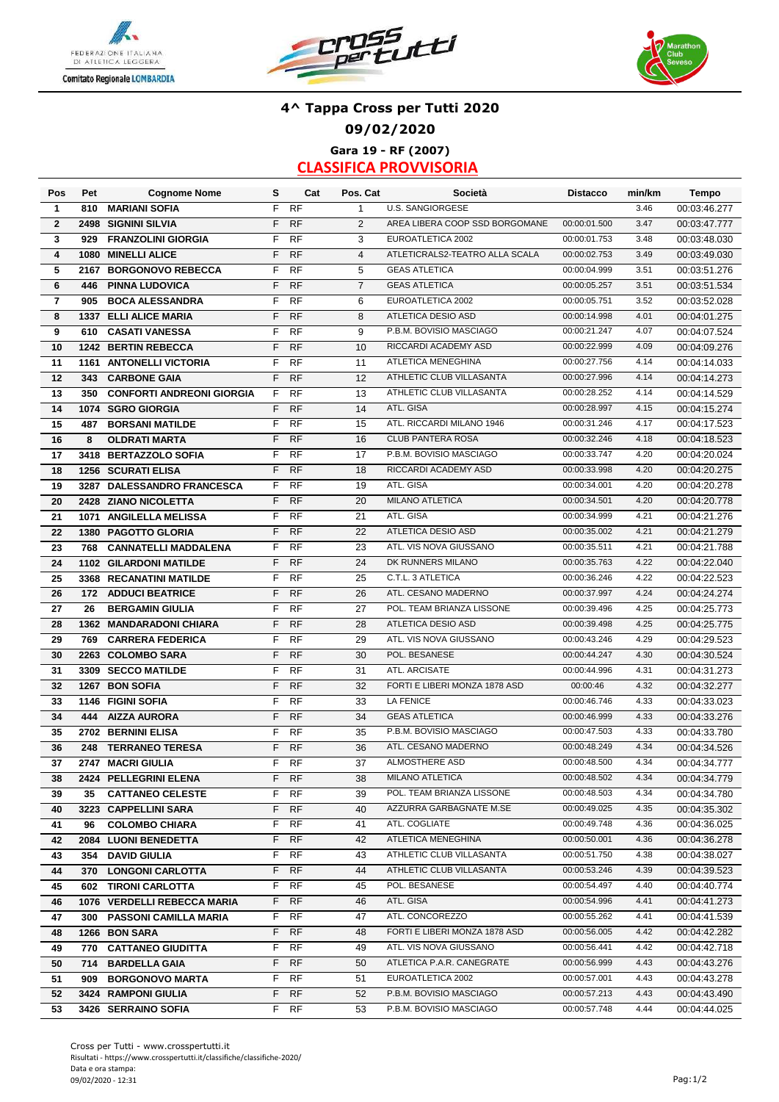





### **Gara 19 - RF (2007) 4^ Tappa Cross per Tutti 2020 09/02/2020**

| Pos                     | Pet  | <b>Cognome Nome</b>              | s  | Cat       | Pos. Cat       | Società                        | <b>Distacco</b> | min/km | Tempo        |
|-------------------------|------|----------------------------------|----|-----------|----------------|--------------------------------|-----------------|--------|--------------|
| $\mathbf{1}$            | 810  | <b>MARIANI SOFIA</b>             | F  | <b>RF</b> | $\mathbf{1}$   | <b>U.S. SANGIORGESE</b>        |                 | 3.46   | 00:03:46.277 |
| $\overline{2}$          |      | <b>2498 SIGNINI SILVIA</b>       | F  | RF        | 2              | AREA LIBERA COOP SSD BORGOMANE | 00:00:01.500    | 3.47   | 00:03:47.777 |
| 3                       | 929  | <b>FRANZOLINI GIORGIA</b>        | F  | <b>RF</b> | 3              | EUROATLETICA 2002              | 00:00:01.753    | 3.48   | 00:03:48.030 |
| $\overline{\mathbf{4}}$ | 1080 | <b>MINELLI ALICE</b>             | F  | RF        | $\overline{4}$ | ATLETICRALS2-TEATRO ALLA SCALA | 00:00:02.753    | 3.49   | 00:03:49.030 |
| 5                       | 2167 | <b>BORGONOVO REBECCA</b>         | F  | RF        | 5              | <b>GEAS ATLETICA</b>           | 00:00:04.999    | 3.51   | 00:03:51.276 |
| 6                       | 446  | <b>PINNA LUDOVICA</b>            | F  | RF        | $\overline{7}$ | <b>GEAS ATLETICA</b>           | 00:00:05.257    | 3.51   | 00:03:51.534 |
| $\overline{\mathbf{r}}$ | 905  | <b>BOCA ALESSANDRA</b>           | F  | <b>RF</b> | 6              | EUROATLETICA 2002              | 00:00:05.751    | 3.52   | 00:03:52.028 |
| 8                       |      | 1337 ELLI ALICE MARIA            | F  | <b>RF</b> | 8              | ATLETICA DESIO ASD             | 00:00:14.998    | 4.01   | 00:04:01.275 |
| 9                       | 610  | <b>CASATI VANESSA</b>            | F  | RF        | 9              | P.B.M. BOVISIO MASCIAGO        | 00:00:21.247    | 4.07   | 00:04:07.524 |
| 10                      |      | 1242 BERTIN REBECCA              | F  | RF        | 10             | RICCARDI ACADEMY ASD           | 00:00:22.999    | 4.09   | 00:04:09.276 |
| 11                      |      | 1161 ANTONELLI VICTORIA          | F  | <b>RF</b> | 11             | ATLETICA MENEGHINA             | 00:00:27.756    | 4.14   | 00:04:14.033 |
| 12                      | 343  | <b>CARBONE GAIA</b>              | F  | RF        | 12             | ATHLETIC CLUB VILLASANTA       | 00:00:27.996    | 4.14   | 00:04:14.273 |
| 13                      | 350  | <b>CONFORTI ANDREONI GIORGIA</b> | F  | <b>RF</b> | 13             | ATHLETIC CLUB VILLASANTA       | 00:00:28.252    | 4.14   | 00:04:14.529 |
| 14                      |      | 1074 SGRO GIORGIA                | F  | <b>RF</b> | 14             | ATL. GISA                      | 00:00:28.997    | 4.15   | 00:04:15.274 |
| 15                      | 487  | <b>BORSANI MATILDE</b>           | F  | <b>RF</b> | 15             | ATL. RICCARDI MILANO 1946      | 00:00:31.246    | 4.17   | 00:04:17.523 |
| 16                      | 8    | <b>OLDRATI MARTA</b>             | F  | RF        | 16             | <b>CLUB PANTERA ROSA</b>       | 00:00:32.246    | 4.18   | 00:04:18.523 |
| 17                      |      | 3418 BERTAZZOLO SOFIA            | F  | RF        | 17             | P.B.M. BOVISIO MASCIAGO        | 00:00:33.747    | 4.20   | 00:04:20.024 |
| 18                      |      | <b>1256 SCURATI ELISA</b>        | F  | RF        | 18             | RICCARDI ACADEMY ASD           | 00:00:33.998    | 4.20   | 00:04:20.275 |
| 19                      |      | 3287 DALESSANDRO FRANCESCA       | F  | <b>RF</b> | 19             | ATL. GISA                      | 00:00:34.001    | 4.20   | 00:04:20.278 |
| 20                      |      | 2428 ZIANO NICOLETTA             | F  | <b>RF</b> | 20             | <b>MILANO ATLETICA</b>         | 00:00:34.501    | 4.20   | 00:04:20.778 |
| 21                      |      | 1071 ANGILELLA MELISSA           | F  | <b>RF</b> | 21             | ATL. GISA                      | 00:00:34.999    | 4.21   | 00:04:21.276 |
| 22                      |      | 1380 PAGOTTO GLORIA              | F  | <b>RF</b> | 22             | <b>ATLETICA DESIO ASD</b>      | 00:00:35.002    | 4.21   | 00:04:21.279 |
| 23                      | 768  | <b>CANNATELLI MADDALENA</b>      | F  | <b>RF</b> | 23             | ATL. VIS NOVA GIUSSANO         | 00:00:35.511    | 4.21   | 00:04:21.788 |
| 24                      |      | <b>1102 GILARDONI MATILDE</b>    | F  | <b>RF</b> | 24             | DK RUNNERS MILANO              | 00:00:35.763    | 4.22   | 00:04:22.040 |
| 25                      |      | 3368 RECANATINI MATILDE          | F  | <b>RF</b> | 25             | C.T.L. 3 ATLETICA              | 00:00:36.246    | 4.22   | 00:04:22.523 |
|                         |      |                                  | F  | <b>RF</b> | 26             | ATL. CESANO MADERNO            | 00:00:37.997    | 4.24   | 00:04:24.274 |
| 26                      | 172  | <b>ADDUCI BEATRICE</b>           |    |           |                | POL. TEAM BRIANZA LISSONE      |                 |        |              |
| 27                      | 26   | <b>BERGAMIN GIULIA</b>           | F  | <b>RF</b> | 27             |                                | 00:00:39.496    | 4.25   | 00:04:25.773 |
| 28                      |      | 1362 MANDARADONI CHIARA          | F  | <b>RF</b> | 28             | ATLETICA DESIO ASD             | 00:00:39.498    | 4.25   | 00:04:25.775 |
| 29                      | 769  | <b>CARRERA FEDERICA</b>          | F  | <b>RF</b> | 29             | ATL. VIS NOVA GIUSSANO         | 00:00:43.246    | 4.29   | 00:04:29.523 |
| 30                      |      | 2263 COLOMBO SARA                | F  | <b>RF</b> | 30             | POL. BESANESE                  | 00:00:44.247    | 4.30   | 00:04:30.524 |
| 31                      |      | 3309 SECCO MATILDE               | F  | <b>RF</b> | 31             | ATL. ARCISATE                  | 00:00:44.996    | 4.31   | 00:04:31.273 |
| 32                      |      | 1267 BON SOFIA                   | F  | <b>RF</b> | 32             | FORTI E LIBERI MONZA 1878 ASD  | 00:00:46        | 4.32   | 00:04:32.277 |
| 33                      |      | 1146 FIGINI SOFIA                | F  | <b>RF</b> | 33             | <b>LA FENICE</b>               | 00:00:46.746    | 4.33   | 00:04:33.023 |
| 34                      | 444  | <b>AIZZA AURORA</b>              | F  | <b>RF</b> | 34             | <b>GEAS ATLETICA</b>           | 00:00:46.999    | 4.33   | 00:04:33.276 |
| 35                      |      | 2702 BERNINI ELISA               | F  | <b>RF</b> | 35             | P.B.M. BOVISIO MASCIAGO        | 00:00:47.503    | 4.33   | 00:04:33.780 |
| 36                      | 248  | <b>TERRANEO TERESA</b>           | F  | <b>RF</b> | 36             | ATL. CESANO MADERNO            | 00:00:48.249    | 4.34   | 00:04:34.526 |
| 37                      |      | 2747 MACRI GIULIA                | F  | <b>RF</b> | 37             | ALMOSTHERE ASD                 | 00:00:48.500    | 4.34   | 00:04:34.777 |
| 38                      |      | 2424 PELLEGRINI ELENA            |    | F RF      | 38             | MILANO ATLETICA                | 00:00:48.502    | 4.34   | 00:04:34.779 |
| 39                      | 35   | <b>CATTANEO CELESTE</b>          | F. | RF        | 39             | POL. TEAM BRIANZA LISSONE      | 00:00:48.503    | 4.34   | 00:04:34.780 |
| 40                      |      | 3223 CAPPELLINI SARA             | F. | <b>RF</b> | 40             | AZZURRA GARBAGNATE M.SE        | 00:00:49.025    | 4.35   | 00:04:35.302 |
| 41                      | 96   | <b>COLOMBO CHIARA</b>            | F. | <b>RF</b> | 41             | ATL. COGLIATE                  | 00:00:49.748    | 4.36   | 00:04:36.025 |
| 42                      |      | 2084 LUONI BENEDETTA             | F. | <b>RF</b> | 42             | ATLETICA MENEGHINA             | 00:00:50.001    | 4.36   | 00:04:36.278 |
| 43                      |      | 354 DAVID GIULIA                 | F  | RF        | 43             | ATHLETIC CLUB VILLASANTA       | 00:00:51.750    | 4.38   | 00:04:38.027 |
| 44                      |      | 370 LONGONI CARLOTTA             | F  | <b>RF</b> | 44             | ATHLETIC CLUB VILLASANTA       | 00:00:53.246    | 4.39   | 00:04:39.523 |
| 45                      |      | 602 TIRONI CARLOTTA              | F  | RF        | 45             | POL. BESANESE                  | 00:00:54.497    | 4.40   | 00:04:40.774 |
| 46                      |      | 1076 VERDELLI REBECCA MARIA      | F. | <b>RF</b> | 46             | ATL. GISA                      | 00:00:54.996    | 4.41   | 00:04:41.273 |
| 47                      |      | 300 PASSONI CAMILLA MARIA        | F  | RF        | 47             | ATL. CONCOREZZO                | 00:00:55.262    | 4.41   | 00:04:41.539 |
| 48                      |      | 1266 BON SARA                    | F. | <b>RF</b> | 48             | FORTI E LIBERI MONZA 1878 ASD  | 00:00:56.005    | 4.42   | 00:04:42.282 |
| 49                      |      | 770 CATTANEO GIUDITTA            | F  | RF        | 49             | ATL. VIS NOVA GIUSSANO         | 00:00:56.441    | 4.42   | 00:04:42.718 |
| 50                      | 714  | <b>BARDELLA GAIA</b>             | F  | <b>RF</b> | 50             | ATLETICA P.A.R. CANEGRATE      | 00:00:56.999    | 4.43   | 00:04:43.276 |
| 51                      | 909  | <b>BORGONOVO MARTA</b>           | F  | RF        | 51             | EUROATLETICA 2002              | 00:00:57.001    | 4.43   | 00:04:43.278 |
| 52                      |      | 3424 RAMPONI GIULIA              | F  | <b>RF</b> | 52             | P.B.M. BOVISIO MASCIAGO        | 00:00:57.213    | 4.43   | 00:04:43.490 |
| 53                      |      | 3426 SERRAINO SOFIA              |    | F RF      | 53             | P.B.M. BOVISIO MASCIAGO        | 00:00:57.748    | 4.44   | 00:04:44.025 |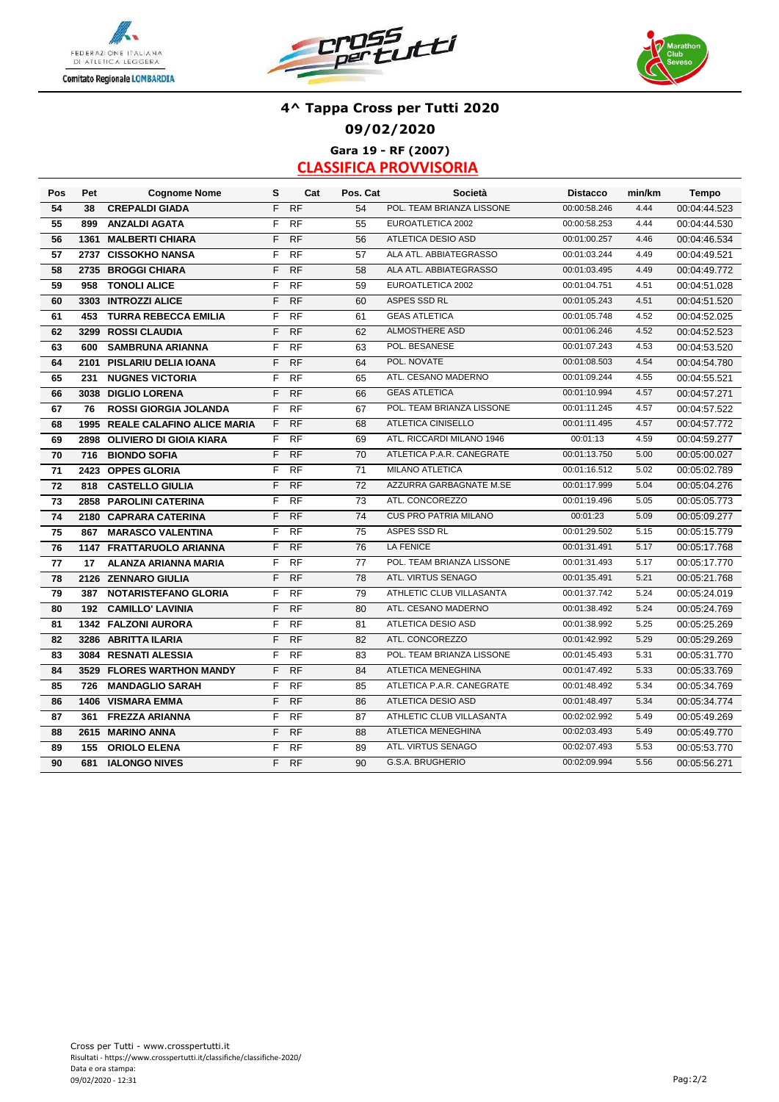





## **Gara 19 - RF (2007) 4^ Tappa Cross per Tutti 2020 09/02/2020**

| Pos | Pet  | <b>Cognome Nome</b>             | s  | Cat       | Pos. Cat | <b>Società</b>               | <b>Distacco</b> | min/km | <b>Tempo</b> |
|-----|------|---------------------------------|----|-----------|----------|------------------------------|-----------------|--------|--------------|
| 54  | 38   | <b>CREPALDI GIADA</b>           | F  | <b>RF</b> | 54       | POL. TEAM BRIANZA LISSONE    | 00:00:58.246    | 4.44   | 00:04:44.523 |
| 55  | 899  | <b>ANZALDI AGATA</b>            | F  | <b>RF</b> | 55       | EUROATLETICA 2002            | 00:00:58.253    | 4.44   | 00:04:44.530 |
| 56  | 1361 | <b>MALBERTI CHIARA</b>          | F  | <b>RF</b> | 56       | <b>ATLETICA DESIO ASD</b>    | 00:01:00.257    | 4.46   | 00:04:46.534 |
| 57  |      | 2737 CISSOKHO NANSA             | F  | <b>RF</b> | 57       | ALA ATL. ABBIATEGRASSO       | 00:01:03.244    | 4.49   | 00:04:49.521 |
| 58  |      | 2735 BROGGI CHIARA              | F  | <b>RF</b> | 58       | ALA ATL. ABBIATEGRASSO       | 00:01:03.495    | 4.49   | 00:04:49.772 |
| 59  | 958  | <b>TONOLI ALICE</b>             | F  | RF        | 59       | EUROATLETICA 2002            | 00:01:04.751    | 4.51   | 00:04:51.028 |
| 60  |      | 3303 INTROZZI ALICE             | F  | <b>RF</b> | 60       | ASPES SSD RL                 | 00:01:05.243    | 4.51   | 00:04:51.520 |
| 61  | 453  | <b>TURRA REBECCA EMILIA</b>     | F  | <b>RF</b> | 61       | <b>GEAS ATLETICA</b>         | 00:01:05.748    | 4.52   | 00:04:52.025 |
| 62  |      | 3299 ROSSI CLAUDIA              | F  | <b>RF</b> | 62       | ALMOSTHERE ASD               | 00:01:06.246    | 4.52   | 00:04:52.523 |
| 63  | 600  | <b>SAMBRUNA ARIANNA</b>         | F  | RF        | 63       | POL. BESANESE                | 00:01:07.243    | 4.53   | 00:04:53.520 |
| 64  |      | 2101 PISLARIU DELIA IOANA       | F  | <b>RF</b> | 64       | POL. NOVATE                  | 00:01:08.503    | 4.54   | 00:04:54.780 |
| 65  | 231  | <b>NUGNES VICTORIA</b>          | F  | <b>RF</b> | 65       | ATL. CESANO MADERNO          | 00:01:09.244    | 4.55   | 00:04:55.521 |
| 66  |      | 3038 DIGLIO LORENA              | F  | RF        | 66       | <b>GEAS ATLETICA</b>         | 00:01:10.994    | 4.57   | 00:04:57.271 |
| 67  | 76   | <b>ROSSI GIORGIA JOLANDA</b>    | F  | <b>RF</b> | 67       | POL. TEAM BRIANZA LISSONE    | 00:01:11.245    | 4.57   | 00:04:57.522 |
| 68  |      | 1995 REALE CALAFINO ALICE MARIA | F. | RF        | 68       | <b>ATLETICA CINISELLO</b>    | 00:01:11.495    | 4.57   | 00:04:57.772 |
| 69  |      | 2898 OLIVIERO DI GIOIA KIARA    | F. | <b>RF</b> | 69       | ATL. RICCARDI MILANO 1946    | 00:01:13        | 4.59   | 00:04:59.277 |
| 70  | 716  | <b>BIONDO SOFIA</b>             | F  | <b>RF</b> | 70       | ATLETICA P.A.R. CANEGRATE    | 00:01:13.750    | 5.00   | 00:05:00.027 |
| 71  |      | 2423 OPPES GLORIA               | F  | RF        | 71       | <b>MILANO ATLETICA</b>       | 00:01:16.512    | 5.02   | 00:05:02.789 |
| 72  | 818  | <b>CASTELLO GIULIA</b>          | F  | <b>RF</b> | 72       | AZZURRA GARBAGNATE M.SE      | 00:01:17.999    | 5.04   | 00:05:04.276 |
| 73  |      | 2858 PAROLINI CATERINA          | F  | <b>RF</b> | 73       | ATL. CONCOREZZO              | 00:01:19.496    | 5.05   | 00:05:05.773 |
| 74  |      | 2180 CAPRARA CATERINA           | F  | RF        | 74       | <b>CUS PRO PATRIA MILANO</b> | 00:01:23        | 5.09   | 00:05:09.277 |
| 75  |      | 867 MARASCO VALENTINA           | F  | <b>RF</b> | 75       | ASPES SSD RL                 | 00:01:29.502    | 5.15   | 00:05:15.779 |
| 76  |      | 1147 FRATTARUOLO ARIANNA        | F  | <b>RF</b> | 76       | <b>LA FENICE</b>             | 00:01:31.491    | 5.17   | 00:05:17.768 |
| 77  | 17   | ALANZA ARIANNA MARIA            | F  | <b>RF</b> | 77       | POL. TEAM BRIANZA LISSONE    | 00:01:31.493    | 5.17   | 00:05:17.770 |
| 78  |      | 2126 ZENNARO GIULIA             | F  | <b>RF</b> | 78       | ATL. VIRTUS SENAGO           | 00:01:35.491    | 5.21   | 00:05:21.768 |
| 79  | 387  | <b>NOTARISTEFANO GLORIA</b>     | F  | <b>RF</b> | 79       | ATHLETIC CLUB VILLASANTA     | 00:01:37.742    | 5.24   | 00:05:24.019 |
| 80  | 192  | <b>CAMILLO' LAVINIA</b>         | F  | <b>RF</b> | 80       | ATL. CESANO MADERNO          | 00:01:38.492    | 5.24   | 00:05:24.769 |
| 81  |      | 1342 FALZONI AURORA             | F  | <b>RF</b> | 81       | ATLETICA DESIO ASD           | 00:01:38.992    | 5.25   | 00:05:25.269 |
| 82  |      | 3286 ABRITTA ILARIA             | F  | <b>RF</b> | 82       | ATL. CONCOREZZO              | 00:01:42.992    | 5.29   | 00:05:29.269 |
| 83  |      | 3084 RESNATI ALESSIA            | F  | <b>RF</b> | 83       | POL. TEAM BRIANZA LISSONE    | 00:01:45.493    | 5.31   | 00:05:31.770 |
| 84  |      | 3529 FLORES WARTHON MANDY       | F  | <b>RF</b> | 84       | <b>ATLETICA MENEGHINA</b>    | 00:01:47.492    | 5.33   | 00:05:33.769 |
| 85  | 726  | <b>MANDAGLIO SARAH</b>          | F  | <b>RF</b> | 85       | ATLETICA P.A.R. CANEGRATE    | 00:01:48.492    | 5.34   | 00:05:34.769 |
| 86  |      | 1406 VISMARA EMMA               | F  | <b>RF</b> | 86       | <b>ATLETICA DESIO ASD</b>    | 00:01:48.497    | 5.34   | 00:05:34.774 |
| 87  | 361  | <b>FREZZA ARIANNA</b>           | F  | <b>RF</b> | 87       | ATHLETIC CLUB VILLASANTA     | 00:02:02.992    | 5.49   | 00:05:49.269 |
| 88  |      | 2615 MARINO ANNA                | F  | <b>RF</b> | 88       | ATLETICA MENEGHINA           | 00:02:03.493    | 5.49   | 00:05:49.770 |
| 89  | 155  | <b>ORIOLO ELENA</b>             | F  | <b>RF</b> | 89       | ATL. VIRTUS SENAGO           | 00:02:07.493    | 5.53   | 00:05:53.770 |
| 90  | 681  | <b>IALONGO NIVES</b>            | F. | <b>RF</b> | 90       | G.S.A. BRUGHERIO             | 00:02:09.994    | 5.56   | 00:05:56.271 |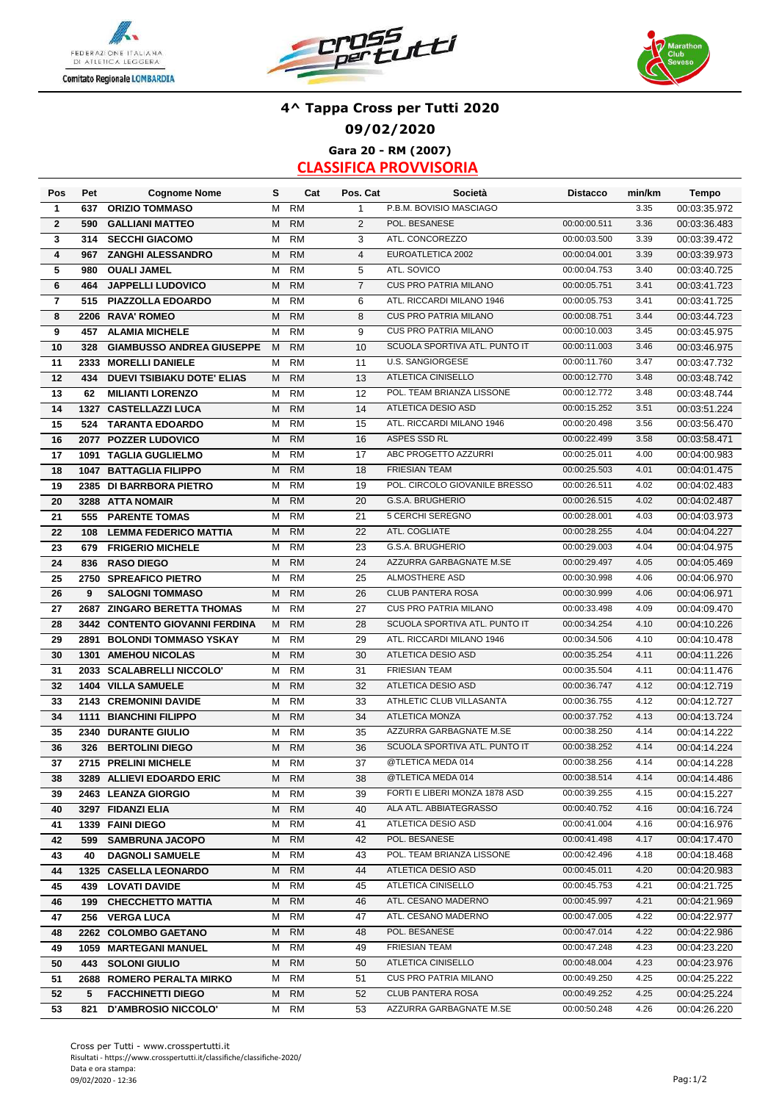





### **Gara 20 - RM (2007) 4^ Tappa Cross per Tutti 2020 09/02/2020**

| Pos                     | Pet  | <b>Cognome Nome</b>               | s | Cat       | Pos. Cat       | Società                       | <b>Distacco</b> | min/km | <b>Tempo</b> |
|-------------------------|------|-----------------------------------|---|-----------|----------------|-------------------------------|-----------------|--------|--------------|
| 1                       | 637  | <b>ORIZIO TOMMASO</b>             | M | <b>RM</b> | $\mathbf{1}$   | P.B.M. BOVISIO MASCIAGO       |                 | 3.35   | 00:03:35.972 |
| $\overline{2}$          | 590  | <b>GALLIANI MATTEO</b>            | M | <b>RM</b> | 2              | POL. BESANESE                 | 00:00:00.511    | 3.36   | 00:03:36.483 |
| 3                       | 314  | <b>SECCHI GIACOMO</b>             | M | <b>RM</b> | 3              | ATL. CONCOREZZO               | 00:00:03.500    | 3.39   | 00:03:39.472 |
| 4                       | 967  | <b>ZANGHI ALESSANDRO</b>          | M | RM        | $\overline{4}$ | EUROATLETICA 2002             | 00:00:04.001    | 3.39   | 00:03:39.973 |
| 5                       | 980  | <b>OUALI JAMEL</b>                | М | <b>RM</b> | 5              | ATL. SOVICO                   | 00:00:04.753    | 3.40   | 00:03:40.725 |
| 6                       | 464  | <b>JAPPELLI LUDOVICO</b>          | M | <b>RM</b> | $\overline{7}$ | CUS PRO PATRIA MILANO         | 00:00:05.751    | 3.41   | 00:03:41.723 |
| $\overline{\mathbf{r}}$ | 515  | PIAZZOLLA EDOARDO                 | M | <b>RM</b> | 6              | ATL. RICCARDI MILANO 1946     | 00:00:05.753    | 3.41   | 00:03:41.725 |
| 8                       |      | 2206 RAVA' ROMEO                  | M | <b>RM</b> | 8              | <b>CUS PRO PATRIA MILANO</b>  | 00:00:08.751    | 3.44   | 00:03:44.723 |
| 9                       | 457  | <b>ALAMIA MICHELE</b>             | М | <b>RM</b> | 9              | <b>CUS PRO PATRIA MILANO</b>  | 00:00:10.003    | 3.45   | 00:03:45.975 |
| 10                      | 328  | <b>GIAMBUSSO ANDREA GIUSEPPE</b>  | M | <b>RM</b> | 10             | SCUOLA SPORTIVA ATL. PUNTO IT | 00:00:11.003    | 3.46   | 00:03:46.975 |
| 11                      | 2333 | <b>MORELLI DANIELE</b>            | м | <b>RM</b> | 11             | U.S. SANGIORGESE              | 00:00:11.760    | 3.47   | 00:03:47.732 |
| 12                      | 434  | <b>DUEVI TSIBIAKU DOTE' ELIAS</b> | M | <b>RM</b> | 13             | ATLETICA CINISELLO            | 00:00:12.770    | 3.48   | 00:03:48.742 |
| 13                      | 62   | <b>MILIANTI LORENZO</b>           | м | <b>RM</b> | 12             | POL. TEAM BRIANZA LISSONE     | 00:00:12.772    | 3.48   | 00:03:48.744 |
| 14                      |      | 1327 CASTELLAZZI LUCA             | M | <b>RM</b> | 14             | ATLETICA DESIO ASD            | 00:00:15.252    | 3.51   | 00:03:51.224 |
| 15                      | 524  | <b>TARANTA EDOARDO</b>            | M | <b>RM</b> | 15             | ATL. RICCARDI MILANO 1946     | 00:00:20.498    | 3.56   | 00:03:56.470 |
| 16                      |      | 2077 POZZER LUDOVICO              | м | <b>RM</b> | 16             | ASPES SSD RL                  | 00:00:22.499    | 3.58   | 00:03:58.471 |
| 17                      |      | 1091 TAGLIA GUGLIELMO             | м | <b>RM</b> | 17             | ABC PROGETTO AZZURRI          | 00:00:25.011    | 4.00   | 00:04:00.983 |
| 18                      |      | <b>1047 BATTAGLIA FILIPPO</b>     | M | <b>RM</b> | 18             | <b>FRIESIAN TEAM</b>          | 00:00:25.503    | 4.01   | 00:04:01.475 |
| 19                      |      | 2385 DI BARRBORA PIETRO           | М | <b>RM</b> | 19             | POL. CIRCOLO GIOVANILE BRESSO | 00:00:26.511    | 4.02   | 00:04:02.483 |
| 20                      |      | 3288 ATTA NOMAIR                  | м | <b>RM</b> | 20             | G.S.A. BRUGHERIO              | 00:00:26.515    | 4.02   | 00:04:02.487 |
| 21                      | 555  | <b>PARENTE TOMAS</b>              | М | <b>RM</b> | 21             | 5 CERCHI SEREGNO              | 00:00:28.001    | 4.03   | 00:04:03.973 |
| 22                      | 108  | <b>LEMMA FEDERICO MATTIA</b>      | M | <b>RM</b> | 22             | ATL. COGLIATE                 | 00:00:28.255    | 4.04   | 00:04:04.227 |
| 23                      | 679  | <b>FRIGERIO MICHELE</b>           | м | <b>RM</b> | 23             | G.S.A. BRUGHERIO              | 00:00:29.003    | 4.04   | 00:04:04.975 |
| 24                      | 836  | <b>RASO DIEGO</b>                 | M | <b>RM</b> | 24             | AZZURRA GARBAGNATE M.SE       | 00:00:29.497    | 4.05   | 00:04:05.469 |
| 25                      |      | 2750 SPREAFICO PIETRO             | M | <b>RM</b> | 25             | ALMOSTHERE ASD                | 00:00:30.998    | 4.06   | 00:04:06.970 |
| 26                      | 9    | <b>SALOGNI TOMMASO</b>            | M | <b>RM</b> | 26             | <b>CLUB PANTERA ROSA</b>      | 00:00:30.999    | 4.06   | 00:04:06.971 |
| 27                      | 2687 | <b>ZINGARO BERETTA THOMAS</b>     | м | <b>RM</b> | 27             | <b>CUS PRO PATRIA MILANO</b>  | 00:00:33.498    | 4.09   | 00:04:09.470 |
| 28                      |      | 3442 CONTENTO GIOVANNI FERDINA    | M | <b>RM</b> | 28             | SCUOLA SPORTIVA ATL. PUNTO IT | 00:00:34.254    | 4.10   | 00:04:10.226 |
| 29                      | 2891 | <b>BOLONDI TOMMASO YSKAY</b>      | м | <b>RM</b> | 29             | ATL. RICCARDI MILANO 1946     | 00:00:34.506    | 4.10   | 00:04:10.478 |
| 30                      | 1301 | <b>AMEHOU NICOLAS</b>             | M | <b>RM</b> | 30             | ATLETICA DESIO ASD            | 00:00:35.254    | 4.11   | 00:04:11.226 |
| 31                      |      | 2033 SCALABRELLI NICCOLO'         | M | <b>RM</b> | 31             | <b>FRIESIAN TEAM</b>          | 00:00:35.504    | 4.11   | 00:04:11.476 |
| 32                      |      | <b>1404 VILLA SAMUELE</b>         | M | <b>RM</b> | 32             | ATLETICA DESIO ASD            | 00:00:36.747    | 4.12   | 00:04:12.719 |
| 33                      |      | 2143 CREMONINI DAVIDE             | M | <b>RM</b> | 33             | ATHLETIC CLUB VILLASANTA      | 00:00:36.755    | 4.12   | 00:04:12.727 |
| 34                      |      | <b>1111 BIANCHINI FILIPPO</b>     | M | <b>RM</b> | 34             | <b>ATLETICA MONZA</b>         | 00:00:37.752    | 4.13   | 00:04:13.724 |
| 35                      |      | 2340 DURANTE GIULIO               | М | <b>RM</b> | 35             | AZZURRA GARBAGNATE M.SE       | 00:00:38.250    | 4.14   | 00:04:14.222 |
| 36                      | 326  | <b>BERTOLINI DIEGO</b>            | M | <b>RM</b> | 36             | SCUOLA SPORTIVA ATL. PUNTO IT | 00:00:38.252    | 4.14   | 00:04:14.224 |
| 37                      |      | 2715 PRELINI MICHELE              | М | <b>RM</b> | 37             | @TLETICA MEDA 014             | 00:00:38.256    | 4.14   | 00:04:14.228 |
| 38                      |      | 3289 ALLIEVI EDOARDO ERIC         | M | RM        | 38             | @TLETICA MEDA 014             | 00:00:38.514    | 4.14   | 00:04:14.486 |
| 39                      |      | 2463 LEANZA GIORGIO               | М | RM        | 39             | FORTI E LIBERI MONZA 1878 ASD | 00:00:39.255    | 4.15   | 00:04:15.227 |
| 40                      |      | 3297 FIDANZI ELIA                 | M | <b>RM</b> | 40             | ALA ATL. ABBIATEGRASSO        | 00:00:40.752    | 4.16   | 00:04:16.724 |
| 41                      |      | 1339 FAINI DIEGO                  | M | RM        | 41             | ATLETICA DESIO ASD            | 00:00:41.004    | 4.16   | 00:04:16.976 |
| 42                      | 599  | <b>SAMBRUNA JACOPO</b>            | M | <b>RM</b> | 42             | POL. BESANESE                 | 00:00:41.498    | 4.17   | 00:04:17.470 |
| 43                      | 40   | <b>DAGNOLI SAMUELE</b>            | M | RM        | 43             | POL. TEAM BRIANZA LISSONE     | 00:00:42.496    | 4.18   | 00:04:18.468 |
| 44                      |      | 1325 CASELLA LEONARDO             | M | <b>RM</b> | 44             | ATLETICA DESIO ASD            | 00:00:45.011    | 4.20   | 00:04:20.983 |
| 45                      |      | <b>439 LOVATI DAVIDE</b>          | M | RM        | 45             | ATLETICA CINISELLO            | 00:00:45.753    | 4.21   | 00:04:21.725 |
| 46                      |      | 199 CHECCHETTO MATTIA             | M | <b>RM</b> | 46             | ATL. CESANO MADERNO           | 00:00:45.997    | 4.21   | 00:04:21.969 |
| 47                      |      | 256 VERGA LUCA                    | M | RM        | 47             | ATL. CESANO MADERNO           | 00:00:47.005    | 4.22   | 00:04:22.977 |
| 48                      |      | 2262 COLOMBO GAETANO              | M | <b>RM</b> | 48             | POL. BESANESE                 | 00:00:47.014    | 4.22   | 00:04:22.986 |
| 49                      |      | 1059 MARTEGANI MANUEL             | м | RM        | 49             | FRIESIAN TEAM                 | 00:00:47.248    | 4.23   | 00:04:23.220 |
| 50                      | 443  | <b>SOLONI GIULIO</b>              | М | <b>RM</b> | 50             | ATLETICA CINISELLO            | 00:00:48.004    | 4.23   | 00:04:23.976 |
| 51                      |      | 2688 ROMERO PERALTA MIRKO         | М | RM        | 51             | CUS PRO PATRIA MILANO         | 00:00:49.250    | 4.25   | 00:04:25.222 |
| 52                      | 5    | <b>FACCHINETTI DIEGO</b>          | М | <b>RM</b> | 52             | <b>CLUB PANTERA ROSA</b>      | 00:00:49.252    | 4.25   | 00:04:25.224 |
| 53                      | 821  | <b>D'AMBROSIO NICCOLO'</b>        | м | RM        | 53             | AZZURRA GARBAGNATE M.SE       | 00:00:50.248    | 4.26   | 00:04:26.220 |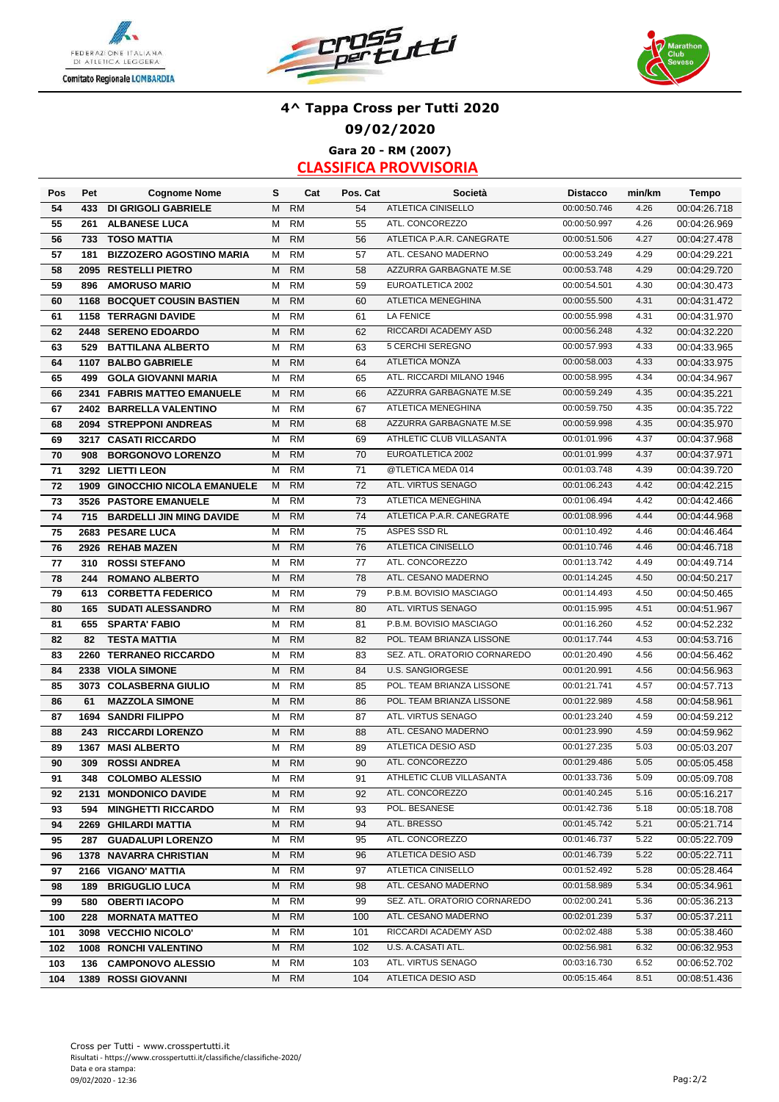





### **Gara 20 - RM (2007) 4^ Tappa Cross per Tutti 2020 09/02/2020**

| Pos | Pet  | <b>Cognome Nome</b>             | s | Cat       | Pos. Cat | Società                      | <b>Distacco</b> | min/km | <b>Tempo</b> |
|-----|------|---------------------------------|---|-----------|----------|------------------------------|-----------------|--------|--------------|
| 54  | 433  | <b>DI GRIGOLI GABRIELE</b>      | M | <b>RM</b> | 54       | <b>ATLETICA CINISELLO</b>    | 00:00:50.746    | 4.26   | 00:04:26.718 |
| 55  | 261  | <b>ALBANESE LUCA</b>            | M | <b>RM</b> | 55       | ATL. CONCOREZZO              | 00:00:50.997    | 4.26   | 00:04:26.969 |
| 56  | 733  | <b>TOSO MATTIA</b>              | M | <b>RM</b> | 56       | ATLETICA P.A.R. CANEGRATE    | 00:00:51.506    | 4.27   | 00:04:27.478 |
| 57  | 181  | <b>BIZZOZERO AGOSTINO MARIA</b> | M | <b>RM</b> | 57       | ATL. CESANO MADERNO          | 00:00:53.249    | 4.29   | 00:04:29.221 |
| 58  |      | 2095 RESTELLI PIETRO            | M | <b>RM</b> | 58       | AZZURRA GARBAGNATE M.SE      | 00:00:53.748    | 4.29   | 00:04:29.720 |
| 59  | 896  | <b>AMORUSO MARIO</b>            | M | <b>RM</b> | 59       | EUROATLETICA 2002            | 00:00:54.501    | 4.30   | 00:04:30.473 |
| 60  |      | 1168 BOCQUET COUSIN BASTIEN     | M | <b>RM</b> | 60       | ATLETICA MENEGHINA           | 00:00:55.500    | 4.31   | 00:04:31.472 |
| 61  |      | 1158 TERRAGNI DAVIDE            | M | <b>RM</b> | 61       | <b>LA FENICE</b>             | 00:00:55.998    | 4.31   | 00:04:31.970 |
| 62  |      | 2448 SERENO EDOARDO             | M | <b>RM</b> | 62       | RICCARDI ACADEMY ASD         | 00:00:56.248    | 4.32   | 00:04:32.220 |
| 63  | 529  | <b>BATTILANA ALBERTO</b>        | M | <b>RM</b> | 63       | 5 CERCHI SEREGNO             | 00:00:57.993    | 4.33   | 00:04:33.965 |
| 64  | 1107 | <b>BALBO GABRIELE</b>           | M | <b>RM</b> | 64       | ATLETICA MONZA               | 00:00:58.003    | 4.33   | 00:04:33.975 |
| 65  | 499  | <b>GOLA GIOVANNI MARIA</b>      | M | <b>RM</b> | 65       | ATL. RICCARDI MILANO 1946    | 00:00:58.995    | 4.34   | 00:04:34.967 |
| 66  |      | 2341 FABRIS MATTEO EMANUELE     | М | <b>RM</b> | 66       | AZZURRA GARBAGNATE M.SE      | 00:00:59.249    | 4.35   | 00:04:35.221 |
| 67  |      | 2402 BARRELLA VALENTINO         | м | <b>RM</b> | 67       | ATLETICA MENEGHINA           | 00:00:59.750    | 4.35   | 00:04:35.722 |
| 68  |      | 2094 STREPPONI ANDREAS          | М | <b>RM</b> | 68       | AZZURRA GARBAGNATE M.SE      | 00:00:59.998    | 4.35   | 00:04:35.970 |
| 69  |      | 3217 CASATI RICCARDO            | M | <b>RM</b> | 69       | ATHLETIC CLUB VILLASANTA     | 00:01:01.996    | 4.37   | 00:04:37.968 |
| 70  | 908  | <b>BORGONOVO LORENZO</b>        | М | <b>RM</b> | 70       | EUROATLETICA 2002            | 00:01:01.999    | 4.37   | 00:04:37.971 |
| 71  |      | 3292 LIETTI LEON                | м | <b>RM</b> | 71       | @TLETICA MEDA 014            | 00:01:03.748    | 4.39   | 00:04:39.720 |
| 72  |      | 1909 GINOCCHIO NICOLA EMANUELE  | м | <b>RM</b> | 72       | ATL. VIRTUS SENAGO           | 00:01:06.243    | 4.42   | 00:04:42.215 |
| 73  |      | 3526 PASTORE EMANUELE           | м | <b>RM</b> | 73       | <b>ATLETICA MENEGHINA</b>    | 00:01:06.494    | 4.42   | 00:04:42.466 |
| 74  | 715  | <b>BARDELLI JIN MING DAVIDE</b> | М | <b>RM</b> | 74       | ATLETICA P.A.R. CANEGRATE    | 00:01:08.996    | 4.44   | 00:04:44.968 |
| 75  |      | 2683 PESARE LUCA                | M | <b>RM</b> | 75       | ASPES SSD RL                 | 00:01:10.492    | 4.46   | 00:04:46.464 |
| 76  |      | 2926 REHAB MAZEN                | M | <b>RM</b> | 76       | ATLETICA CINISELLO           | 00:01:10.746    | 4.46   | 00:04:46.718 |
| 77  | 310  | <b>ROSSI STEFANO</b>            | M | <b>RM</b> | 77       | ATL. CONCOREZZO              | 00:01:13.742    | 4.49   | 00:04:49.714 |
| 78  | 244  | <b>ROMANO ALBERTO</b>           | М | <b>RM</b> | 78       | ATL. CESANO MADERNO          | 00:01:14.245    | 4.50   | 00:04:50.217 |
| 79  | 613  | <b>CORBETTA FEDERICO</b>        | М | <b>RM</b> | 79       | P.B.M. BOVISIO MASCIAGO      | 00:01:14.493    | 4.50   | 00:04:50.465 |
| 80  | 165  | <b>SUDATI ALESSANDRO</b>        | М | <b>RM</b> | 80       | ATL. VIRTUS SENAGO           | 00:01:15.995    | 4.51   | 00:04:51.967 |
| 81  | 655  | <b>SPARTA' FABIO</b>            | M | <b>RM</b> | 81       | P.B.M. BOVISIO MASCIAGO      | 00:01:16.260    | 4.52   | 00:04:52.232 |
| 82  | 82   | <b>TESTA MATTIA</b>             | M | <b>RM</b> | 82       | POL. TEAM BRIANZA LISSONE    | 00:01:17.744    | 4.53   | 00:04:53.716 |
| 83  |      | 2260 TERRANEO RICCARDO          | М | <b>RM</b> | 83       | SEZ. ATL. ORATORIO CORNAREDO | 00:01:20.490    | 4.56   | 00:04:56.462 |
| 84  |      | 2338 VIOLA SIMONE               | M | <b>RM</b> | 84       | <b>U.S. SANGIORGESE</b>      | 00:01:20.991    | 4.56   | 00:04:56.963 |
| 85  |      | 3073 COLASBERNA GIULIO          | М | <b>RM</b> | 85       | POL. TEAM BRIANZA LISSONE    | 00:01:21.741    | 4.57   | 00:04:57.713 |
| 86  | 61   | <b>MAZZOLA SIMONE</b>           | M | <b>RM</b> | 86       | POL. TEAM BRIANZA LISSONE    | 00:01:22.989    | 4.58   | 00:04:58.961 |
| 87  |      | 1694 SANDRI FILIPPO             | M | <b>RM</b> | 87       | ATL. VIRTUS SENAGO           | 00:01:23.240    | 4.59   | 00:04:59.212 |
| 88  | 243  | <b>RICCARDI LORENZO</b>         | M | <b>RM</b> | 88       | ATL. CESANO MADERNO          | 00:01:23.990    | 4.59   | 00:04:59.962 |
| 89  | 1367 | <b>MASI ALBERTO</b>             | M | <b>RM</b> | 89       | ATLETICA DESIO ASD           | 00:01:27.235    | 5.03   | 00:05:03.207 |
| 90  | 309  | <b>ROSSI ANDREA</b>             | M | <b>RM</b> | 90       | ATL. CONCOREZZO              | 00:01:29.486    | 5.05   | 00:05:05.458 |
| 91  | 348  | <b>COLOMBO ALESSIO</b>          | M | RM        | 91       | ATHLETIC CLUB VILLASANTA     | 00:01:33.736    | 5.09   | 00:05:09.708 |
| 92  |      | 2131 MONDONICO DAVIDE           | м | <b>RM</b> | 92       | ATL. CONCOREZZO              | 00:01:40.245    | 5.16   | 00:05:16.217 |
| 93  | 594  | <b>MINGHETTI RICCARDO</b>       | м | RM        | 93       | POL. BESANESE                | 00:01:42.736    | 5.18   | 00:05:18.708 |
| 94  |      | 2269 GHILARDI MATTIA            | м | <b>RM</b> | 94       | ATL. BRESSO                  | 00:01:45.742    | 5.21   | 00:05:21.714 |
| 95  |      | 287 GUADALUPI LORENZO           | м | RM        | 95       | ATL. CONCOREZZO              | 00:01:46.737    | 5.22   | 00:05:22.709 |
| 96  |      | <b>1378 NAVARRA CHRISTIAN</b>   | м | <b>RM</b> | 96       | ATLETICA DESIO ASD           | 00:01:46.739    | 5.22   | 00:05:22.711 |
| 97  |      | 2166 VIGANO' MATTIA             | м | RM        | 97       | ATLETICA CINISELLO           | 00:01:52.492    | 5.28   | 00:05:28.464 |
| 98  | 189  | <b>BRIGUGLIO LUCA</b>           | м | <b>RM</b> | 98       | ATL. CESANO MADERNO          | 00:01:58.989    | 5.34   | 00:05:34.961 |
| 99  |      | 580 OBERTI IACOPO               | м | RM        | 99       | SEZ. ATL. ORATORIO CORNAREDO | 00:02:00.241    | 5.36   | 00:05:36.213 |
| 100 |      | 228 MORNATA MATTEO              | м | <b>RM</b> | 100      | ATL. CESANO MADERNO          | 00:02:01.239    | 5.37   | 00:05:37.211 |
| 101 |      | 3098 VECCHIO NICOLO'            | м | RM        | 101      | RICCARDI ACADEMY ASD         | 00:02:02.488    | 5.38   | 00:05:38.460 |
| 102 |      | 1008 RONCHI VALENTINO           | м | <b>RM</b> | 102      | U.S. A.CASATI ATL.           | 00:02:56.981    | 6.32   | 00:06:32.953 |
| 103 |      | 136 CAMPONOVO ALESSIO           | М | RM        | 103      | ATL. VIRTUS SENAGO           | 00:03:16.730    | 6.52   | 00:06:52.702 |
| 104 |      | <b>1389 ROSSI GIOVANNI</b>      | м | <b>RM</b> | 104      | ATLETICA DESIO ASD           | 00:05:15.464    | 8.51   | 00:08:51.436 |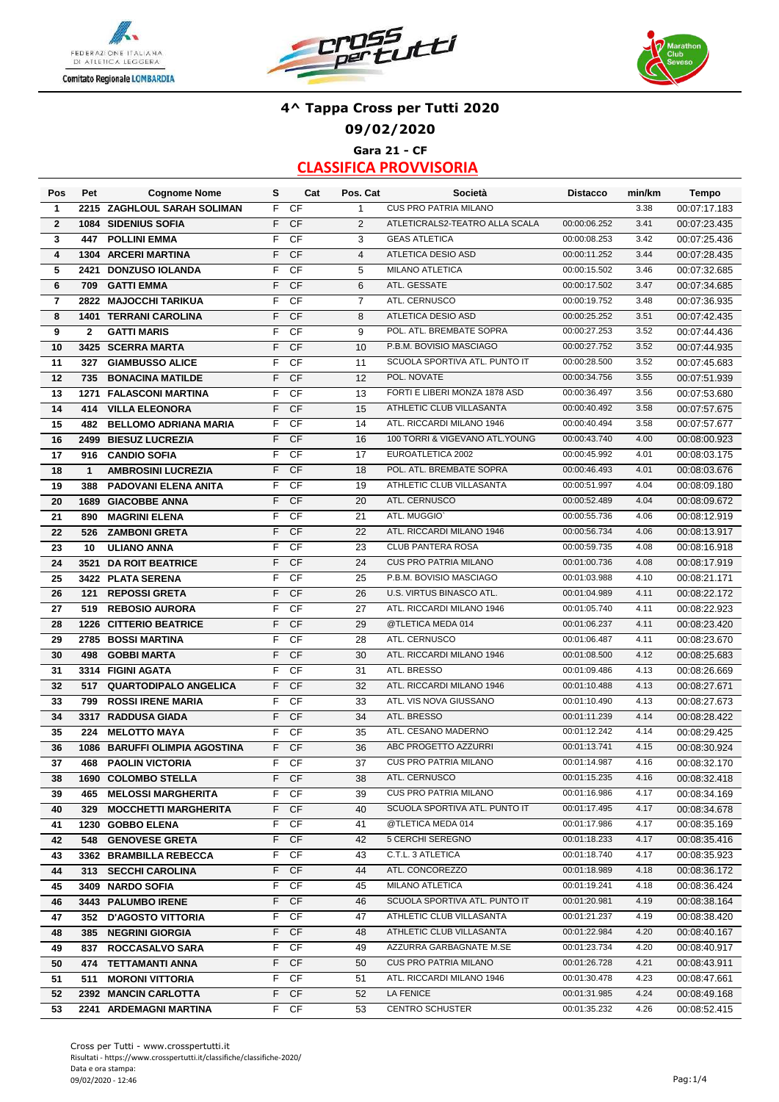





### **4^ Tappa Cross per Tutti 2020 09/02/2020 Gara 21 - CF**

| Pos            | Pet          | <b>Cognome Nome</b>                              | s      | Cat        | Pos. Cat       | Società                                              | <b>Distacco</b>              | min/km       | Tempo                        |
|----------------|--------------|--------------------------------------------------|--------|------------|----------------|------------------------------------------------------|------------------------------|--------------|------------------------------|
| $\mathbf{1}$   |              | 2215 ZAGHLOUL SARAH SOLIMAN                      | F      | <b>CF</b>  | $\mathbf{1}$   | <b>CUS PRO PATRIA MILANO</b>                         |                              | 3.38         | 00:07:17.183                 |
| $\mathbf{2}$   |              | 1084 SIDENIUS SOFIA                              | F      | CF         | 2              | ATLETICRALS2-TEATRO ALLA SCALA                       | 00:00:06.252                 | 3.41         | 00:07:23.435                 |
| 3              | 447          | <b>POLLINI EMMA</b>                              | F      | CF         | 3              | <b>GEAS ATLETICA</b>                                 | 00:00:08.253                 | 3.42         | 00:07:25.436                 |
| 4              |              | 1304 ARCERI MARTINA                              | F      | CF         | $\overline{4}$ | ATLETICA DESIO ASD                                   | 00:00:11.252                 | 3.44         | 00:07:28.435                 |
| 5              | 2421         | <b>DONZUSO IOLANDA</b>                           | F      | CF         | 5              | <b>MILANO ATLETICA</b>                               | 00:00:15.502                 | 3.46         | 00:07:32.685                 |
| 6              | 709          | <b>GATTI EMMA</b>                                | F      | CF         | 6              | ATL. GESSATE                                         | 00:00:17.502                 | 3.47         | 00:07:34.685                 |
| $\overline{7}$ | 2822         | <b>MAJOCCHI TARIKUA</b>                          | F      | CF         | $\overline{7}$ | ATL. CERNUSCO                                        | 00:00:19.752                 | 3.48         | 00:07:36.935                 |
| 8              |              | <b>1401 TERRANI CAROLINA</b>                     | F      | CF         | 8              | ATLETICA DESIO ASD                                   | 00:00:25.252                 | 3.51         | 00:07:42.435                 |
| 9              | $\mathbf{2}$ | <b>GATTI MARIS</b>                               | F      | CF         | 9              | POL. ATL. BREMBATE SOPRA                             | 00:00:27.253                 | 3.52         | 00:07:44.436                 |
| 10             |              | 3425 SCERRA MARTA                                | F      | CF         | 10             | P.B.M. BOVISIO MASCIAGO                              | 00:00:27.752                 | 3.52         | 00:07:44.935                 |
| 11             | 327          | <b>GIAMBUSSO ALICE</b>                           | F      | <b>CF</b>  | 11             | SCUOLA SPORTIVA ATL. PUNTO IT                        | 00:00:28.500                 | 3.52         | 00:07:45.683                 |
| 12             | 735          | <b>BONACINA MATILDE</b>                          | F      | CF         | 12             | POL. NOVATE                                          | 00:00:34.756                 | 3.55         | 00:07:51.939                 |
| 13             | 1271         | <b>FALASCONI MARTINA</b>                         | F      | CF         | 13             | FORTI E LIBERI MONZA 1878 ASD                        | 00:00:36.497                 | 3.56         | 00:07:53.680                 |
| 14             | 414          | <b>VILLA ELEONORA</b>                            | F      | <b>CF</b>  | 15             | ATHLETIC CLUB VILLASANTA                             | 00:00:40.492                 | 3.58         | 00:07:57.675                 |
| 15             | 482          | <b>BELLOMO ADRIANA MARIA</b>                     | F      | CF         | 14             | ATL. RICCARDI MILANO 1946                            | 00:00:40.494                 | 3.58         | 00:07:57.677                 |
| 16             |              | 2499 BIESUZ LUCREZIA                             | F      | CF         | 16             | 100 TORRI & VIGEVANO ATL. YOUNG                      | 00:00:43.740                 | 4.00         | 00:08:00.923                 |
| 17             | 916          | <b>CANDIO SOFIA</b>                              | F      | CF         | 17             | EUROATLETICA 2002                                    | 00:00:45.992                 | 4.01         | 00:08:03.175                 |
| 18             | $\mathbf{1}$ | <b>AMBROSINI LUCREZIA</b>                        | F      | CF         | 18             | POL. ATL. BREMBATE SOPRA                             | 00:00:46.493                 | 4.01         | 00:08:03.676                 |
| 19             | 388          | PADOVANI ELENA ANITA                             | F      | <b>CF</b>  | 19             | ATHLETIC CLUB VILLASANTA                             | 00:00:51.997                 | 4.04         | 00:08:09.180                 |
| 20             |              | <b>1689 GIACOBBE ANNA</b>                        | F      | CF         | 20             | ATL. CERNUSCO                                        | 00:00:52.489                 | 4.04         | 00:08:09.672                 |
| 21             | 890          | <b>MAGRINI ELENA</b>                             | F      | CF         | 21             | ATL. MUGGIO                                          | 00:00:55.736                 | 4.06         | 00:08:12.919                 |
| 22             | 526          | <b>ZAMBONI GRETA</b>                             | F      | <b>CF</b>  | 22             | ATL. RICCARDI MILANO 1946                            | 00:00:56.734                 | 4.06         | 00:08:13.917                 |
| 23             | 10           | <b>ULIANO ANNA</b>                               | F      | <b>CF</b>  | 23             | CLUB PANTERA ROSA                                    | 00:00:59.735                 | 4.08         | 00:08:16.918                 |
| 24             |              | 3521 DA ROIT BEATRICE                            | F      | <b>CF</b>  | 24             | <b>CUS PRO PATRIA MILANO</b>                         | 00:01:00.736                 | 4.08         | 00:08:17.919                 |
| 25             |              | 3422 PLATA SERENA                                | F      | <b>CF</b>  | 25             | P.B.M. BOVISIO MASCIAGO                              | 00:01:03.988                 | 4.10         | 00:08:21.171                 |
| 26             | 121          | <b>REPOSSI GRETA</b>                             | F      | <b>CF</b>  | 26             | U.S. VIRTUS BINASCO ATL.                             | 00:01:04.989                 | 4.11         | 00:08:22.172                 |
| 27             | 519          | <b>REBOSIO AURORA</b>                            | F      | <b>CF</b>  | 27             | ATL. RICCARDI MILANO 1946                            | 00:01:05.740                 | 4.11         | 00:08:22.923                 |
| 28             |              | 1226 CITTERIO BEATRICE                           | F      | CF         | 29             | @TLETICA MEDA 014                                    | 00:01:06.237                 | 4.11         | 00:08:23.420                 |
| 29             |              | 2785 BOSSI MARTINA                               | F      | CF         | 28             | ATL. CERNUSCO                                        | 00:01:06.487                 | 4.11         | 00:08:23.670                 |
| 30             | 498          | <b>GOBBI MARTA</b>                               | F      | <b>CF</b>  | 30             | ATL. RICCARDI MILANO 1946                            | 00:01:08.500                 | 4.12         | 00:08:25.683                 |
| 31             |              | 3314 FIGINI AGATA                                | F      | CF         | 31             | ATL. BRESSO                                          | 00:01:09.486                 | 4.13         | 00:08:26.669                 |
| 32             | 517          | <b>QUARTODIPALO ANGELICA</b>                     | F      | CF         | 32             | ATL. RICCARDI MILANO 1946                            | 00:01:10.488                 | 4.13         | 00:08:27.671                 |
| 33             | 799          | <b>ROSSI IRENE MARIA</b>                         | F      | <b>CF</b>  | 33             | ATL. VIS NOVA GIUSSANO<br><b>ATL. BRESSO</b>         | 00:01:10.490                 | 4.13         | 00:08:27.673                 |
| 34             | 3317         | <b>RADDUSA GIADA</b>                             | F      | CF         | 34             |                                                      | 00:01:11.239                 | 4.14         | 00:08:28.422                 |
| 35             | 224          | <b>MELOTTO MAYA</b>                              | F      | CF         | 35             | ATL. CESANO MADERNO                                  | 00:01:12.242                 | 4.14         | 00:08:29.425                 |
| 36             |              | 1086 BARUFFI OLIMPIA AGOSTINA                    | F<br>F | CF         | 36             | ABC PROGETTO AZZURRI<br><b>CUS PRO PATRIA MILANO</b> | 00:01:13.741                 | 4.15<br>4.16 | 00:08:30.924                 |
| 37             | 468          | <b>PAOLIN VICTORIA</b>                           |        | <b>CF</b>  | 37             |                                                      | 00:01:14.987                 |              | 00:08:32.170                 |
| 38             |              | 1690 COLOMBO STELLA<br><b>MELOSSI MARGHERITA</b> | F.     | F CF<br>CF | 38<br>39       | ATL. CERNUSCO<br>CUS PRO PATRIA MILANO               | 00:01:15.235<br>00:01:16.986 | 4.16<br>4.17 | 00:08:32.418                 |
| 39             | 465          | <b>MOCCHETTI MARGHERITA</b>                      | F.     | CF         | 40             | SCUOLA SPORTIVA ATL. PUNTO IT                        | 00:01:17.495                 | 4.17         | 00:08:34.169<br>00:08:34.678 |
| 40             | 329          |                                                  | F.     | CF         |                | @TLETICA MEDA 014                                    | 00:01:17.986                 | 4.17         |                              |
| 41             |              | 1230 GOBBO ELENA<br>548 GENOVESE GRETA           | F.     | <b>CF</b>  | 41<br>42       | 5 CERCHI SEREGNO                                     | 00:01:18.233                 | 4.17         | 00:08:35.169<br>00:08:35.416 |
| 42<br>43       |              | 3362 BRAMBILLA REBECCA                           | F.     | CF         | 43             | C.T.L. 3 ATLETICA                                    | 00:01:18.740                 | 4.17         | 00:08:35.923                 |
| 44             |              | 313 SECCHI CAROLINA                              |        | F CF       | 44             | ATL. CONCOREZZO                                      | 00:01:18.989                 | 4.18         | 00:08:36.172                 |
| 45             |              | 3409 NARDO SOFIA                                 | F.     | CF         | 45             | MILANO ATLETICA                                      | 00:01:19.241                 | 4.18         | 00:08:36.424                 |
| 46             |              | 3443 PALUMBO IRENE                               | F.     | <b>CF</b>  | 46             | SCUOLA SPORTIVA ATL. PUNTO IT                        | 00:01:20.981                 | 4.19         | 00:08:38.164                 |
| 47             |              | 352 D'AGOSTO VITTORIA                            | F.     | CF         | 47             | ATHLETIC CLUB VILLASANTA                             | 00:01:21.237                 | 4.19         | 00:08:38.420                 |
| 48             |              | 385 NEGRINI GIORGIA                              | F.     | <b>CF</b>  | 48             | ATHLETIC CLUB VILLASANTA                             | 00:01:22.984                 | 4.20         | 00:08:40.167                 |
| 49             |              | 837 ROCCASALVO SARA                              | F      | <b>CF</b>  | 49             | AZZURRA GARBAGNATE M.SE                              | 00:01:23.734                 | 4.20         | 00:08:40.917                 |
| 50             |              | 474 TETTAMANTI ANNA                              | F.     | <b>CF</b>  | 50             | <b>CUS PRO PATRIA MILANO</b>                         | 00:01:26.728                 | 4.21         | 00:08:43.911                 |
| 51             | 511          | <b>MORONI VITTORIA</b>                           | F.     | CF         | 51             | ATL. RICCARDI MILANO 1946                            | 00:01:30.478                 | 4.23         | 00:08:47.661                 |
| 52             |              | 2392 MANCIN CARLOTTA                             | F.     | <b>CF</b>  | 52             | LA FENICE                                            | 00:01:31.985                 | 4.24         | 00:08:49.168                 |
| 53             |              | 2241 ARDEMAGNI MARTINA                           | F.     | CF         | 53             | <b>CENTRO SCHUSTER</b>                               | 00:01:35.232                 | 4.26         | 00:08:52.415                 |
|                |              |                                                  |        |            |                |                                                      |                              |              |                              |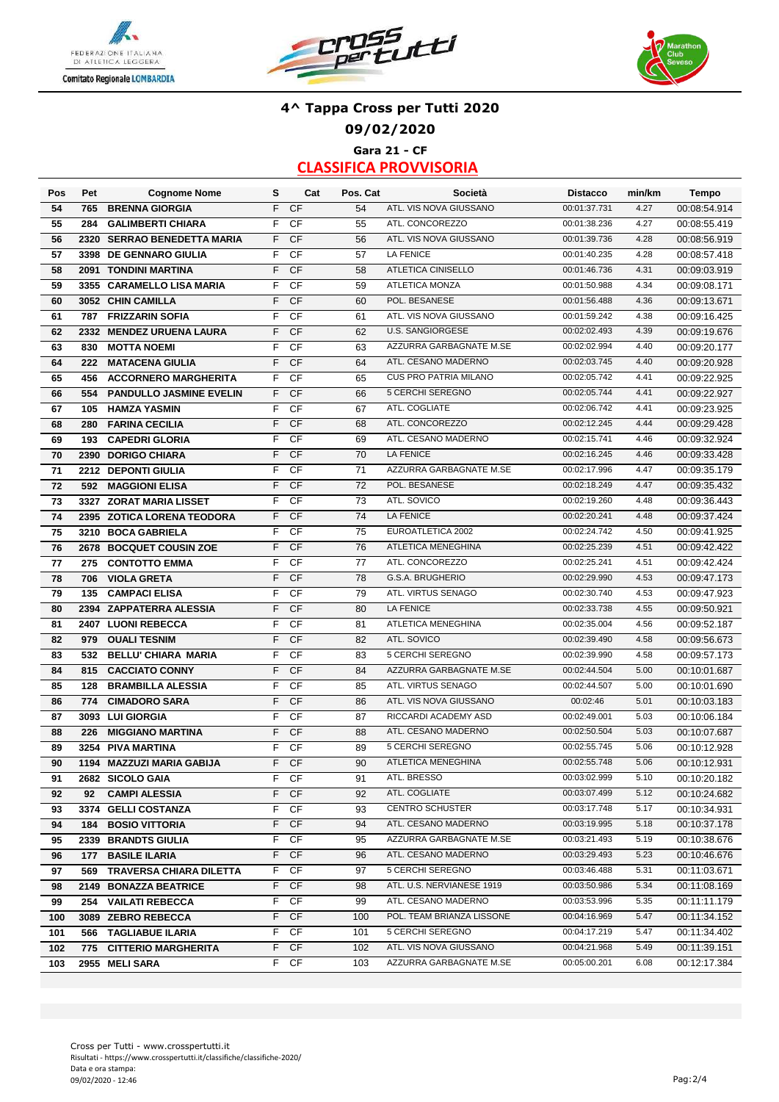





### **4^ Tappa Cross per Tutti 2020 09/02/2020 Gara 21 - CF**

| Pos | Pet  | <b>Cognome Nome</b>            | s  | Cat       | Pos. Cat | Società                                          | <b>Distacco</b>              | min/km | Tempo        |
|-----|------|--------------------------------|----|-----------|----------|--------------------------------------------------|------------------------------|--------|--------------|
| 54  | 765  | <b>BRENNA GIORGIA</b>          | F  | <b>CF</b> | 54       | ATL. VIS NOVA GIUSSANO                           | 00:01:37.731                 | 4.27   | 00:08:54.914 |
| 55  | 284  | <b>GALIMBERTI CHIARA</b>       | F  | CF        | 55       | ATL. CONCOREZZO                                  | 00:01:38.236                 | 4.27   | 00:08:55.419 |
| 56  |      | 2320 SERRAO BENEDETTA MARIA    | F  | <b>CF</b> | 56       | ATL. VIS NOVA GIUSSANO                           | 00:01:39.736                 | 4.28   | 00:08:56.919 |
| 57  | 3398 | <b>DE GENNARO GIULIA</b>       | F  | CF        | 57       | <b>LA FENICE</b>                                 | 00:01:40.235                 | 4.28   | 00:08:57.418 |
| 58  |      | 2091 TONDINI MARTINA           | F  | CF        | 58       | <b>ATLETICA CINISELLO</b>                        | 00:01:46.736                 | 4.31   | 00:09:03.919 |
| 59  |      | 3355 CARAMELLO LISA MARIA      | F  | CF        | 59       | <b>ATLETICA MONZA</b>                            | 00:01:50.988                 | 4.34   | 00:09:08.171 |
| 60  |      | 3052 CHIN CAMILLA              | F  | CF        | 60       | POL. BESANESE                                    | 00:01:56.488                 | 4.36   | 00:09:13.671 |
| 61  | 787  | <b>FRIZZARIN SOFIA</b>         | F  | CF        | 61       | ATL. VIS NOVA GIUSSANO                           | 00:01:59.242                 | 4.38   | 00:09:16.425 |
| 62  |      | 2332 MENDEZ URUENA LAURA       | F  | CF        | 62       | <b>U.S. SANGIORGESE</b>                          | 00:02:02.493                 | 4.39   | 00:09:19.676 |
| 63  | 830  | <b>MOTTA NOEMI</b>             | F  | CF        | 63       | AZZURRA GARBAGNATE M.SE                          | 00:02:02.994                 | 4.40   | 00:09:20.177 |
| 64  | 222  | <b>MATACENA GIULIA</b>         | F  | <b>CF</b> | 64       | ATL. CESANO MADERNO                              | 00:02:03.745                 | 4.40   | 00:09:20.928 |
| 65  | 456  | <b>ACCORNERO MARGHERITA</b>    | F  | CF        | 65       | <b>CUS PRO PATRIA MILANO</b>                     | 00:02:05.742                 | 4.41   | 00:09:22.925 |
| 66  | 554  | <b>PANDULLO JASMINE EVELIN</b> | F  | CF        | 66       | 5 CERCHI SEREGNO                                 | 00:02:05.744                 | 4.41   | 00:09:22.927 |
| 67  | 105  | <b>HAMZA YASMIN</b>            | F  | <b>CF</b> | 67       | ATL. COGLIATE                                    | 00:02:06.742                 | 4.41   | 00:09:23.925 |
| 68  | 280  | <b>FARINA CECILIA</b>          | F  | CF        | 68       | ATL. CONCOREZZO                                  | 00:02:12.245                 | 4.44   | 00:09:29.428 |
| 69  | 193  | <b>CAPEDRI GLORIA</b>          | F  | CF        | 69       | ATL. CESANO MADERNO                              | 00:02:15.741                 | 4.46   | 00:09:32.924 |
| 70  |      | 2390 DORIGO CHIARA             | F  | CF        | 70       | <b>LA FENICE</b>                                 | 00:02:16.245                 | 4.46   | 00:09:33.428 |
| 71  |      | 2212 DEPONTI GIULIA            | F  | CF        | 71       | AZZURRA GARBAGNATE M.SE                          | 00:02:17.996                 | 4.47   | 00:09:35.179 |
| 72  |      | 592 MAGGIONI ELISA             | F  | <b>CF</b> | 72       | POL. BESANESE                                    | 00:02:18.249                 | 4.47   | 00:09:35.432 |
| 73  |      | 3327 ZORAT MARIA LISSET        | F  | CF        | 73       | ATL. SOVICO                                      | 00:02:19.260                 | 4.48   | 00:09:36.443 |
| 74  |      | 2395 ZOTICA LORENA TEODORA     | F  | <b>CF</b> | 74       | <b>LA FENICE</b>                                 | 00:02:20.241                 | 4.48   | 00:09:37.424 |
| 75  |      | 3210 BOCA GABRIELA             | F  | <b>CF</b> | 75       | EUROATLETICA 2002                                | 00:02:24.742                 | 4.50   | 00:09:41.925 |
| 76  |      | 2678 BOCQUET COUSIN ZOE        | F  | <b>CF</b> | 76       | ATLETICA MENEGHINA                               | 00:02:25.239                 | 4.51   | 00:09:42.422 |
| 77  | 275  | <b>CONTOTTO EMMA</b>           | F  | CF        | 77       | ATL. CONCOREZZO                                  | 00:02:25.241                 | 4.51   | 00:09:42.424 |
| 78  | 706  | <b>VIOLA GRETA</b>             | F  | CF        | 78       | G.S.A. BRUGHERIO                                 | 00:02:29.990                 | 4.53   | 00:09:47.173 |
| 79  | 135  | <b>CAMPACI ELISA</b>           | F  | CF        | 79       | ATL. VIRTUS SENAGO                               | 00:02:30.740                 | 4.53   | 00:09:47.923 |
| 80  | 2394 | <b>ZAPPATERRA ALESSIA</b>      | F  | <b>CF</b> | 80       | <b>LA FENICE</b>                                 | 00:02:33.738                 | 4.55   | 00:09:50.921 |
| 81  | 2407 | <b>LUONI REBECCA</b>           | F  | CF        | 81       | ATLETICA MENEGHINA                               | 00:02:35.004                 | 4.56   | 00:09:52.187 |
| 82  | 979  | <b>OUALI TESNIM</b>            | F  | CF        | 82       | ATL. SOVICO                                      | 00:02:39.490                 | 4.58   | 00:09:56.673 |
| 83  | 532  | <b>BELLU' CHIARA MARIA</b>     | F  | CF        | 83       | 5 CERCHI SEREGNO                                 | 00:02:39.990                 | 4.58   | 00:09:57.173 |
| 84  | 815  | <b>CACCIATO CONNY</b>          | F  | CF        | 84       | AZZURRA GARBAGNATE M.SE                          | 00:02:44.504                 | 5.00   | 00:10:01.687 |
| 85  | 128  | <b>BRAMBILLA ALESSIA</b>       | F  | <b>CF</b> | 85       | ATL. VIRTUS SENAGO                               | 00:02:44.507                 | 5.00   | 00:10:01.690 |
| 86  | 774  | <b>CIMADORO SARA</b>           | F  | <b>CF</b> | 86       | ATL. VIS NOVA GIUSSANO                           | 00:02:46                     | 5.01   | 00:10:03.183 |
| 87  |      | 3093 LUI GIORGIA               | F  | CF        | 87       | RICCARDI ACADEMY ASD                             | 00:02:49.001                 | 5.03   | 00:10:06.184 |
| 88  | 226  | <b>MIGGIANO MARTINA</b>        | F  | <b>CF</b> | 88       | ATL. CESANO MADERNO                              | 00:02:50.504                 | 5.03   | 00:10:07.687 |
| 89  | 3254 | <b>PIVA MARTINA</b>            | F  | CF        | 89       | <b>5 CERCHI SEREGNO</b>                          | 00:02:55.745                 | 5.06   | 00:10:12.928 |
| 90  |      | 1194 MAZZUZI MARIA GABIJA      | F  | <b>CF</b> | 90       | <b>ATLETICA MENEGHINA</b>                        | 00:02:55.748                 | 5.06   | 00:10:12.931 |
| 91  |      | 2682 SICOLO GAIA               |    | F CF      | 91       | ATL. BRESSO                                      | 00:03:02.999                 | 5.10   | 00:10:20.182 |
| 92  | 92   | <b>CAMPI ALESSIA</b>           | F. | <b>CF</b> | 92       | ATL. COGLIATE                                    | 00:03:07.499                 | 5.12   | 00:10:24.682 |
| 93  |      | 3374 GELLI COSTANZA            |    | F CF      | 93       | <b>CENTRO SCHUSTER</b>                           | 00:03:17.748                 | 5.17   | 00:10:34.931 |
| 94  |      | <b>184 BOSIO VITTORIA</b>      |    | F CF      | 94       | ATL. CESANO MADERNO                              | 00:03:19.995                 | 5.18   | 00:10:37.178 |
| 95  |      | 2339 BRANDTS GIULIA            | F. | CF        | 95       | AZZURRA GARBAGNATE M.SE                          | 00:03:21.493                 | 5.19   | 00:10:38.676 |
| 96  | 177  | <b>BASILE ILARIA</b>           | F. | <b>CF</b> | 96       | ATL. CESANO MADERNO                              | 00:03:29.493                 | 5.23   | 00:10:46.676 |
| 97  |      | 569 TRAVERSA CHIARA DILETTA    | F. | CF        | 97       | 5 CERCHI SEREGNO                                 | 00:03:46.488                 | 5.31   | 00:11:03.671 |
| 98  |      | 2149 BONAZZA BEATRICE          | F. | <b>CF</b> | 98       | ATL. U.S. NERVIANESE 1919                        | 00:03:50.986                 | 5.34   | 00:11:08.169 |
| 99  |      | 254 VAILATI REBECCA            | F. | - CF      | 99       | ATL. CESANO MADERNO<br>POL. TEAM BRIANZA LISSONE | 00:03:53.996                 | 5.35   | 00:11:11.179 |
| 100 |      | 3089 ZEBRO REBECCA             | F. | <b>CF</b> | 100      |                                                  | 00:04:16.969<br>00:04:17.219 | 5.47   | 00:11:34.152 |
| 101 |      | 566 TAGLIABUE ILARIA           | F. | CF        | 101      | 5 CERCHI SEREGNO                                 |                              | 5.47   | 00:11:34.402 |
| 102 |      | 775 CITTERIO MARGHERITA        | F. | CF        | 102      | ATL. VIS NOVA GIUSSANO                           | 00:04:21.968                 | 5.49   | 00:11:39.151 |
| 103 |      | 2955 MELI SARA                 |    | F CF      | 103      | AZZURRA GARBAGNATE M.SE                          | 00:05:00.201                 | 6.08   | 00:12:17.384 |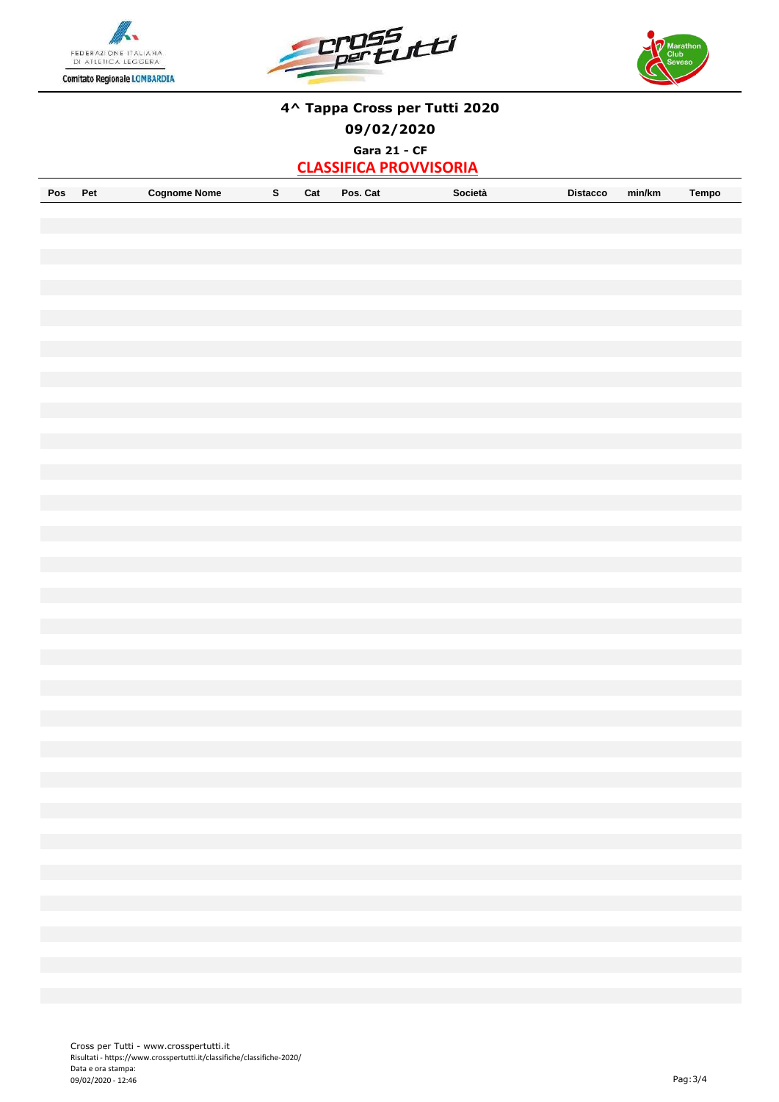





#### **4^ Tappa Cross per Tutti 2020**

**09/02/2020**

**Gara 21 - CF**

| Pos | ימס<br>− | Coanome<br>Nome |  | Car | Cat<br><sup>o</sup> os. | Societa | <b>Distacco</b> | min/km | empo |
|-----|----------|-----------------|--|-----|-------------------------|---------|-----------------|--------|------|
|-----|----------|-----------------|--|-----|-------------------------|---------|-----------------|--------|------|